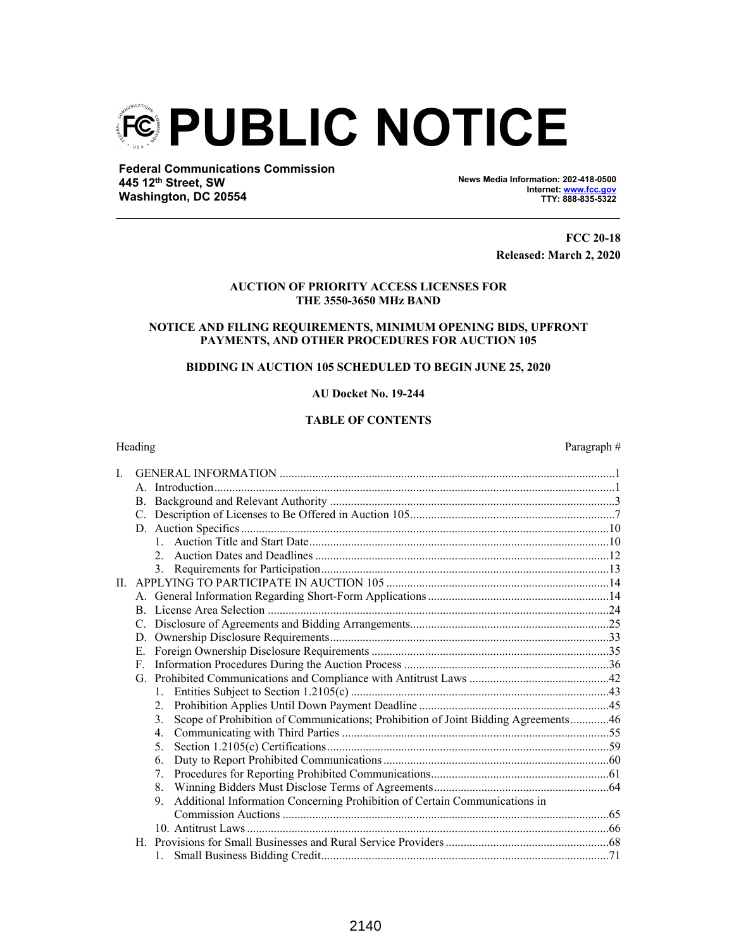

**Federal Communications Commission 445 12th Street, SW Washington, DC 20554**

**News Media Information: 202-418-0500 Internet: www.fcc.gov TTY: 888-835-5322**

> **FCC 20-18 Released: March 2, 2020**

## **AUCTION OF PRIORITY ACCESS LICENSES FOR THE 3550-3650 MHz BAND**

# **NOTICE AND FILING REQUIREMENTS, MINIMUM OPENING BIDS, UPFRONT PAYMENTS, AND OTHER PROCEDURES FOR AUCTION 105**

# **BIDDING IN AUCTION 105 SCHEDULED TO BEGIN JUNE 25, 2020**

### **AU Docket No. 19-244**

## **TABLE OF CONTENTS**

# Heading Paragraph # I. GENERAL INFORMATION .................................................................................................................1 A. Introduction.......................................................................................................................................1 B. Background and Relevant Authority ................................................................................................3 C. Description of Licenses to Be Offered in Auction 105.....................................................................7 D. Auction Specifics ............................................................................................................................10 1. Auction Title and Start Date.....................................................................................................10 2. Auction Dates and Deadlines ...................................................................................................12 3. Requirements for Participation.................................................................................................13 II. APPLYING TO PARTICIPATE IN AUCTION 105 ...........................................................................14 A. General Information Regarding Short-Form Applications .............................................................14 B. License Area Selection ...................................................................................................................24 C. Disclosure of Agreements and Bidding Arrangements...................................................................25 D. Ownership Disclosure Requirements..............................................................................................33 E. Foreign Ownership Disclosure Requirements ................................................................................35 F. Information Procedures During the Auction Process .....................................................................36 G. Prohibited Communications and Compliance with Antitrust Laws ...............................................42 1. Entities Subject to Section 1.2105(c) .......................................................................................43 2. Prohibition Applies Until Down Payment Deadline ................................................................45 3. Scope of Prohibition of Communications; Prohibition of Joint Bidding Agreements.............46 4. Communicating with Third Parties ..........................................................................................55 5. Section 1.2105(c) Certifications...............................................................................................59 6. Duty to Report Prohibited Communications ............................................................................60 7. Procedures for Reporting Prohibited Communications............................................................61 8. Winning Bidders Must Disclose Terms of Agreements...........................................................64 9. Additional Information Concerning Prohibition of Certain Communications in Commission Auctions ..............................................................................................................65 10. Antitrust Laws ..........................................................................................................................66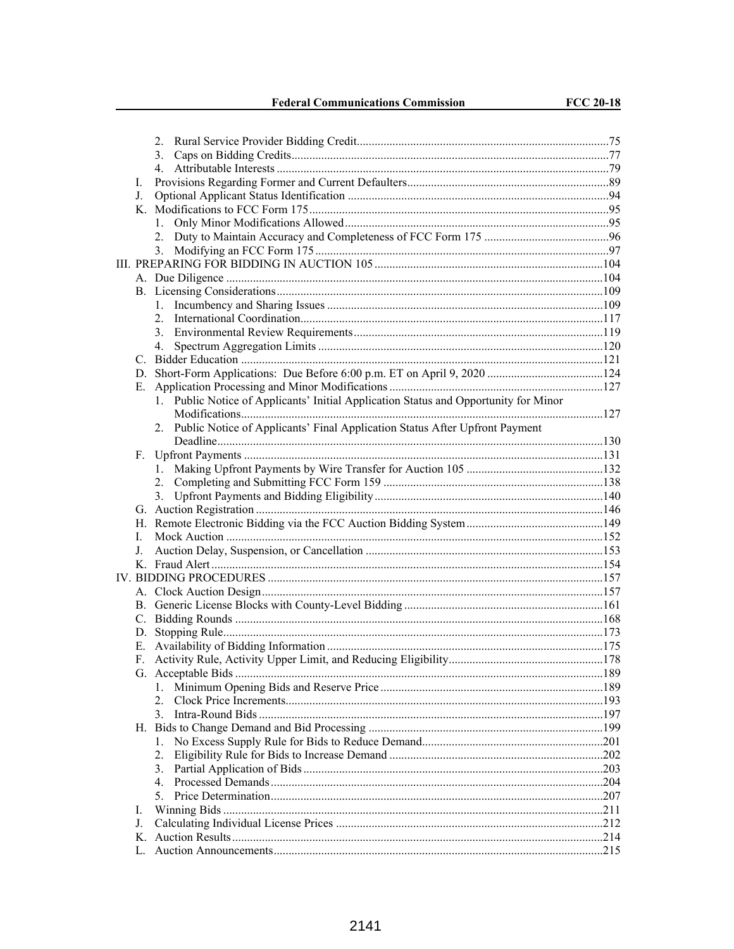**Federal Communications Commission** 

| L  |                                                                                      |  |
|----|--------------------------------------------------------------------------------------|--|
|    | J.                                                                                   |  |
|    |                                                                                      |  |
|    |                                                                                      |  |
|    |                                                                                      |  |
|    |                                                                                      |  |
|    |                                                                                      |  |
|    |                                                                                      |  |
|    |                                                                                      |  |
|    |                                                                                      |  |
|    |                                                                                      |  |
|    |                                                                                      |  |
|    |                                                                                      |  |
|    |                                                                                      |  |
|    |                                                                                      |  |
|    |                                                                                      |  |
|    | 1. Public Notice of Applicants' Initial Application Status and Opportunity for Minor |  |
|    |                                                                                      |  |
|    | 2. Public Notice of Applicants' Final Application Status After Upfront Payment       |  |
|    |                                                                                      |  |
|    | $F_{\perp}$                                                                          |  |
|    |                                                                                      |  |
|    |                                                                                      |  |
|    |                                                                                      |  |
|    |                                                                                      |  |
|    |                                                                                      |  |
|    | L                                                                                    |  |
| J. |                                                                                      |  |
|    |                                                                                      |  |
|    |                                                                                      |  |
|    |                                                                                      |  |
|    |                                                                                      |  |
|    |                                                                                      |  |
|    |                                                                                      |  |
|    |                                                                                      |  |
|    |                                                                                      |  |
|    |                                                                                      |  |
|    | 1.                                                                                   |  |
|    | $\overline{2}$                                                                       |  |
|    | $\mathcal{E}$                                                                        |  |
|    |                                                                                      |  |
|    |                                                                                      |  |
|    | 2.                                                                                   |  |
|    | 3.                                                                                   |  |
|    |                                                                                      |  |
|    |                                                                                      |  |
| L  |                                                                                      |  |
| J. |                                                                                      |  |
|    |                                                                                      |  |
|    |                                                                                      |  |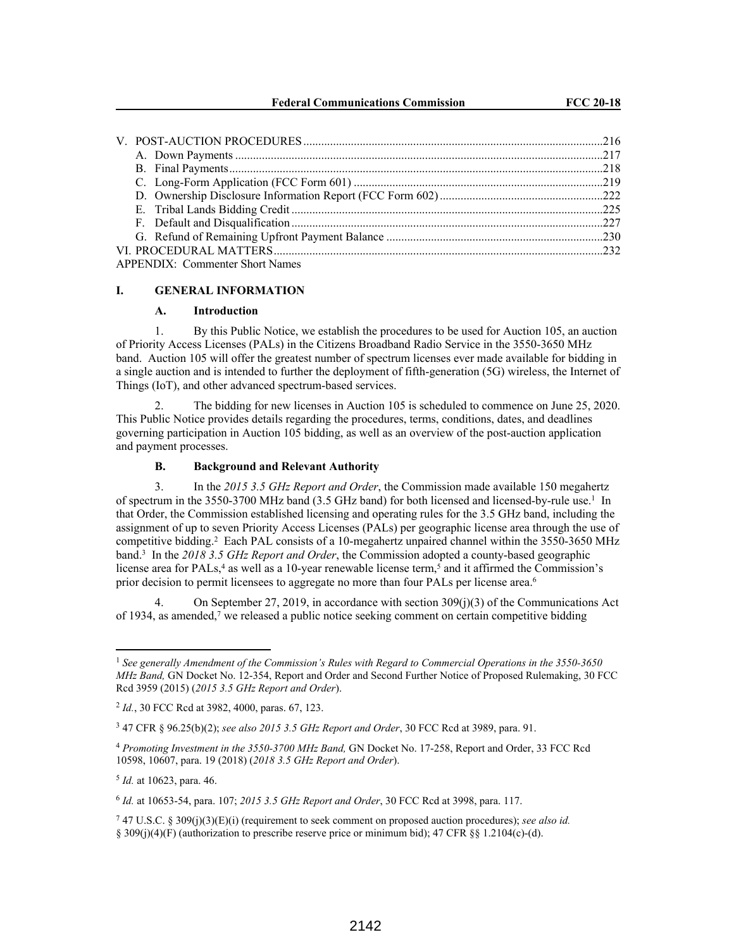| <b>APPENDIX: Commenter Short Names</b> |  |  |  |  |
|----------------------------------------|--|--|--|--|

#### **I. GENERAL INFORMATION**

#### **A. Introduction**

1. By this Public Notice, we establish the procedures to be used for Auction 105, an auction of Priority Access Licenses (PALs) in the Citizens Broadband Radio Service in the 3550-3650 MHz band. Auction 105 will offer the greatest number of spectrum licenses ever made available for bidding in a single auction and is intended to further the deployment of fifth-generation (5G) wireless, the Internet of Things (IoT), and other advanced spectrum-based services.

2. The bidding for new licenses in Auction 105 is scheduled to commence on June 25, 2020. This Public Notice provides details regarding the procedures, terms, conditions, dates, and deadlines governing participation in Auction 105 bidding, as well as an overview of the post-auction application and payment processes.

# **B. Background and Relevant Authority**

3. In the *2015 3.5 GHz Report and Order*, the Commission made available 150 megahertz of spectrum in the 3550-3700 MHz band (3.5 GHz band) for both licensed and licensed-by-rule use.<sup>1</sup> In that Order, the Commission established licensing and operating rules for the 3.5 GHz band, including the assignment of up to seven Priority Access Licenses (PALs) per geographic license area through the use of competitive bidding.<sup>2</sup> Each PAL consists of a 10-megahertz unpaired channel within the 3550-3650 MHz band.<sup>3</sup> In the *2018 3.5 GHz Report and Order*, the Commission adopted a county-based geographic license area for PALs, $4$  as well as a 10-year renewable license term, $5$  and it affirmed the Commission's prior decision to permit licensees to aggregate no more than four PALs per license area.<sup>6</sup>

On September 27, 2019, in accordance with section  $309(j)(3)$  of the Communications Act of 1934, as amended,<sup>7</sup> we released a public notice seeking comment on certain competitive bidding

<sup>1</sup> *See generally Amendment of the Commission's Rules with Regard to Commercial Operations in the 3550-3650 MHz Band,* GN Docket No. 12-354, Report and Order and Second Further Notice of Proposed Rulemaking, 30 FCC Rcd 3959 (2015) (*2015 3.5 GHz Report and Order*).

<sup>2</sup> *Id.*, 30 FCC Rcd at 3982, 4000, paras. 67, 123.

<sup>3</sup> 47 CFR § 96.25(b)(2); *see also 2015 3.5 GHz Report and Order*, 30 FCC Rcd at 3989, para. 91.

<sup>4</sup> *Promoting Investment in the 3550-3700 MHz Band,* GN Docket No. 17-258, Report and Order, 33 FCC Rcd 10598, 10607, para. 19 (2018) (*2018 3.5 GHz Report and Order*).

<sup>5</sup> *Id.* at 10623, para. 46.

<sup>6</sup> *Id.* at 10653-54, para. 107; *2015 3.5 GHz Report and Order*, 30 FCC Rcd at 3998, para. 117.

<sup>7</sup> 47 U.S.C. § 309(j)(3)(E)(i) (requirement to seek comment on proposed auction procedures); *see also id.* § 309(j)(4)(F) (authorization to prescribe reserve price or minimum bid); 47 CFR §§ 1.2104(c)-(d).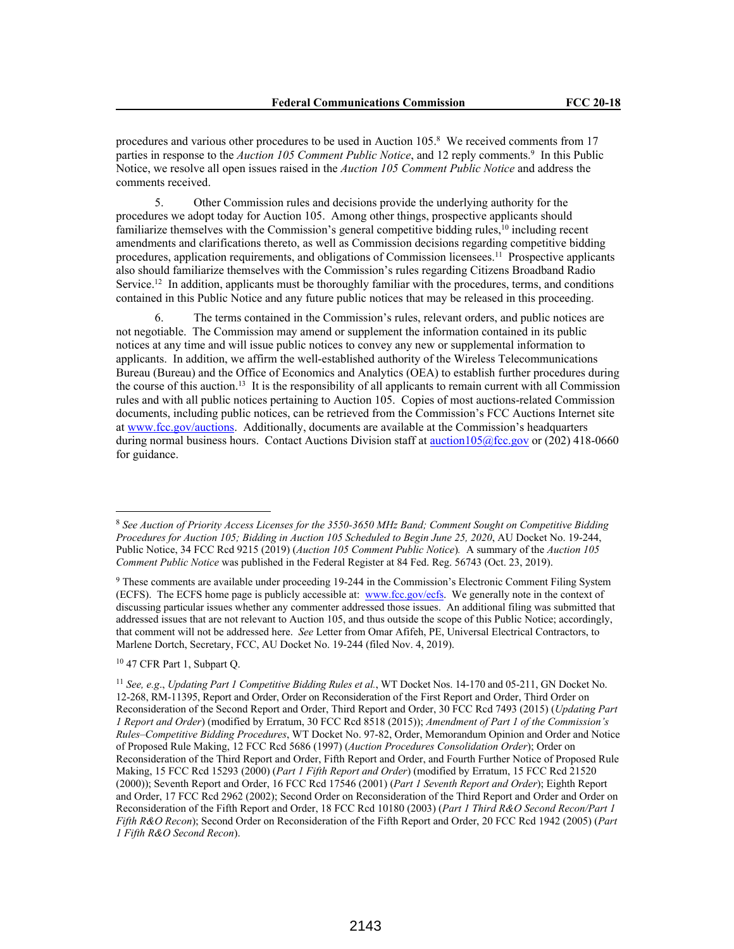procedures and various other procedures to be used in Auction 105.<sup>8</sup> We received comments from 17 parties in response to the *Auction 105 Comment Public Notice*, and 12 reply comments.<sup>9</sup> In this Public Notice, we resolve all open issues raised in the *Auction 105 Comment Public Notice* and address the comments received.

5. Other Commission rules and decisions provide the underlying authority for the procedures we adopt today for Auction 105. Among other things, prospective applicants should familiarize themselves with the Commission's general competitive bidding rules,<sup>10</sup> including recent amendments and clarifications thereto, as well as Commission decisions regarding competitive bidding procedures, application requirements, and obligations of Commission licensees.<sup>11</sup> Prospective applicants also should familiarize themselves with the Commission's rules regarding Citizens Broadband Radio Service.<sup>12</sup> In addition, applicants must be thoroughly familiar with the procedures, terms, and conditions contained in this Public Notice and any future public notices that may be released in this proceeding.

6. The terms contained in the Commission's rules, relevant orders, and public notices are not negotiable. The Commission may amend or supplement the information contained in its public notices at any time and will issue public notices to convey any new or supplemental information to applicants. In addition, we affirm the well-established authority of the Wireless Telecommunications Bureau (Bureau) and the Office of Economics and Analytics (OEA) to establish further procedures during the course of this auction.<sup>13</sup> It is the responsibility of all applicants to remain current with all Commission rules and with all public notices pertaining to Auction 105. Copies of most auctions-related Commission documents, including public notices, can be retrieved from the Commission's FCC Auctions Internet site at www.fcc.gov/auctions. Additionally, documents are available at the Commission's headquarters during normal business hours. Contact Auctions Division staff at auction105@fcc.gov or (202) 418-0660 for guidance.

<sup>10</sup> 47 CFR Part 1, Subpart Q.

<sup>8</sup> *See Auction of Priority Access Licenses for the 3550-3650 MHz Band; Comment Sought on Competitive Bidding Procedures for Auction 105; Bidding in Auction 105 Scheduled to Begin June 25, 2020*, AU Docket No. 19-244, Public Notice, 34 FCC Rcd 9215 (2019) (*Auction 105 Comment Public Notice*)*.* A summary of the *Auction 105 Comment Public Notice* was published in the Federal Register at 84 Fed. Reg. 56743 (Oct. 23, 2019).

<sup>9</sup> These comments are available under proceeding 19-244 in the Commission's Electronic Comment Filing System (ECFS). The ECFS home page is publicly accessible at: www.fcc.gov/ecfs. We generally note in the context of discussing particular issues whether any commenter addressed those issues. An additional filing was submitted that addressed issues that are not relevant to Auction 105, and thus outside the scope of this Public Notice; accordingly, that comment will not be addressed here. *See* Letter from Omar Afifeh, PE, Universal Electrical Contractors, to Marlene Dortch, Secretary, FCC, AU Docket No. 19-244 (filed Nov. 4, 2019).

<sup>11</sup> *See, e.g*., *Updating Part 1 Competitive Bidding Rules et al.*, WT Docket Nos. 14-170 and 05-211, GN Docket No. 12-268, RM-11395, Report and Order, Order on Reconsideration of the First Report and Order, Third Order on Reconsideration of the Second Report and Order, Third Report and Order, 30 FCC Rcd 7493 (2015) (*Updating Part 1 Report and Order*) (modified by Erratum, 30 FCC Rcd 8518 (2015)); *Amendment of Part 1 of the Commission's Rules–Competitive Bidding Procedures*, WT Docket No. 97-82, Order, Memorandum Opinion and Order and Notice of Proposed Rule Making, 12 FCC Rcd 5686 (1997) (*Auction Procedures Consolidation Order*); Order on Reconsideration of the Third Report and Order, Fifth Report and Order, and Fourth Further Notice of Proposed Rule Making, 15 FCC Rcd 15293 (2000) (*Part 1 Fifth Report and Order*) (modified by Erratum, 15 FCC Rcd 21520 (2000)); Seventh Report and Order, 16 FCC Rcd 17546 (2001) (*Part 1 Seventh Report and Order*); Eighth Report and Order, 17 FCC Rcd 2962 (2002); Second Order on Reconsideration of the Third Report and Order and Order on Reconsideration of the Fifth Report and Order, 18 FCC Rcd 10180 (2003) (*Part 1 Third R&O Second Recon/Part 1 Fifth R&O Recon*); Second Order on Reconsideration of the Fifth Report and Order, 20 FCC Rcd 1942 (2005) (*Part 1 Fifth R&O Second Recon*).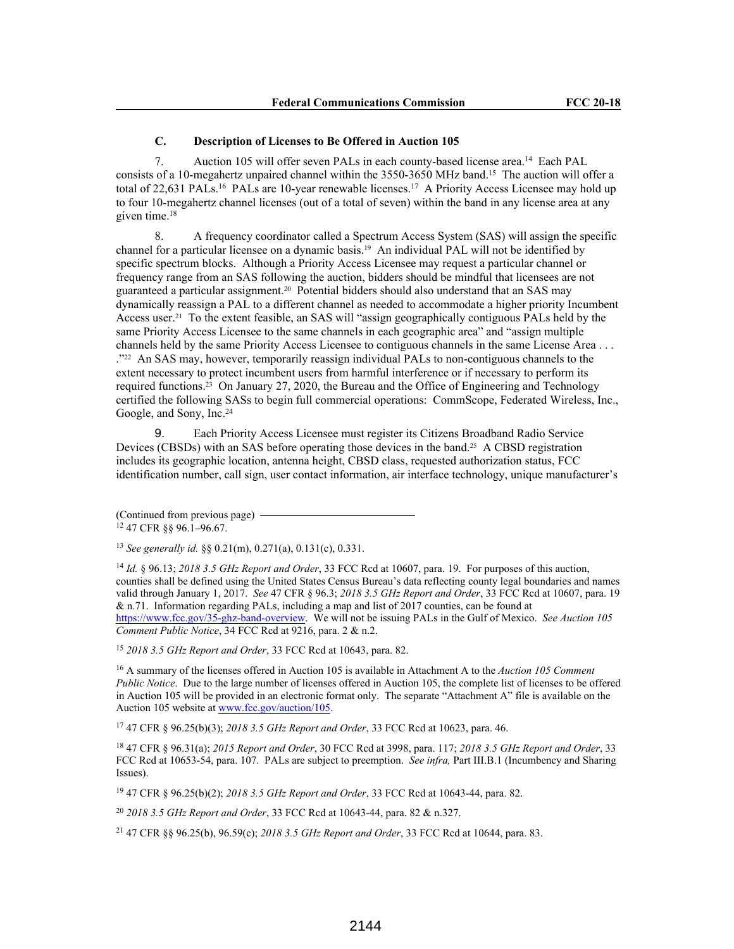#### **C. Description of Licenses to Be Offered in Auction 105**

7. Auction 105 will offer seven PALs in each county-based license area.<sup>14</sup> Each PAL consists of a 10-megahertz unpaired channel within the 3550-3650 MHz band.<sup>15</sup> The auction will offer a total of 22,631 PALs.<sup>16</sup> PALs are 10-year renewable licenses.<sup>17</sup> A Priority Access Licensee may hold up to four 10-megahertz channel licenses (out of a total of seven) within the band in any license area at any given time.<sup>18</sup>

8. A frequency coordinator called a Spectrum Access System (SAS) will assign the specific channel for a particular licensee on a dynamic basis.19 An individual PAL will not be identified by specific spectrum blocks. Although a Priority Access Licensee may request a particular channel or frequency range from an SAS following the auction, bidders should be mindful that licensees are not guaranteed a particular assignment.20 Potential bidders should also understand that an SAS may dynamically reassign a PAL to a different channel as needed to accommodate a higher priority Incumbent Access user.21 To the extent feasible, an SAS will "assign geographically contiguous PALs held by the same Priority Access Licensee to the same channels in each geographic area" and "assign multiple channels held by the same Priority Access Licensee to contiguous channels in the same License Area . . . ."22 An SAS may, however, temporarily reassign individual PALs to non-contiguous channels to the extent necessary to protect incumbent users from harmful interference or if necessary to perform its required functions.23 On January 27, 2020, the Bureau and the Office of Engineering and Technology certified the following SASs to begin full commercial operations: CommScope, Federated Wireless, Inc., Google, and Sony, Inc.<sup>24</sup>

9. Each Priority Access Licensee must register its Citizens Broadband Radio Service Devices (CBSDs) with an SAS before operating those devices in the band.<sup>25</sup> A CBSD registration includes its geographic location, antenna height, CBSD class, requested authorization status, FCC identification number, call sign, user contact information, air interface technology, unique manufacturer's

(Continued from previous page) <sup>12</sup> 47 CFR §§ 96.1–96.67.

<sup>13</sup> *See generally id.* §§ 0.21(m), 0.271(a), 0.131(c), 0.331.

<sup>14</sup> *Id.* § 96.13; *2018 3.5 GHz Report and Order*, 33 FCC Rcd at 10607, para. 19. For purposes of this auction, counties shall be defined using the United States Census Bureau's data reflecting county legal boundaries and names valid through January 1, 2017. *See* 47 CFR § 96.3; *2018 3.5 GHz Report and Order*, 33 FCC Rcd at 10607, para. 19 & n.71. Information regarding PALs, including a map and list of 2017 counties, can be found at https://www.fcc.gov/35-ghz-band-overview. We will not be issuing PALs in the Gulf of Mexico. *See Auction 105 Comment Public Notice*, 34 FCC Rcd at 9216, para. 2 & n.2.

<sup>15</sup> *2018 3.5 GHz Report and Order*, 33 FCC Rcd at 10643, para. 82.

<sup>16</sup> A summary of the licenses offered in Auction 105 is available in Attachment A to the *Auction 105 Comment Public Notice*. Due to the large number of licenses offered in Auction 105, the complete list of licenses to be offered in Auction 105 will be provided in an electronic format only. The separate "Attachment A" file is available on the Auction 105 website at www.fcc.gov/auction/105.

<sup>17</sup> 47 CFR § 96.25(b)(3); *2018 3.5 GHz Report and Order*, 33 FCC Rcd at 10623, para. 46.

<sup>18</sup> 47 CFR § 96.31(a); *2015 Report and Order*, 30 FCC Rcd at 3998, para. 117; *2018 3.5 GHz Report and Order*, 33 FCC Rcd at 10653-54, para. 107. PALs are subject to preemption. *See infra,* Part III.B.1 (Incumbency and Sharing Issues).

<sup>19</sup> 47 CFR § 96.25(b)(2); *2018 3.5 GHz Report and Order*, 33 FCC Rcd at 10643-44, para. 82.

<sup>20</sup> *2018 3.5 GHz Report and Order*, 33 FCC Rcd at 10643-44, para. 82 & n.327.

<sup>21</sup> 47 CFR §§ 96.25(b), 96.59(c); *2018 3.5 GHz Report and Order*, 33 FCC Rcd at 10644, para. 83.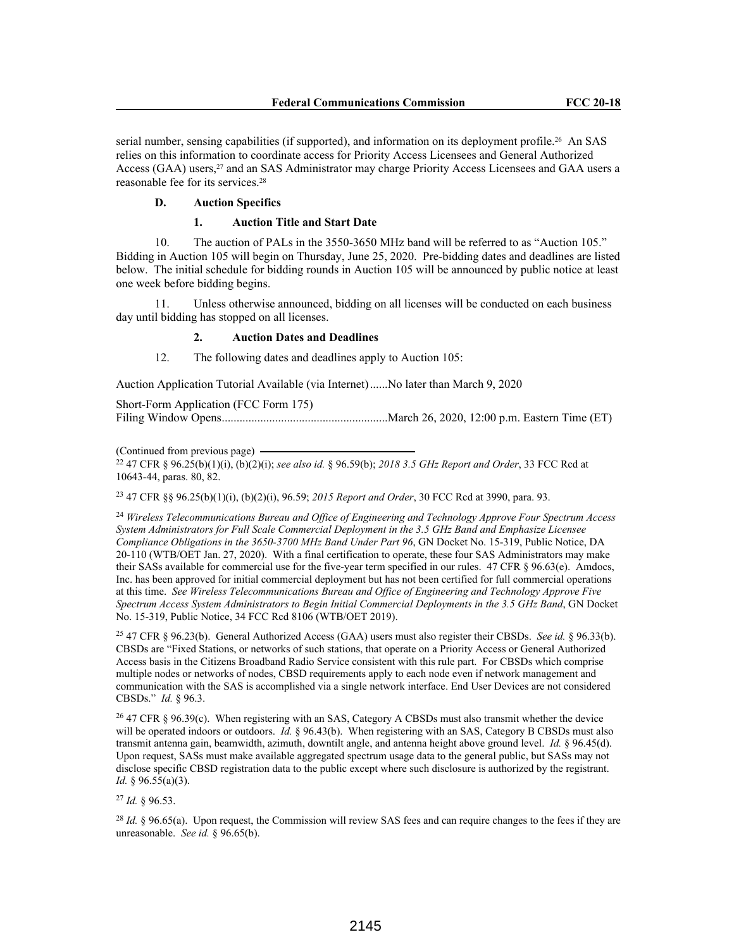serial number, sensing capabilities (if supported), and information on its deployment profile.<sup>26</sup> An SAS relies on this information to coordinate access for Priority Access Licensees and General Authorized Access (GAA) users,<sup>27</sup> and an SAS Administrator may charge Priority Access Licensees and GAA users a reasonable fee for its services.<sup>28</sup>

#### **D. Auction Specifics**

## **1. Auction Title and Start Date**

10. The auction of PALs in the 3550-3650 MHz band will be referred to as "Auction 105." Bidding in Auction 105 will begin on Thursday, June 25, 2020. Pre-bidding dates and deadlines are listed below. The initial schedule for bidding rounds in Auction 105 will be announced by public notice at least one week before bidding begins.

11. Unless otherwise announced, bidding on all licenses will be conducted on each business day until bidding has stopped on all licenses.

## **2. Auction Dates and Deadlines**

12. The following dates and deadlines apply to Auction 105:

Auction Application Tutorial Available (via Internet)......No later than March 9, 2020

| Short-Form Application (FCC Form 175) |  |  |  |
|---------------------------------------|--|--|--|
|                                       |  |  |  |

(Continued from previous page)

<sup>22</sup> 47 CFR § 96.25(b)(1)(i), (b)(2)(i); *see also id.* § 96.59(b); *2018 3.5 GHz Report and Order*, 33 FCC Rcd at 10643-44, paras. 80, 82.

<sup>23</sup> 47 CFR §§ 96.25(b)(1)(i), (b)(2)(i), 96.59; *2015 Report and Order*, 30 FCC Rcd at 3990, para. 93.

<sup>24</sup> *Wireless Telecommunications Bureau and Office of Engineering and Technology Approve Four Spectrum Access System Administrators for Full Scale Commercial Deployment in the 3.5 GHz Band and Emphasize Licensee Compliance Obligations in the 3650-3700 MHz Band Under Part 96*, GN Docket No. 15-319, Public Notice, DA 20-110 (WTB/OET Jan. 27, 2020). With a final certification to operate, these four SAS Administrators may make their SASs available for commercial use for the five-year term specified in our rules. 47 CFR § 96.63(e). Amdocs, Inc. has been approved for initial commercial deployment but has not been certified for full commercial operations at this time. *See Wireless Telecommunications Bureau and Office of Engineering and Technology Approve Five Spectrum Access System Administrators to Begin Initial Commercial Deployments in the 3.5 GHz Band*, GN Docket No. 15-319, Public Notice, 34 FCC Rcd 8106 (WTB/OET 2019).

<sup>25</sup> 47 CFR § 96.23(b). General Authorized Access (GAA) users must also register their CBSDs. *See id.* § 96.33(b). CBSDs are "Fixed Stations, or networks of such stations, that operate on a Priority Access or General Authorized Access basis in the Citizens Broadband Radio Service consistent with this rule part. For CBSDs which comprise multiple nodes or networks of nodes, CBSD requirements apply to each node even if network management and communication with the SAS is accomplished via a single network interface. End User Devices are not considered CBSDs." *Id.* § 96.3.

<sup>26</sup> 47 CFR § 96.39(c). When registering with an SAS, Category A CBSDs must also transmit whether the device will be operated indoors or outdoors. *Id.* § 96.43(b). When registering with an SAS, Category B CBSDs must also transmit antenna gain, beamwidth, azimuth, downtilt angle, and antenna height above ground level. *Id.* § 96.45(d). Upon request, SASs must make available aggregated spectrum usage data to the general public, but SASs may not disclose specific CBSD registration data to the public except where such disclosure is authorized by the registrant. *Id.* § 96.55(a)(3).

<sup>27</sup> *Id.* § 96.53.

<sup>28</sup> *Id.* § 96.65(a). Upon request, the Commission will review SAS fees and can require changes to the fees if they are unreasonable. *See id.* § 96.65(b).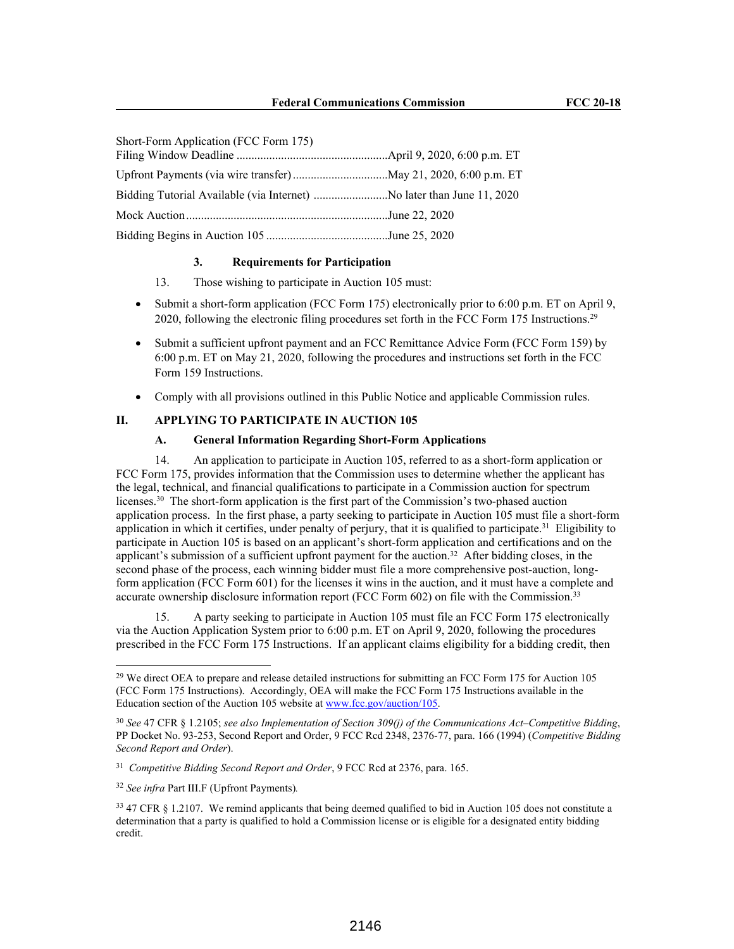| Short-Form Application (FCC Form 175) |  |
|---------------------------------------|--|
|                                       |  |
|                                       |  |
|                                       |  |
|                                       |  |
|                                       |  |

### **3. Requirements for Participation**

- 13. Those wishing to participate in Auction 105 must:
- Submit a short-form application (FCC Form 175) electronically prior to 6:00 p.m. ET on April 9, 2020, following the electronic filing procedures set forth in the FCC Form 175 Instructions.<sup>29</sup>
- Submit a sufficient upfront payment and an FCC Remittance Advice Form (FCC Form 159) by 6:00 p.m. ET on May 21, 2020, following the procedures and instructions set forth in the FCC Form 159 Instructions.
- Comply with all provisions outlined in this Public Notice and applicable Commission rules.

### **II. APPLYING TO PARTICIPATE IN AUCTION 105**

### **A. General Information Regarding Short-Form Applications**

14. An application to participate in Auction 105, referred to as a short-form application or FCC Form 175, provides information that the Commission uses to determine whether the applicant has the legal, technical, and financial qualifications to participate in a Commission auction for spectrum licenses.<sup>30</sup> The short-form application is the first part of the Commission's two-phased auction application process. In the first phase, a party seeking to participate in Auction 105 must file a short-form application in which it certifies, under penalty of perjury, that it is qualified to participate.<sup>31</sup> Eligibility to participate in Auction 105 is based on an applicant's short-form application and certifications and on the applicant's submission of a sufficient upfront payment for the auction.<sup>32</sup> After bidding closes, in the second phase of the process, each winning bidder must file a more comprehensive post-auction, longform application (FCC Form 601) for the licenses it wins in the auction, and it must have a complete and accurate ownership disclosure information report (FCC Form 602) on file with the Commission.<sup>33</sup>

15. A party seeking to participate in Auction 105 must file an FCC Form 175 electronically via the Auction Application System prior to 6:00 p.m. ET on April 9, 2020, following the procedures prescribed in the FCC Form 175 Instructions. If an applicant claims eligibility for a bidding credit, then

<sup>&</sup>lt;sup>29</sup> We direct OEA to prepare and release detailed instructions for submitting an FCC Form 175 for Auction 105 (FCC Form 175 Instructions). Accordingly, OEA will make the FCC Form 175 Instructions available in the Education section of the Auction 105 website at www.fcc.gov/auction/105.

<sup>30</sup> *See* 47 CFR § 1.2105; *see also Implementation of Section 309(j) of the Communications Act–Competitive Bidding*, PP Docket No. 93-253, Second Report and Order, 9 FCC Rcd 2348, 2376-77, para. 166 (1994) (*Competitive Bidding Second Report and Order*).

<sup>31</sup> *Competitive Bidding Second Report and Order*, 9 FCC Rcd at 2376, para. 165.

<sup>32</sup> *See infra* Part III.F (Upfront Payments)*.* 

<sup>&</sup>lt;sup>33</sup> 47 CFR § 1.2107. We remind applicants that being deemed qualified to bid in Auction 105 does not constitute a determination that a party is qualified to hold a Commission license or is eligible for a designated entity bidding credit.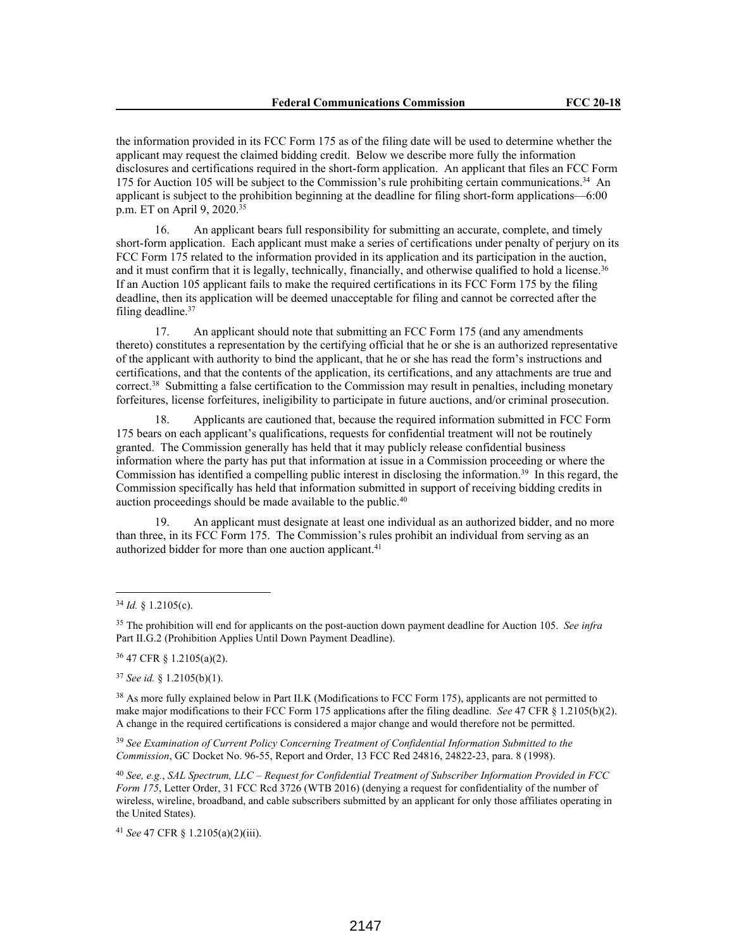the information provided in its FCC Form 175 as of the filing date will be used to determine whether the applicant may request the claimed bidding credit. Below we describe more fully the information disclosures and certifications required in the short-form application. An applicant that files an FCC Form 175 for Auction 105 will be subject to the Commission's rule prohibiting certain communications.<sup>34</sup> An applicant is subject to the prohibition beginning at the deadline for filing short-form applications—6:00 p.m. ET on April 9, 2020.<sup>35</sup>

16. An applicant bears full responsibility for submitting an accurate, complete, and timely short-form application. Each applicant must make a series of certifications under penalty of perjury on its FCC Form 175 related to the information provided in its application and its participation in the auction, and it must confirm that it is legally, technically, financially, and otherwise qualified to hold a license.<sup>36</sup> If an Auction 105 applicant fails to make the required certifications in its FCC Form 175 by the filing deadline, then its application will be deemed unacceptable for filing and cannot be corrected after the filing deadline.<sup>37</sup>

17. An applicant should note that submitting an FCC Form 175 (and any amendments thereto) constitutes a representation by the certifying official that he or she is an authorized representative of the applicant with authority to bind the applicant, that he or she has read the form's instructions and certifications, and that the contents of the application, its certifications, and any attachments are true and correct.<sup>38</sup> Submitting a false certification to the Commission may result in penalties, including monetary forfeitures, license forfeitures, ineligibility to participate in future auctions, and/or criminal prosecution.

18. Applicants are cautioned that, because the required information submitted in FCC Form 175 bears on each applicant's qualifications, requests for confidential treatment will not be routinely granted. The Commission generally has held that it may publicly release confidential business information where the party has put that information at issue in a Commission proceeding or where the Commission has identified a compelling public interest in disclosing the information.<sup>39</sup> In this regard, the Commission specifically has held that information submitted in support of receiving bidding credits in auction proceedings should be made available to the public.<sup>40</sup>

19. An applicant must designate at least one individual as an authorized bidder, and no more than three, in its FCC Form 175. The Commission's rules prohibit an individual from serving as an authorized bidder for more than one auction applicant.<sup>41</sup>

<sup>37</sup> *See id.* § 1.2105(b)(1).

<sup>38</sup> As more fully explained below in Part II.K (Modifications to FCC Form 175), applicants are not permitted to make major modifications to their FCC Form 175 applications after the filing deadline. *See* 47 CFR § 1.2105(b)(2). A change in the required certifications is considered a major change and would therefore not be permitted.

<sup>39</sup> *See Examination of Current Policy Concerning Treatment of Confidential Information Submitted to the Commission*, GC Docket No. 96-55, Report and Order, 13 FCC Red 24816, 24822-23, para. 8 (1998).

<sup>40</sup> *See, e.g.*, *SAL Spectrum, LLC – Request for Confidential Treatment of Subscriber Information Provided in FCC Form 175*, Letter Order, 31 FCC Rcd 3726 (WTB 2016) (denying a request for confidentiality of the number of wireless, wireline, broadband, and cable subscribers submitted by an applicant for only those affiliates operating in the United States).

<sup>41</sup> *See* 47 CFR § 1.2105(a)(2)(iii).

<sup>34</sup> *Id.* § 1.2105(c).

<sup>35</sup> The prohibition will end for applicants on the post-auction down payment deadline for Auction 105. *See infra*  Part II.G.2 (Prohibition Applies Until Down Payment Deadline).

<sup>36</sup> 47 CFR § 1.2105(a)(2).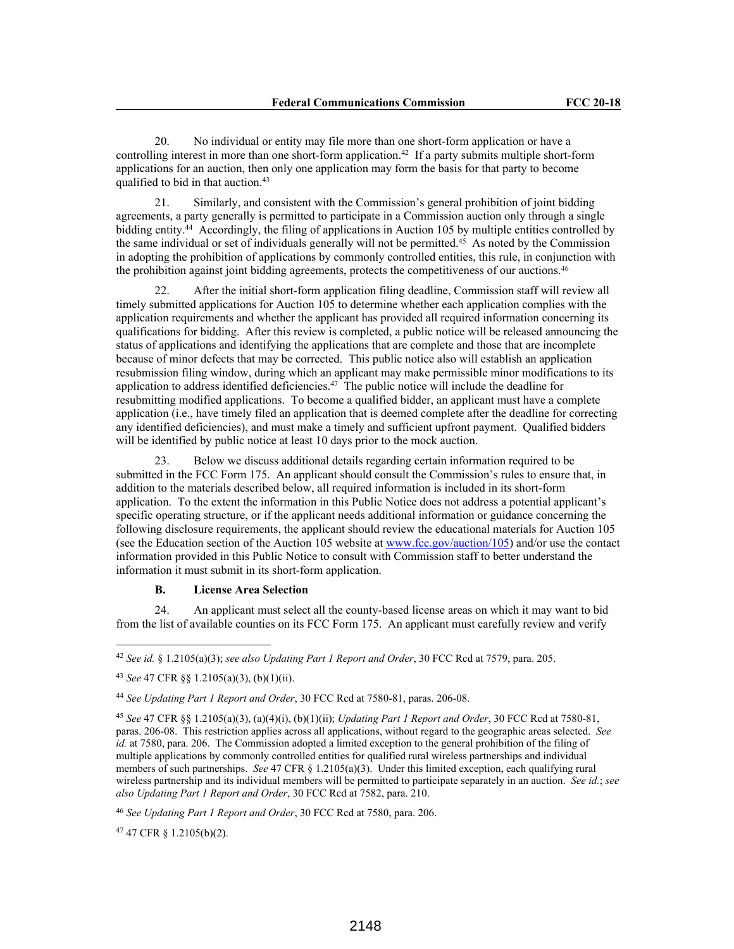20. No individual or entity may file more than one short-form application or have a controlling interest in more than one short-form application.<sup>42</sup> If a party submits multiple short-form applications for an auction, then only one application may form the basis for that party to become qualified to bid in that auction.<sup>43</sup>

21. Similarly, and consistent with the Commission's general prohibition of joint bidding agreements, a party generally is permitted to participate in a Commission auction only through a single bidding entity.<sup>44</sup> Accordingly, the filing of applications in Auction 105 by multiple entities controlled by the same individual or set of individuals generally will not be permitted.<sup>45</sup> As noted by the Commission in adopting the prohibition of applications by commonly controlled entities, this rule, in conjunction with the prohibition against joint bidding agreements, protects the competitiveness of our auctions.<sup>46</sup>

22. After the initial short-form application filing deadline, Commission staff will review all timely submitted applications for Auction 105 to determine whether each application complies with the application requirements and whether the applicant has provided all required information concerning its qualifications for bidding. After this review is completed, a public notice will be released announcing the status of applications and identifying the applications that are complete and those that are incomplete because of minor defects that may be corrected. This public notice also will establish an application resubmission filing window, during which an applicant may make permissible minor modifications to its application to address identified deficiencies.<sup>47</sup> The public notice will include the deadline for resubmitting modified applications. To become a qualified bidder, an applicant must have a complete application (i.e., have timely filed an application that is deemed complete after the deadline for correcting any identified deficiencies), and must make a timely and sufficient upfront payment. Qualified bidders will be identified by public notice at least 10 days prior to the mock auction.

23. Below we discuss additional details regarding certain information required to be submitted in the FCC Form 175. An applicant should consult the Commission's rules to ensure that, in addition to the materials described below, all required information is included in its short-form application. To the extent the information in this Public Notice does not address a potential applicant's specific operating structure, or if the applicant needs additional information or guidance concerning the following disclosure requirements, the applicant should review the educational materials for Auction 105 (see the Education section of the Auction 105 website at www.fcc.gov/auction/105) and/or use the contact information provided in this Public Notice to consult with Commission staff to better understand the information it must submit in its short-form application.

# **B. License Area Selection**

24. An applicant must select all the county-based license areas on which it may want to bid from the list of available counties on its FCC Form 175. An applicant must carefully review and verify

<sup>47</sup> 47 CFR § 1.2105(b)(2).

<sup>42</sup> *See id.* § 1.2105(a)(3); *see also Updating Part 1 Report and Order*, 30 FCC Rcd at 7579, para. 205.

<sup>43</sup> *See* 47 CFR §§ 1.2105(a)(3), (b)(1)(ii).

<sup>44</sup> *See Updating Part 1 Report and Order*, 30 FCC Rcd at 7580-81, paras. 206-08.

<sup>45</sup> *See* 47 CFR §§ 1.2105(a)(3), (a)(4)(i), (b)(1)(ii); *Updating Part 1 Report and Order*, 30 FCC Rcd at 7580-81, paras. 206-08. This restriction applies across all applications, without regard to the geographic areas selected. *See id.* at 7580, para. 206. The Commission adopted a limited exception to the general prohibition of the filing of multiple applications by commonly controlled entities for qualified rural wireless partnerships and individual members of such partnerships. *See* 47 CFR § 1.2105(a)(3). Under this limited exception, each qualifying rural wireless partnership and its individual members will be permitted to participate separately in an auction. *See id.*; *see also Updating Part 1 Report and Order*, 30 FCC Rcd at 7582, para. 210.

<sup>46</sup> *See Updating Part 1 Report and Order*, 30 FCC Rcd at 7580, para. 206.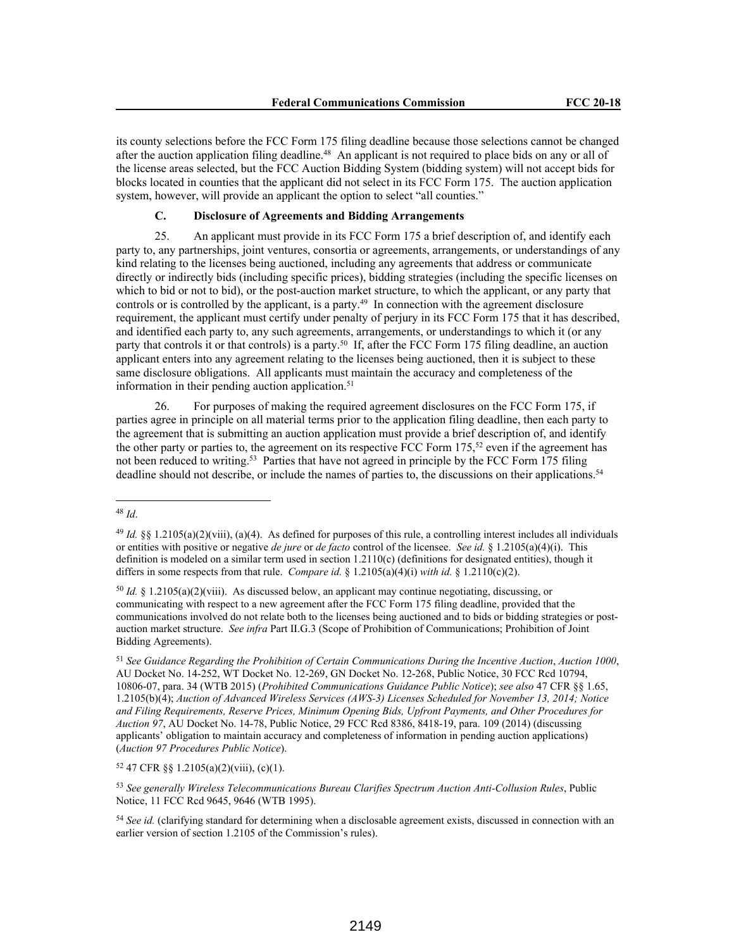its county selections before the FCC Form 175 filing deadline because those selections cannot be changed after the auction application filing deadline.<sup>48</sup> An applicant is not required to place bids on any or all of the license areas selected, but the FCC Auction Bidding System (bidding system) will not accept bids for blocks located in counties that the applicant did not select in its FCC Form 175. The auction application system, however, will provide an applicant the option to select "all counties."

# **C. Disclosure of Agreements and Bidding Arrangements**

25. An applicant must provide in its FCC Form 175 a brief description of, and identify each party to, any partnerships, joint ventures, consortia or agreements, arrangements, or understandings of any kind relating to the licenses being auctioned, including any agreements that address or communicate directly or indirectly bids (including specific prices), bidding strategies (including the specific licenses on which to bid or not to bid), or the post-auction market structure, to which the applicant, or any party that controls or is controlled by the applicant, is a party.<sup>49</sup> In connection with the agreement disclosure requirement, the applicant must certify under penalty of perjury in its FCC Form 175 that it has described, and identified each party to, any such agreements, arrangements, or understandings to which it (or any party that controls it or that controls) is a party.<sup>50</sup> If, after the FCC Form 175 filing deadline, an auction applicant enters into any agreement relating to the licenses being auctioned, then it is subject to these same disclosure obligations. All applicants must maintain the accuracy and completeness of the information in their pending auction application.<sup>51</sup>

26. For purposes of making the required agreement disclosures on the FCC Form 175, if parties agree in principle on all material terms prior to the application filing deadline, then each party to the agreement that is submitting an auction application must provide a brief description of, and identify the other party or parties to, the agreement on its respective FCC Form  $175$ ,<sup>52</sup> even if the agreement has not been reduced to writing.<sup>53</sup> Parties that have not agreed in principle by the FCC Form 175 filing deadline should not describe, or include the names of parties to, the discussions on their applications.<sup>54</sup>

<sup>52</sup> 47 CFR §§ 1.2105(a)(2)(viii), (c)(1).

<sup>53</sup> *See generally Wireless Telecommunications Bureau Clarifies Spectrum Auction Anti-Collusion Rules*, Public Notice, 11 FCC Rcd 9645, 9646 (WTB 1995).

<sup>48</sup> *Id*.

<sup>49</sup> *Id.* §§ 1.2105(a)(2)(viii), (a)(4). As defined for purposes of this rule, a controlling interest includes all individuals or entities with positive or negative *de jure* or *de facto* control of the licensee. *See id.* § 1.2105(a)(4)(i). This definition is modeled on a similar term used in section 1.2110(c) (definitions for designated entities), though it differs in some respects from that rule. *Compare id.* § 1.2105(a)(4)(i) *with id.* § 1.2110(c)(2).

<sup>&</sup>lt;sup>50</sup> *Id.* § 1.2105(a)(2)(viii). As discussed below, an applicant may continue negotiating, discussing, or communicating with respect to a new agreement after the FCC Form 175 filing deadline, provided that the communications involved do not relate both to the licenses being auctioned and to bids or bidding strategies or postauction market structure. *See infra* Part II.G.3 (Scope of Prohibition of Communications; Prohibition of Joint Bidding Agreements).

<sup>51</sup> *See Guidance Regarding the Prohibition of Certain Communications During the Incentive Auction*, *Auction 1000*, AU Docket No. 14-252, WT Docket No. 12-269, GN Docket No. 12-268, Public Notice, 30 FCC Rcd 10794, 10806-07, para. 34 (WTB 2015) (*Prohibited Communications Guidance Public Notice*); *see also* 47 CFR §§ 1.65, 1.2105(b)(4); *Auction of Advanced Wireless Services (AWS-3) Licenses Scheduled for November 13, 2014; Notice and Filing Requirements, Reserve Prices, Minimum Opening Bids, Upfront Payments, and Other Procedures for Auction 97*, AU Docket No. 14-78, Public Notice, 29 FCC Rcd 8386, 8418-19, para. 109 (2014) (discussing applicants' obligation to maintain accuracy and completeness of information in pending auction applications) (*Auction 97 Procedures Public Notice*).

<sup>54</sup> *See id.* (clarifying standard for determining when a disclosable agreement exists, discussed in connection with an earlier version of section 1.2105 of the Commission's rules).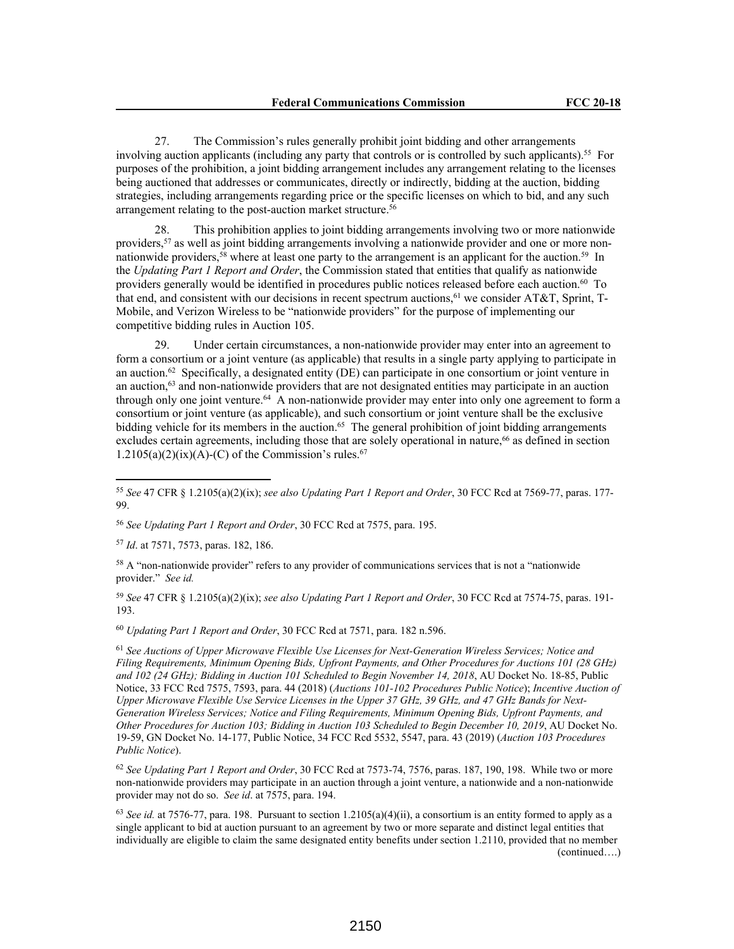27. The Commission's rules generally prohibit joint bidding and other arrangements involving auction applicants (including any party that controls or is controlled by such applicants).<sup>55</sup> For purposes of the prohibition, a joint bidding arrangement includes any arrangement relating to the licenses being auctioned that addresses or communicates, directly or indirectly, bidding at the auction, bidding strategies, including arrangements regarding price or the specific licenses on which to bid, and any such arrangement relating to the post-auction market structure.<sup>56</sup>

28. This prohibition applies to joint bidding arrangements involving two or more nationwide providers,<sup>57</sup> as well as joint bidding arrangements involving a nationwide provider and one or more nonnationwide providers,<sup>58</sup> where at least one party to the arrangement is an applicant for the auction.<sup>59</sup> In the *Updating Part 1 Report and Order*, the Commission stated that entities that qualify as nationwide providers generally would be identified in procedures public notices released before each auction.<sup>60</sup> To that end, and consistent with our decisions in recent spectrum auctions,<sup>61</sup> we consider AT&T, Sprint, T-Mobile, and Verizon Wireless to be "nationwide providers" for the purpose of implementing our competitive bidding rules in Auction 105.

29. Under certain circumstances, a non-nationwide provider may enter into an agreement to form a consortium or a joint venture (as applicable) that results in a single party applying to participate in an auction.<sup>62</sup> Specifically, a designated entity (DE) can participate in one consortium or joint venture in an auction,<sup>63</sup> and non-nationwide providers that are not designated entities may participate in an auction through only one joint venture.<sup>64</sup> A non-nationwide provider may enter into only one agreement to form a consortium or joint venture (as applicable), and such consortium or joint venture shall be the exclusive bidding vehicle for its members in the auction.<sup>65</sup> The general prohibition of joint bidding arrangements excludes certain agreements, including those that are solely operational in nature,<sup>66</sup> as defined in section  $1.2105(a)(2)(ix)(A)-(C)$  of the Commission's rules.<sup>67</sup>

<sup>57</sup> *Id*. at 7571, 7573, paras. 182, 186.

<sup>58</sup> A "non-nationwide provider" refers to any provider of communications services that is not a "nationwide provider." *See id.*

<sup>59</sup> *See* 47 CFR § 1.2105(a)(2)(ix); *see also Updating Part 1 Report and Order*, 30 FCC Rcd at 7574-75, paras. 191- 193.

<sup>60</sup> *Updating Part 1 Report and Order*, 30 FCC Rcd at 7571, para. 182 n.596.

<sup>61</sup> *See Auctions of Upper Microwave Flexible Use Licenses for Next-Generation Wireless Services; Notice and Filing Requirements, Minimum Opening Bids, Upfront Payments, and Other Procedures for Auctions 101 (28 GHz) and 102 (24 GHz); Bidding in Auction 101 Scheduled to Begin November 14, 2018*, AU Docket No. 18-85, Public Notice, 33 FCC Rcd 7575, 7593, para. 44 (2018) (*Auctions 101-102 Procedures Public Notice*); *Incentive Auction of Upper Microwave Flexible Use Service Licenses in the Upper 37 GHz, 39 GHz, and 47 GHz Bands for Next-Generation Wireless Services; Notice and Filing Requirements, Minimum Opening Bids, Upfront Payments, and Other Procedures for Auction 103; Bidding in Auction 103 Scheduled to Begin December 10, 2019*, AU Docket No. 19-59, GN Docket No. 14-177, Public Notice, 34 FCC Rcd 5532, 5547, para. 43 (2019) (*Auction 103 Procedures Public Notice*).

<sup>62</sup> *See Updating Part 1 Report and Order*, 30 FCC Rcd at 7573-74, 7576, paras. 187, 190, 198. While two or more non-nationwide providers may participate in an auction through a joint venture, a nationwide and a non-nationwide provider may not do so. *See id*. at 7575, para. 194.

<sup>63</sup> *See id.* at 7576-77, para. 198. Pursuant to section 1.2105(a)(4)(ii), a consortium is an entity formed to apply as a single applicant to bid at auction pursuant to an agreement by two or more separate and distinct legal entities that individually are eligible to claim the same designated entity benefits under section 1.2110, provided that no member (continued….)

<sup>55</sup> *See* 47 CFR § 1.2105(a)(2)(ix); *see also Updating Part 1 Report and Order*, 30 FCC Rcd at 7569-77, paras. 177- 99.

<sup>56</sup> *See Updating Part 1 Report and Order*, 30 FCC Rcd at 7575, para. 195.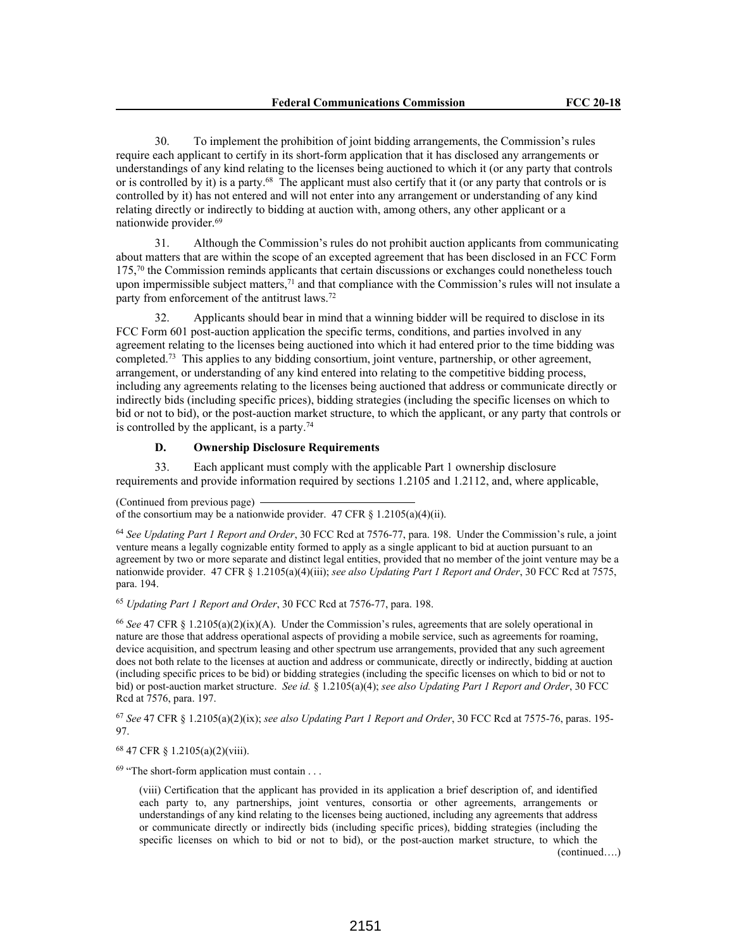30. To implement the prohibition of joint bidding arrangements, the Commission's rules require each applicant to certify in its short-form application that it has disclosed any arrangements or understandings of any kind relating to the licenses being auctioned to which it (or any party that controls or is controlled by it) is a party.<sup>68</sup> The applicant must also certify that it (or any party that controls or is controlled by it) has not entered and will not enter into any arrangement or understanding of any kind relating directly or indirectly to bidding at auction with, among others, any other applicant or a nationwide provider.<sup>69</sup>

31. Although the Commission's rules do not prohibit auction applicants from communicating about matters that are within the scope of an excepted agreement that has been disclosed in an FCC Form 175,<sup>70</sup> the Commission reminds applicants that certain discussions or exchanges could nonetheless touch upon impermissible subject matters, $7<sup>1</sup>$  and that compliance with the Commission's rules will not insulate a party from enforcement of the antitrust laws.<sup>72</sup>

32. Applicants should bear in mind that a winning bidder will be required to disclose in its FCC Form 601 post-auction application the specific terms, conditions, and parties involved in any agreement relating to the licenses being auctioned into which it had entered prior to the time bidding was completed.<sup>73</sup> This applies to any bidding consortium, joint venture, partnership, or other agreement, arrangement, or understanding of any kind entered into relating to the competitive bidding process, including any agreements relating to the licenses being auctioned that address or communicate directly or indirectly bids (including specific prices), bidding strategies (including the specific licenses on which to bid or not to bid), or the post-auction market structure, to which the applicant, or any party that controls or is controlled by the applicant, is a party.<sup>74</sup>

## **D. Ownership Disclosure Requirements**

33. Each applicant must comply with the applicable Part 1 ownership disclosure requirements and provide information required by sections 1.2105 and 1.2112, and, where applicable,

(Continued from previous page) of the consortium may be a nationwide provider. 47 CFR  $\S$  1.2105(a)(4)(ii).

<sup>64</sup> *See Updating Part 1 Report and Order*, 30 FCC Rcd at 7576-77, para. 198. Under the Commission's rule, a joint venture means a legally cognizable entity formed to apply as a single applicant to bid at auction pursuant to an agreement by two or more separate and distinct legal entities, provided that no member of the joint venture may be a nationwide provider. 47 CFR § 1.2105(a)(4)(iii); *see also Updating Part 1 Report and Order*, 30 FCC Rcd at 7575, para. 194.

<sup>65</sup> *Updating Part 1 Report and Order*, 30 FCC Rcd at 7576-77, para. 198.

<sup>66</sup> *See* 47 CFR § 1.2105(a)(2)(ix)(A). Under the Commission's rules, agreements that are solely operational in nature are those that address operational aspects of providing a mobile service, such as agreements for roaming, device acquisition, and spectrum leasing and other spectrum use arrangements, provided that any such agreement does not both relate to the licenses at auction and address or communicate, directly or indirectly, bidding at auction (including specific prices to be bid) or bidding strategies (including the specific licenses on which to bid or not to bid) or post-auction market structure. *See id.* § 1.2105(a)(4); *see also Updating Part 1 Report and Order*, 30 FCC Rcd at 7576, para. 197.

<sup>67</sup> *See* 47 CFR § 1.2105(a)(2)(ix); *see also Updating Part 1 Report and Order*, 30 FCC Rcd at 7575-76, paras. 195- 97.

<sup>68</sup> 47 CFR § 1.2105(a)(2)(viii).

 $69$  "The short-form application must contain . . .

(viii) Certification that the applicant has provided in its application a brief description of, and identified each party to, any partnerships, joint ventures, consortia or other agreements, arrangements or understandings of any kind relating to the licenses being auctioned, including any agreements that address or communicate directly or indirectly bids (including specific prices), bidding strategies (including the specific licenses on which to bid or not to bid), or the post-auction market structure, to which the (continued….)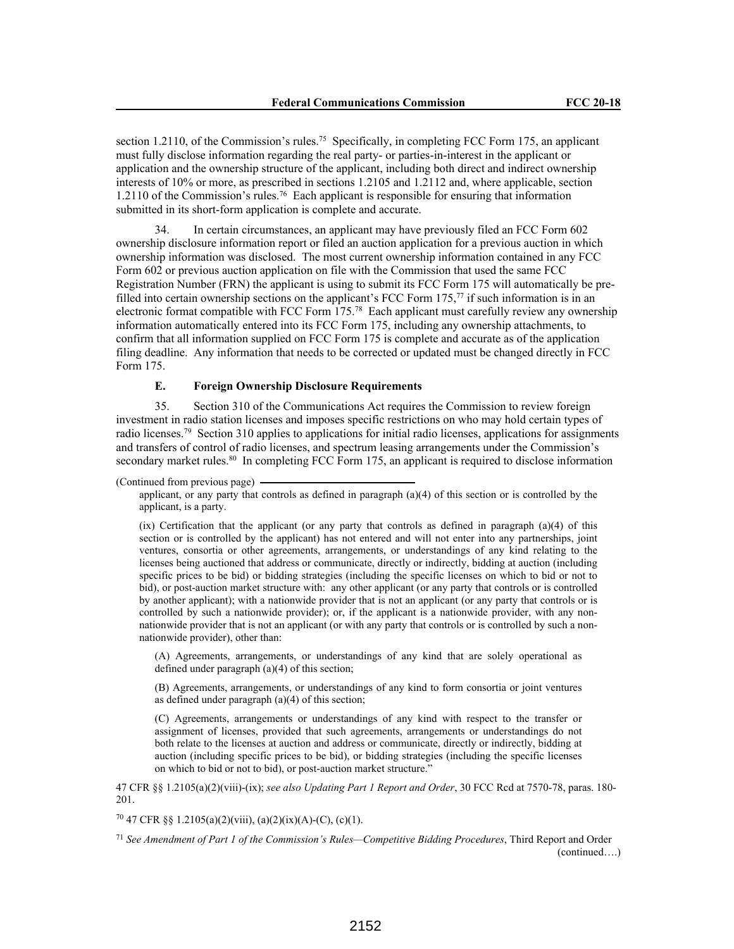section 1.2110, of the Commission's rules.<sup>75</sup> Specifically, in completing FCC Form 175, an applicant must fully disclose information regarding the real party- or parties-in-interest in the applicant or application and the ownership structure of the applicant, including both direct and indirect ownership interests of 10% or more, as prescribed in sections 1.2105 and 1.2112 and, where applicable, section 1.2110 of the Commission's rules.<sup>76</sup> Each applicant is responsible for ensuring that information submitted in its short-form application is complete and accurate.

34. In certain circumstances, an applicant may have previously filed an FCC Form 602 ownership disclosure information report or filed an auction application for a previous auction in which ownership information was disclosed. The most current ownership information contained in any FCC Form 602 or previous auction application on file with the Commission that used the same FCC Registration Number (FRN) the applicant is using to submit its FCC Form 175 will automatically be prefilled into certain ownership sections on the applicant's FCC Form 175,<sup>77</sup> if such information is in an electronic format compatible with FCC Form 175.<sup>78</sup> Each applicant must carefully review any ownership information automatically entered into its FCC Form 175, including any ownership attachments, to confirm that all information supplied on FCC Form 175 is complete and accurate as of the application filing deadline. Any information that needs to be corrected or updated must be changed directly in FCC Form 175.

### **E. Foreign Ownership Disclosure Requirements**

35. Section 310 of the Communications Act requires the Commission to review foreign investment in radio station licenses and imposes specific restrictions on who may hold certain types of radio licenses.<sup>79</sup> Section 310 applies to applications for initial radio licenses, applications for assignments and transfers of control of radio licenses, and spectrum leasing arrangements under the Commission's secondary market rules.<sup>80</sup> In completing FCC Form 175, an applicant is required to disclose information

(ix) Certification that the applicant (or any party that controls as defined in paragraph (a)(4) of this section or is controlled by the applicant) has not entered and will not enter into any partnerships, joint ventures, consortia or other agreements, arrangements, or understandings of any kind relating to the licenses being auctioned that address or communicate, directly or indirectly, bidding at auction (including specific prices to be bid) or bidding strategies (including the specific licenses on which to bid or not to bid), or post-auction market structure with: any other applicant (or any party that controls or is controlled by another applicant); with a nationwide provider that is not an applicant (or any party that controls or is controlled by such a nationwide provider); or, if the applicant is a nationwide provider, with any nonnationwide provider that is not an applicant (or with any party that controls or is controlled by such a nonnationwide provider), other than:

(A) Agreements, arrangements, or understandings of any kind that are solely operational as defined under paragraph (a)(4) of this section;

(B) Agreements, arrangements, or understandings of any kind to form consortia or joint ventures as defined under paragraph (a)(4) of this section;

(C) Agreements, arrangements or understandings of any kind with respect to the transfer or assignment of licenses, provided that such agreements, arrangements or understandings do not both relate to the licenses at auction and address or communicate, directly or indirectly, bidding at auction (including specific prices to be bid), or bidding strategies (including the specific licenses on which to bid or not to bid), or post-auction market structure."

47 CFR §§ 1.2105(a)(2)(viii)-(ix); *see also Updating Part 1 Report and Order*, 30 FCC Rcd at 7570-78, paras. 180- 201.

<sup>70</sup> 47 CFR §§ 1.2105(a)(2)(viii), (a)(2)(ix)(A)-(C), (c)(1).

<sup>71</sup> *See Amendment of Part 1 of the Commission's Rules—Competitive Bidding Procedures*, Third Report and Order (continued….)

<sup>(</sup>Continued from previous page)

applicant, or any party that controls as defined in paragraph (a)(4) of this section or is controlled by the applicant, is a party.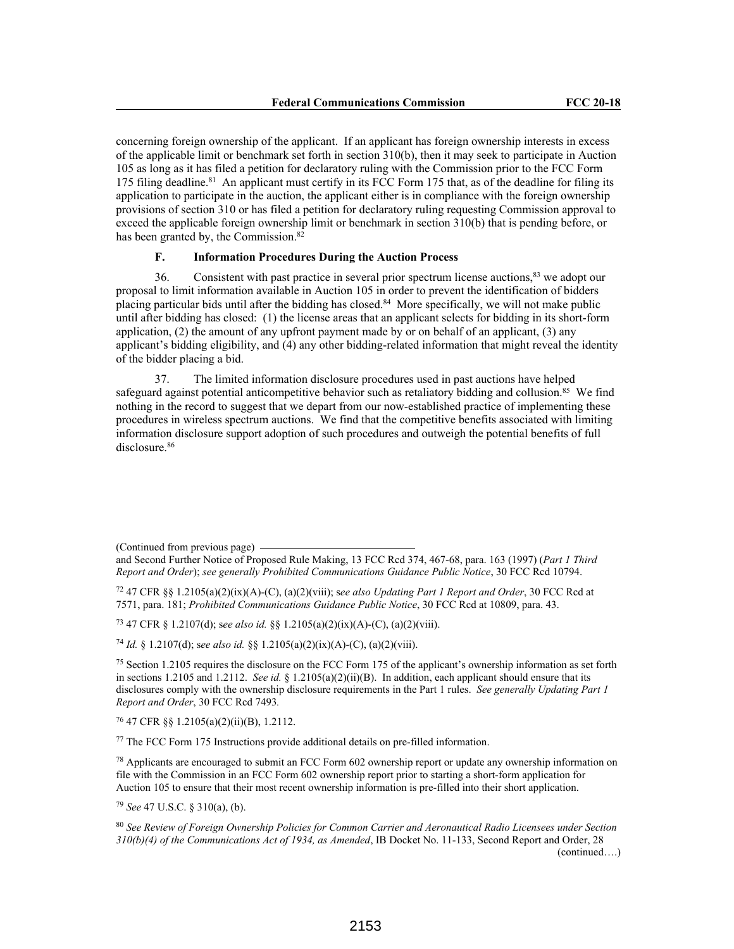concerning foreign ownership of the applicant. If an applicant has foreign ownership interests in excess of the applicable limit or benchmark set forth in section 310(b), then it may seek to participate in Auction 105 as long as it has filed a petition for declaratory ruling with the Commission prior to the FCC Form 175 filing deadline.<sup>81</sup> An applicant must certify in its FCC Form 175 that, as of the deadline for filing its application to participate in the auction, the applicant either is in compliance with the foreign ownership provisions of section 310 or has filed a petition for declaratory ruling requesting Commission approval to exceed the applicable foreign ownership limit or benchmark in section 310(b) that is pending before, or has been granted by, the Commission.<sup>82</sup>

# **F. Information Procedures During the Auction Process**

36. Consistent with past practice in several prior spectrum license auctions,<sup>83</sup> we adopt our proposal to limit information available in Auction 105 in order to prevent the identification of bidders placing particular bids until after the bidding has closed.<sup>84</sup> More specifically, we will not make public until after bidding has closed: (1) the license areas that an applicant selects for bidding in its short-form application, (2) the amount of any upfront payment made by or on behalf of an applicant, (3) any applicant's bidding eligibility, and (4) any other bidding-related information that might reveal the identity of the bidder placing a bid.

37. The limited information disclosure procedures used in past auctions have helped safeguard against potential anticompetitive behavior such as retaliatory bidding and collusion.<sup>85</sup> We find nothing in the record to suggest that we depart from our now-established practice of implementing these procedures in wireless spectrum auctions. We find that the competitive benefits associated with limiting information disclosure support adoption of such procedures and outweigh the potential benefits of full disclosure.<sup>86</sup>

(Continued from previous page)

<sup>73</sup> 47 CFR § 1.2107(d); s*ee also id.* §§ 1.2105(a)(2)(ix)(A)-(C), (a)(2)(viii).

<sup>74</sup> *Id.* § 1.2107(d); s*ee also id.* §§ 1.2105(a)(2)(ix)(A)-(C), (a)(2)(viii).

<sup>76</sup> 47 CFR §§ 1.2105(a)(2)(ii)(B), 1.2112.

<sup>77</sup> The FCC Form 175 Instructions provide additional details on pre-filled information.

<sup>78</sup> Applicants are encouraged to submit an FCC Form 602 ownership report or update any ownership information on file with the Commission in an FCC Form 602 ownership report prior to starting a short-form application for Auction 105 to ensure that their most recent ownership information is pre-filled into their short application.

<sup>79</sup> *See* 47 U.S.C. § 310(a), (b).

<sup>80</sup> *See Review of Foreign Ownership Policies for Common Carrier and Aeronautical Radio Licensees under Section 310(b)(4) of the Communications Act of 1934, as Amended*, IB Docket No. 11-133, Second Report and Order, 28 (continued….)

and Second Further Notice of Proposed Rule Making, 13 FCC Rcd 374, 467-68, para. 163 (1997) (*Part 1 Third Report and Order*); *see generally Prohibited Communications Guidance Public Notice*, 30 FCC Rcd 10794.

<sup>72</sup> 47 CFR §§ 1.2105(a)(2)(ix)(A)-(C), (a)(2)(viii); s*ee also Updating Part 1 Report and Order*, 30 FCC Rcd at 7571, para. 181; *Prohibited Communications Guidance Public Notice*, 30 FCC Rcd at 10809, para. 43.

<sup>75</sup> Section 1.2105 requires the disclosure on the FCC Form 175 of the applicant's ownership information as set forth in sections 1.2105 and 1.2112. *See id.* § 1.2105(a)(2)(ii)(B). In addition, each applicant should ensure that its disclosures comply with the ownership disclosure requirements in the Part 1 rules. *See generally Updating Part 1 Report and Order*, 30 FCC Rcd 7493*.*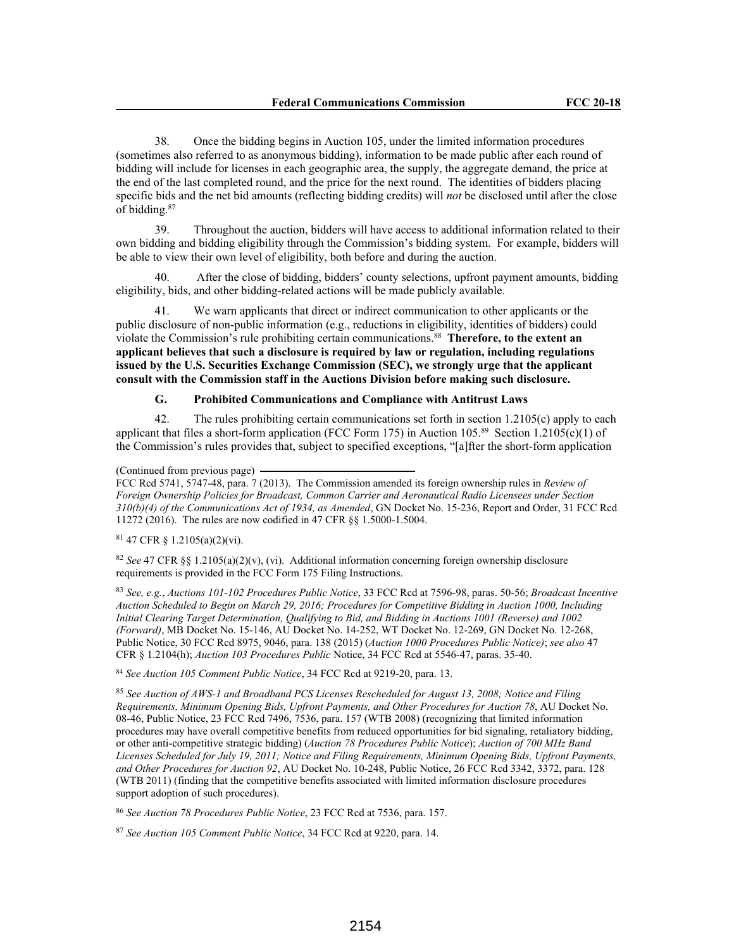38. Once the bidding begins in Auction 105, under the limited information procedures (sometimes also referred to as anonymous bidding), information to be made public after each round of bidding will include for licenses in each geographic area, the supply, the aggregate demand, the price at the end of the last completed round, and the price for the next round. The identities of bidders placing specific bids and the net bid amounts (reflecting bidding credits) will *not* be disclosed until after the close of bidding.<sup>87</sup>

39. Throughout the auction, bidders will have access to additional information related to their own bidding and bidding eligibility through the Commission's bidding system. For example, bidders will be able to view their own level of eligibility, both before and during the auction.

After the close of bidding, bidders' county selections, upfront payment amounts, bidding eligibility, bids, and other bidding-related actions will be made publicly available.

41. We warn applicants that direct or indirect communication to other applicants or the public disclosure of non-public information (e.g., reductions in eligibility, identities of bidders) could violate the Commission's rule prohibiting certain communications.<sup>88</sup> **Therefore, to the extent an applicant believes that such a disclosure is required by law or regulation, including regulations issued by the U.S. Securities Exchange Commission (SEC), we strongly urge that the applicant consult with the Commission staff in the Auctions Division before making such disclosure.**

# **G. Prohibited Communications and Compliance with Antitrust Laws**

42. The rules prohibiting certain communications set forth in section 1.2105(c) apply to each applicant that files a short-form application (FCC Form 175) in Auction 105.<sup>89</sup> Section 1.2105(c)(1) of the Commission's rules provides that, subject to specified exceptions, "[a]fter the short-form application

(Continued from previous page)

FCC Rcd 5741, 5747-48, para. 7 (2013). The Commission amended its foreign ownership rules in *Review of Foreign Ownership Policies for Broadcast, Common Carrier and Aeronautical Radio Licensees under Section 310(b)(4) of the Communications Act of 1934, as Amended*, GN Docket No. 15-236, Report and Order, 31 FCC Rcd 11272 (2016). The rules are now codified in 47 CFR §§ 1.5000-1.5004.

<sup>81</sup> 47 CFR § 1.2105(a)(2)(vi).

<sup>82</sup> *See* 47 CFR §§ 1.2105(a)(2)(v), (vi). Additional information concerning foreign ownership disclosure requirements is provided in the FCC Form 175 Filing Instructions.

<sup>83</sup> *See, e.g.*, *Auctions 101-102 Procedures Public Notice*, 33 FCC Rcd at 7596-98, paras. 50-56; *Broadcast Incentive Auction Scheduled to Begin on March 29, 2016; Procedures for Competitive Bidding in Auction 1000, Including Initial Clearing Target Determination, Qualifying to Bid, and Bidding in Auctions 1001 (Reverse) and 1002 (Forward)*, MB Docket No. 15-146, AU Docket No. 14-252, WT Docket No. 12-269, GN Docket No. 12-268, Public Notice, 30 FCC Rcd 8975, 9046, para. 138 (2015) (*Auction 1000 Procedures Public Notice)*; *see also* 47 CFR § 1.2104(h); *Auction 103 Procedures Public* Notice, 34 FCC Rcd at 5546-47, paras. 35-40.

<sup>84</sup> *See Auction 105 Comment Public Notice*, 34 FCC Rcd at 9219-20, para. 13.

<sup>85</sup> *See Auction of AWS-1 and Broadband PCS Licenses Rescheduled for August 13, 2008; Notice and Filing Requirements, Minimum Opening Bids, Upfront Payments, and Other Procedures for Auction 78*, AU Docket No. 08-46, Public Notice, 23 FCC Rcd 7496, 7536, para. 157 (WTB 2008) (recognizing that limited information procedures may have overall competitive benefits from reduced opportunities for bid signaling, retaliatory bidding, or other anti-competitive strategic bidding) (*Auction 78 Procedures Public Notice*); *Auction of 700 MHz Band Licenses Scheduled for July 19, 2011; Notice and Filing Requirements, Minimum Opening Bids, Upfront Payments, and Other Procedures for Auction 92*, AU Docket No. 10-248, Public Notice, 26 FCC Rcd 3342, 3372, para. 128 (WTB 2011) (finding that the competitive benefits associated with limited information disclosure procedures support adoption of such procedures).

<sup>86</sup> *See Auction 78 Procedures Public Notice*, 23 FCC Rcd at 7536, para. 157.

<sup>87</sup> *See Auction 105 Comment Public Notice*, 34 FCC Rcd at 9220, para. 14.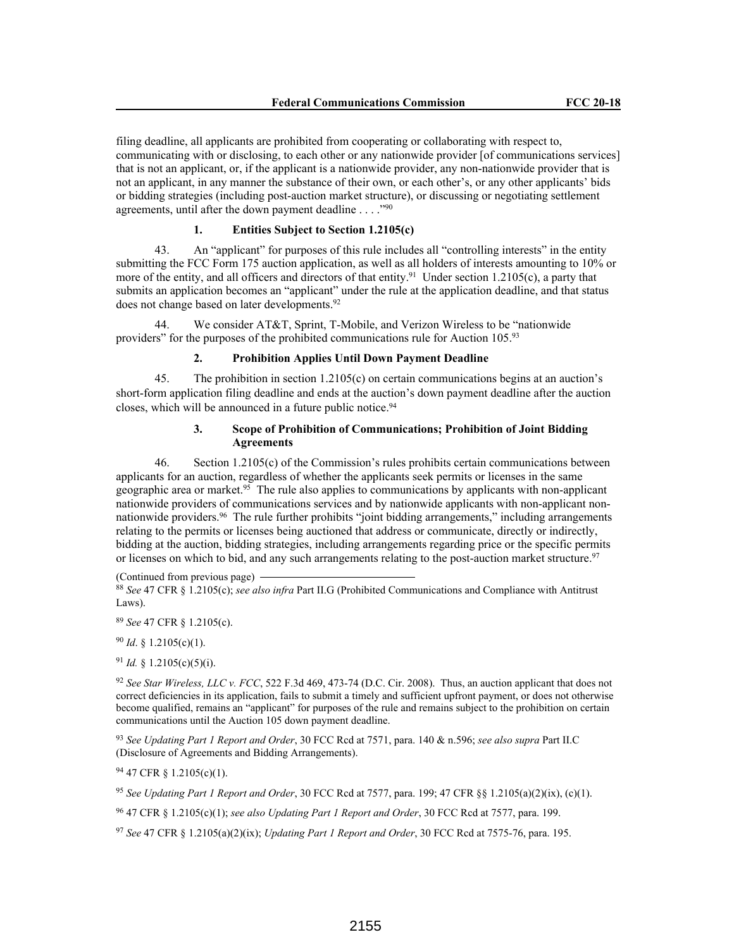filing deadline, all applicants are prohibited from cooperating or collaborating with respect to, communicating with or disclosing, to each other or any nationwide provider [of communications services] that is not an applicant, or, if the applicant is a nationwide provider, any non-nationwide provider that is not an applicant, in any manner the substance of their own, or each other's, or any other applicants' bids or bidding strategies (including post-auction market structure), or discussing or negotiating settlement agreements, until after the down payment deadline . . . . "90

# **1. Entities Subject to Section 1.2105(c)**

43. An "applicant" for purposes of this rule includes all "controlling interests" in the entity submitting the FCC Form 175 auction application, as well as all holders of interests amounting to 10% or more of the entity, and all officers and directors of that entity.<sup>91</sup> Under section 1.2105(c), a party that submits an application becomes an "applicant" under the rule at the application deadline, and that status does not change based on later developments.<sup>92</sup>

We consider AT&T, Sprint, T-Mobile, and Verizon Wireless to be "nationwide" providers" for the purposes of the prohibited communications rule for Auction 105.93

## **2. Prohibition Applies Until Down Payment Deadline**

45. The prohibition in section 1.2105(c) on certain communications begins at an auction's short-form application filing deadline and ends at the auction's down payment deadline after the auction closes, which will be announced in a future public notice.<sup>94</sup>

## **3. Scope of Prohibition of Communications; Prohibition of Joint Bidding Agreements**

46. Section 1.2105(c) of the Commission's rules prohibits certain communications between applicants for an auction, regardless of whether the applicants seek permits or licenses in the same geographic area or market.<sup>95</sup> The rule also applies to communications by applicants with non-applicant nationwide providers of communications services and by nationwide applicants with non-applicant nonnationwide providers.<sup>96</sup> The rule further prohibits "joint bidding arrangements," including arrangements relating to the permits or licenses being auctioned that address or communicate, directly or indirectly, bidding at the auction, bidding strategies, including arrangements regarding price or the specific permits or licenses on which to bid, and any such arrangements relating to the post-auction market structure.<sup>97</sup>

(Continued from previous page)

<sup>88</sup> *See* 47 CFR § 1.2105(c); *see also infra* Part II.G (Prohibited Communications and Compliance with Antitrust Laws).

<sup>89</sup> *See* 47 CFR § 1.2105(c).

<sup>90</sup> *Id*. § 1.2105(c)(1).

<sup>91</sup> *Id.* § 1.2105(c)(5)(i).

<sup>92</sup> *See Star Wireless, LLC v. FCC*, 522 F.3d 469, 473-74 (D.C. Cir. 2008). Thus, an auction applicant that does not correct deficiencies in its application, fails to submit a timely and sufficient upfront payment, or does not otherwise become qualified, remains an "applicant" for purposes of the rule and remains subject to the prohibition on certain communications until the Auction 105 down payment deadline.

<sup>93</sup> *See Updating Part 1 Report and Order*, 30 FCC Rcd at 7571, para. 140 & n.596; *see also supra* Part II.C (Disclosure of Agreements and Bidding Arrangements).

<sup>94</sup> 47 CFR § 1.2105(c)(1).

<sup>95</sup> *See Updating Part 1 Report and Order*, 30 FCC Rcd at 7577, para. 199; 47 CFR §§ 1.2105(a)(2)(ix), (c)(1).

<sup>96</sup> 47 CFR § 1.2105(c)(1); *see also Updating Part 1 Report and Order*, 30 FCC Rcd at 7577, para. 199.

<sup>97</sup> *See* 47 CFR § 1.2105(a)(2)(ix); *Updating Part 1 Report and Order*, 30 FCC Rcd at 7575-76, para. 195.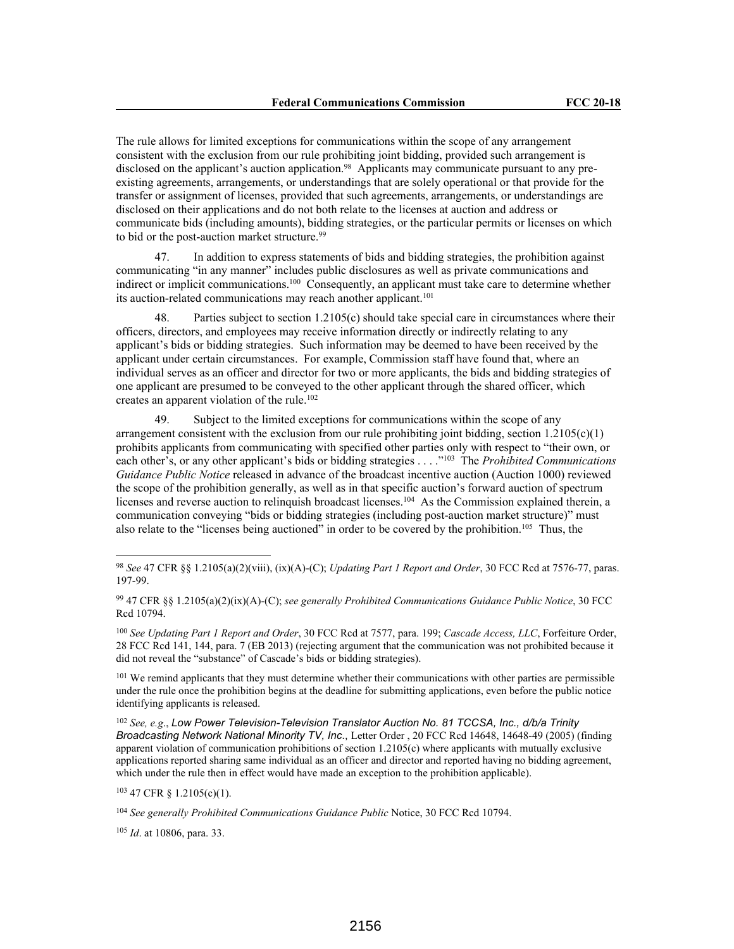The rule allows for limited exceptions for communications within the scope of any arrangement consistent with the exclusion from our rule prohibiting joint bidding, provided such arrangement is disclosed on the applicant's auction application.<sup>98</sup> Applicants may communicate pursuant to any preexisting agreements, arrangements, or understandings that are solely operational or that provide for the transfer or assignment of licenses, provided that such agreements, arrangements, or understandings are disclosed on their applications and do not both relate to the licenses at auction and address or communicate bids (including amounts), bidding strategies, or the particular permits or licenses on which to bid or the post-auction market structure.<sup>99</sup>

47. In addition to express statements of bids and bidding strategies, the prohibition against communicating "in any manner" includes public disclosures as well as private communications and indirect or implicit communications.<sup>100</sup> Consequently, an applicant must take care to determine whether its auction-related communications may reach another applicant.<sup>101</sup>

48. Parties subject to section 1.2105(c) should take special care in circumstances where their officers, directors, and employees may receive information directly or indirectly relating to any applicant's bids or bidding strategies. Such information may be deemed to have been received by the applicant under certain circumstances. For example, Commission staff have found that, where an individual serves as an officer and director for two or more applicants, the bids and bidding strategies of one applicant are presumed to be conveyed to the other applicant through the shared officer, which creates an apparent violation of the rule.<sup>102</sup>

49. Subject to the limited exceptions for communications within the scope of any arrangement consistent with the exclusion from our rule prohibiting joint bidding, section  $1.2105(c)(1)$ prohibits applicants from communicating with specified other parties only with respect to "their own, or each other's, or any other applicant's bids or bidding strategies . . . ."<sup>103</sup> The *Prohibited Communications Guidance Public Notice* released in advance of the broadcast incentive auction (Auction 1000) reviewed the scope of the prohibition generally, as well as in that specific auction's forward auction of spectrum licenses and reverse auction to relinquish broadcast licenses.<sup>104</sup> As the Commission explained therein, a communication conveying "bids or bidding strategies (including post-auction market structure)" must also relate to the "licenses being auctioned" in order to be covered by the prohibition.<sup>105</sup> Thus, the

<sup>99</sup> 47 CFR §§ 1.2105(a)(2)(ix)(A)-(C); *see generally Prohibited Communications Guidance Public Notice*, 30 FCC Rcd 10794.

<sup>100</sup> *See Updating Part 1 Report and Order*, 30 FCC Rcd at 7577, para. 199; *Cascade Access, LLC*, Forfeiture Order, 28 FCC Rcd 141, 144, para. 7 (EB 2013) (rejecting argument that the communication was not prohibited because it did not reveal the "substance" of Cascade's bids or bidding strategies).

<sup>101</sup> We remind applicants that they must determine whether their communications with other parties are permissible under the rule once the prohibition begins at the deadline for submitting applications, even before the public notice identifying applicants is released.

<sup>102</sup> *See, e.g*., *Low Power Television-Television Translator Auction No. 81 TCCSA, Inc., d/b/a Trinity Broadcasting Network National Minority TV, Inc*., Letter Order , 20 FCC Rcd 14648, 14648-49 (2005) (finding apparent violation of communication prohibitions of section 1.2105(c) where applicants with mutually exclusive applications reported sharing same individual as an officer and director and reported having no bidding agreement, which under the rule then in effect would have made an exception to the prohibition applicable).

<sup>103</sup> 47 CFR § 1.2105(c)(1).

<sup>104</sup> *See generally Prohibited Communications Guidance Public* Notice, 30 FCC Rcd 10794.

<sup>105</sup> *Id*. at 10806, para. 33.

<sup>98</sup> *See* 47 CFR §§ 1.2105(a)(2)(viii), (ix)(A)-(C); *Updating Part 1 Report and Order*, 30 FCC Rcd at 7576-77, paras. 197-99.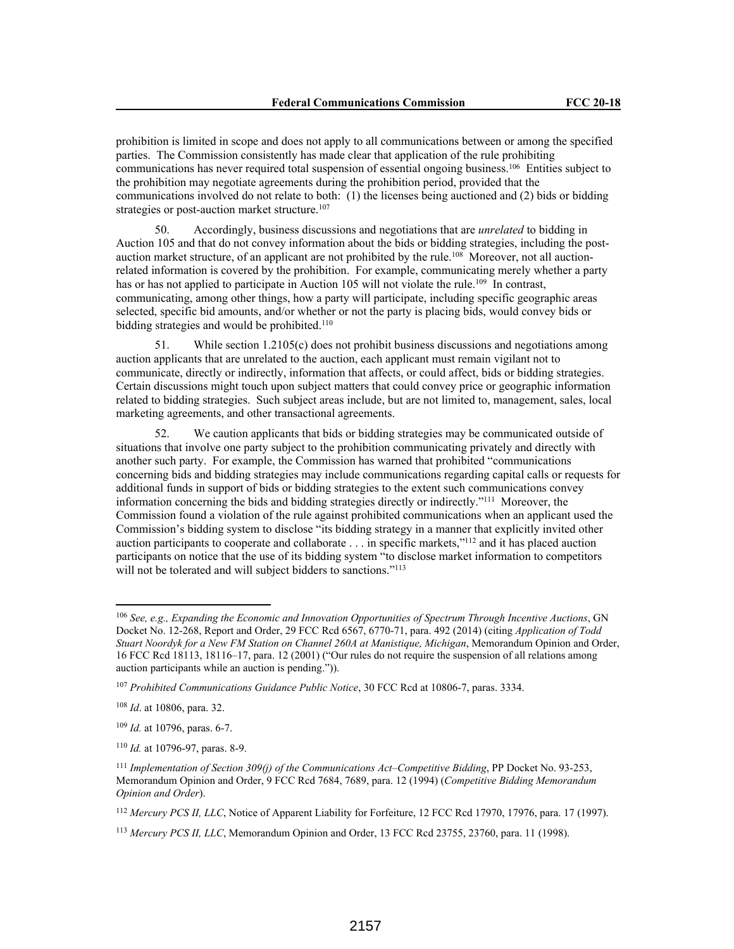prohibition is limited in scope and does not apply to all communications between or among the specified parties. The Commission consistently has made clear that application of the rule prohibiting communications has never required total suspension of essential ongoing business.<sup>106</sup> Entities subject to the prohibition may negotiate agreements during the prohibition period, provided that the communications involved do not relate to both: (1) the licenses being auctioned and (2) bids or bidding strategies or post-auction market structure.<sup>107</sup>

50. Accordingly, business discussions and negotiations that are *unrelated* to bidding in Auction 105 and that do not convey information about the bids or bidding strategies, including the postauction market structure, of an applicant are not prohibited by the rule.<sup>108</sup> Moreover, not all auctionrelated information is covered by the prohibition. For example, communicating merely whether a party has or has not applied to participate in Auction 105 will not violate the rule.<sup>109</sup> In contrast, communicating, among other things, how a party will participate, including specific geographic areas selected, specific bid amounts, and/or whether or not the party is placing bids, would convey bids or bidding strategies and would be prohibited.<sup>110</sup>

51. While section 1.2105(c) does not prohibit business discussions and negotiations among auction applicants that are unrelated to the auction, each applicant must remain vigilant not to communicate, directly or indirectly, information that affects, or could affect, bids or bidding strategies. Certain discussions might touch upon subject matters that could convey price or geographic information related to bidding strategies. Such subject areas include, but are not limited to, management, sales, local marketing agreements, and other transactional agreements.

52. We caution applicants that bids or bidding strategies may be communicated outside of situations that involve one party subject to the prohibition communicating privately and directly with another such party. For example, the Commission has warned that prohibited "communications concerning bids and bidding strategies may include communications regarding capital calls or requests for additional funds in support of bids or bidding strategies to the extent such communications convey information concerning the bids and bidding strategies directly or indirectly."<sup>111</sup> Moreover, the Commission found a violation of the rule against prohibited communications when an applicant used the Commission's bidding system to disclose "its bidding strategy in a manner that explicitly invited other auction participants to cooperate and collaborate . . . in specific markets,"<sup>112</sup> and it has placed auction participants on notice that the use of its bidding system "to disclose market information to competitors will not be tolerated and will subject bidders to sanctions."<sup>113</sup>

<sup>106</sup> *See, e.g., Expanding the Economic and Innovation Opportunities of Spectrum Through Incentive Auctions*, GN Docket No. 12-268, Report and Order, 29 FCC Rcd 6567, 6770-71, para. 492 (2014) (citing *Application of Todd Stuart Noordyk for a New FM Station on Channel 260A at Manistique, Michigan*, Memorandum Opinion and Order, 16 FCC Rcd 18113, 18116–17, para. 12 (2001) ("Our rules do not require the suspension of all relations among auction participants while an auction is pending.")).

<sup>107</sup> *Prohibited Communications Guidance Public Notice*, 30 FCC Rcd at 10806-7, paras. 3334.

<sup>108</sup> *Id*. at 10806, para. 32.

<sup>109</sup> *Id.* at 10796, paras. 6-7.

<sup>110</sup> *Id.* at 10796-97, paras. 8-9.

<sup>111</sup> *Implementation of Section 309(j) of the Communications Act–Competitive Bidding*, PP Docket No. 93-253, Memorandum Opinion and Order, 9 FCC Rcd 7684, 7689, para. 12 (1994) (*Competitive Bidding Memorandum Opinion and Order*).

<sup>112</sup> *Mercury PCS II, LLC*, Notice of Apparent Liability for Forfeiture, 12 FCC Rcd 17970, 17976, para. 17 (1997).

<sup>113</sup> *Mercury PCS II, LLC*, Memorandum Opinion and Order, 13 FCC Rcd 23755, 23760, para. 11 (1998).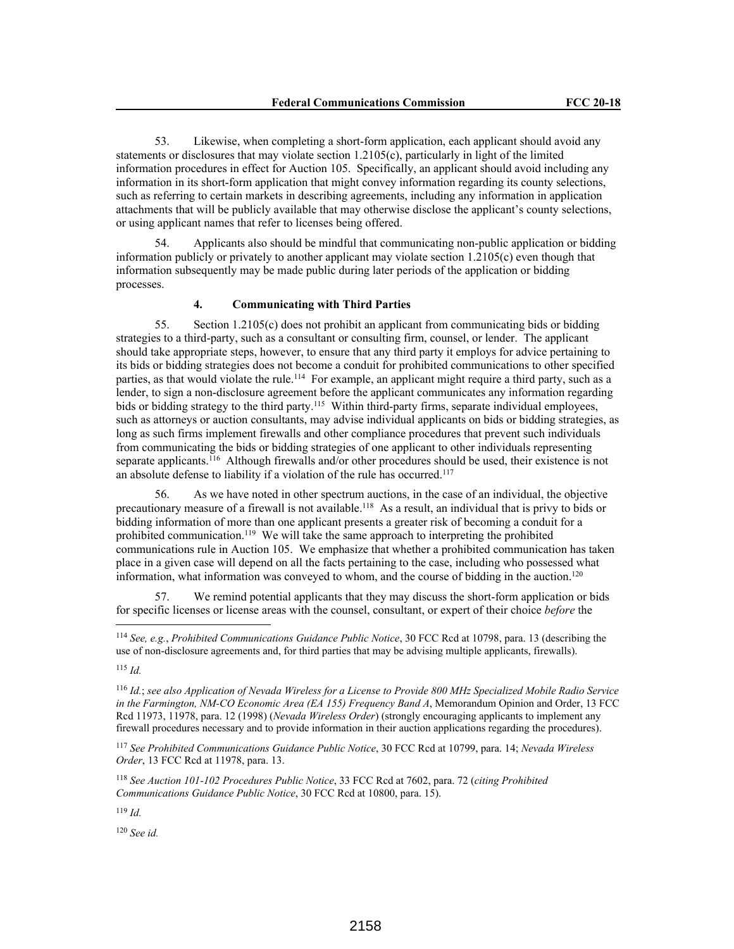53. Likewise, when completing a short-form application, each applicant should avoid any statements or disclosures that may violate section 1.2105(c), particularly in light of the limited information procedures in effect for Auction 105. Specifically, an applicant should avoid including any information in its short-form application that might convey information regarding its county selections, such as referring to certain markets in describing agreements, including any information in application attachments that will be publicly available that may otherwise disclose the applicant's county selections, or using applicant names that refer to licenses being offered.

54. Applicants also should be mindful that communicating non-public application or bidding information publicly or privately to another applicant may violate section 1.2105(c) even though that information subsequently may be made public during later periods of the application or bidding processes.

# **4. Communicating with Third Parties**

55. Section 1.2105(c) does not prohibit an applicant from communicating bids or bidding strategies to a third-party, such as a consultant or consulting firm, counsel, or lender. The applicant should take appropriate steps, however, to ensure that any third party it employs for advice pertaining to its bids or bidding strategies does not become a conduit for prohibited communications to other specified parties, as that would violate the rule.<sup>114</sup> For example, an applicant might require a third party, such as a lender, to sign a non-disclosure agreement before the applicant communicates any information regarding bids or bidding strategy to the third party.<sup>115</sup> Within third-party firms, separate individual employees, such as attorneys or auction consultants, may advise individual applicants on bids or bidding strategies, as long as such firms implement firewalls and other compliance procedures that prevent such individuals from communicating the bids or bidding strategies of one applicant to other individuals representing separate applicants.<sup>116</sup> Although firewalls and/or other procedures should be used, their existence is not an absolute defense to liability if a violation of the rule has occurred.<sup>117</sup>

56. As we have noted in other spectrum auctions, in the case of an individual, the objective precautionary measure of a firewall is not available.<sup>118</sup> As a result, an individual that is privy to bids or bidding information of more than one applicant presents a greater risk of becoming a conduit for a prohibited communication.<sup>119</sup> We will take the same approach to interpreting the prohibited communications rule in Auction 105. We emphasize that whether a prohibited communication has taken place in a given case will depend on all the facts pertaining to the case, including who possessed what information, what information was conveyed to whom, and the course of bidding in the auction.<sup>120</sup>

57. We remind potential applicants that they may discuss the short-form application or bids for specific licenses or license areas with the counsel, consultant, or expert of their choice *before* the

<sup>115</sup> *Id.*

<sup>117</sup> *See Prohibited Communications Guidance Public Notice*, 30 FCC Rcd at 10799, para. 14; *Nevada Wireless Order*, 13 FCC Rcd at 11978, para. 13.

<sup>118</sup> *See Auction 101-102 Procedures Public Notice*, 33 FCC Rcd at 7602, para. 72 (*citing Prohibited Communications Guidance Public Notice*, 30 FCC Rcd at 10800, para. 15).

<sup>119</sup> *Id.*

<sup>120</sup> *See id.*

<sup>114</sup> *See, e.g.*, *Prohibited Communications Guidance Public Notice*, 30 FCC Rcd at 10798, para. 13 (describing the use of non-disclosure agreements and, for third parties that may be advising multiple applicants, firewalls).

<sup>116</sup> *Id.*; *see also Application of Nevada Wireless for a License to Provide 800 MHz Specialized Mobile Radio Service in the Farmington, NM-CO Economic Area (EA 155) Frequency Band A*, Memorandum Opinion and Order, 13 FCC Rcd 11973, 11978, para. 12 (1998) (*Nevada Wireless Order*) (strongly encouraging applicants to implement any firewall procedures necessary and to provide information in their auction applications regarding the procedures).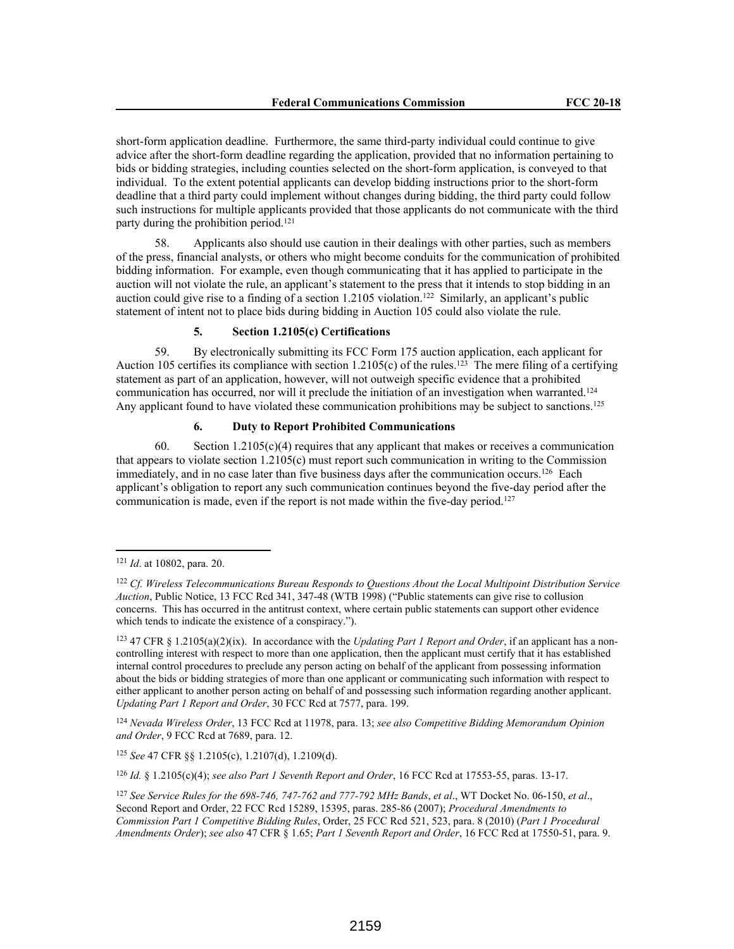short-form application deadline. Furthermore, the same third-party individual could continue to give advice after the short-form deadline regarding the application, provided that no information pertaining to bids or bidding strategies, including counties selected on the short-form application, is conveyed to that individual. To the extent potential applicants can develop bidding instructions prior to the short-form deadline that a third party could implement without changes during bidding, the third party could follow such instructions for multiple applicants provided that those applicants do not communicate with the third party during the prohibition period.<sup>121</sup>

58. Applicants also should use caution in their dealings with other parties, such as members of the press, financial analysts, or others who might become conduits for the communication of prohibited bidding information. For example, even though communicating that it has applied to participate in the auction will not violate the rule, an applicant's statement to the press that it intends to stop bidding in an auction could give rise to a finding of a section 1.2105 violation.<sup>122</sup> Similarly, an applicant's public statement of intent not to place bids during bidding in Auction 105 could also violate the rule.

# **5. Section 1.2105(c) Certifications**

59. By electronically submitting its FCC Form 175 auction application, each applicant for Auction 105 certifies its compliance with section 1.2105(c) of the rules.<sup>123</sup> The mere filing of a certifying statement as part of an application, however, will not outweigh specific evidence that a prohibited communication has occurred, nor will it preclude the initiation of an investigation when warranted.<sup>124</sup> Any applicant found to have violated these communication prohibitions may be subject to sanctions.<sup>125</sup>

#### **6. Duty to Report Prohibited Communications**

60. Section  $1.2105(c)(4)$  requires that any applicant that makes or receives a communication that appears to violate section 1.2105(c) must report such communication in writing to the Commission immediately, and in no case later than five business days after the communication occurs.<sup>126</sup> Each applicant's obligation to report any such communication continues beyond the five-day period after the communication is made, even if the report is not made within the five-day period.<sup>127</sup>

<sup>124</sup> *Nevada Wireless Order*, 13 FCC Rcd at 11978, para. 13; *see also Competitive Bidding Memorandum Opinion and Order*, 9 FCC Rcd at 7689, para. 12.

<sup>125</sup> *See* 47 CFR §§ 1.2105(c), 1.2107(d), 1.2109(d).

<sup>126</sup> *Id.* § 1.2105(c)(4); *see also Part 1 Seventh Report and Order*, 16 FCC Rcd at 17553-55, paras. 13-17.

<sup>121</sup> *Id*. at 10802, para. 20.

<sup>122</sup> *Cf. Wireless Telecommunications Bureau Responds to Questions About the Local Multipoint Distribution Service Auction*, Public Notice, 13 FCC Rcd 341, 347-48 (WTB 1998) ("Public statements can give rise to collusion concerns. This has occurred in the antitrust context, where certain public statements can support other evidence which tends to indicate the existence of a conspiracy.").

<sup>123</sup> 47 CFR § 1.2105(a)(2)(ix). In accordance with the *Updating Part 1 Report and Order*, if an applicant has a noncontrolling interest with respect to more than one application, then the applicant must certify that it has established internal control procedures to preclude any person acting on behalf of the applicant from possessing information about the bids or bidding strategies of more than one applicant or communicating such information with respect to either applicant to another person acting on behalf of and possessing such information regarding another applicant. *Updating Part 1 Report and Order*, 30 FCC Rcd at 7577, para. 199.

<sup>127</sup> *See Service Rules for the 698-746, 747-762 and 777-792 MHz Bands*, *et al*., WT Docket No. 06-150, *et al*., Second Report and Order, 22 FCC Rcd 15289, 15395, paras. 285-86 (2007); *Procedural Amendments to Commission Part 1 Competitive Bidding Rules*, Order, 25 FCC Rcd 521, 523, para. 8 (2010) (*Part 1 Procedural Amendments Order*); *see also* 47 CFR § 1.65; *Part 1 Seventh Report and Order*, 16 FCC Rcd at 17550-51, para. 9.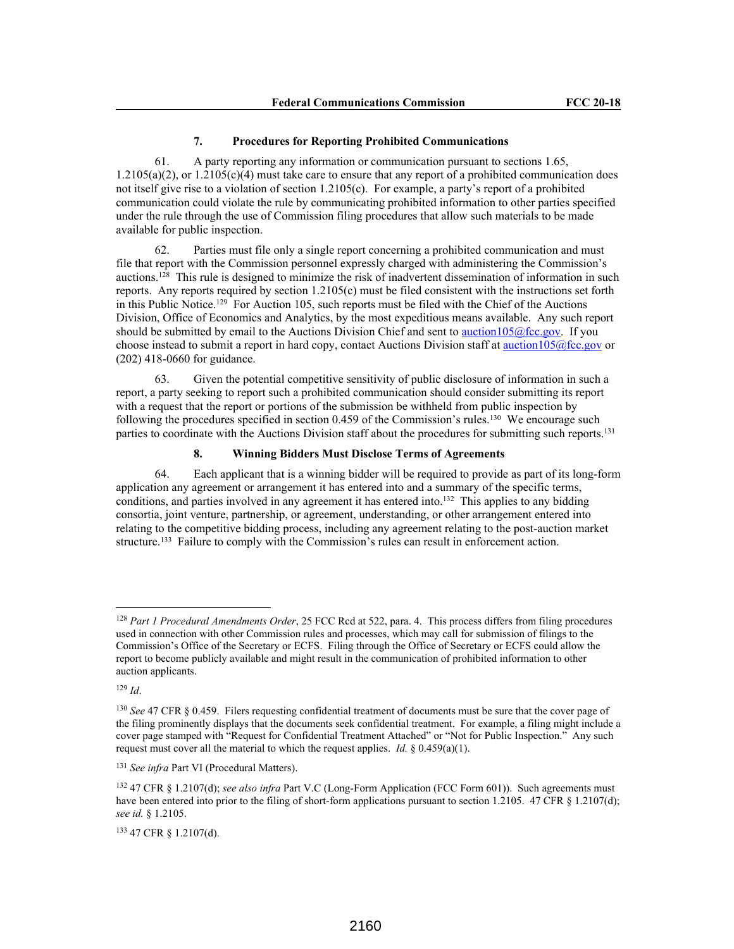### **7. Procedures for Reporting Prohibited Communications**

61. A party reporting any information or communication pursuant to sections 1.65, 1.2105(a)(2), or 1.2105(c)(4) must take care to ensure that any report of a prohibited communication does not itself give rise to a violation of section 1.2105(c). For example, a party's report of a prohibited communication could violate the rule by communicating prohibited information to other parties specified under the rule through the use of Commission filing procedures that allow such materials to be made available for public inspection.

62. Parties must file only a single report concerning a prohibited communication and must file that report with the Commission personnel expressly charged with administering the Commission's auctions.<sup>128</sup> This rule is designed to minimize the risk of inadvertent dissemination of information in such reports. Any reports required by section 1.2105(c) must be filed consistent with the instructions set forth in this Public Notice.<sup>129</sup> For Auction 105, such reports must be filed with the Chief of the Auctions Division, Office of Economics and Analytics, by the most expeditious means available. Any such report should be submitted by email to the Auctions Division Chief and sent to auction105@fcc.gov. If you choose instead to submit a report in hard copy, contact Auctions Division staff at auction105@fcc.gov or (202) 418-0660 for guidance.

63. Given the potential competitive sensitivity of public disclosure of information in such a report, a party seeking to report such a prohibited communication should consider submitting its report with a request that the report or portions of the submission be withheld from public inspection by following the procedures specified in section 0.459 of the Commission's rules.<sup>130</sup> We encourage such parties to coordinate with the Auctions Division staff about the procedures for submitting such reports.<sup>131</sup>

## **8. Winning Bidders Must Disclose Terms of Agreements**

64. Each applicant that is a winning bidder will be required to provide as part of its long-form application any agreement or arrangement it has entered into and a summary of the specific terms, conditions, and parties involved in any agreement it has entered into.<sup>132</sup> This applies to any bidding consortia, joint venture, partnership, or agreement, understanding, or other arrangement entered into relating to the competitive bidding process, including any agreement relating to the post-auction market structure.<sup>133</sup> Failure to comply with the Commission's rules can result in enforcement action.

<sup>129</sup> *Id*.

<sup>128</sup> *Part 1 Procedural Amendments Order*, 25 FCC Rcd at 522, para. 4. This process differs from filing procedures used in connection with other Commission rules and processes, which may call for submission of filings to the Commission's Office of the Secretary or ECFS. Filing through the Office of Secretary or ECFS could allow the report to become publicly available and might result in the communication of prohibited information to other auction applicants.

<sup>130</sup> *See* 47 CFR § 0.459. Filers requesting confidential treatment of documents must be sure that the cover page of the filing prominently displays that the documents seek confidential treatment. For example, a filing might include a cover page stamped with "Request for Confidential Treatment Attached" or "Not for Public Inspection." Any such request must cover all the material to which the request applies. *Id.*  $\S 0.459(a)(1)$ .

<sup>131</sup> *See infra* Part VI (Procedural Matters).

<sup>132</sup> 47 CFR § 1.2107(d); *see also infra* Part V.C (Long-Form Application (FCC Form 601)). Such agreements must have been entered into prior to the filing of short-form applications pursuant to section 1.2105. 47 CFR § 1.2107(d); *see id.* § 1.2105.

<sup>133</sup> 47 CFR § 1.2107(d).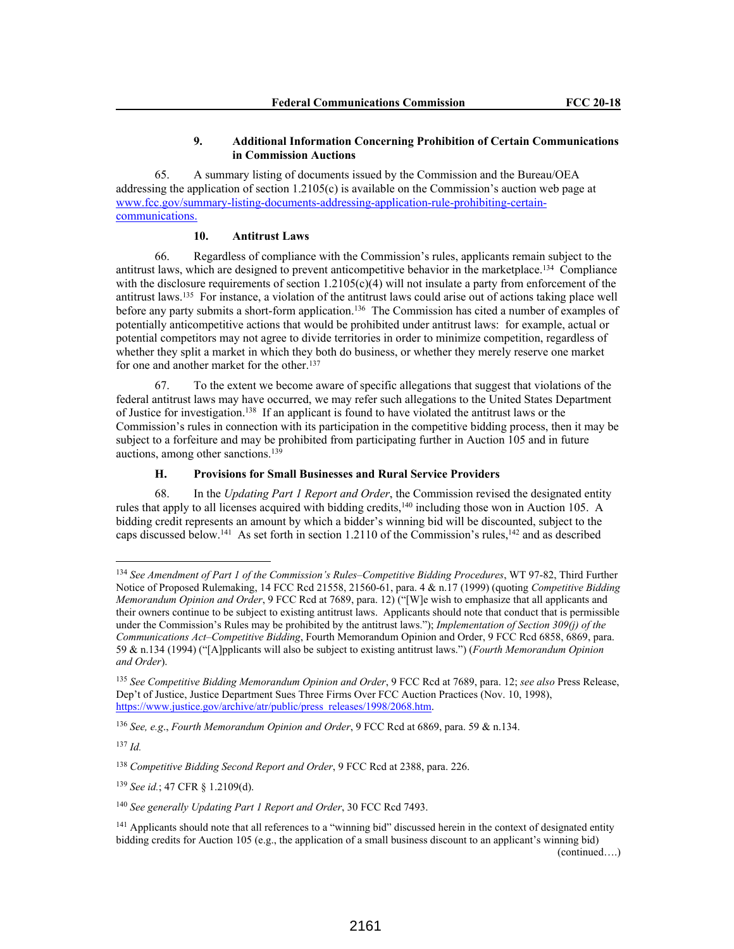## **9. Additional Information Concerning Prohibition of Certain Communications in Commission Auctions**

65. A summary listing of documents issued by the Commission and the Bureau/OEA addressing the application of section 1.2105(c) is available on the Commission's auction web page at www.fcc.gov/summary-listing-documents-addressing-application-rule-prohibiting-certaincommunications.

# **10. Antitrust Laws**

66. Regardless of compliance with the Commission's rules, applicants remain subject to the antitrust laws, which are designed to prevent anticompetitive behavior in the marketplace.<sup>134</sup> Compliance with the disclosure requirements of section 1.2105(c)(4) will not insulate a party from enforcement of the antitrust laws.<sup>135</sup> For instance, a violation of the antitrust laws could arise out of actions taking place well before any party submits a short-form application.<sup>136</sup> The Commission has cited a number of examples of potentially anticompetitive actions that would be prohibited under antitrust laws: for example, actual or potential competitors may not agree to divide territories in order to minimize competition, regardless of whether they split a market in which they both do business, or whether they merely reserve one market for one and another market for the other.<sup>137</sup>

67. To the extent we become aware of specific allegations that suggest that violations of the federal antitrust laws may have occurred, we may refer such allegations to the United States Department of Justice for investigation.<sup>138</sup> If an applicant is found to have violated the antitrust laws or the Commission's rules in connection with its participation in the competitive bidding process, then it may be subject to a forfeiture and may be prohibited from participating further in Auction 105 and in future auctions, among other sanctions.<sup>139</sup>

## **H. Provisions for Small Businesses and Rural Service Providers**

68. In the *Updating Part 1 Report and Order*, the Commission revised the designated entity rules that apply to all licenses acquired with bidding credits,<sup>140</sup> including those won in Auction 105. A bidding credit represents an amount by which a bidder's winning bid will be discounted, subject to the caps discussed below.<sup>141</sup> As set forth in section 1.2110 of the Commission's rules,<sup>142</sup> and as described

<sup>134</sup> *See Amendment of Part 1 of the Commission's Rules–Competitive Bidding Procedures*, WT 97-82, Third Further Notice of Proposed Rulemaking, 14 FCC Rcd 21558, 21560-61, para. 4 & n.17 (1999) (quoting *Competitive Bidding Memorandum Opinion and Order*, 9 FCC Rcd at 7689, para. 12) ("[W]e wish to emphasize that all applicants and their owners continue to be subject to existing antitrust laws. Applicants should note that conduct that is permissible under the Commission's Rules may be prohibited by the antitrust laws."); *Implementation of Section 309(j) of the Communications Act–Competitive Bidding*, Fourth Memorandum Opinion and Order, 9 FCC Rcd 6858, 6869, para. 59 & n.134 (1994) ("[A]pplicants will also be subject to existing antitrust laws.") (*Fourth Memorandum Opinion and Order*).

<sup>135</sup> *See Competitive Bidding Memorandum Opinion and Order*, 9 FCC Rcd at 7689, para. 12; *see also* Press Release, Dep't of Justice, Justice Department Sues Three Firms Over FCC Auction Practices (Nov. 10, 1998), https://www.justice.gov/archive/atr/public/press\_releases/1998/2068.htm.

<sup>136</sup> *See, e.g*., *Fourth Memorandum Opinion and Order*, 9 FCC Rcd at 6869, para. 59 & n.134.

<sup>137</sup> *Id.*

<sup>138</sup> *Competitive Bidding Second Report and Order*, 9 FCC Rcd at 2388, para. 226.

<sup>139</sup> *See id.*; 47 CFR § 1.2109(d).

<sup>140</sup> *See generally Updating Part 1 Report and Order*, 30 FCC Rcd 7493.

<sup>&</sup>lt;sup>141</sup> Applicants should note that all references to a "winning bid" discussed herein in the context of designated entity bidding credits for Auction 105 (e.g., the application of a small business discount to an applicant's winning bid)

<sup>(</sup>continued….)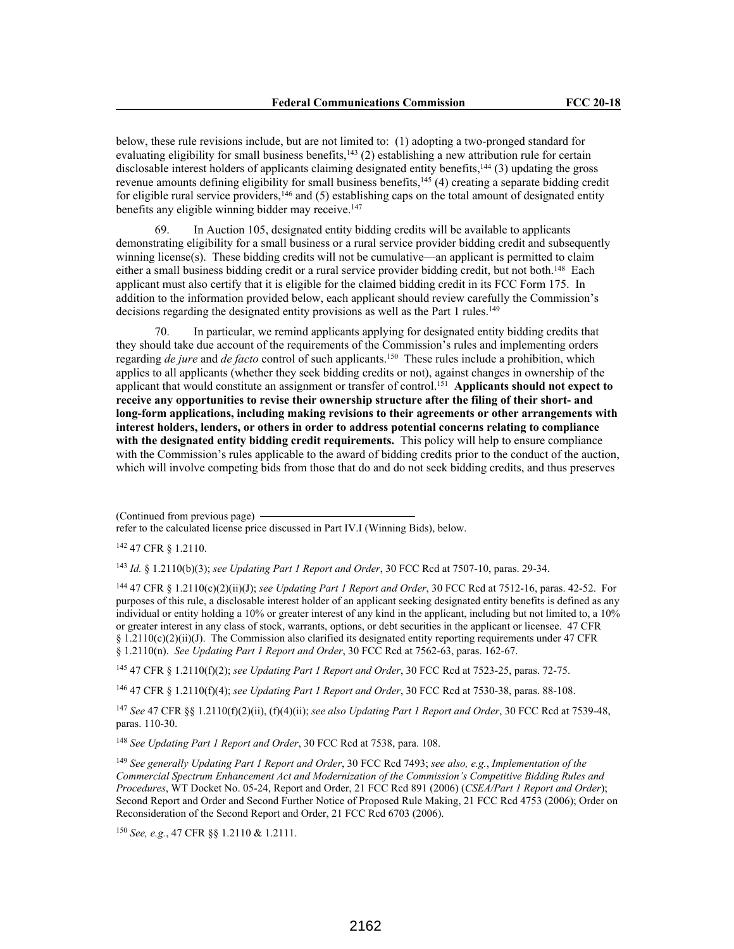below, these rule revisions include, but are not limited to: (1) adopting a two-pronged standard for evaluating eligibility for small business benefits, $143$  (2) establishing a new attribution rule for certain disclosable interest holders of applicants claiming designated entity benefits,<sup>144</sup> (3) updating the gross revenue amounts defining eligibility for small business benefits,<sup>145</sup> (4) creating a separate bidding credit for eligible rural service providers,<sup>146</sup> and (5) establishing caps on the total amount of designated entity benefits any eligible winning bidder may receive.<sup>147</sup>

69. In Auction 105, designated entity bidding credits will be available to applicants demonstrating eligibility for a small business or a rural service provider bidding credit and subsequently winning license(s). These bidding credits will not be cumulative—an applicant is permitted to claim either a small business bidding credit or a rural service provider bidding credit, but not both.<sup>148</sup> Each applicant must also certify that it is eligible for the claimed bidding credit in its FCC Form 175. In addition to the information provided below, each applicant should review carefully the Commission's decisions regarding the designated entity provisions as well as the Part 1 rules.<sup>149</sup>

70. In particular, we remind applicants applying for designated entity bidding credits that they should take due account of the requirements of the Commission's rules and implementing orders regarding *de jure* and *de facto* control of such applicants.<sup>150</sup> These rules include a prohibition, which applies to all applicants (whether they seek bidding credits or not), against changes in ownership of the applicant that would constitute an assignment or transfer of control.<sup>151</sup> **Applicants should not expect to receive any opportunities to revise their ownership structure after the filing of their short- and long-form applications, including making revisions to their agreements or other arrangements with interest holders, lenders, or others in order to address potential concerns relating to compliance with the designated entity bidding credit requirements.** This policy will help to ensure compliance with the Commission's rules applicable to the award of bidding credits prior to the conduct of the auction, which will involve competing bids from those that do and do not seek bidding credits, and thus preserves

<sup>142</sup> 47 CFR § 1.2110.

<sup>143</sup> *Id.* § 1.2110(b)(3); *see Updating Part 1 Report and Order*, 30 FCC Rcd at 7507-10, paras. 29-34.

<sup>144</sup> 47 CFR § 1.2110(c)(2)(ii)(J); *see Updating Part 1 Report and Order*, 30 FCC Rcd at 7512-16, paras. 42-52. For purposes of this rule, a disclosable interest holder of an applicant seeking designated entity benefits is defined as any individual or entity holding a 10% or greater interest of any kind in the applicant, including but not limited to, a 10% or greater interest in any class of stock, warrants, options, or debt securities in the applicant or licensee. 47 CFR  $§ 1.2110(c)(2)(ii)(J)$ . The Commission also clarified its designated entity reporting requirements under 47 CFR § 1.2110(n). *See Updating Part 1 Report and Order*, 30 FCC Rcd at 7562-63, paras. 162-67.

<sup>145</sup> 47 CFR § 1.2110(f)(2); *see Updating Part 1 Report and Order*, 30 FCC Rcd at 7523-25, paras. 72-75.

<sup>146</sup> 47 CFR § 1.2110(f)(4); *see Updating Part 1 Report and Order*, 30 FCC Rcd at 7530-38, paras. 88-108.

<sup>147</sup> *See* 47 CFR §§ 1.2110(f)(2)(ii), (f)(4)(ii); *see also Updating Part 1 Report and Order*, 30 FCC Rcd at 7539-48, paras. 110-30.

<sup>148</sup> *See Updating Part 1 Report and Order*, 30 FCC Rcd at 7538, para. 108.

<sup>149</sup> *See generally Updating Part 1 Report and Order*, 30 FCC Rcd 7493; *see also, e.g.*, *Implementation of the Commercial Spectrum Enhancement Act and Modernization of the Commission's Competitive Bidding Rules and Procedures*, WT Docket No. 05-24, Report and Order, 21 FCC Rcd 891 (2006) (*CSEA/Part 1 Report and Order*); Second Report and Order and Second Further Notice of Proposed Rule Making, 21 FCC Rcd 4753 (2006); Order on Reconsideration of the Second Report and Order, 21 FCC Rcd 6703 (2006).

<sup>150</sup> *See, e.g.*, 47 CFR §§ 1.2110 & 1.2111.

<sup>(</sup>Continued from previous page)

refer to the calculated license price discussed in Part IV.I (Winning Bids), below.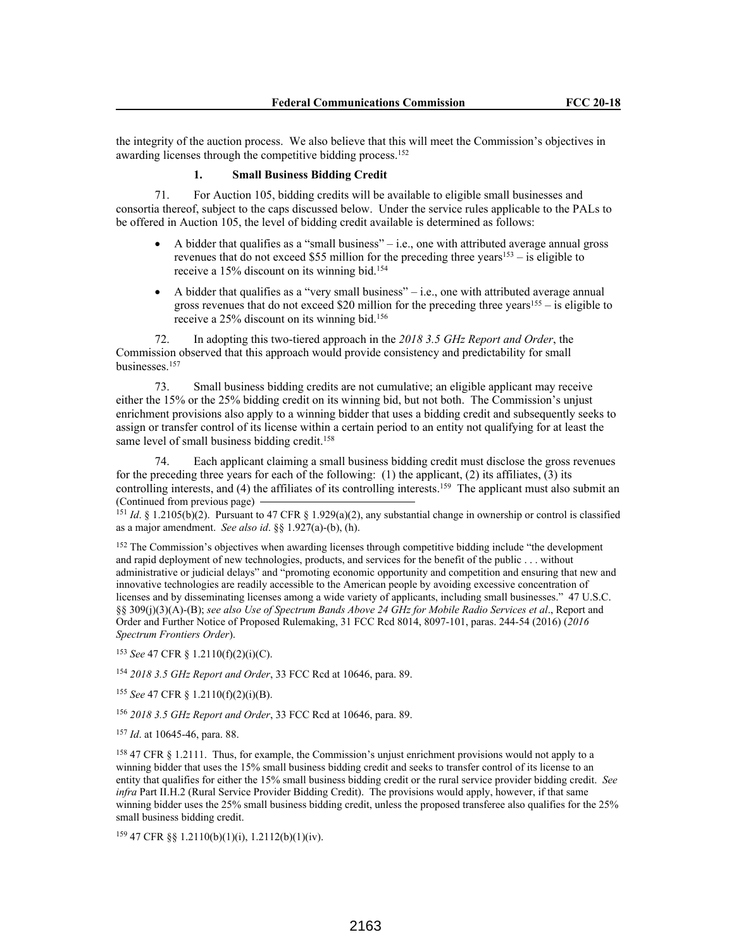the integrity of the auction process. We also believe that this will meet the Commission's objectives in awarding licenses through the competitive bidding process.<sup>152</sup>

# **1. Small Business Bidding Credit**

71. For Auction 105, bidding credits will be available to eligible small businesses and consortia thereof, subject to the caps discussed below. Under the service rules applicable to the PALs to be offered in Auction 105, the level of bidding credit available is determined as follows:

- A bidder that qualifies as a "small business" i.e., one with attributed average annual gross revenues that do not exceed \$55 million for the preceding three years<sup>153</sup> – is eligible to receive a 15% discount on its winning bid.<sup>154</sup>
- A bidder that qualifies as a "very small business" i.e., one with attributed average annual gross revenues that do not exceed \$20 million for the preceding three years<sup>155</sup> – is eligible to receive a 25% discount on its winning bid.<sup>156</sup>

72. In adopting this two-tiered approach in the *2018 3.5 GHz Report and Order*, the Commission observed that this approach would provide consistency and predictability for small businesses.<sup>157</sup>

73. Small business bidding credits are not cumulative; an eligible applicant may receive either the 15% or the 25% bidding credit on its winning bid, but not both. The Commission's unjust enrichment provisions also apply to a winning bidder that uses a bidding credit and subsequently seeks to assign or transfer control of its license within a certain period to an entity not qualifying for at least the same level of small business bidding credit.<sup>158</sup>

74. Each applicant claiming a small business bidding credit must disclose the gross revenues for the preceding three years for each of the following: (1) the applicant, (2) its affiliates, (3) its controlling interests, and (4) the affiliates of its controlling interests.<sup>159</sup> The applicant must also submit an (Continued from previous page)

<sup>151</sup> *Id*. § 1.2105(b)(2). Pursuant to 47 CFR § 1.929(a)(2), any substantial change in ownership or control is classified as a major amendment. *See also id*. §§ 1.927(a)-(b), (h).

<sup>152</sup> The Commission's objectives when awarding licenses through competitive bidding include "the development" and rapid deployment of new technologies, products, and services for the benefit of the public . . . without administrative or judicial delays" and "promoting economic opportunity and competition and ensuring that new and innovative technologies are readily accessible to the American people by avoiding excessive concentration of licenses and by disseminating licenses among a wide variety of applicants, including small businesses." 47 U.S.C. §§ 309(j)(3)(A)-(B); *see also Use of Spectrum Bands Above 24 GHz for Mobile Radio Services et al*., Report and Order and Further Notice of Proposed Rulemaking, 31 FCC Rcd 8014, 8097-101, paras. 244-54 (2016) (*2016 Spectrum Frontiers Order*).

<sup>153</sup> *See* 47 CFR § 1.2110(f)(2)(i)(C).

<sup>154</sup> *2018 3.5 GHz Report and Order*, 33 FCC Rcd at 10646, para. 89.

<sup>155</sup> *See* 47 CFR § 1.2110(f)(2)(i)(B).

<sup>156</sup> *2018 3.5 GHz Report and Order*, 33 FCC Rcd at 10646, para. 89.

<sup>157</sup> *Id*. at 10645-46, para. 88.

<sup>158</sup> 47 CFR § 1.2111. Thus, for example, the Commission's unjust enrichment provisions would not apply to a winning bidder that uses the 15% small business bidding credit and seeks to transfer control of its license to an entity that qualifies for either the 15% small business bidding credit or the rural service provider bidding credit. *See infra* Part II.H.2 (Rural Service Provider Bidding Credit). The provisions would apply, however, if that same winning bidder uses the 25% small business bidding credit, unless the proposed transferee also qualifies for the 25% small business bidding credit.

<sup>159</sup> 47 CFR §§ 1.2110(b)(1)(i), 1.2112(b)(1)(iv).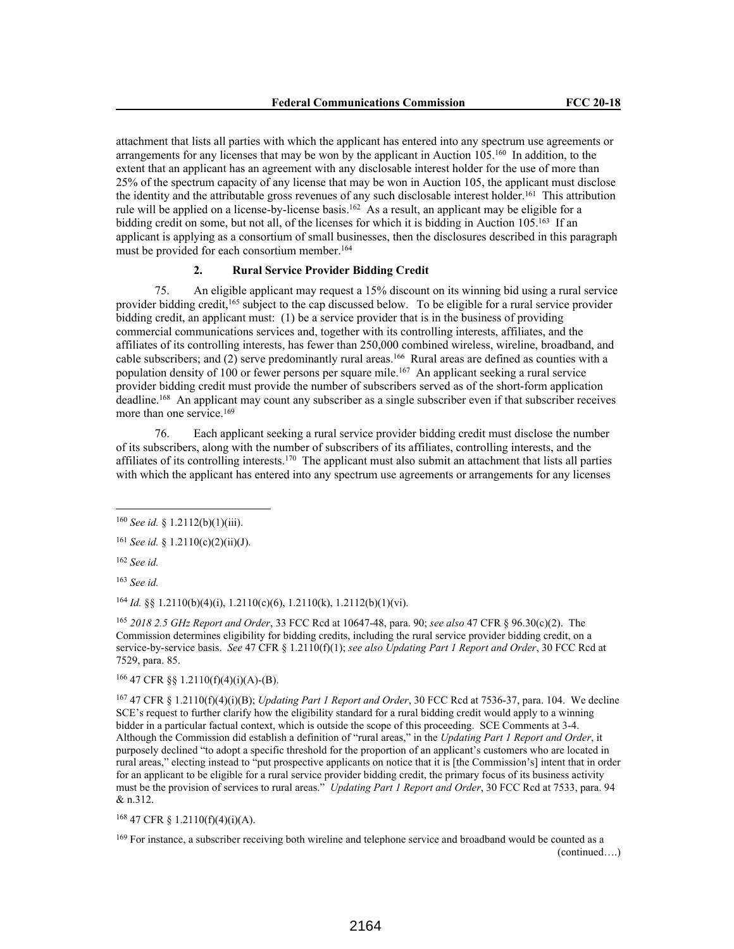attachment that lists all parties with which the applicant has entered into any spectrum use agreements or arrangements for any licenses that may be won by the applicant in Auction 105.<sup>160</sup> In addition, to the extent that an applicant has an agreement with any disclosable interest holder for the use of more than 25% of the spectrum capacity of any license that may be won in Auction 105, the applicant must disclose the identity and the attributable gross revenues of any such disclosable interest holder.<sup>161</sup> This attribution rule will be applied on a license-by-license basis.<sup>162</sup> As a result, an applicant may be eligible for a bidding credit on some, but not all, of the licenses for which it is bidding in Auction 105.<sup>163</sup> If an applicant is applying as a consortium of small businesses, then the disclosures described in this paragraph must be provided for each consortium member.<sup>164</sup>

# **2. Rural Service Provider Bidding Credit**

75. An eligible applicant may request a 15% discount on its winning bid using a rural service provider bidding credit,<sup>165</sup> subject to the cap discussed below. To be eligible for a rural service provider bidding credit, an applicant must: (1) be a service provider that is in the business of providing commercial communications services and, together with its controlling interests, affiliates, and the affiliates of its controlling interests, has fewer than 250,000 combined wireless, wireline, broadband, and cable subscribers; and (2) serve predominantly rural areas.<sup>166</sup> Rural areas are defined as counties with a population density of 100 or fewer persons per square mile.<sup>167</sup> An applicant seeking a rural service provider bidding credit must provide the number of subscribers served as of the short-form application deadline.<sup>168</sup> An applicant may count any subscriber as a single subscriber even if that subscriber receives more than one service.<sup>169</sup>

76. Each applicant seeking a rural service provider bidding credit must disclose the number of its subscribers, along with the number of subscribers of its affiliates, controlling interests, and the affiliates of its controlling interests.<sup>170</sup> The applicant must also submit an attachment that lists all parties with which the applicant has entered into any spectrum use agreements or arrangements for any licenses

<sup>162</sup> *See id.*

<sup>163</sup> *See id.*

<sup>164</sup> *Id.* §§ 1.2110(b)(4)(i), 1.2110(c)(6), 1.2110(k), 1.2112(b)(1)(vi).

<sup>165</sup> *2018 2.5 GHz Report and Order*, 33 FCC Rcd at 10647-48, para. 90; *see also* 47 CFR § 96.30(c)(2). The Commission determines eligibility for bidding credits, including the rural service provider bidding credit, on a service-by-service basis. *See* 47 CFR § 1.2110(f)(1); *see also Updating Part 1 Report and Order*, 30 FCC Rcd at 7529, para. 85.

 $166$  47 CFR §§ 1.2110(f)(4)(i)(A)-(B).

<sup>167</sup> 47 CFR § 1.2110(f)(4)(i)(B); *Updating Part 1 Report and Order*, 30 FCC Rcd at 7536-37, para. 104. We decline SCE's request to further clarify how the eligibility standard for a rural bidding credit would apply to a winning bidder in a particular factual context, which is outside the scope of this proceeding. SCE Comments at 3-4. Although the Commission did establish a definition of "rural areas," in the *Updating Part 1 Report and Order*, it purposely declined "to adopt a specific threshold for the proportion of an applicant's customers who are located in rural areas," electing instead to "put prospective applicants on notice that it is [the Commission's] intent that in order for an applicant to be eligible for a rural service provider bidding credit, the primary focus of its business activity must be the provision of services to rural areas." *Updating Part 1 Report and Order*, 30 FCC Rcd at 7533, para. 94 & n.312.

<sup>168</sup> 47 CFR § 1.2110(f)(4)(i)(A).

<sup>169</sup> For instance, a subscriber receiving both wireline and telephone service and broadband would be counted as a (continued….)

<sup>160</sup> *See id.* § 1.2112(b)(1)(iii).

<sup>161</sup> *See id.* § 1.2110(c)(2)(ii)(J).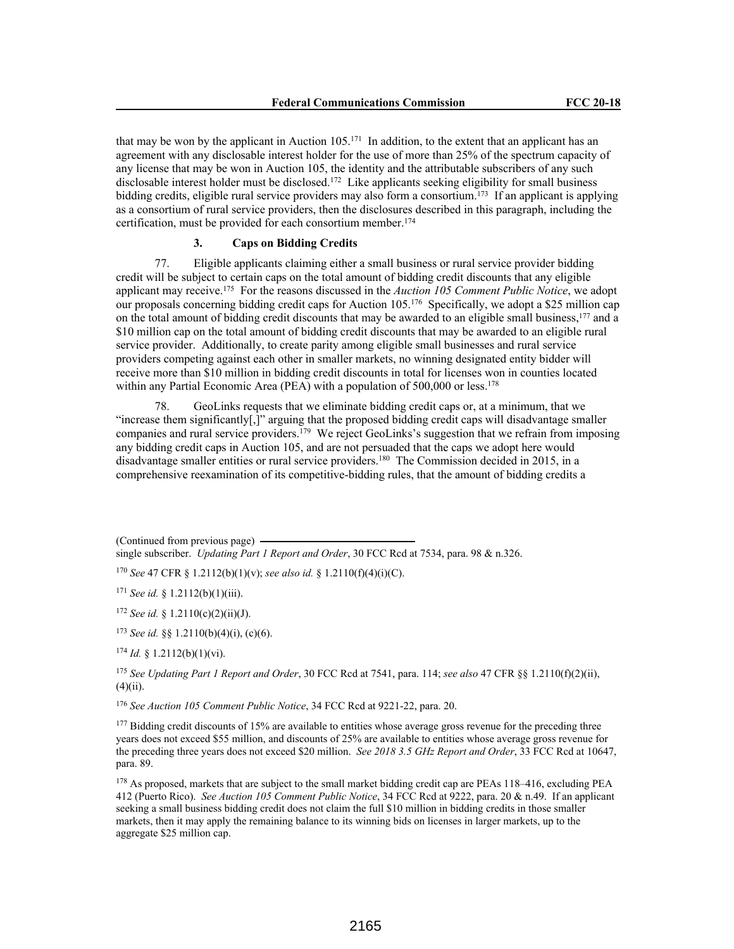that may be won by the applicant in Auction 105.<sup>171</sup> In addition, to the extent that an applicant has an agreement with any disclosable interest holder for the use of more than 25% of the spectrum capacity of any license that may be won in Auction 105, the identity and the attributable subscribers of any such disclosable interest holder must be disclosed.<sup>172</sup> Like applicants seeking eligibility for small business bidding credits, eligible rural service providers may also form a consortium.<sup>173</sup> If an applicant is applying as a consortium of rural service providers, then the disclosures described in this paragraph, including the certification, must be provided for each consortium member.<sup>174</sup>

# **3. Caps on Bidding Credits**

77. Eligible applicants claiming either a small business or rural service provider bidding credit will be subject to certain caps on the total amount of bidding credit discounts that any eligible applicant may receive.<sup>175</sup> For the reasons discussed in the *Auction 105 Comment Public Notice*, we adopt our proposals concerning bidding credit caps for Auction 105.<sup>176</sup> Specifically, we adopt a \$25 million cap on the total amount of bidding credit discounts that may be awarded to an eligible small business,<sup>177</sup> and a \$10 million cap on the total amount of bidding credit discounts that may be awarded to an eligible rural service provider. Additionally, to create parity among eligible small businesses and rural service providers competing against each other in smaller markets, no winning designated entity bidder will receive more than \$10 million in bidding credit discounts in total for licenses won in counties located within any Partial Economic Area (PEA) with a population of 500,000 or less.<sup>178</sup>

78. GeoLinks requests that we eliminate bidding credit caps or, at a minimum, that we "increase them significantly[,]" arguing that the proposed bidding credit caps will disadvantage smaller companies and rural service providers.<sup>179</sup> We reject GeoLinks's suggestion that we refrain from imposing any bidding credit caps in Auction 105, and are not persuaded that the caps we adopt here would disadvantage smaller entities or rural service providers.<sup>180</sup> The Commission decided in 2015, in a comprehensive reexamination of its competitive-bidding rules, that the amount of bidding credits a

(Continued from previous page) single subscriber. *Updating Part 1 Report and Order*, 30 FCC Rcd at 7534, para. 98 & n.326.

<sup>170</sup> *See* 47 CFR § 1.2112(b)(1)(v); *see also id.* § 1.2110(f)(4)(i)(C).

<sup>171</sup> *See id.* § 1.2112(b)(1)(iii).

<sup>172</sup> *See id.* § 1.2110(c)(2)(ii)(J).

<sup>173</sup> *See id.* §§ 1.2110(b)(4)(i), (c)(6).

<sup>174</sup> *Id.* § 1.2112(b)(1)(vi).

<sup>175</sup> *See Updating Part 1 Report and Order*, 30 FCC Rcd at 7541, para. 114; *see also* 47 CFR §§ 1.2110(f)(2)(ii),  $(4)(ii)$ .

<sup>176</sup> *See Auction 105 Comment Public Notice*, 34 FCC Rcd at 9221-22, para. 20.

<sup>177</sup> Bidding credit discounts of 15% are available to entities whose average gross revenue for the preceding three years does not exceed \$55 million, and discounts of 25% are available to entities whose average gross revenue for the preceding three years does not exceed \$20 million. *See 2018 3.5 GHz Report and Order*, 33 FCC Rcd at 10647, para. 89.

<sup>178</sup> As proposed, markets that are subject to the small market bidding credit cap are PEAs 118–416, excluding PEA 412 (Puerto Rico). *See Auction 105 Comment Public Notice*, 34 FCC Rcd at 9222, para. 20 & n.49. If an applicant seeking a small business bidding credit does not claim the full \$10 million in bidding credits in those smaller markets, then it may apply the remaining balance to its winning bids on licenses in larger markets, up to the aggregate \$25 million cap.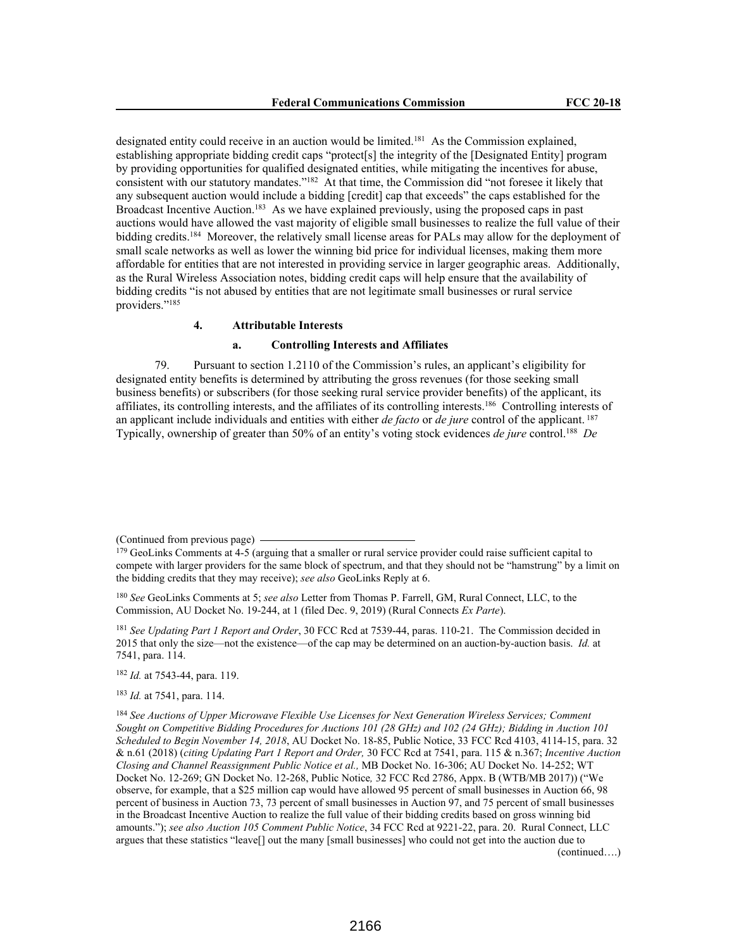designated entity could receive in an auction would be limited.<sup>181</sup> As the Commission explained, establishing appropriate bidding credit caps "protect[s] the integrity of the [Designated Entity] program by providing opportunities for qualified designated entities, while mitigating the incentives for abuse, consistent with our statutory mandates."<sup>182</sup> At that time, the Commission did "not foresee it likely that any subsequent auction would include a bidding [credit] cap that exceeds" the caps established for the Broadcast Incentive Auction.<sup>183</sup> As we have explained previously, using the proposed caps in past auctions would have allowed the vast majority of eligible small businesses to realize the full value of their bidding credits.<sup>184</sup> Moreover, the relatively small license areas for PALs may allow for the deployment of small scale networks as well as lower the winning bid price for individual licenses, making them more affordable for entities that are not interested in providing service in larger geographic areas. Additionally, as the Rural Wireless Association notes, bidding credit caps will help ensure that the availability of bidding credits "is not abused by entities that are not legitimate small businesses or rural service providers."<sup>185</sup>

#### **4. Attributable Interests**

#### **a. Controlling Interests and Affiliates**

79. Pursuant to section 1.2110 of the Commission's rules, an applicant's eligibility for designated entity benefits is determined by attributing the gross revenues (for those seeking small business benefits) or subscribers (for those seeking rural service provider benefits) of the applicant, its affiliates, its controlling interests, and the affiliates of its controlling interests.<sup>186</sup> Controlling interests of an applicant include individuals and entities with either *de facto* or *de jure* control of the applicant.<sup>187</sup> Typically, ownership of greater than 50% of an entity's voting stock evidences *de jure* control.<sup>188</sup> *De* 

<sup>181</sup> *See Updating Part 1 Report and Order*, 30 FCC Rcd at 7539-44, paras. 110-21. The Commission decided in 2015 that only the size—not the existence—of the cap may be determined on an auction-by-auction basis. *Id.* at 7541, para. 114.

<sup>182</sup> *Id.* at 7543-44, para. 119.

<sup>183</sup> *Id.* at 7541, para. 114.

<sup>(</sup>Continued from previous page)

<sup>&</sup>lt;sup>179</sup> GeoLinks Comments at 4-5 (arguing that a smaller or rural service provider could raise sufficient capital to compete with larger providers for the same block of spectrum, and that they should not be "hamstrung" by a limit on the bidding credits that they may receive); *see also* GeoLinks Reply at 6.

<sup>180</sup> *See* GeoLinks Comments at 5; *see also* Letter from Thomas P. Farrell, GM, Rural Connect, LLC, to the Commission, AU Docket No. 19-244, at 1 (filed Dec. 9, 2019) (Rural Connects *Ex Parte*).

<sup>184</sup> *See Auctions of Upper Microwave Flexible Use Licenses for Next Generation Wireless Services; Comment Sought on Competitive Bidding Procedures for Auctions 101 (28 GHz) and 102 (24 GHz); Bidding in Auction 101 Scheduled to Begin November 14, 2018*, AU Docket No. 18-85, Public Notice, 33 FCC Rcd 4103, 4114-15, para. 32 & n.61 (2018) (*citing Updating Part 1 Report and Order,* 30 FCC Rcd at 7541, para. 115 & n.367; *Incentive Auction Closing and Channel Reassignment Public Notice et al.,* MB Docket No. 16-306; AU Docket No. 14-252; WT Docket No. 12-269; GN Docket No. 12-268, Public Notice*,* 32 FCC Rcd 2786, Appx. B (WTB/MB 2017)) ("We observe, for example, that a \$25 million cap would have allowed 95 percent of small businesses in Auction 66, 98 percent of business in Auction 73, 73 percent of small businesses in Auction 97, and 75 percent of small businesses in the Broadcast Incentive Auction to realize the full value of their bidding credits based on gross winning bid amounts."); *see also Auction 105 Comment Public Notice*, 34 FCC Rcd at 9221-22, para. 20. Rural Connect, LLC argues that these statistics "leave[] out the many [small businesses] who could not get into the auction due to (continued….)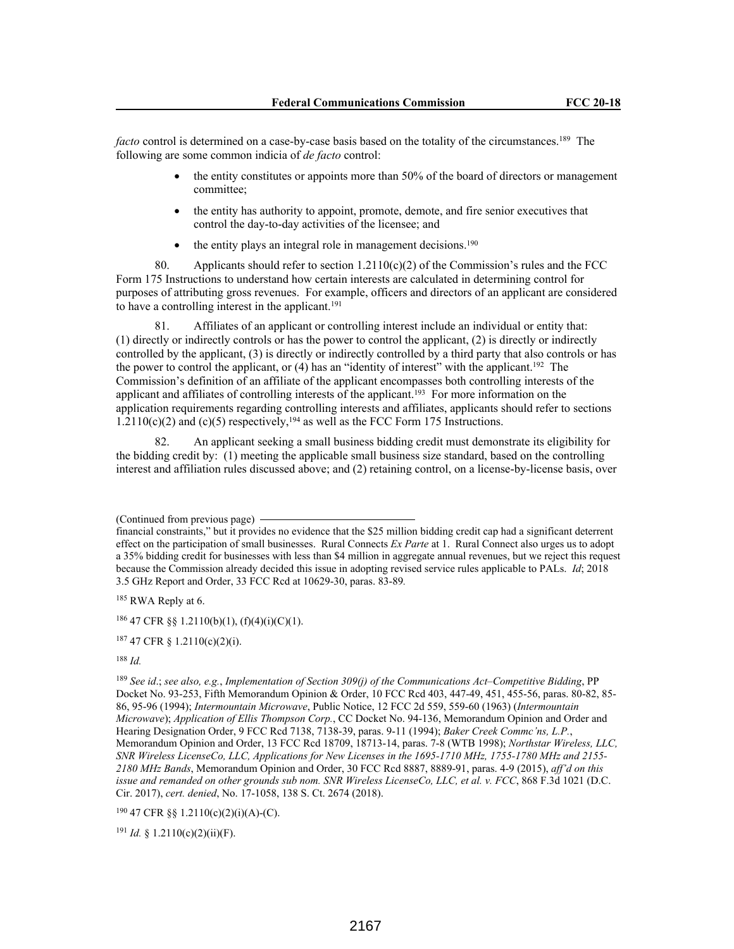*facto* control is determined on a case-by-case basis based on the totality of the circumstances.<sup>189</sup> The following are some common indicia of *de facto* control:

- the entity constitutes or appoints more than 50% of the board of directors or management committee;
- the entity has authority to appoint, promote, demote, and fire senior executives that control the day-to-day activities of the licensee; and
- the entity plays an integral role in management decisions.<sup>190</sup>

80. Applicants should refer to section  $1.2110(c)(2)$  of the Commission's rules and the FCC Form 175 Instructions to understand how certain interests are calculated in determining control for purposes of attributing gross revenues. For example, officers and directors of an applicant are considered to have a controlling interest in the applicant.<sup>191</sup>

81. Affiliates of an applicant or controlling interest include an individual or entity that: (1) directly or indirectly controls or has the power to control the applicant, (2) is directly or indirectly controlled by the applicant, (3) is directly or indirectly controlled by a third party that also controls or has the power to control the applicant, or (4) has an "identity of interest" with the applicant.<sup>192</sup> The Commission's definition of an affiliate of the applicant encompasses both controlling interests of the applicant and affiliates of controlling interests of the applicant.<sup>193</sup> For more information on the application requirements regarding controlling interests and affiliates, applicants should refer to sections  $1.2110(c)(2)$  and  $(c)(5)$  respectively,<sup>194</sup> as well as the FCC Form 175 Instructions.

82. An applicant seeking a small business bidding credit must demonstrate its eligibility for the bidding credit by: (1) meeting the applicable small business size standard, based on the controlling interest and affiliation rules discussed above; and (2) retaining control, on a license-by-license basis, over

185 RWA Reply at 6.

 $186$  47 CFR §§ 1.2110(b)(1), (f)(4)(i)(C)(1).

<sup>188</sup> *Id.*

 $190$  47 CFR §§ 1.2110(c)(2)(i)(A)-(C).

 $191$  *Id.* § 1.2110(c)(2)(ii)(F).

<sup>(</sup>Continued from previous page)

financial constraints," but it provides no evidence that the \$25 million bidding credit cap had a significant deterrent effect on the participation of small businesses. Rural Connects *Ex Parte* at 1. Rural Connect also urges us to adopt a 35% bidding credit for businesses with less than \$4 million in aggregate annual revenues, but we reject this request because the Commission already decided this issue in adopting revised service rules applicable to PALs. *Id*; 2018 3.5 GHz Report and Order, 33 FCC Rcd at 10629-30, paras. 83-89*.*

<sup>187</sup> 47 CFR § 1.2110(c)(2)(i).

<sup>189</sup> *See id*.; *see also, e.g.*, *Implementation of Section 309(j) of the Communications Act–Competitive Bidding*, PP Docket No. 93-253, Fifth Memorandum Opinion & Order, 10 FCC Rcd 403, 447-49, 451, 455-56, paras. 80-82, 85- 86, 95-96 (1994); *Intermountain Microwave*, Public Notice, 12 FCC 2d 559, 559-60 (1963) (*Intermountain Microwave*); *Application of Ellis Thompson Corp.*, CC Docket No. 94-136, Memorandum Opinion and Order and Hearing Designation Order, 9 FCC Rcd 7138, 7138-39, paras. 9-11 (1994); *Baker Creek Commc'ns, L.P.*, Memorandum Opinion and Order, 13 FCC Rcd 18709, 18713-14, paras. 7-8 (WTB 1998); *Northstar Wireless, LLC, SNR Wireless LicenseCo, LLC, Applications for New Licenses in the 1695-1710 MHz, 1755-1780 MHz and 2155- 2180 MHz Bands*, Memorandum Opinion and Order, 30 FCC Rcd 8887, 8889-91, paras. 4-9 (2015), *aff'd on this issue and remanded on other grounds sub nom. SNR Wireless LicenseCo, LLC, et al. v. FCC*, 868 F.3d 1021 (D.C. Cir. 2017), *cert. denied*, No. 17-1058, 138 S. Ct. 2674 (2018).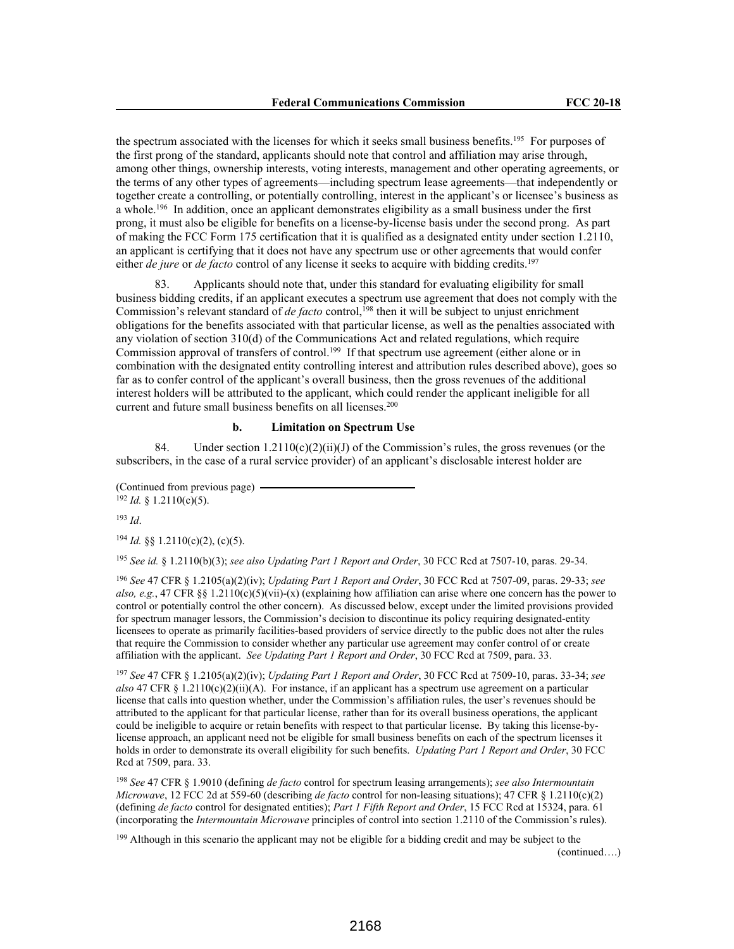the spectrum associated with the licenses for which it seeks small business benefits.<sup>195</sup> For purposes of the first prong of the standard, applicants should note that control and affiliation may arise through, among other things, ownership interests, voting interests, management and other operating agreements, or the terms of any other types of agreements—including spectrum lease agreements—that independently or together create a controlling, or potentially controlling, interest in the applicant's or licensee's business as a whole.<sup>196</sup> In addition, once an applicant demonstrates eligibility as a small business under the first prong, it must also be eligible for benefits on a license-by-license basis under the second prong. As part of making the FCC Form 175 certification that it is qualified as a designated entity under section 1.2110, an applicant is certifying that it does not have any spectrum use or other agreements that would confer either *de jure* or *de facto* control of any license it seeks to acquire with bidding credits.<sup>197</sup>

83. Applicants should note that, under this standard for evaluating eligibility for small business bidding credits, if an applicant executes a spectrum use agreement that does not comply with the Commission's relevant standard of *de facto* control,<sup>198</sup> then it will be subject to unjust enrichment obligations for the benefits associated with that particular license, as well as the penalties associated with any violation of section 310(d) of the Communications Act and related regulations, which require Commission approval of transfers of control.<sup>199</sup> If that spectrum use agreement (either alone or in combination with the designated entity controlling interest and attribution rules described above), goes so far as to confer control of the applicant's overall business, then the gross revenues of the additional interest holders will be attributed to the applicant, which could render the applicant ineligible for all current and future small business benefits on all licenses.<sup>200</sup>

### **b. Limitation on Spectrum Use**

84. Under section  $1.2110(c)(2)(ii)(J)$  of the Commission's rules, the gross revenues (or the subscribers, in the case of a rural service provider) of an applicant's disclosable interest holder are

(Continued from previous page)  $192$  *Id.* § 1.2110(c)(5).

<sup>193</sup> *Id*.

<sup>194</sup> *Id.* §§ 1.2110(c)(2), (c)(5).

<sup>195</sup> *See id.* § 1.2110(b)(3); *see also Updating Part 1 Report and Order*, 30 FCC Rcd at 7507-10, paras. 29-34.

<sup>196</sup> *See* 47 CFR § 1.2105(a)(2)(iv); *Updating Part 1 Report and Order*, 30 FCC Rcd at 7507-09, paras. 29-33; *see also, e.g.*, 47 CFR §§ 1.2110(c)(5)(vii)-(x) (explaining how affiliation can arise where one concern has the power to control or potentially control the other concern). As discussed below, except under the limited provisions provided for spectrum manager lessors, the Commission's decision to discontinue its policy requiring designated-entity licensees to operate as primarily facilities-based providers of service directly to the public does not alter the rules that require the Commission to consider whether any particular use agreement may confer control of or create affiliation with the applicant. *See Updating Part 1 Report and Order*, 30 FCC Rcd at 7509, para. 33.

<sup>197</sup> *See* 47 CFR § 1.2105(a)(2)(iv); *Updating Part 1 Report and Order*, 30 FCC Rcd at 7509-10, paras. 33-34; *see also* 47 CFR § 1.2110(c)(2)(ii)(A). For instance, if an applicant has a spectrum use agreement on a particular license that calls into question whether, under the Commission's affiliation rules, the user's revenues should be attributed to the applicant for that particular license, rather than for its overall business operations, the applicant could be ineligible to acquire or retain benefits with respect to that particular license. By taking this license-bylicense approach, an applicant need not be eligible for small business benefits on each of the spectrum licenses it holds in order to demonstrate its overall eligibility for such benefits. *Updating Part 1 Report and Order*, 30 FCC Rcd at 7509, para. 33.

<sup>198</sup> *See* 47 CFR § 1.9010 (defining *de facto* control for spectrum leasing arrangements); *see also Intermountain Microwave*, 12 FCC 2d at 559-60 (describing *de facto* control for non-leasing situations); 47 CFR § 1.2110(c)(2) (defining *de facto* control for designated entities); *Part 1 Fifth Report and Order*, 15 FCC Rcd at 15324, para. 61 (incorporating the *Intermountain Microwave* principles of control into section 1.2110 of the Commission's rules).

<sup>199</sup> Although in this scenario the applicant may not be eligible for a bidding credit and may be subject to the

(continued….)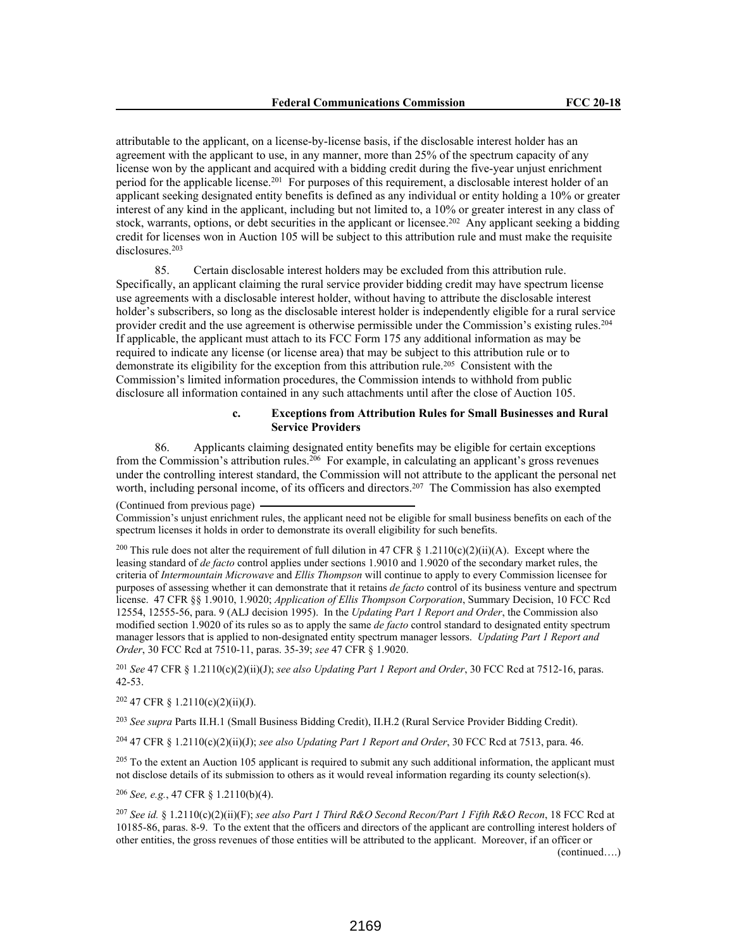attributable to the applicant, on a license-by-license basis, if the disclosable interest holder has an agreement with the applicant to use, in any manner, more than 25% of the spectrum capacity of any license won by the applicant and acquired with a bidding credit during the five-year unjust enrichment period for the applicable license.<sup>201</sup> For purposes of this requirement, a disclosable interest holder of an applicant seeking designated entity benefits is defined as any individual or entity holding a 10% or greater interest of any kind in the applicant, including but not limited to, a 10% or greater interest in any class of stock, warrants, options, or debt securities in the applicant or licensee.<sup>202</sup> Any applicant seeking a bidding credit for licenses won in Auction 105 will be subject to this attribution rule and must make the requisite disclosures.<sup>203</sup>

85. Certain disclosable interest holders may be excluded from this attribution rule. Specifically, an applicant claiming the rural service provider bidding credit may have spectrum license use agreements with a disclosable interest holder, without having to attribute the disclosable interest holder's subscribers, so long as the disclosable interest holder is independently eligible for a rural service provider credit and the use agreement is otherwise permissible under the Commission's existing rules.<sup>204</sup> If applicable, the applicant must attach to its FCC Form 175 any additional information as may be required to indicate any license (or license area) that may be subject to this attribution rule or to demonstrate its eligibility for the exception from this attribution rule.<sup>205</sup> Consistent with the Commission's limited information procedures, the Commission intends to withhold from public disclosure all information contained in any such attachments until after the close of Auction 105.

### **c. Exceptions from Attribution Rules for Small Businesses and Rural Service Providers**

86. Applicants claiming designated entity benefits may be eligible for certain exceptions from the Commission's attribution rules.<sup>206</sup> For example, in calculating an applicant's gross revenues under the controlling interest standard, the Commission will not attribute to the applicant the personal net worth, including personal income, of its officers and directors.<sup>207</sup> The Commission has also exempted

(Continued from previous page)

Commission's unjust enrichment rules, the applicant need not be eligible for small business benefits on each of the spectrum licenses it holds in order to demonstrate its overall eligibility for such benefits.

<sup>200</sup> This rule does not alter the requirement of full dilution in 47 CFR § 1.2110(c)(2)(ii)(A). Except where the leasing standard of *de facto* control applies under sections 1.9010 and 1.9020 of the secondary market rules, the criteria of *Intermountain Microwave* and *Ellis Thompson* will continue to apply to every Commission licensee for purposes of assessing whether it can demonstrate that it retains *de facto* control of its business venture and spectrum license. 47 CFR §§ 1.9010, 1.9020; *Application of Ellis Thompson Corporation*, Summary Decision, 10 FCC Rcd 12554, 12555-56, para. 9 (ALJ decision 1995). In the *Updating Part 1 Report and Order*, the Commission also modified section 1.9020 of its rules so as to apply the same *de facto* control standard to designated entity spectrum manager lessors that is applied to non-designated entity spectrum manager lessors. *Updating Part 1 Report and Order*, 30 FCC Rcd at 7510-11, paras. 35-39; *see* 47 CFR § 1.9020.

<sup>201</sup> *See* 47 CFR § 1.2110(c)(2)(ii)(J); *see also Updating Part 1 Report and Order*, 30 FCC Rcd at 7512-16, paras. 42-53.

<sup>202</sup> 47 CFR § 1.2110(c)(2)(ii)(J).

<sup>203</sup> *See supra* Parts II.H.1 (Small Business Bidding Credit), II.H.2 (Rural Service Provider Bidding Credit).

<sup>204</sup> 47 CFR § 1.2110(c)(2)(ii)(J); *see also Updating Part 1 Report and Order*, 30 FCC Rcd at 7513, para. 46.

 $^{205}$  To the extent an Auction 105 applicant is required to submit any such additional information, the applicant must not disclose details of its submission to others as it would reveal information regarding its county selection(s).

<sup>206</sup> *See, e.g.*, 47 CFR § 1.2110(b)(4).

<sup>207</sup> *See id.* § 1.2110(c)(2)(ii)(F); *see also Part 1 Third R&O Second Recon/Part 1 Fifth R&O Recon*, 18 FCC Rcd at 10185-86, paras. 8-9. To the extent that the officers and directors of the applicant are controlling interest holders of other entities, the gross revenues of those entities will be attributed to the applicant. Moreover, if an officer or (continued….)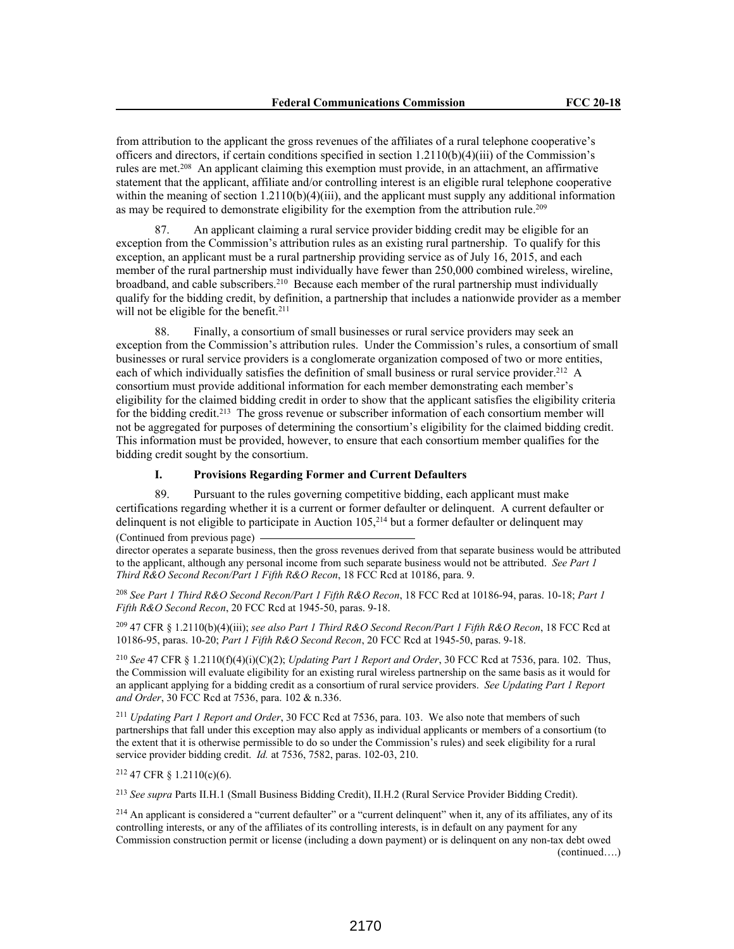from attribution to the applicant the gross revenues of the affiliates of a rural telephone cooperative's officers and directors, if certain conditions specified in section 1.2110(b)(4)(iii) of the Commission's rules are met.<sup>208</sup> An applicant claiming this exemption must provide, in an attachment, an affirmative statement that the applicant, affiliate and/or controlling interest is an eligible rural telephone cooperative within the meaning of section  $1.2110(b)(4)(iii)$ , and the applicant must supply any additional information as may be required to demonstrate eligibility for the exemption from the attribution rule.<sup>209</sup>

87. An applicant claiming a rural service provider bidding credit may be eligible for an exception from the Commission's attribution rules as an existing rural partnership. To qualify for this exception, an applicant must be a rural partnership providing service as of July 16, 2015, and each member of the rural partnership must individually have fewer than 250,000 combined wireless, wireline, broadband, and cable subscribers.<sup>210</sup> Because each member of the rural partnership must individually qualify for the bidding credit, by definition, a partnership that includes a nationwide provider as a member will not be eligible for the benefit.<sup>211</sup>

88. Finally, a consortium of small businesses or rural service providers may seek an exception from the Commission's attribution rules. Under the Commission's rules, a consortium of small businesses or rural service providers is a conglomerate organization composed of two or more entities, each of which individually satisfies the definition of small business or rural service provider.<sup>212</sup> A consortium must provide additional information for each member demonstrating each member's eligibility for the claimed bidding credit in order to show that the applicant satisfies the eligibility criteria for the bidding credit.<sup>213</sup> The gross revenue or subscriber information of each consortium member will not be aggregated for purposes of determining the consortium's eligibility for the claimed bidding credit. This information must be provided, however, to ensure that each consortium member qualifies for the bidding credit sought by the consortium.

## **I. Provisions Regarding Former and Current Defaulters**

89. Pursuant to the rules governing competitive bidding, each applicant must make certifications regarding whether it is a current or former defaulter or delinquent. A current defaulter or delinquent is not eligible to participate in Auction 105,<sup>214</sup> but a former defaulter or delinquent may

(Continued from previous page) director operates a separate business, then the gross revenues derived from that separate business would be attributed to the applicant, although any personal income from such separate business would not be attributed. *See Part 1 Third R&O Second Recon/Part 1 Fifth R&O Recon*, 18 FCC Rcd at 10186, para. 9.

<sup>208</sup> *See Part 1 Third R&O Second Recon/Part 1 Fifth R&O Recon*, 18 FCC Rcd at 10186-94, paras. 10-18; *Part 1 Fifth R&O Second Recon*, 20 FCC Rcd at 1945-50, paras. 9-18.

<sup>209</sup> 47 CFR § 1.2110(b)(4)(iii); *see also Part 1 Third R&O Second Recon/Part 1 Fifth R&O Recon*, 18 FCC Rcd at 10186-95, paras. 10-20; *Part 1 Fifth R&O Second Recon*, 20 FCC Rcd at 1945-50, paras. 9-18.

<sup>210</sup> *See* 47 CFR § 1.2110(f)(4)(i)(C)(2); *Updating Part 1 Report and Order*, 30 FCC Rcd at 7536, para. 102. Thus, the Commission will evaluate eligibility for an existing rural wireless partnership on the same basis as it would for an applicant applying for a bidding credit as a consortium of rural service providers. *See Updating Part 1 Report and Order*, 30 FCC Rcd at 7536, para. 102 & n.336.

<sup>211</sup> *Updating Part 1 Report and Order*, 30 FCC Rcd at 7536, para. 103. We also note that members of such partnerships that fall under this exception may also apply as individual applicants or members of a consortium (to the extent that it is otherwise permissible to do so under the Commission's rules) and seek eligibility for a rural service provider bidding credit. *Id.* at 7536, 7582, paras. 102-03, 210.

<sup>212</sup> 47 CFR § 1.2110(c)(6).

<sup>213</sup> *See supra* Parts II.H.1 (Small Business Bidding Credit), II.H.2 (Rural Service Provider Bidding Credit).

<sup>214</sup> An applicant is considered a "current defaulter" or a "current delinquent" when it, any of its affiliates, any of its controlling interests, or any of the affiliates of its controlling interests, is in default on any payment for any Commission construction permit or license (including a down payment) or is delinquent on any non-tax debt owed (continued….)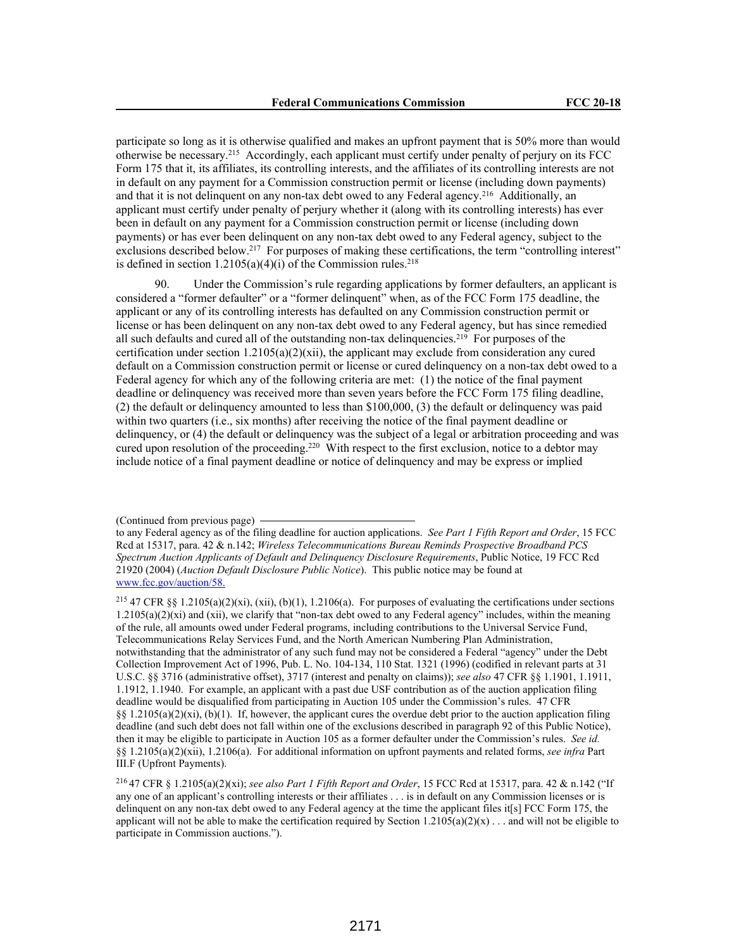participate so long as it is otherwise qualified and makes an upfront payment that is 50% more than would otherwise be necessary.<sup>215</sup> Accordingly, each applicant must certify under penalty of perjury on its FCC Form 175 that it, its affiliates, its controlling interests, and the affiliates of its controlling interests are not in default on any payment for a Commission construction permit or license (including down payments) and that it is not delinquent on any non-tax debt owed to any Federal agency.<sup>216</sup> Additionally, an applicant must certify under penalty of perjury whether it (along with its controlling interests) has ever been in default on any payment for a Commission construction permit or license (including down payments) or has ever been delinquent on any non-tax debt owed to any Federal agency, subject to the exclusions described below.<sup>217</sup> For purposes of making these certifications, the term "controlling interest" is defined in section  $1.2105(a)(4)(i)$  of the Commission rules.<sup>218</sup>

90. Under the Commission's rule regarding applications by former defaulters, an applicant is considered a "former defaulter" or a "former delinquent" when, as of the FCC Form 175 deadline, the applicant or any of its controlling interests has defaulted on any Commission construction permit or license or has been delinquent on any non-tax debt owed to any Federal agency, but has since remedied all such defaults and cured all of the outstanding non-tax delinquencies.<sup>219</sup> For purposes of the certification under section  $1.2105(a)(2)(xii)$ , the applicant may exclude from consideration any cured default on a Commission construction permit or license or cured delinquency on a non-tax debt owed to a Federal agency for which any of the following criteria are met: (1) the notice of the final payment deadline or delinquency was received more than seven years before the FCC Form 175 filing deadline, (2) the default or delinquency amounted to less than \$100,000, (3) the default or delinquency was paid within two quarters (i.e., six months) after receiving the notice of the final payment deadline or delinquency, or (4) the default or delinquency was the subject of a legal or arbitration proceeding and was cured upon resolution of the proceeding.<sup>220</sup> With respect to the first exclusion, notice to a debtor may include notice of a final payment deadline or notice of delinquency and may be express or implied

<sup>(</sup>Continued from previous page)

to any Federal agency as of the filing deadline for auction applications. *See Part 1 Fifth Report and Order*, 15 FCC Rcd at 15317, para. 42 & n.142; *Wireless Telecommunications Bureau Reminds Prospective Broadband PCS Spectrum Auction Applicants of Default and Delinquency Disclosure Requirements*, Public Notice, 19 FCC Rcd 21920 (2004) (*Auction Default Disclosure Public Notice*). This public notice may be found at www.fcc.gov/auction/58.

<sup>&</sup>lt;sup>215</sup> 47 CFR §§ 1.2105(a)(2)(xi), (xii), (b)(1), 1.2106(a). For purposes of evaluating the certifications under sections  $1.2105(a)(2)(xi)$  and  $(xii)$ , we clarify that "non-tax debt owed to any Federal agency" includes, within the meaning of the rule, all amounts owed under Federal programs, including contributions to the Universal Service Fund, Telecommunications Relay Services Fund, and the North American Numbering Plan Administration, notwithstanding that the administrator of any such fund may not be considered a Federal "agency" under the Debt Collection Improvement Act of 1996, Pub. L. No. 104-134, 110 Stat. 1321 (1996) (codified in relevant parts at 31 U.S.C. §§ 3716 (administrative offset), 3717 (interest and penalty on claims)); *see also* 47 CFR §§ 1.1901, 1.1911, 1.1912, 1.1940. For example, an applicant with a past due USF contribution as of the auction application filing deadline would be disqualified from participating in Auction 105 under the Commission's rules. 47 CFR §§  $1.2105(a)(2)(xi)$ , (b)(1). If, however, the applicant cures the overdue debt prior to the auction application filing deadline (and such debt does not fall within one of the exclusions described in paragraph 92 of this Public Notice), then it may be eligible to participate in Auction 105 as a former defaulter under the Commission's rules. *See id.*  §§ 1.2105(a)(2)(xii), 1.2106(a). For additional information on upfront payments and related forms, *see infra* Part III.F (Upfront Payments).

<sup>216</sup>47 CFR § 1.2105(a)(2)(xi); *see also Part 1 Fifth Report and Order*, 15 FCC Rcd at 15317, para. 42 & n.142 ("If any one of an applicant's controlling interests or their affiliates . . . is in default on any Commission licenses or is delinquent on any non-tax debt owed to any Federal agency at the time the applicant files it[s] FCC Form 175, the applicant will not be able to make the certification required by Section  $1.2105(a)(2)(x)$ ... and will not be eligible to participate in Commission auctions.").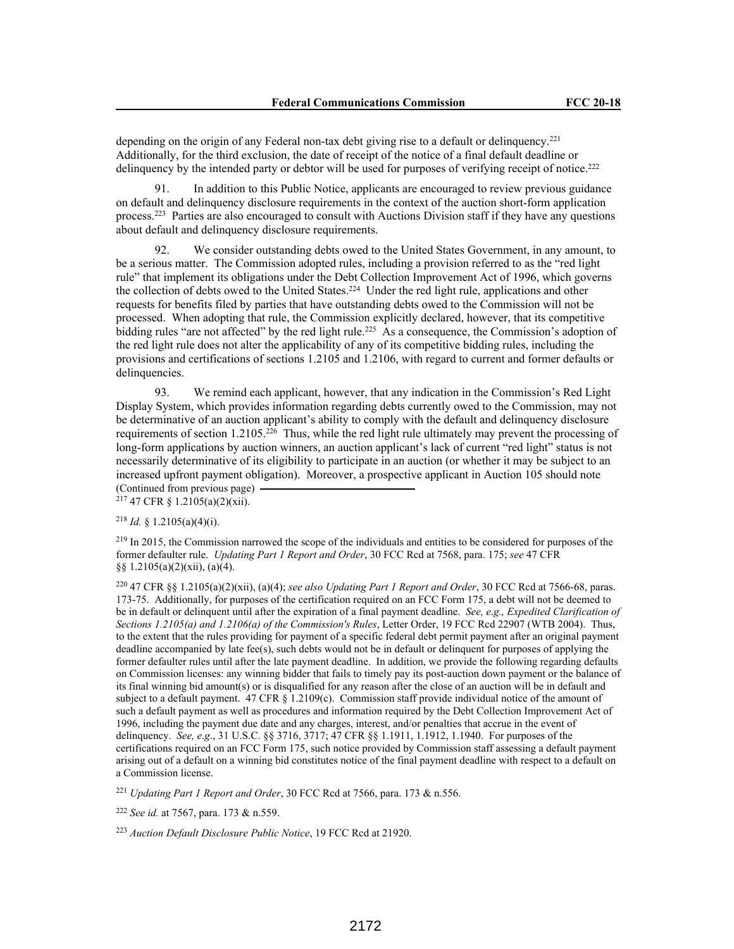depending on the origin of any Federal non-tax debt giving rise to a default or delinquency.<sup>221</sup> Additionally, for the third exclusion, the date of receipt of the notice of a final default deadline or delinquency by the intended party or debtor will be used for purposes of verifying receipt of notice.<sup>222</sup>

91. In addition to this Public Notice, applicants are encouraged to review previous guidance on default and delinquency disclosure requirements in the context of the auction short-form application process.<sup>223</sup> Parties are also encouraged to consult with Auctions Division staff if they have any questions about default and delinquency disclosure requirements.

92. We consider outstanding debts owed to the United States Government, in any amount, to be a serious matter. The Commission adopted rules, including a provision referred to as the "red light rule" that implement its obligations under the Debt Collection Improvement Act of 1996, which governs the collection of debts owed to the United States.<sup>224</sup> Under the red light rule, applications and other requests for benefits filed by parties that have outstanding debts owed to the Commission will not be processed. When adopting that rule, the Commission explicitly declared, however, that its competitive bidding rules "are not affected" by the red light rule.<sup>225</sup> As a consequence, the Commission's adoption of the red light rule does not alter the applicability of any of its competitive bidding rules, including the provisions and certifications of sections 1.2105 and 1.2106, with regard to current and former defaults or delinquencies.

93. We remind each applicant, however, that any indication in the Commission's Red Light Display System, which provides information regarding debts currently owed to the Commission, may not be determinative of an auction applicant's ability to comply with the default and delinquency disclosure requirements of section 1.2105.<sup>226</sup> Thus, while the red light rule ultimately may prevent the processing of long-form applications by auction winners, an auction applicant's lack of current "red light" status is not necessarily determinative of its eligibility to participate in an auction (or whether it may be subject to an increased upfront payment obligation). Moreover, a prospective applicant in Auction 105 should note (Continued from previous page)

 $2^{17}$  47 CFR § 1.2105(a)(2)(xii).

# <sup>218</sup> *Id.* § 1.2105(a)(4)(i).

<sup>219</sup> In 2015, the Commission narrowed the scope of the individuals and entities to be considered for purposes of the former defaulter rule. *Updating Part 1 Report and Order*, 30 FCC Rcd at 7568, para. 175; *see* 47 CFR §§ 1.2105(a)(2)(xii), (a)(4).

<sup>220</sup> 47 CFR §§ 1.2105(a)(2)(xii), (a)(4); *see also Updating Part 1 Report and Order*, 30 FCC Rcd at 7566-68, paras. 173-75. Additionally, for purposes of the certification required on an FCC Form 175, a debt will not be deemed to be in default or delinquent until after the expiration of a final payment deadline. *See, e*.*g., Expedited Clarification of Sections 1.2105(a) and 1.2106(a) of the Commission's Rules*, Letter Order, 19 FCC Rcd 22907 (WTB 2004). Thus, to the extent that the rules providing for payment of a specific federal debt permit payment after an original payment deadline accompanied by late fee(s), such debts would not be in default or delinquent for purposes of applying the former defaulter rules until after the late payment deadline. In addition, we provide the following regarding defaults on Commission licenses: any winning bidder that fails to timely pay its post-auction down payment or the balance of its final winning bid amount(s) or is disqualified for any reason after the close of an auction will be in default and subject to a default payment. 47 CFR § 1.2109(c). Commission staff provide individual notice of the amount of such a default payment as well as procedures and information required by the Debt Collection Improvement Act of 1996, including the payment due date and any charges, interest, and/or penalties that accrue in the event of delinquency. *See, e*.*g*., 31 U.S.C. §§ 3716, 3717; 47 CFR §§ 1.1911, 1.1912, 1.1940. For purposes of the certifications required on an FCC Form 175, such notice provided by Commission staff assessing a default payment arising out of a default on a winning bid constitutes notice of the final payment deadline with respect to a default on a Commission license.

<sup>221</sup> *Updating Part 1 Report and Order*, 30 FCC Rcd at 7566, para. 173 & n.556.

<sup>222</sup> *See id.* at 7567, para. 173 & n.559.

<sup>223</sup> *Auction Default Disclosure Public Notice*, 19 FCC Rcd at 21920.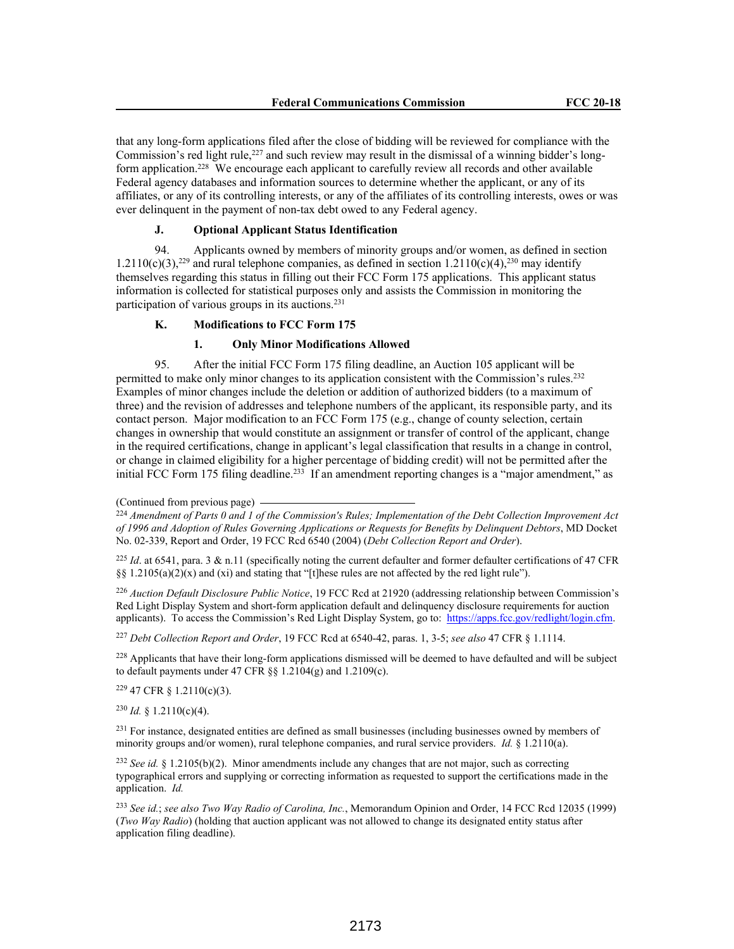that any long-form applications filed after the close of bidding will be reviewed for compliance with the Commission's red light rule,<sup>227</sup> and such review may result in the dismissal of a winning bidder's longform application.<sup>228</sup> We encourage each applicant to carefully review all records and other available Federal agency databases and information sources to determine whether the applicant, or any of its affiliates, or any of its controlling interests, or any of the affiliates of its controlling interests, owes or was ever delinquent in the payment of non-tax debt owed to any Federal agency.

# **J. Optional Applicant Status Identification**

94. Applicants owned by members of minority groups and/or women, as defined in section  $1.2110(c)(3)$ ,<sup>229</sup> and rural telephone companies, as defined in section  $1.2110(c)(4)$ ,<sup>230</sup> may identify themselves regarding this status in filling out their FCC Form 175 applications. This applicant status information is collected for statistical purposes only and assists the Commission in monitoring the participation of various groups in its auctions.<sup>231</sup>

# **K. Modifications to FCC Form 175**

#### **1. Only Minor Modifications Allowed**

95. After the initial FCC Form 175 filing deadline, an Auction 105 applicant will be permitted to make only minor changes to its application consistent with the Commission's rules.<sup>232</sup> Examples of minor changes include the deletion or addition of authorized bidders (to a maximum of three) and the revision of addresses and telephone numbers of the applicant, its responsible party, and its contact person. Major modification to an FCC Form 175 (e.g., change of county selection, certain changes in ownership that would constitute an assignment or transfer of control of the applicant, change in the required certifications, change in applicant's legal classification that results in a change in control, or change in claimed eligibility for a higher percentage of bidding credit) will not be permitted after the initial FCC Form 175 filing deadline.<sup>233</sup> If an amendment reporting changes is a "major amendment," as

<sup>226</sup> *Auction Default Disclosure Public Notice*, 19 FCC Rcd at 21920 (addressing relationship between Commission's Red Light Display System and short-form application default and delinquency disclosure requirements for auction applicants). To access the Commission's Red Light Display System, go to: https://apps.fcc.gov/redlight/login.cfm.

<sup>227</sup> *Debt Collection Report and Order*, 19 FCC Rcd at 6540-42, paras. 1, 3-5; *see also* 47 CFR § 1.1114.

<sup>228</sup> Applicants that have their long-form applications dismissed will be deemed to have defaulted and will be subject to default payments under 47 CFR  $\S$ § 1.2104(g) and 1.2109(c).

 $229$  47 CFR § 1.2110(c)(3).

 $230$  *Id.* § 1.2110(c)(4).

<sup>231</sup> For instance, designated entities are defined as small businesses (including businesses owned by members of minority groups and/or women), rural telephone companies, and rural service providers. *Id.* § 1.2110(a).

<sup>232</sup> *See id.* § 1.2105(b)(2). Minor amendments include any changes that are not major, such as correcting typographical errors and supplying or correcting information as requested to support the certifications made in the application. *Id.*

<sup>233</sup> *See id.*; *see also Two Way Radio of Carolina, Inc.*, Memorandum Opinion and Order, 14 FCC Rcd 12035 (1999) (*Two Way Radio*) (holding that auction applicant was not allowed to change its designated entity status after application filing deadline).

<sup>(</sup>Continued from previous page)

<sup>224</sup> *Amendment of Parts 0 and 1 of the Commission's Rules; Implementation of the Debt Collection Improvement Act of 1996 and Adoption of Rules Governing Applications or Requests for Benefits by Delinquent Debtors*, MD Docket No. 02-339, Report and Order, 19 FCC Rcd 6540 (2004) (*Debt Collection Report and Order*).

<sup>&</sup>lt;sup>225</sup> *Id.* at 6541, para. 3 & n.11 (specifically noting the current defaulter and former defaulter certifications of 47 CFR §§ 1.2105(a)(2)(x) and (xi) and stating that "[t]hese rules are not affected by the red light rule").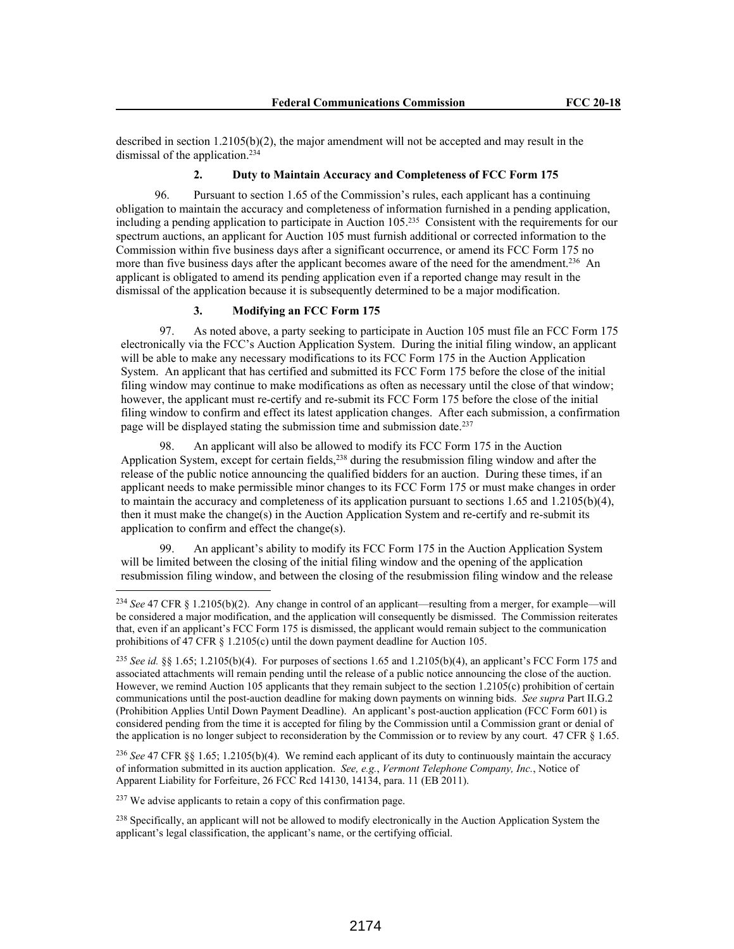described in section  $1.2105(b)(2)$ , the major amendment will not be accepted and may result in the dismissal of the application.<sup>234</sup>

# **2. Duty to Maintain Accuracy and Completeness of FCC Form 175**

96. Pursuant to section 1.65 of the Commission's rules, each applicant has a continuing obligation to maintain the accuracy and completeness of information furnished in a pending application, including a pending application to participate in Auction 105.<sup>235</sup> Consistent with the requirements for our spectrum auctions, an applicant for Auction 105 must furnish additional or corrected information to the Commission within five business days after a significant occurrence, or amend its FCC Form 175 no more than five business days after the applicant becomes aware of the need for the amendment.<sup>236</sup> An applicant is obligated to amend its pending application even if a reported change may result in the dismissal of the application because it is subsequently determined to be a major modification.

## **3. Modifying an FCC Form 175**

97. As noted above, a party seeking to participate in Auction 105 must file an FCC Form 175 electronically via the FCC's Auction Application System. During the initial filing window, an applicant will be able to make any necessary modifications to its FCC Form 175 in the Auction Application System. An applicant that has certified and submitted its FCC Form 175 before the close of the initial filing window may continue to make modifications as often as necessary until the close of that window; however, the applicant must re-certify and re-submit its FCC Form 175 before the close of the initial filing window to confirm and effect its latest application changes. After each submission, a confirmation page will be displayed stating the submission time and submission date.<sup>237</sup>

98. An applicant will also be allowed to modify its FCC Form 175 in the Auction Application System, except for certain fields,<sup>238</sup> during the resubmission filing window and after the release of the public notice announcing the qualified bidders for an auction. During these times, if an applicant needs to make permissible minor changes to its FCC Form 175 or must make changes in order to maintain the accuracy and completeness of its application pursuant to sections 1.65 and 1.2105(b)(4), then it must make the change(s) in the Auction Application System and re-certify and re-submit its application to confirm and effect the change(s).

An applicant's ability to modify its FCC Form 175 in the Auction Application System will be limited between the closing of the initial filing window and the opening of the application resubmission filing window, and between the closing of the resubmission filing window and the release

<sup>236</sup> *See* 47 CFR §§ 1.65; 1.2105(b)(4). We remind each applicant of its duty to continuously maintain the accuracy of information submitted in its auction application. *See, e.g.*, *Vermont Telephone Company, Inc.*, Notice of Apparent Liability for Forfeiture, 26 FCC Rcd 14130, 14134, para. 11 (EB 2011).

<sup>237</sup> We advise applicants to retain a copy of this confirmation page.

<sup>238</sup> Specifically, an applicant will not be allowed to modify electronically in the Auction Application System the applicant's legal classification, the applicant's name, or the certifying official.

<sup>234</sup> *See* 47 CFR § 1.2105(b)(2). Any change in control of an applicant—resulting from a merger, for example—will be considered a major modification, and the application will consequently be dismissed. The Commission reiterates that, even if an applicant's FCC Form 175 is dismissed, the applicant would remain subject to the communication prohibitions of 47 CFR § 1.2105(c) until the down payment deadline for Auction 105.

<sup>&</sup>lt;sup>235</sup> *See id.* §§ 1.65; 1.2105(b)(4). For purposes of sections 1.65 and 1.2105(b)(4), an applicant's FCC Form 175 and associated attachments will remain pending until the release of a public notice announcing the close of the auction. However, we remind Auction 105 applicants that they remain subject to the section 1.2105(c) prohibition of certain communications until the post-auction deadline for making down payments on winning bids. *See supra* Part II.G.2 (Prohibition Applies Until Down Payment Deadline). An applicant's post-auction application (FCC Form 601) is considered pending from the time it is accepted for filing by the Commission until a Commission grant or denial of the application is no longer subject to reconsideration by the Commission or to review by any court. 47 CFR § 1.65.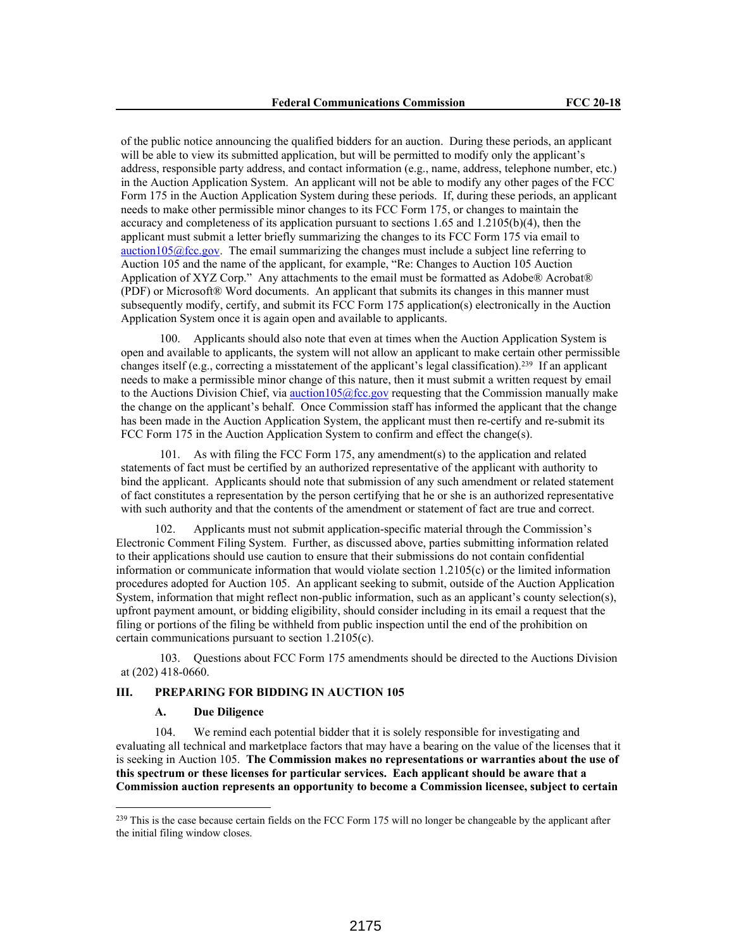of the public notice announcing the qualified bidders for an auction. During these periods, an applicant will be able to view its submitted application, but will be permitted to modify only the applicant's address, responsible party address, and contact information (e.g., name, address, telephone number, etc.) in the Auction Application System. An applicant will not be able to modify any other pages of the FCC Form 175 in the Auction Application System during these periods. If, during these periods, an applicant needs to make other permissible minor changes to its FCC Form 175, or changes to maintain the accuracy and completeness of its application pursuant to sections 1.65 and 1.2105(b)(4), then the applicant must submit a letter briefly summarizing the changes to its FCC Form 175 via email to auction105 $@$ fcc.gov. The email summarizing the changes must include a subject line referring to Auction 105 and the name of the applicant, for example, "Re: Changes to Auction 105 Auction Application of XYZ Corp." Any attachments to the email must be formatted as Adobe® Acrobat® (PDF) or Microsoft® Word documents. An applicant that submits its changes in this manner must subsequently modify, certify, and submit its FCC Form 175 application(s) electronically in the Auction Application System once it is again open and available to applicants.

100. Applicants should also note that even at times when the Auction Application System is open and available to applicants, the system will not allow an applicant to make certain other permissible changes itself (e.g., correcting a misstatement of the applicant's legal classification).<sup>239</sup> If an applicant needs to make a permissible minor change of this nature, then it must submit a written request by email to the Auctions Division Chief, via  $\frac{\text{auction105@fcc.gov}}{\text{ecc.gov}}$  requesting that the Commission manually make the change on the applicant's behalf. Once Commission staff has informed the applicant that the change has been made in the Auction Application System, the applicant must then re-certify and re-submit its FCC Form 175 in the Auction Application System to confirm and effect the change(s).

101. As with filing the FCC Form 175, any amendment(s) to the application and related statements of fact must be certified by an authorized representative of the applicant with authority to bind the applicant. Applicants should note that submission of any such amendment or related statement of fact constitutes a representation by the person certifying that he or she is an authorized representative with such authority and that the contents of the amendment or statement of fact are true and correct.

Applicants must not submit application-specific material through the Commission's Electronic Comment Filing System. Further, as discussed above, parties submitting information related to their applications should use caution to ensure that their submissions do not contain confidential information or communicate information that would violate section 1.2105(c) or the limited information procedures adopted for Auction 105. An applicant seeking to submit, outside of the Auction Application System, information that might reflect non-public information, such as an applicant's county selection(s), upfront payment amount, or bidding eligibility, should consider including in its email a request that the filing or portions of the filing be withheld from public inspection until the end of the prohibition on certain communications pursuant to section 1.2105(c).

103. Questions about FCC Form 175 amendments should be directed to the Auctions Division at (202) 418-0660.

## **III. PREPARING FOR BIDDING IN AUCTION 105**

# **A. Due Diligence**

104. We remind each potential bidder that it is solely responsible for investigating and evaluating all technical and marketplace factors that may have a bearing on the value of the licenses that it is seeking in Auction 105. **The Commission makes no representations or warranties about the use of this spectrum or these licenses for particular services. Each applicant should be aware that a Commission auction represents an opportunity to become a Commission licensee, subject to certain** 

 $^{239}$  This is the case because certain fields on the FCC Form 175 will no longer be changeable by the applicant after the initial filing window closes.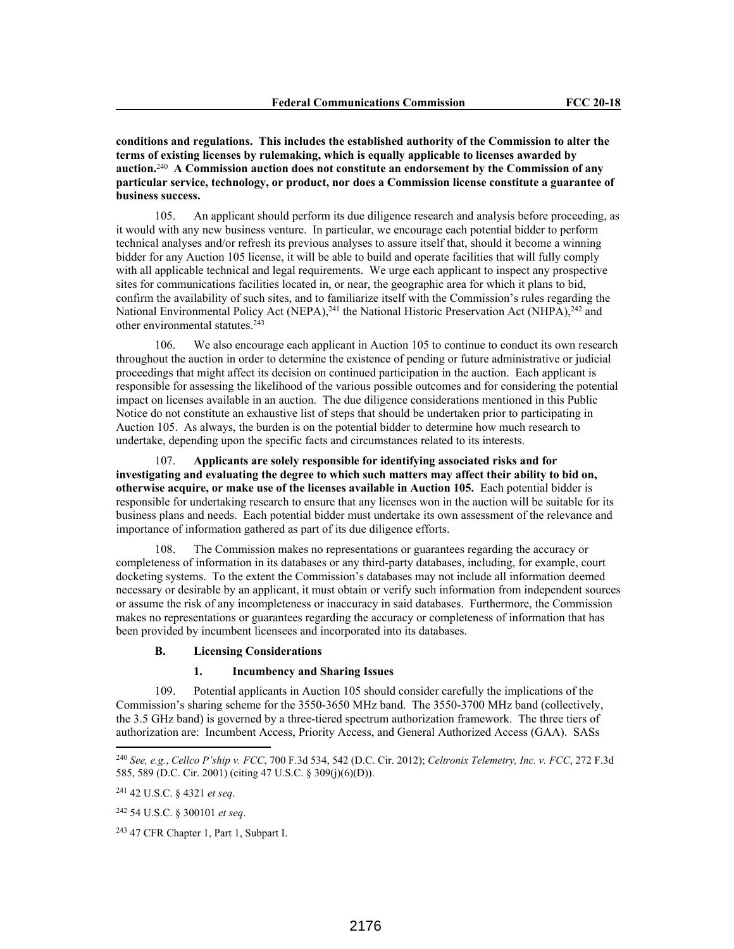**conditions and regulations. This includes the established authority of the Commission to alter the terms of existing licenses by rulemaking, which is equally applicable to licenses awarded by auction.**<sup>240</sup> **A Commission auction does not constitute an endorsement by the Commission of any particular service, technology, or product, nor does a Commission license constitute a guarantee of business success.**

105. An applicant should perform its due diligence research and analysis before proceeding, as it would with any new business venture. In particular, we encourage each potential bidder to perform technical analyses and/or refresh its previous analyses to assure itself that, should it become a winning bidder for any Auction 105 license, it will be able to build and operate facilities that will fully comply with all applicable technical and legal requirements. We urge each applicant to inspect any prospective sites for communications facilities located in, or near, the geographic area for which it plans to bid, confirm the availability of such sites, and to familiarize itself with the Commission's rules regarding the National Environmental Policy Act (NEPA), <sup>241</sup> the National Historic Preservation Act (NHPA), <sup>242</sup> and other environmental statutes.<sup>243</sup>

106. We also encourage each applicant in Auction 105 to continue to conduct its own research throughout the auction in order to determine the existence of pending or future administrative or judicial proceedings that might affect its decision on continued participation in the auction. Each applicant is responsible for assessing the likelihood of the various possible outcomes and for considering the potential impact on licenses available in an auction. The due diligence considerations mentioned in this Public Notice do not constitute an exhaustive list of steps that should be undertaken prior to participating in Auction 105. As always, the burden is on the potential bidder to determine how much research to undertake, depending upon the specific facts and circumstances related to its interests.

107. **Applicants are solely responsible for identifying associated risks and for investigating and evaluating the degree to which such matters may affect their ability to bid on, otherwise acquire, or make use of the licenses available in Auction 105.** Each potential bidder is responsible for undertaking research to ensure that any licenses won in the auction will be suitable for its business plans and needs. Each potential bidder must undertake its own assessment of the relevance and importance of information gathered as part of its due diligence efforts.

108. The Commission makes no representations or guarantees regarding the accuracy or completeness of information in its databases or any third-party databases, including, for example, court docketing systems. To the extent the Commission's databases may not include all information deemed necessary or desirable by an applicant, it must obtain or verify such information from independent sources or assume the risk of any incompleteness or inaccuracy in said databases. Furthermore, the Commission makes no representations or guarantees regarding the accuracy or completeness of information that has been provided by incumbent licensees and incorporated into its databases.

## **B. Licensing Considerations**

## **1. Incumbency and Sharing Issues**

109. Potential applicants in Auction 105 should consider carefully the implications of the Commission's sharing scheme for the 3550-3650 MHz band. The 3550-3700 MHz band (collectively, the 3.5 GHz band) is governed by a three-tiered spectrum authorization framework. The three tiers of authorization are: Incumbent Access, Priority Access, and General Authorized Access (GAA). SASs

<sup>240</sup> *See, e.g.*, *Cellco P'ship v. FCC*, 700 F.3d 534, 542 (D.C. Cir. 2012); *Celtronix Telemetry, Inc. v. FCC*, 272 F.3d 585, 589 (D.C. Cir. 2001) (citing 47 U.S.C. § 309(j)(6)(D)).

<sup>241</sup> 42 U.S.C. § 4321 *et seq*.

<sup>242</sup> 54 U.S.C. § 300101 *et seq*.

<sup>243</sup> 47 CFR Chapter 1, Part 1, Subpart I.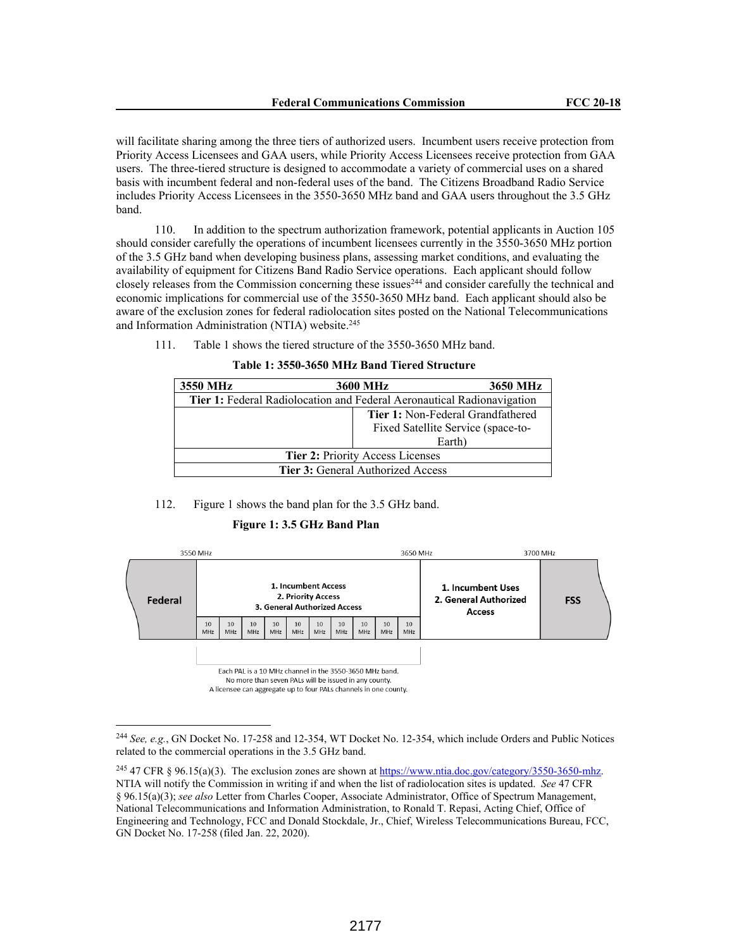will facilitate sharing among the three tiers of authorized users. Incumbent users receive protection from Priority Access Licensees and GAA users, while Priority Access Licensees receive protection from GAA users. The three-tiered structure is designed to accommodate a variety of commercial uses on a shared basis with incumbent federal and non-federal uses of the band. The Citizens Broadband Radio Service includes Priority Access Licensees in the 3550-3650 MHz band and GAA users throughout the 3.5 GHz band.

110. In addition to the spectrum authorization framework, potential applicants in Auction 105 should consider carefully the operations of incumbent licensees currently in the 3550-3650 MHz portion of the 3.5 GHz band when developing business plans, assessing market conditions, and evaluating the availability of equipment for Citizens Band Radio Service operations. Each applicant should follow closely releases from the Commission concerning these issues<sup>244</sup> and consider carefully the technical and economic implications for commercial use of the 3550-3650 MHz band. Each applicant should also be aware of the exclusion zones for federal radiolocation sites posted on the National Telecommunications and Information Administration (NTIA) website.<sup>245</sup>

111. Table 1 shows the tiered structure of the 3550-3650 MHz band.

|  |  |  |  |  |  |  |  | Table 1: 3550-3650 MHz Band Tiered Structure |
|--|--|--|--|--|--|--|--|----------------------------------------------|
|--|--|--|--|--|--|--|--|----------------------------------------------|

| 3550 MHz                                                               | 3650 MHz<br><b>3600 MHz</b>        |  |  |  |
|------------------------------------------------------------------------|------------------------------------|--|--|--|
| Tier 1: Federal Radiolocation and Federal Aeronautical Radionavigation |                                    |  |  |  |
| <b>Tier 1: Non-Federal Grandfathered</b>                               |                                    |  |  |  |
|                                                                        | Fixed Satellite Service (space-to- |  |  |  |
|                                                                        | Earth)                             |  |  |  |
| Tier 2: Priority Access Licenses                                       |                                    |  |  |  |
| <b>Tier 3:</b> General Authorized Access                               |                                    |  |  |  |

#### 112. Figure 1 shows the band plan for the 3.5 GHz band.

#### **Figure 1: 3.5 GHz Band Plan**



A licensee can aggregate up to four PALs channels in one county.

<sup>244</sup> *See, e.g.*, GN Docket No. 17-258 and 12-354, WT Docket No. 12-354, which include Orders and Public Notices related to the commercial operations in the 3.5 GHz band.

<sup>&</sup>lt;sup>245</sup> 47 CFR § 96.15(a)(3). The exclusion zones are shown at https://www.ntia.doc.gov/category/3550-3650-mhz. NTIA will notify the Commission in writing if and when the list of radiolocation sites is updated. *See* 47 CFR § 96.15(a)(3); *see also* Letter from Charles Cooper, Associate Administrator, Office of Spectrum Management, National Telecommunications and Information Administration, to Ronald T. Repasi, Acting Chief, Office of Engineering and Technology, FCC and Donald Stockdale, Jr., Chief, Wireless Telecommunications Bureau, FCC, GN Docket No. 17-258 (filed Jan. 22, 2020).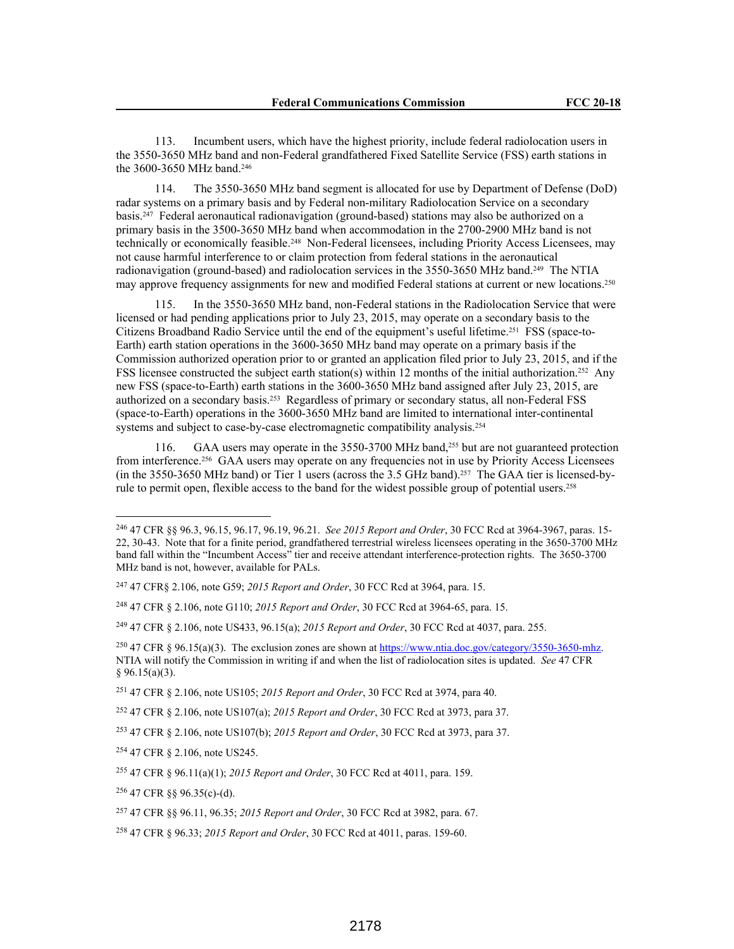113. Incumbent users, which have the highest priority, include federal radiolocation users in the 3550-3650 MHz band and non-Federal grandfathered Fixed Satellite Service (FSS) earth stations in the 3600-3650 MHz band.<sup>246</sup>

114. The 3550-3650 MHz band segment is allocated for use by Department of Defense (DoD) radar systems on a primary basis and by Federal non-military Radiolocation Service on a secondary basis.247 Federal aeronautical radionavigation (ground-based) stations may also be authorized on a primary basis in the 3500-3650 MHz band when accommodation in the 2700-2900 MHz band is not technically or economically feasible.248 Non-Federal licensees, including Priority Access Licensees, may not cause harmful interference to or claim protection from federal stations in the aeronautical radionavigation (ground-based) and radiolocation services in the 3550-3650 MHz band.249 The NTIA may approve frequency assignments for new and modified Federal stations at current or new locations.<sup>250</sup>

115. In the 3550-3650 MHz band, non-Federal stations in the Radiolocation Service that were licensed or had pending applications prior to July 23, 2015, may operate on a secondary basis to the Citizens Broadband Radio Service until the end of the equipment's useful lifetime.251 FSS (space-to-Earth) earth station operations in the 3600-3650 MHz band may operate on a primary basis if the Commission authorized operation prior to or granted an application filed prior to July 23, 2015, and if the FSS licensee constructed the subject earth station(s) within 12 months of the initial authorization.252 Any new FSS (space-to-Earth) earth stations in the 3600-3650 MHz band assigned after July 23, 2015, are authorized on a secondary basis.253 Regardless of primary or secondary status, all non-Federal FSS (space-to-Earth) operations in the 3600-3650 MHz band are limited to international inter-continental systems and subject to case-by-case electromagnetic compatibility analysis.<sup>254</sup>

116. GAA users may operate in the 3550-3700 MHz band,255 but are not guaranteed protection from interference.256 GAA users may operate on any frequencies not in use by Priority Access Licensees (in the 3550-3650 MHz band) or Tier 1 users (across the 3.5 GHz band).257 The GAA tier is licensed-byrule to permit open, flexible access to the band for the widest possible group of potential users.<sup>258</sup>

<sup>251</sup> 47 CFR § 2.106, note US105; *2015 Report and Order*, 30 FCC Rcd at 3974, para 40.

<sup>246</sup> 47 CFR §§ 96.3, 96.15, 96.17, 96.19, 96.21. *See 2015 Report and Order*, 30 FCC Rcd at 3964-3967, paras. 15- 22, 30-43. Note that for a finite period, grandfathered terrestrial wireless licensees operating in the 3650-3700 MHz band fall within the "Incumbent Access" tier and receive attendant interference-protection rights. The 3650-3700 MHz band is not, however, available for PALs.

<sup>247</sup> 47 CFR§ 2.106, note G59; *2015 Report and Order*, 30 FCC Rcd at 3964, para. 15.

<sup>248</sup> 47 CFR § 2.106, note G110; *2015 Report and Order*, 30 FCC Rcd at 3964-65, para. 15.

<sup>249</sup> 47 CFR § 2.106, note US433, 96.15(a); *2015 Report and Order*, 30 FCC Rcd at 4037, para. 255.

<sup>&</sup>lt;sup>250</sup> 47 CFR § 96.15(a)(3). The exclusion zones are shown at https://www.ntia.doc.gov/category/3550-3650-mhz. NTIA will notify the Commission in writing if and when the list of radiolocation sites is updated. *See* 47 CFR § 96.15(a)(3).

<sup>252</sup> 47 CFR § 2.106, note US107(a); *2015 Report and Order*, 30 FCC Rcd at 3973, para 37.

<sup>253</sup> 47 CFR § 2.106, note US107(b); *2015 Report and Order*, 30 FCC Rcd at 3973, para 37.

<sup>254</sup> 47 CFR § 2.106, note US245.

<sup>255</sup> 47 CFR § 96.11(a)(1); *2015 Report and Order*, 30 FCC Rcd at 4011, para. 159.

<sup>256</sup> 47 CFR §§ 96.35(c)-(d).

<sup>257</sup> 47 CFR §§ 96.11, 96.35; *2015 Report and Order*, 30 FCC Rcd at 3982, para. 67.

<sup>258</sup> 47 CFR § 96.33; *2015 Report and Order*, 30 FCC Rcd at 4011, paras. 159-60.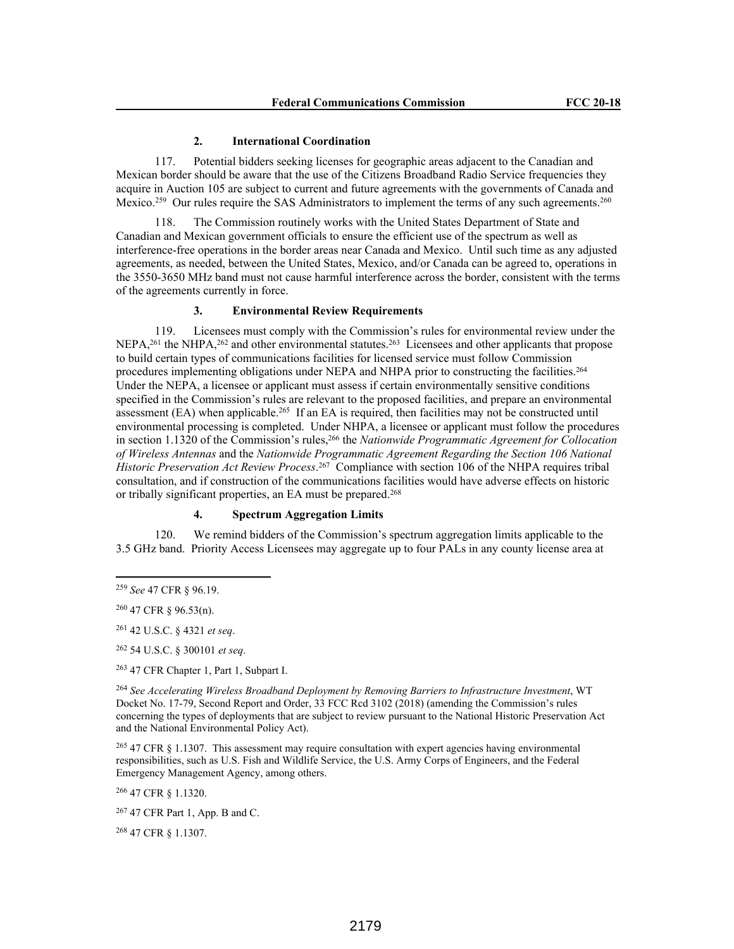#### **2. International Coordination**

117. Potential bidders seeking licenses for geographic areas adjacent to the Canadian and Mexican border should be aware that the use of the Citizens Broadband Radio Service frequencies they acquire in Auction 105 are subject to current and future agreements with the governments of Canada and Mexico.<sup>259</sup> Our rules require the SAS Administrators to implement the terms of any such agreements.<sup>260</sup>

118. The Commission routinely works with the United States Department of State and Canadian and Mexican government officials to ensure the efficient use of the spectrum as well as interference-free operations in the border areas near Canada and Mexico. Until such time as any adjusted agreements, as needed, between the United States, Mexico, and/or Canada can be agreed to, operations in the 3550-3650 MHz band must not cause harmful interference across the border, consistent with the terms of the agreements currently in force.

## **3. Environmental Review Requirements**

119. Licensees must comply with the Commission's rules for environmental review under the NEPA,<sup>261</sup> the NHPA,<sup>262</sup> and other environmental statutes.<sup>263</sup> Licensees and other applicants that propose to build certain types of communications facilities for licensed service must follow Commission procedures implementing obligations under NEPA and NHPA prior to constructing the facilities.<sup>264</sup> Under the NEPA, a licensee or applicant must assess if certain environmentally sensitive conditions specified in the Commission's rules are relevant to the proposed facilities, and prepare an environmental assessment (EA) when applicable.<sup>265</sup> If an EA is required, then facilities may not be constructed until environmental processing is completed. Under NHPA, a licensee or applicant must follow the procedures in section 1.1320 of the Commission's rules,<sup>266</sup> the *Nationwide Programmatic Agreement for Collocation of Wireless Antennas* and the *Nationwide Programmatic Agreement Regarding the Section 106 National Historic Preservation Act Review Process*. <sup>267</sup> Compliance with section 106 of the NHPA requires tribal consultation, and if construction of the communications facilities would have adverse effects on historic or tribally significant properties, an EA must be prepared.<sup>268</sup>

## **4. Spectrum Aggregation Limits**

120. We remind bidders of the Commission's spectrum aggregation limits applicable to the 3.5 GHz band. Priority Access Licensees may aggregate up to four PALs in any county license area at

<sup>261</sup> 42 U.S.C. § 4321 *et seq*.

<sup>262</sup> 54 U.S.C. § 300101 *et seq*.

<sup>263</sup> 47 CFR Chapter 1, Part 1, Subpart I.

<sup>264</sup> *See Accelerating Wireless Broadband Deployment by Removing Barriers to Infrastructure Investment*, WT Docket No. 17-79, Second Report and Order, 33 FCC Rcd 3102 (2018) (amending the Commission's rules concerning the types of deployments that are subject to review pursuant to the National Historic Preservation Act and the National Environmental Policy Act).

<sup>265</sup> 47 CFR § 1.1307. This assessment may require consultation with expert agencies having environmental responsibilities, such as U.S. Fish and Wildlife Service, the U.S. Army Corps of Engineers, and the Federal Emergency Management Agency, among others.

<sup>266</sup> 47 CFR § 1.1320.

<sup>267</sup> 47 CFR Part 1, App. B and C.

<sup>268</sup> 47 CFR § 1.1307.

<sup>259</sup> *See* 47 CFR § 96.19.

<sup>260</sup> 47 CFR § 96.53(n).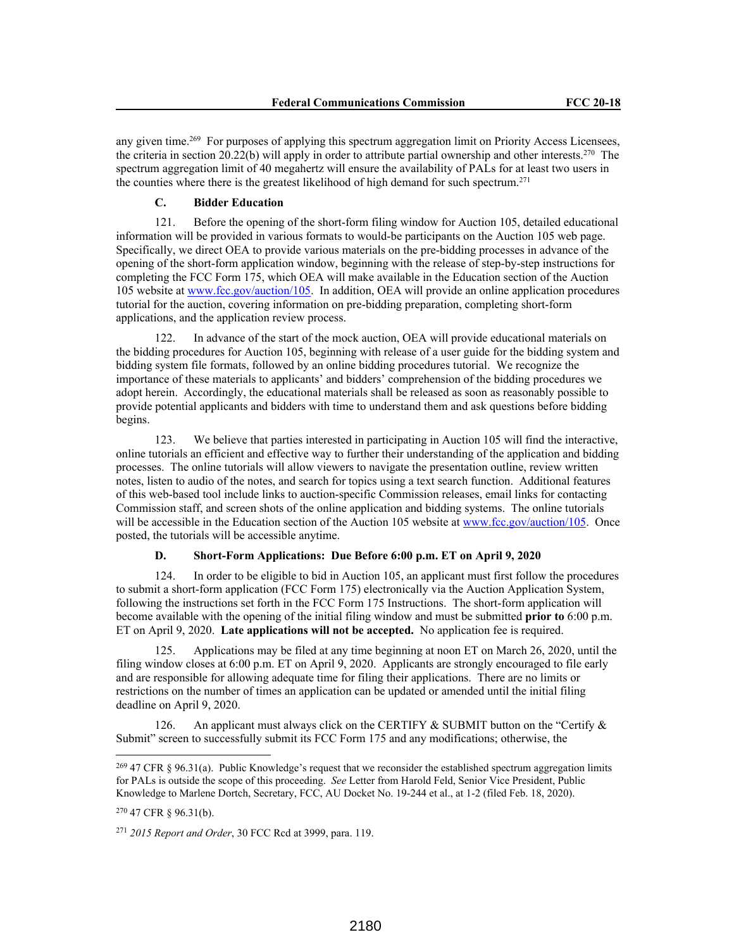any given time.<sup>269</sup> For purposes of applying this spectrum aggregation limit on Priority Access Licensees, the criteria in section 20.22(b) will apply in order to attribute partial ownership and other interests.<sup>270</sup> The spectrum aggregation limit of 40 megahertz will ensure the availability of PALs for at least two users in the counties where there is the greatest likelihood of high demand for such spectrum.<sup>271</sup>

#### **C. Bidder Education**

121. Before the opening of the short-form filing window for Auction 105, detailed educational information will be provided in various formats to would-be participants on the Auction 105 web page. Specifically, we direct OEA to provide various materials on the pre-bidding processes in advance of the opening of the short-form application window, beginning with the release of step-by-step instructions for completing the FCC Form 175, which OEA will make available in the Education section of the Auction 105 website at www.fcc.gov/auction/105. In addition, OEA will provide an online application procedures tutorial for the auction, covering information on pre-bidding preparation, completing short-form applications, and the application review process.

122. In advance of the start of the mock auction, OEA will provide educational materials on the bidding procedures for Auction 105, beginning with release of a user guide for the bidding system and bidding system file formats, followed by an online bidding procedures tutorial. We recognize the importance of these materials to applicants' and bidders' comprehension of the bidding procedures we adopt herein. Accordingly, the educational materials shall be released as soon as reasonably possible to provide potential applicants and bidders with time to understand them and ask questions before bidding begins.

123. We believe that parties interested in participating in Auction 105 will find the interactive, online tutorials an efficient and effective way to further their understanding of the application and bidding processes. The online tutorials will allow viewers to navigate the presentation outline, review written notes, listen to audio of the notes, and search for topics using a text search function. Additional features of this web-based tool include links to auction-specific Commission releases, email links for contacting Commission staff, and screen shots of the online application and bidding systems. The online tutorials will be accessible in the Education section of the Auction 105 website at www.fcc.gov/auction/105. Once posted, the tutorials will be accessible anytime.

#### **D. Short-Form Applications: Due Before 6:00 p.m. ET on April 9, 2020**

124. In order to be eligible to bid in Auction 105, an applicant must first follow the procedures to submit a short-form application (FCC Form 175) electronically via the Auction Application System, following the instructions set forth in the FCC Form 175 Instructions. The short-form application will become available with the opening of the initial filing window and must be submitted **prior to** 6:00 p.m. ET on April 9, 2020. **Late applications will not be accepted.** No application fee is required.

125. Applications may be filed at any time beginning at noon ET on March 26, 2020, until the filing window closes at 6:00 p.m. ET on April 9, 2020. Applicants are strongly encouraged to file early and are responsible for allowing adequate time for filing their applications. There are no limits or restrictions on the number of times an application can be updated or amended until the initial filing deadline on April 9, 2020.

126. An applicant must always click on the CERTIFY & SUBMIT button on the "Certify & Submit" screen to successfully submit its FCC Form 175 and any modifications; otherwise, the

<sup>&</sup>lt;sup>269</sup> 47 CFR § 96.31(a). Public Knowledge's request that we reconsider the established spectrum aggregation limits for PALs is outside the scope of this proceeding. *See* Letter from Harold Feld, Senior Vice President, Public Knowledge to Marlene Dortch, Secretary, FCC, AU Docket No. 19-244 et al., at 1-2 (filed Feb. 18, 2020).

<sup>270</sup> 47 CFR § 96.31(b).

<sup>271</sup> *2015 Report and Order*, 30 FCC Rcd at 3999, para. 119.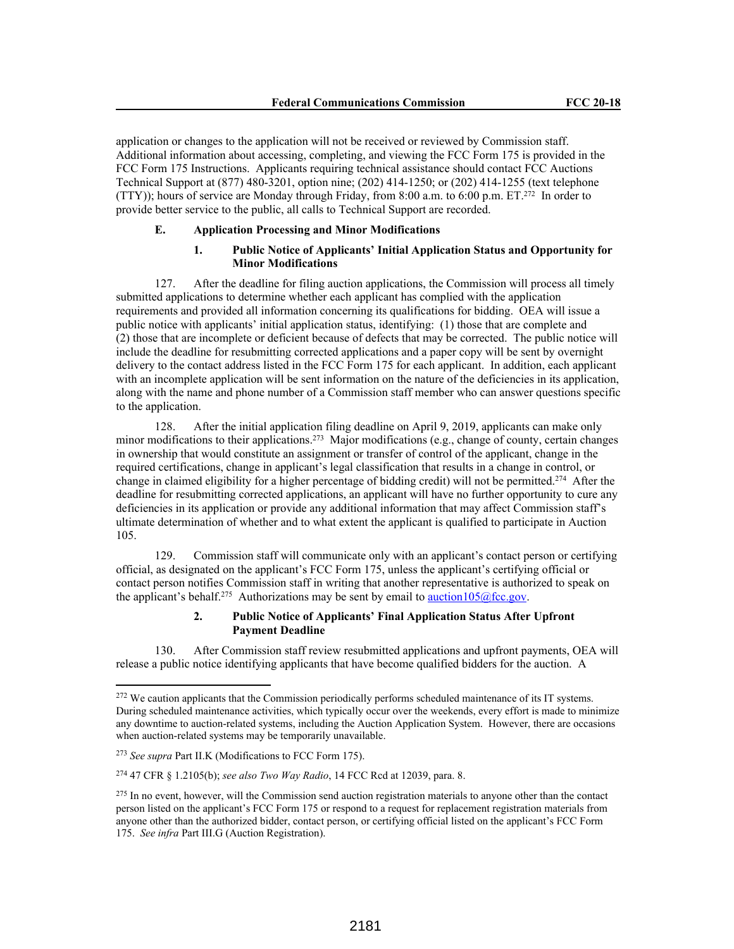application or changes to the application will not be received or reviewed by Commission staff. Additional information about accessing, completing, and viewing the FCC Form 175 is provided in the FCC Form 175 Instructions. Applicants requiring technical assistance should contact FCC Auctions Technical Support at (877) 480-3201, option nine; (202) 414-1250; or (202) 414-1255 (text telephone (TTY)); hours of service are Monday through Friday, from 8:00 a.m. to 6:00 p.m. ET.<sup>272</sup> In order to provide better service to the public, all calls to Technical Support are recorded.

## **E. Application Processing and Minor Modifications**

## **1. Public Notice of Applicants' Initial Application Status and Opportunity for Minor Modifications**

127. After the deadline for filing auction applications, the Commission will process all timely submitted applications to determine whether each applicant has complied with the application requirements and provided all information concerning its qualifications for bidding. OEA will issue a public notice with applicants' initial application status, identifying: (1) those that are complete and (2) those that are incomplete or deficient because of defects that may be corrected. The public notice will include the deadline for resubmitting corrected applications and a paper copy will be sent by overnight delivery to the contact address listed in the FCC Form 175 for each applicant. In addition, each applicant with an incomplete application will be sent information on the nature of the deficiencies in its application, along with the name and phone number of a Commission staff member who can answer questions specific to the application.

128. After the initial application filing deadline on April 9, 2019, applicants can make only minor modifications to their applications.<sup>273</sup> Major modifications (e.g., change of county, certain changes in ownership that would constitute an assignment or transfer of control of the applicant, change in the required certifications, change in applicant's legal classification that results in a change in control, or change in claimed eligibility for a higher percentage of bidding credit) will not be permitted.<sup>274</sup> After the deadline for resubmitting corrected applications, an applicant will have no further opportunity to cure any deficiencies in its application or provide any additional information that may affect Commission staff's ultimate determination of whether and to what extent the applicant is qualified to participate in Auction 105.

129. Commission staff will communicate only with an applicant's contact person or certifying official, as designated on the applicant's FCC Form 175, unless the applicant's certifying official or contact person notifies Commission staff in writing that another representative is authorized to speak on the applicant's behalf.<sup>275</sup> Authorizations may be sent by email to auction105@fcc.gov.

## **2. Public Notice of Applicants' Final Application Status After Upfront Payment Deadline**

130. After Commission staff review resubmitted applications and upfront payments, OEA will release a public notice identifying applicants that have become qualified bidders for the auction. A

<sup>&</sup>lt;sup>272</sup> We caution applicants that the Commission periodically performs scheduled maintenance of its IT systems. During scheduled maintenance activities, which typically occur over the weekends, every effort is made to minimize any downtime to auction-related systems, including the Auction Application System. However, there are occasions when auction-related systems may be temporarily unavailable.

<sup>273</sup> *See supra* Part II.K (Modifications to FCC Form 175).

<sup>274</sup> 47 CFR § 1.2105(b); *see also Two Way Radio*, 14 FCC Rcd at 12039, para. 8.

<sup>&</sup>lt;sup>275</sup> In no event, however, will the Commission send auction registration materials to anyone other than the contact person listed on the applicant's FCC Form 175 or respond to a request for replacement registration materials from anyone other than the authorized bidder, contact person, or certifying official listed on the applicant's FCC Form 175. *See infra* Part III.G (Auction Registration).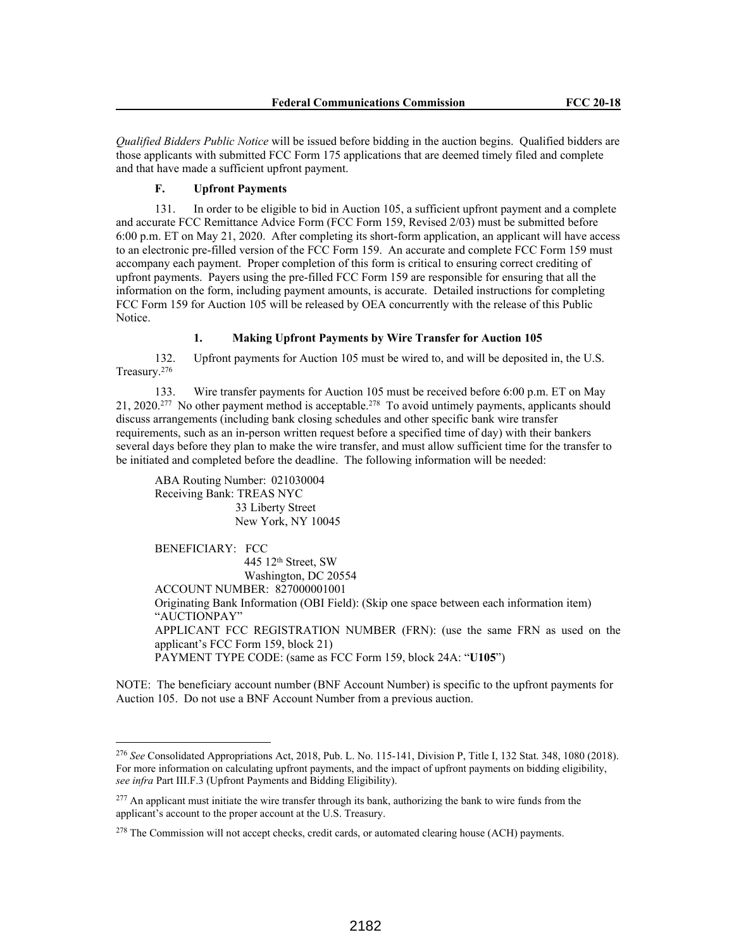*Qualified Bidders Public Notice* will be issued before bidding in the auction begins. Qualified bidders are those applicants with submitted FCC Form 175 applications that are deemed timely filed and complete and that have made a sufficient upfront payment.

#### **F. Upfront Payments**

131. In order to be eligible to bid in Auction 105, a sufficient upfront payment and a complete and accurate FCC Remittance Advice Form (FCC Form 159, Revised 2/03) must be submitted before 6:00 p.m. ET on May 21, 2020. After completing its short-form application, an applicant will have access to an electronic pre-filled version of the FCC Form 159. An accurate and complete FCC Form 159 must accompany each payment. Proper completion of this form is critical to ensuring correct crediting of upfront payments. Payers using the pre-filled FCC Form 159 are responsible for ensuring that all the information on the form, including payment amounts, is accurate. Detailed instructions for completing FCC Form 159 for Auction 105 will be released by OEA concurrently with the release of this Public Notice.

#### **1. Making Upfront Payments by Wire Transfer for Auction 105**

132. Upfront payments for Auction 105 must be wired to, and will be deposited in, the U.S. Treasury.<sup>276</sup>

133. Wire transfer payments for Auction 105 must be received before 6:00 p.m. ET on May 21, 2020.<sup>277</sup> No other payment method is acceptable.<sup>278</sup> To avoid untimely payments, applicants should discuss arrangements (including bank closing schedules and other specific bank wire transfer requirements, such as an in-person written request before a specified time of day) with their bankers several days before they plan to make the wire transfer, and must allow sufficient time for the transfer to be initiated and completed before the deadline. The following information will be needed:

ABA Routing Number: 021030004 Receiving Bank: TREAS NYC 33 Liberty Street New York, NY 10045

BENEFICIARY: FCC 445 12th Street, SW Washington, DC 20554 ACCOUNT NUMBER: 827000001001 Originating Bank Information (OBI Field): (Skip one space between each information item) "AUCTIONPAY" APPLICANT FCC REGISTRATION NUMBER (FRN): (use the same FRN as used on the applicant's FCC Form 159, block 21) PAYMENT TYPE CODE: (same as FCC Form 159, block 24A: "**U105**")

NOTE: The beneficiary account number (BNF Account Number) is specific to the upfront payments for Auction 105. Do not use a BNF Account Number from a previous auction.

<sup>276</sup> *See* Consolidated Appropriations Act, 2018, Pub. L. No. 115-141, Division P, Title I, 132 Stat. 348, 1080 (2018). For more information on calculating upfront payments, and the impact of upfront payments on bidding eligibility, *see infra* Part III.F.3 (Upfront Payments and Bidding Eligibility).

<sup>&</sup>lt;sup>277</sup> An applicant must initiate the wire transfer through its bank, authorizing the bank to wire funds from the applicant's account to the proper account at the U.S. Treasury.

<sup>&</sup>lt;sup>278</sup> The Commission will not accept checks, credit cards, or automated clearing house (ACH) payments.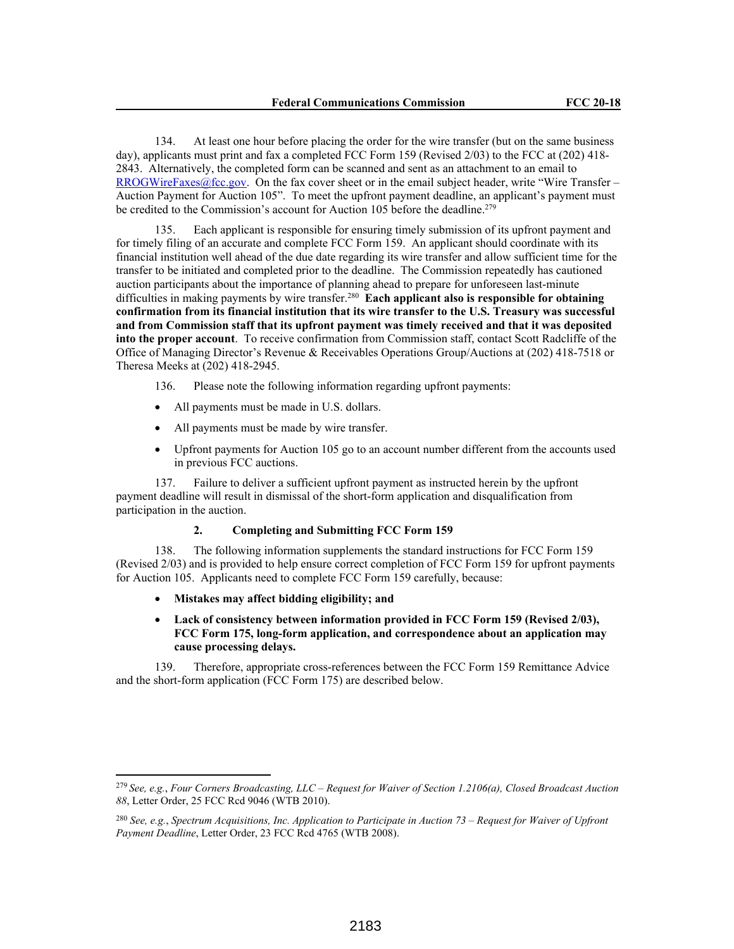134. At least one hour before placing the order for the wire transfer (but on the same business day), applicants must print and fax a completed FCC Form 159 (Revised 2/03) to the FCC at (202) 418- 2843. Alternatively, the completed form can be scanned and sent as an attachment to an email to RROGWireFaxes@fcc.gov. On the fax cover sheet or in the email subject header, write "Wire Transfer – Auction Payment for Auction 105". To meet the upfront payment deadline, an applicant's payment must be credited to the Commission's account for Auction 105 before the deadline.<sup>279</sup>

135. Each applicant is responsible for ensuring timely submission of its upfront payment and for timely filing of an accurate and complete FCC Form 159. An applicant should coordinate with its financial institution well ahead of the due date regarding its wire transfer and allow sufficient time for the transfer to be initiated and completed prior to the deadline. The Commission repeatedly has cautioned auction participants about the importance of planning ahead to prepare for unforeseen last-minute difficulties in making payments by wire transfer.<sup>280</sup> **Each applicant also is responsible for obtaining confirmation from its financial institution that its wire transfer to the U.S. Treasury was successful and from Commission staff that its upfront payment was timely received and that it was deposited into the proper account**. To receive confirmation from Commission staff, contact Scott Radcliffe of the Office of Managing Director's Revenue & Receivables Operations Group/Auctions at (202) 418-7518 or Theresa Meeks at (202) 418-2945.

- 136. Please note the following information regarding upfront payments:
- All payments must be made in U.S. dollars.
- All payments must be made by wire transfer.
- Upfront payments for Auction 105 go to an account number different from the accounts used in previous FCC auctions.

137. Failure to deliver a sufficient upfront payment as instructed herein by the upfront payment deadline will result in dismissal of the short-form application and disqualification from participation in the auction.

## **2. Completing and Submitting FCC Form 159**

138. The following information supplements the standard instructions for FCC Form 159 (Revised 2/03) and is provided to help ensure correct completion of FCC Form 159 for upfront payments for Auction 105. Applicants need to complete FCC Form 159 carefully, because:

- **Mistakes may affect bidding eligibility; and**
- **Lack of consistency between information provided in FCC Form 159 (Revised 2/03), FCC Form 175, long-form application, and correspondence about an application may cause processing delays.**

139. Therefore, appropriate cross-references between the FCC Form 159 Remittance Advice and the short-form application (FCC Form 175) are described below.

<sup>279</sup>*See, e.g.*, *Four Corners Broadcasting, LLC – Request for Waiver of Section 1.2106(a), Closed Broadcast Auction 88*, Letter Order, 25 FCC Rcd 9046 (WTB 2010).

<sup>280</sup> *See, e.g.*, *Spectrum Acquisitions, Inc. Application to Participate in Auction 73 – Request for Waiver of Upfront Payment Deadline*, Letter Order, 23 FCC Rcd 4765 (WTB 2008).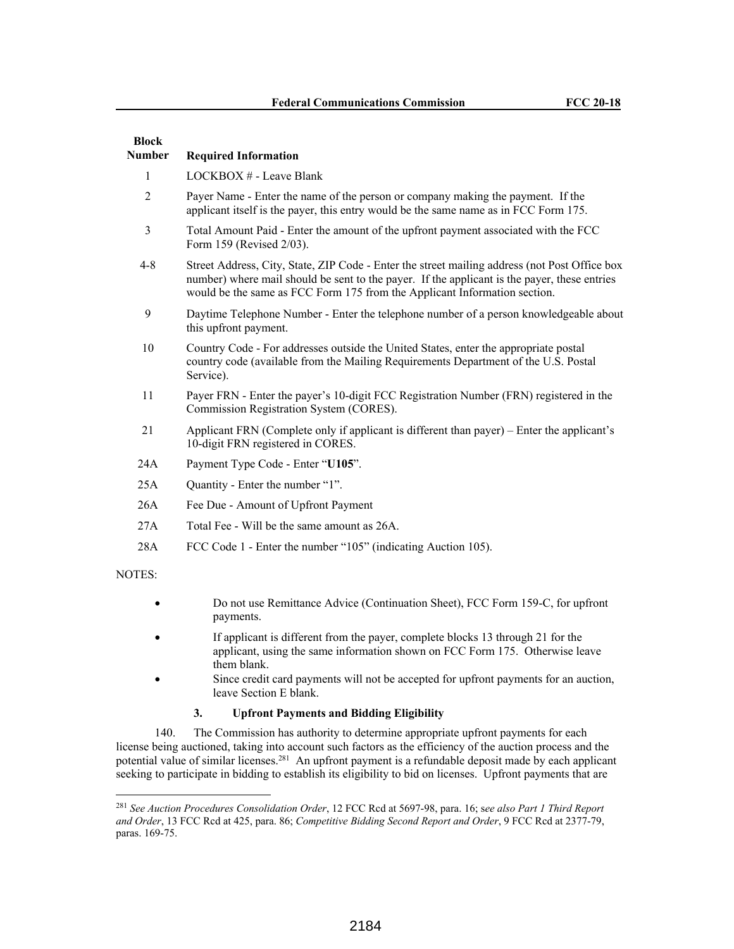| <b>Block</b><br><b>Number</b> | <b>Required Information</b>                                                                                                                                                                                                                                                |  |  |  |  |  |
|-------------------------------|----------------------------------------------------------------------------------------------------------------------------------------------------------------------------------------------------------------------------------------------------------------------------|--|--|--|--|--|
| 1                             | LOCKBOX # - Leave Blank                                                                                                                                                                                                                                                    |  |  |  |  |  |
| $\overline{2}$                | Payer Name - Enter the name of the person or company making the payment. If the<br>applicant itself is the payer, this entry would be the same name as in FCC Form 175.                                                                                                    |  |  |  |  |  |
| 3                             | Total Amount Paid - Enter the amount of the upfront payment associated with the FCC<br>Form 159 (Revised 2/03).                                                                                                                                                            |  |  |  |  |  |
| $4 - 8$                       | Street Address, City, State, ZIP Code - Enter the street mailing address (not Post Office box<br>number) where mail should be sent to the payer. If the applicant is the payer, these entries<br>would be the same as FCC Form 175 from the Applicant Information section. |  |  |  |  |  |
| 9                             | Daytime Telephone Number - Enter the telephone number of a person knowledgeable about<br>this upfront payment.                                                                                                                                                             |  |  |  |  |  |
| 10                            | Country Code - For addresses outside the United States, enter the appropriate postal<br>country code (available from the Mailing Requirements Department of the U.S. Postal<br>Service).                                                                                   |  |  |  |  |  |
| 11                            | Payer FRN - Enter the payer's 10-digit FCC Registration Number (FRN) registered in the<br>Commission Registration System (CORES).                                                                                                                                          |  |  |  |  |  |
| 21                            | Applicant FRN (Complete only if applicant is different than payer) – Enter the applicant's<br>10-digit FRN registered in CORES.                                                                                                                                            |  |  |  |  |  |
| 24A                           | Payment Type Code - Enter "U105".                                                                                                                                                                                                                                          |  |  |  |  |  |
| 25A                           | Quantity - Enter the number "1".                                                                                                                                                                                                                                           |  |  |  |  |  |
| 26A                           | Fee Due - Amount of Upfront Payment                                                                                                                                                                                                                                        |  |  |  |  |  |
| 27A                           | Total Fee - Will be the same amount as 26A.                                                                                                                                                                                                                                |  |  |  |  |  |
| 28A                           | FCC Code 1 - Enter the number "105" (indicating Auction 105).                                                                                                                                                                                                              |  |  |  |  |  |
| NOTES:                        |                                                                                                                                                                                                                                                                            |  |  |  |  |  |
| ٠                             | Do not use Remittance Advice (Continuation Sheet), FCC Form 159-C, for upfront<br>payments.                                                                                                                                                                                |  |  |  |  |  |

- If applicant is different from the payer, complete blocks 13 through 21 for the applicant, using the same information shown on FCC Form 175. Otherwise leave them blank.
- Since credit card payments will not be accepted for upfront payments for an auction, leave Section E blank.

## **3. Upfront Payments and Bidding Eligibility**

140. The Commission has authority to determine appropriate upfront payments for each license being auctioned, taking into account such factors as the efficiency of the auction process and the potential value of similar licenses.<sup>281</sup> An upfront payment is a refundable deposit made by each applicant seeking to participate in bidding to establish its eligibility to bid on licenses. Upfront payments that are

<sup>281</sup> *See Auction Procedures Consolidation Order*, 12 FCC Rcd at 5697-98, para. 16; s*ee also Part 1 Third Report and Order*, 13 FCC Rcd at 425, para. 86; *Competitive Bidding Second Report and Order*, 9 FCC Rcd at 2377-79, paras. 169-75.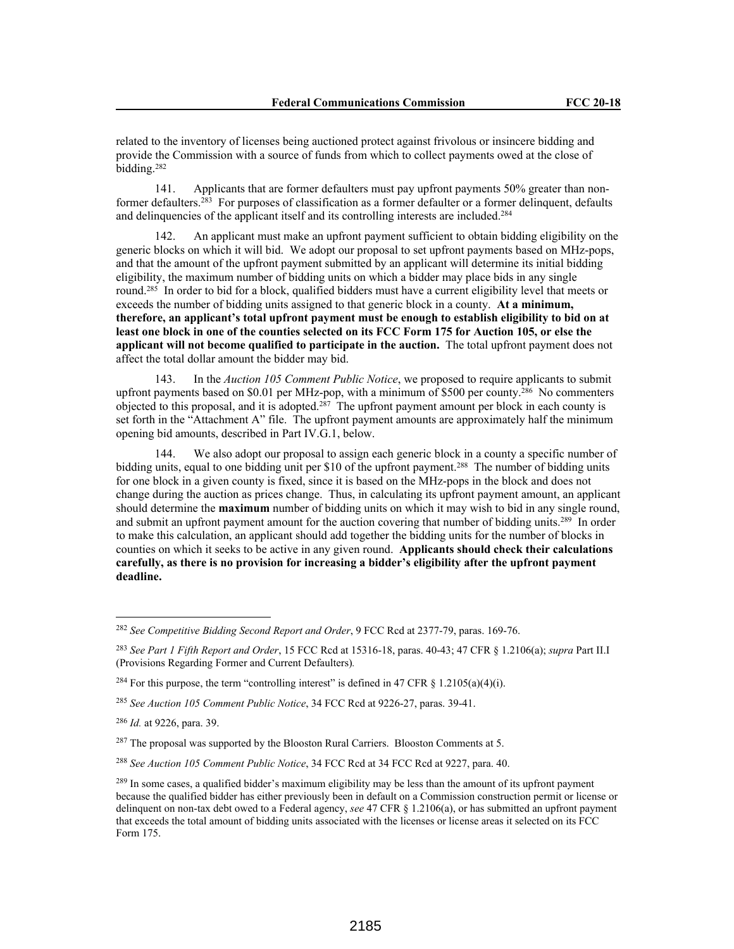related to the inventory of licenses being auctioned protect against frivolous or insincere bidding and provide the Commission with a source of funds from which to collect payments owed at the close of bidding.<sup>282</sup>

141. Applicants that are former defaulters must pay upfront payments 50% greater than nonformer defaulters.<sup>283</sup> For purposes of classification as a former defaulter or a former delinquent, defaults and delinquencies of the applicant itself and its controlling interests are included.<sup>284</sup>

142. An applicant must make an upfront payment sufficient to obtain bidding eligibility on the generic blocks on which it will bid. We adopt our proposal to set upfront payments based on MHz-pops, and that the amount of the upfront payment submitted by an applicant will determine its initial bidding eligibility, the maximum number of bidding units on which a bidder may place bids in any single round.<sup>285</sup> In order to bid for a block, qualified bidders must have a current eligibility level that meets or exceeds the number of bidding units assigned to that generic block in a county. **At a minimum, therefore, an applicant's total upfront payment must be enough to establish eligibility to bid on at least one block in one of the counties selected on its FCC Form 175 for Auction 105, or else the applicant will not become qualified to participate in the auction.** The total upfront payment does not affect the total dollar amount the bidder may bid.

143. In the *Auction 105 Comment Public Notice*, we proposed to require applicants to submit upfront payments based on \$0.01 per MHz-pop, with a minimum of \$500 per county.<sup>286</sup> No commenters objected to this proposal, and it is adopted.<sup>287</sup> The upfront payment amount per block in each county is set forth in the "Attachment A" file. The upfront payment amounts are approximately half the minimum opening bid amounts, described in Part IV.G.1, below.

144. We also adopt our proposal to assign each generic block in a county a specific number of bidding units, equal to one bidding unit per \$10 of the upfront payment.<sup>288</sup> The number of bidding units for one block in a given county is fixed, since it is based on the MHz-pops in the block and does not change during the auction as prices change. Thus, in calculating its upfront payment amount, an applicant should determine the **maximum** number of bidding units on which it may wish to bid in any single round, and submit an upfront payment amount for the auction covering that number of bidding units.<sup>289</sup> In order to make this calculation, an applicant should add together the bidding units for the number of blocks in counties on which it seeks to be active in any given round. **Applicants should check their calculations carefully, as there is no provision for increasing a bidder's eligibility after the upfront payment deadline.** 

<sup>282</sup> *See Competitive Bidding Second Report and Order*, 9 FCC Rcd at 2377-79, paras. 169-76.

<sup>283</sup> *See Part 1 Fifth Report and Order*, 15 FCC Rcd at 15316-18, paras. 40-43; 47 CFR § 1.2106(a); *supra* Part II.I (Provisions Regarding Former and Current Defaulters)*.* 

<sup>&</sup>lt;sup>284</sup> For this purpose, the term "controlling interest" is defined in 47 CFR § 1.2105(a)(4)(i).

<sup>285</sup> *See Auction 105 Comment Public Notice*, 34 FCC Rcd at 9226-27, paras. 39-41.

<sup>286</sup> *Id.* at 9226, para. 39.

<sup>&</sup>lt;sup>287</sup> The proposal was supported by the Blooston Rural Carriers. Blooston Comments at 5.

<sup>288</sup> *See Auction 105 Comment Public Notice*, 34 FCC Rcd at 34 FCC Rcd at 9227, para. 40.

<sup>&</sup>lt;sup>289</sup> In some cases, a qualified bidder's maximum eligibility may be less than the amount of its upfront payment because the qualified bidder has either previously been in default on a Commission construction permit or license or delinquent on non-tax debt owed to a Federal agency, *see* 47 CFR § 1.2106(a), or has submitted an upfront payment that exceeds the total amount of bidding units associated with the licenses or license areas it selected on its FCC Form 175.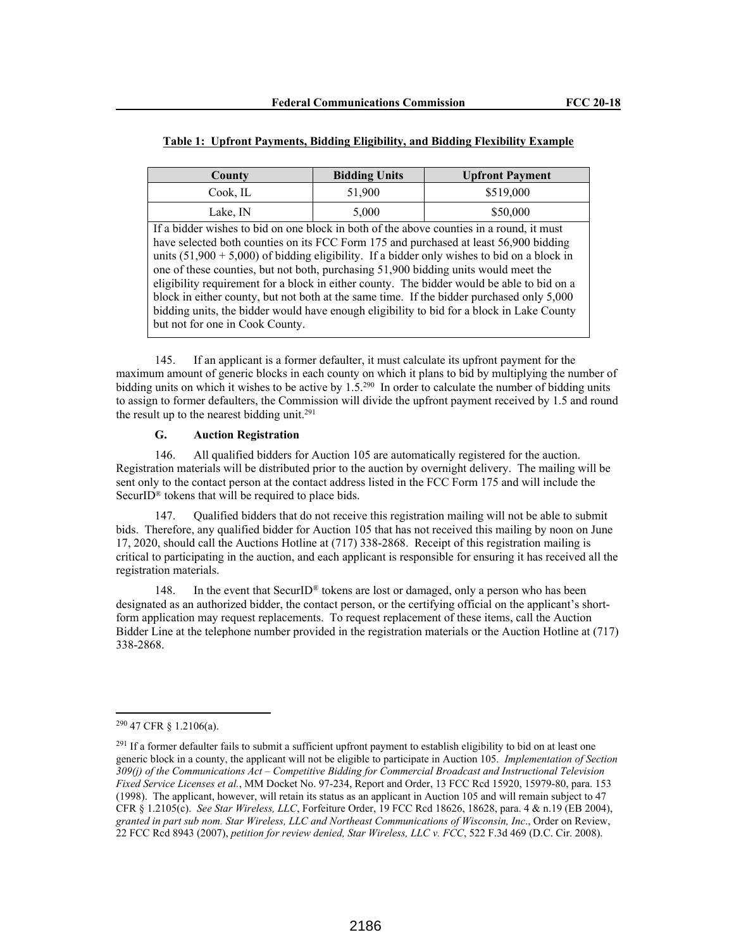| County                                                                                                                                                                            | <b>Bidding Units</b> | <b>Upfront Payment</b> |  |  |  |  |
|-----------------------------------------------------------------------------------------------------------------------------------------------------------------------------------|----------------------|------------------------|--|--|--|--|
| \$519,000<br>Cook, IL<br>51,900                                                                                                                                                   |                      |                        |  |  |  |  |
| Lake, IN                                                                                                                                                                          | 5,000                | \$50,000               |  |  |  |  |
| If a bidder wishes to bid on one block in both of the above counties in a round, it must<br>have selected both counties on its FCC Form 175 and purchased at least 56,900 bidding |                      |                        |  |  |  |  |
| units $(51,900 + 5,000)$ of bidding eligibility. If a bidder only wishes to bid on a block in                                                                                     |                      |                        |  |  |  |  |
| one of these counties, but not both, purchasing 51,900 bidding units would meet the                                                                                               |                      |                        |  |  |  |  |

eligibility requirement for a block in either county. The bidder would be able to bid on a block in either county, but not both at the same time. If the bidder purchased only 5,000 bidding units, the bidder would have enough eligibility to bid for a block in Lake County

| Table 1: Upfront Payments, Bidding Eligibility, and Bidding Flexibility Example |  |
|---------------------------------------------------------------------------------|--|
|---------------------------------------------------------------------------------|--|

145. If an applicant is a former defaulter, it must calculate its upfront payment for the maximum amount of generic blocks in each county on which it plans to bid by multiplying the number of bidding units on which it wishes to be active by 1.5.<sup>290</sup> In order to calculate the number of bidding units on to assign to former defaulters, the Commission will divide the upfront payment received by 1.5 and round the result up to the nearest bidding unit.<sup>291</sup>

## **G. Auction Registration**

but not for one in Cook County.

146. All qualified bidders for Auction 105 are automatically registered for the auction. Registration materials will be distributed prior to the auction by overnight delivery. The mailing will be sent only to the contact person at the contact address listed in the FCC Form 175 and will include the SecurID® tokens that will be required to place bids.

147. Qualified bidders that do not receive this registration mailing will not be able to submit bids. Therefore, any qualified bidder for Auction 105 that has not received this mailing by noon on June 17, 2020, should call the Auctions Hotline at (717) 338-2868. Receipt of this registration mailing is critical to participating in the auction, and each applicant is responsible for ensuring it has received all the registration materials.

148. In the event that SecurID<sup>®</sup> tokens are lost or damaged, only a person who has been designated as an authorized bidder, the contact person, or the certifying official on the applicant's shortform application may request replacements. To request replacement of these items, call the Auction Bidder Line at the telephone number provided in the registration materials or the Auction Hotline at (717) 338-2868.

<sup>290</sup> 47 CFR § 1.2106(a).

 $^{291}$  If a former defaulter fails to submit a sufficient upfront payment to establish eligibility to bid on at least one generic block in a county, the applicant will not be eligible to participate in Auction 105. *Implementation of Section 309(j) of the Communications Act – Competitive Bidding for Commercial Broadcast and Instructional Television Fixed Service Licenses et al.*, MM Docket No. 97-234, Report and Order, 13 FCC Rcd 15920, 15979-80, para. 153 (1998). The applicant, however, will retain its status as an applicant in Auction 105 and will remain subject to 47 CFR § 1.2105(c). *See Star Wireless, LLC*, Forfeiture Order, 19 FCC Rcd 18626, 18628, para. 4 & n.19 (EB 2004), *granted in part sub nom. Star Wireless, LLC and Northeast Communications of Wisconsin, Inc*., Order on Review, 22 FCC Rcd 8943 (2007), *petition for review denied, Star Wireless, LLC v. FCC*, 522 F.3d 469 (D.C. Cir. 2008).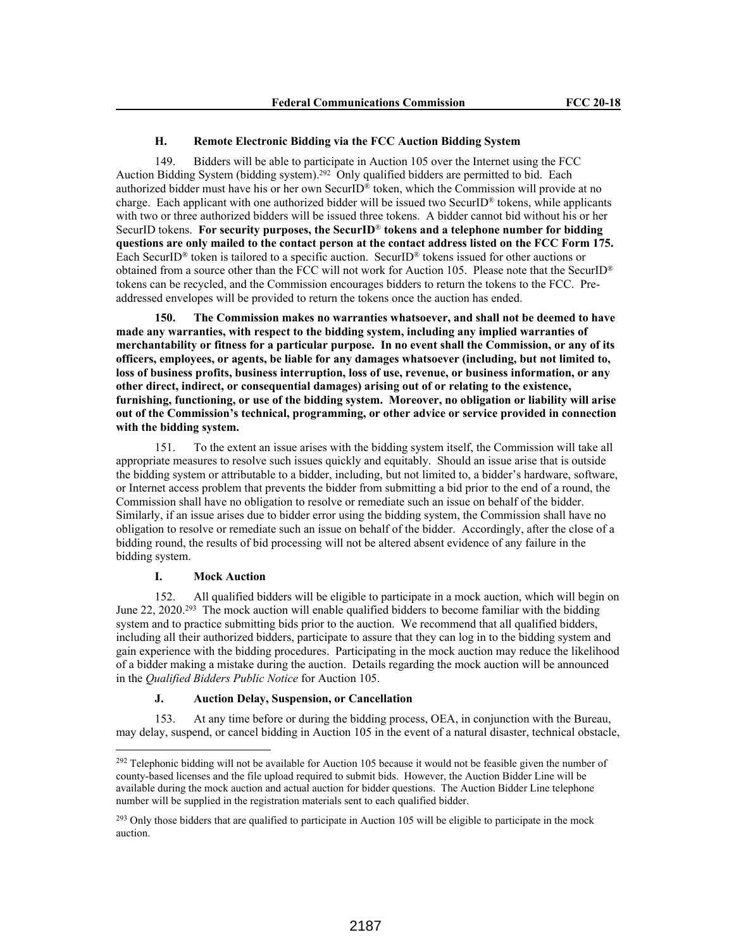#### **H. Remote Electronic Bidding via the FCC Auction Bidding System**

149. Bidders will be able to participate in Auction 105 over the Internet using the FCC Auction Bidding System (bidding system).<sup>292</sup> Only qualified bidders are permitted to bid. Each authorized bidder must have his or her own SecurID® token, which the Commission will provide at no charge. Each applicant with one authorized bidder will be issued two SecurID® tokens, while applicants with two or three authorized bidders will be issued three tokens. A bidder cannot bid without his or her SecurID tokens. **For security purposes, the SecurID**® **tokens and a telephone number for bidding questions are only mailed to the contact person at the contact address listed on the FCC Form 175.** Each SecurID® token is tailored to a specific auction. SecurID® tokens issued for other auctions or obtained from a source other than the FCC will not work for Auction 105. Please note that the SecurID® tokens can be recycled, and the Commission encourages bidders to return the tokens to the FCC. Preaddressed envelopes will be provided to return the tokens once the auction has ended.

**150. The Commission makes no warranties whatsoever, and shall not be deemed to have made any warranties, with respect to the bidding system, including any implied warranties of merchantability or fitness for a particular purpose. In no event shall the Commission, or any of its officers, employees, or agents, be liable for any damages whatsoever (including, but not limited to, loss of business profits, business interruption, loss of use, revenue, or business information, or any other direct, indirect, or consequential damages) arising out of or relating to the existence, furnishing, functioning, or use of the bidding system. Moreover, no obligation or liability will arise out of the Commission's technical, programming, or other advice or service provided in connection with the bidding system.**

151. To the extent an issue arises with the bidding system itself, the Commission will take all appropriate measures to resolve such issues quickly and equitably. Should an issue arise that is outside the bidding system or attributable to a bidder, including, but not limited to, a bidder's hardware, software, or Internet access problem that prevents the bidder from submitting a bid prior to the end of a round, the Commission shall have no obligation to resolve or remediate such an issue on behalf of the bidder. Similarly, if an issue arises due to bidder error using the bidding system, the Commission shall have no obligation to resolve or remediate such an issue on behalf of the bidder. Accordingly, after the close of a bidding round, the results of bid processing will not be altered absent evidence of any failure in the bidding system.

## **I. Mock Auction**

152. All qualified bidders will be eligible to participate in a mock auction, which will begin on June 22, 2020.<sup>293</sup> The mock auction will enable qualified bidders to become familiar with the bidding system and to practice submitting bids prior to the auction. We recommend that all qualified bidders, including all their authorized bidders, participate to assure that they can log in to the bidding system and gain experience with the bidding procedures. Participating in the mock auction may reduce the likelihood of a bidder making a mistake during the auction. Details regarding the mock auction will be announced in the *Qualified Bidders Public Notice* for Auction 105.

#### **J. Auction Delay, Suspension, or Cancellation**

153. At any time before or during the bidding process, OEA, in conjunction with the Bureau, may delay, suspend, or cancel bidding in Auction 105 in the event of a natural disaster, technical obstacle,

<sup>&</sup>lt;sup>292</sup> Telephonic bidding will not be available for Auction 105 because it would not be feasible given the number of county-based licenses and the file upload required to submit bids. However, the Auction Bidder Line will be available during the mock auction and actual auction for bidder questions. The Auction Bidder Line telephone number will be supplied in the registration materials sent to each qualified bidder.

 $^{293}$  Only those bidders that are qualified to participate in Auction 105 will be eligible to participate in the mock auction.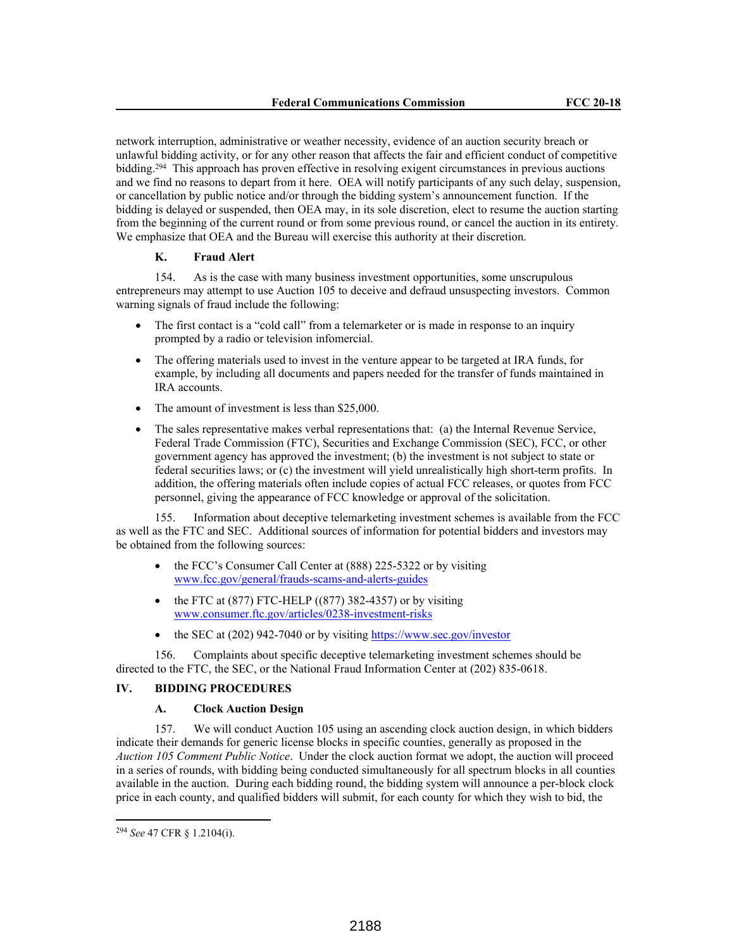network interruption, administrative or weather necessity, evidence of an auction security breach or unlawful bidding activity, or for any other reason that affects the fair and efficient conduct of competitive bidding.<sup>294</sup> This approach has proven effective in resolving exigent circumstances in previous auctions and we find no reasons to depart from it here. OEA will notify participants of any such delay, suspension, or cancellation by public notice and/or through the bidding system's announcement function. If the bidding is delayed or suspended, then OEA may, in its sole discretion, elect to resume the auction starting from the beginning of the current round or from some previous round, or cancel the auction in its entirety. We emphasize that OEA and the Bureau will exercise this authority at their discretion.

## **K. Fraud Alert**

154. As is the case with many business investment opportunities, some unscrupulous entrepreneurs may attempt to use Auction 105 to deceive and defraud unsuspecting investors. Common warning signals of fraud include the following:

- The first contact is a "cold call" from a telemarketer or is made in response to an inquiry prompted by a radio or television infomercial.
- The offering materials used to invest in the venture appear to be targeted at IRA funds, for example, by including all documents and papers needed for the transfer of funds maintained in IRA accounts.
- The amount of investment is less than \$25,000.
- The sales representative makes verbal representations that: (a) the Internal Revenue Service, Federal Trade Commission (FTC), Securities and Exchange Commission (SEC), FCC, or other government agency has approved the investment; (b) the investment is not subject to state or federal securities laws; or (c) the investment will yield unrealistically high short-term profits. In addition, the offering materials often include copies of actual FCC releases, or quotes from FCC personnel, giving the appearance of FCC knowledge or approval of the solicitation.

155. Information about deceptive telemarketing investment schemes is available from the FCC as well as the FTC and SEC. Additional sources of information for potential bidders and investors may be obtained from the following sources:

- the FCC's Consumer Call Center at (888) 225-5322 or by visiting www.fcc.gov/general/frauds-scams-and-alerts-guides
- $\bullet$  the FTC at (877) FTC-HELP ((877) 382-4357) or by visiting www.consumer.ftc.gov/articles/0238-investment-risks
- $\bullet$  the SEC at (202) 942-7040 or by visiting https://www.sec.gov/investor

156. Complaints about specific deceptive telemarketing investment schemes should be directed to the FTC, the SEC, or the National Fraud Information Center at (202) 835-0618.

### **IV. BIDDING PROCEDURES**

#### **A. Clock Auction Design**

157. We will conduct Auction 105 using an ascending clock auction design, in which bidders indicate their demands for generic license blocks in specific counties, generally as proposed in the *Auction 105 Comment Public Notice*. Under the clock auction format we adopt, the auction will proceed in a series of rounds, with bidding being conducted simultaneously for all spectrum blocks in all counties available in the auction. During each bidding round, the bidding system will announce a per-block clock price in each county, and qualified bidders will submit, for each county for which they wish to bid, the

<sup>294</sup> *See* 47 CFR § 1.2104(i).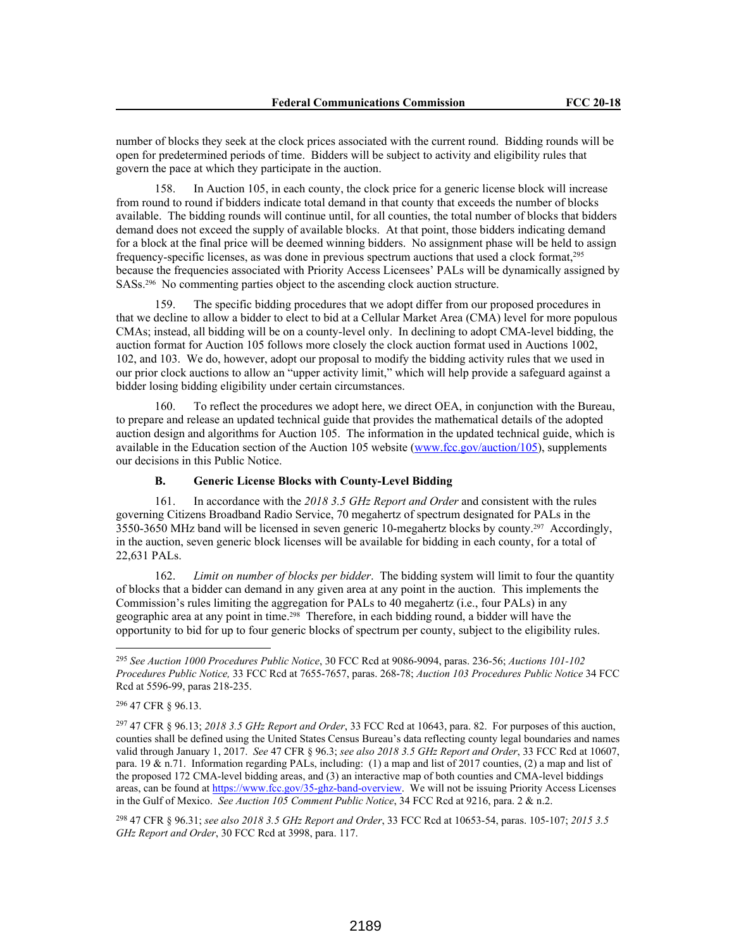number of blocks they seek at the clock prices associated with the current round. Bidding rounds will be open for predetermined periods of time. Bidders will be subject to activity and eligibility rules that govern the pace at which they participate in the auction.

158. In Auction 105, in each county, the clock price for a generic license block will increase from round to round if bidders indicate total demand in that county that exceeds the number of blocks available. The bidding rounds will continue until, for all counties, the total number of blocks that bidders demand does not exceed the supply of available blocks. At that point, those bidders indicating demand for a block at the final price will be deemed winning bidders. No assignment phase will be held to assign frequency-specific licenses, as was done in previous spectrum auctions that used a clock format,<sup>295</sup> because the frequencies associated with Priority Access Licensees' PALs will be dynamically assigned by SASs.296 No commenting parties object to the ascending clock auction structure.

159. The specific bidding procedures that we adopt differ from our proposed procedures in that we decline to allow a bidder to elect to bid at a Cellular Market Area (CMA) level for more populous CMAs; instead, all bidding will be on a county-level only. In declining to adopt CMA-level bidding, the auction format for Auction 105 follows more closely the clock auction format used in Auctions 1002, 102, and 103. We do, however, adopt our proposal to modify the bidding activity rules that we used in our prior clock auctions to allow an "upper activity limit," which will help provide a safeguard against a bidder losing bidding eligibility under certain circumstances.

160. To reflect the procedures we adopt here, we direct OEA, in conjunction with the Bureau, to prepare and release an updated technical guide that provides the mathematical details of the adopted auction design and algorithms for Auction 105. The information in the updated technical guide, which is available in the Education section of the Auction 105 website (www.fcc.gov/auction/105), supplements our decisions in this Public Notice.

## **B. Generic License Blocks with County-Level Bidding**

161. In accordance with the *2018 3.5 GHz Report and Order* and consistent with the rules governing Citizens Broadband Radio Service, 70 megahertz of spectrum designated for PALs in the 3550-3650 MHz band will be licensed in seven generic 10-megahertz blocks by county.297 Accordingly, in the auction, seven generic block licenses will be available for bidding in each county, for a total of 22,631 PALs.

162. *Limit on number of blocks per bidder*. The bidding system will limit to four the quantity of blocks that a bidder can demand in any given area at any point in the auction. This implements the Commission's rules limiting the aggregation for PALs to 40 megahertz (i.e., four PALs) in any geographic area at any point in time.298 Therefore, in each bidding round, a bidder will have the opportunity to bid for up to four generic blocks of spectrum per county, subject to the eligibility rules.

<sup>295</sup> *See Auction 1000 Procedures Public Notice*, 30 FCC Rcd at 9086-9094, paras. 236-56; *Auctions 101-102 Procedures Public Notice,* 33 FCC Rcd at 7655-7657, paras. 268-78; *Auction 103 Procedures Public Notice* 34 FCC Rcd at 5596-99, paras 218-235.

<sup>296</sup> 47 CFR § 96.13.

<sup>297</sup> 47 CFR § 96.13; *2018 3.5 GHz Report and Order*, 33 FCC Rcd at 10643, para. 82. For purposes of this auction, counties shall be defined using the United States Census Bureau's data reflecting county legal boundaries and names valid through January 1, 2017. *See* 47 CFR § 96.3; *see also 2018 3.5 GHz Report and Order*, 33 FCC Rcd at 10607, para. 19 & n.71. Information regarding PALs, including: (1) a map and list of 2017 counties, (2) a map and list of the proposed 172 CMA-level bidding areas, and (3) an interactive map of both counties and CMA-level biddings areas, can be found at https://www.fcc.gov/35-ghz-band-overview. We will not be issuing Priority Access Licenses in the Gulf of Mexico. *See Auction 105 Comment Public Notice*, 34 FCC Rcd at 9216, para. 2 & n.2.

<sup>298</sup> 47 CFR § 96.31; *see also 2018 3.5 GHz Report and Order*, 33 FCC Rcd at 10653-54, paras. 105-107; *2015 3.5 GHz Report and Order*, 30 FCC Rcd at 3998, para. 117.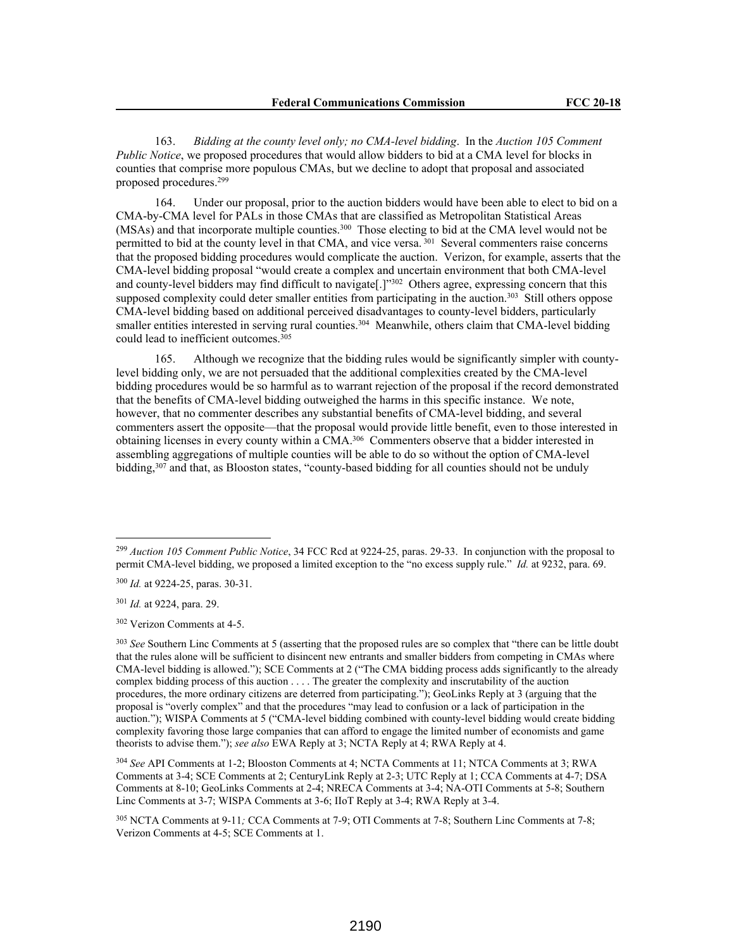163. *Bidding at the county level only; no CMA-level bidding*. In the *Auction 105 Comment Public Notice*, we proposed procedures that would allow bidders to bid at a CMA level for blocks in counties that comprise more populous CMAs, but we decline to adopt that proposal and associated proposed procedures.<sup>299</sup>

164. Under our proposal, prior to the auction bidders would have been able to elect to bid on a CMA-by-CMA level for PALs in those CMAs that are classified as Metropolitan Statistical Areas (MSAs) and that incorporate multiple counties.<sup>300</sup> Those electing to bid at the CMA level would not be permitted to bid at the county level in that CMA, and vice versa.<sup>301</sup> Several commenters raise concerns that the proposed bidding procedures would complicate the auction. Verizon, for example, asserts that the CMA-level bidding proposal "would create a complex and uncertain environment that both CMA-level and county-level bidders may find difficult to navigate[.]"<sup>302</sup> Others agree, expressing concern that this supposed complexity could deter smaller entities from participating in the auction.<sup>303</sup> Still others oppose CMA-level bidding based on additional perceived disadvantages to county-level bidders, particularly smaller entities interested in serving rural counties.<sup>304</sup> Meanwhile, others claim that CMA-level bidding could lead to inefficient outcomes.<sup>305</sup>

165. Although we recognize that the bidding rules would be significantly simpler with countylevel bidding only, we are not persuaded that the additional complexities created by the CMA-level bidding procedures would be so harmful as to warrant rejection of the proposal if the record demonstrated that the benefits of CMA-level bidding outweighed the harms in this specific instance. We note, however, that no commenter describes any substantial benefits of CMA-level bidding, and several commenters assert the opposite—that the proposal would provide little benefit, even to those interested in obtaining licenses in every county within a CMA.<sup>306</sup> Commenters observe that a bidder interested in assembling aggregations of multiple counties will be able to do so without the option of CMA-level bidding,<sup>307</sup> and that, as Blooston states, "county-based bidding for all counties should not be unduly

<sup>299</sup> *Auction 105 Comment Public Notice*, 34 FCC Rcd at 9224-25, paras. 29-33. In conjunction with the proposal to permit CMA-level bidding, we proposed a limited exception to the "no excess supply rule." *Id.* at 9232, para. 69.

<sup>300</sup> *Id.* at 9224-25, paras. 30-31.

<sup>301</sup> *Id.* at 9224, para. 29.

<sup>302</sup> Verizon Comments at 4-5.

<sup>&</sup>lt;sup>303</sup> See Southern Linc Comments at 5 (asserting that the proposed rules are so complex that "there can be little doubt that the rules alone will be sufficient to disincent new entrants and smaller bidders from competing in CMAs where CMA-level bidding is allowed."); SCE Comments at 2 ("The CMA bidding process adds significantly to the already complex bidding process of this auction . . . . The greater the complexity and inscrutability of the auction procedures, the more ordinary citizens are deterred from participating."); GeoLinks Reply at 3 (arguing that the proposal is "overly complex" and that the procedures "may lead to confusion or a lack of participation in the auction."); WISPA Comments at 5 ("CMA-level bidding combined with county-level bidding would create bidding complexity favoring those large companies that can afford to engage the limited number of economists and game theorists to advise them."); *see also* EWA Reply at 3; NCTA Reply at 4; RWA Reply at 4.

<sup>304</sup> *See* API Comments at 1-2; Blooston Comments at 4; NCTA Comments at 11; NTCA Comments at 3; RWA Comments at 3-4; SCE Comments at 2; CenturyLink Reply at 2-3; UTC Reply at 1; CCA Comments at 4-7; DSA Comments at 8-10; GeoLinks Comments at 2-4; NRECA Comments at 3-4; NA-OTI Comments at 5-8; Southern Linc Comments at 3-7; WISPA Comments at 3-6; IIoT Reply at 3-4; RWA Reply at 3-4.

<sup>305</sup> NCTA Comments at 9-11*;* CCA Comments at 7-9; OTI Comments at 7-8; Southern Linc Comments at 7-8; Verizon Comments at 4-5; SCE Comments at 1.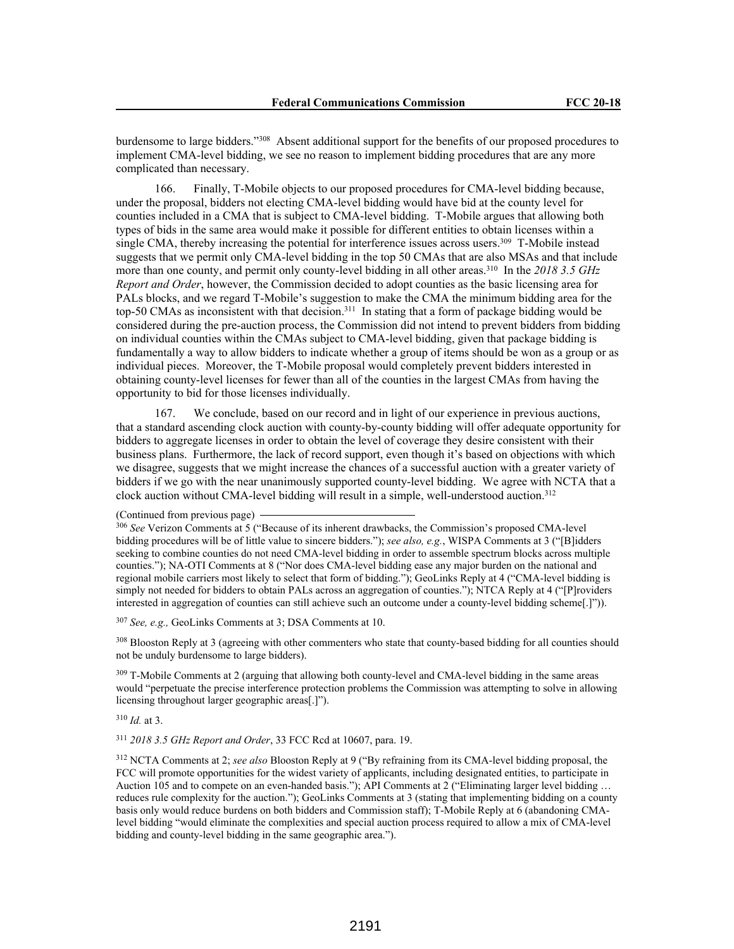burdensome to large bidders."<sup>308</sup> Absent additional support for the benefits of our proposed procedures to implement CMA-level bidding, we see no reason to implement bidding procedures that are any more complicated than necessary.

166. Finally, T-Mobile objects to our proposed procedures for CMA-level bidding because, under the proposal, bidders not electing CMA-level bidding would have bid at the county level for counties included in a CMA that is subject to CMA-level bidding. T-Mobile argues that allowing both types of bids in the same area would make it possible for different entities to obtain licenses within a single CMA, thereby increasing the potential for interference issues across users.<sup>309</sup> T-Mobile instead suggests that we permit only CMA-level bidding in the top 50 CMAs that are also MSAs and that include more than one county, and permit only county-level bidding in all other areas.<sup>310</sup> In the 2018 3.5 GHz *Report and Order*, however, the Commission decided to adopt counties as the basic licensing area for PALs blocks, and we regard T-Mobile's suggestion to make the CMA the minimum bidding area for the top-50 CMAs as inconsistent with that decision.<sup>311</sup> In stating that a form of package bidding would be considered during the pre-auction process, the Commission did not intend to prevent bidders from bidding on individual counties within the CMAs subject to CMA-level bidding, given that package bidding is fundamentally a way to allow bidders to indicate whether a group of items should be won as a group or as individual pieces. Moreover, the T-Mobile proposal would completely prevent bidders interested in obtaining county-level licenses for fewer than all of the counties in the largest CMAs from having the opportunity to bid for those licenses individually.

167. We conclude, based on our record and in light of our experience in previous auctions, that a standard ascending clock auction with county-by-county bidding will offer adequate opportunity for bidders to aggregate licenses in order to obtain the level of coverage they desire consistent with their business plans. Furthermore, the lack of record support, even though it's based on objections with which we disagree, suggests that we might increase the chances of a successful auction with a greater variety of bidders if we go with the near unanimously supported county-level bidding. We agree with NCTA that a clock auction without CMA-level bidding will result in a simple, well-understood auction.<sup>312</sup>

<sup>306</sup> *See* Verizon Comments at 5 ("Because of its inherent drawbacks, the Commission's proposed CMA-level bidding procedures will be of little value to sincere bidders."); *see also, e.g.*, WISPA Comments at 3 ("[B]idders seeking to combine counties do not need CMA-level bidding in order to assemble spectrum blocks across multiple counties."); NA-OTI Comments at 8 ("Nor does CMA-level bidding ease any major burden on the national and regional mobile carriers most likely to select that form of bidding."); GeoLinks Reply at 4 ("CMA-level bidding is simply not needed for bidders to obtain PALs across an aggregation of counties."); NTCA Reply at 4 ("[P]roviders interested in aggregation of counties can still achieve such an outcome under a county-level bidding scheme[.]")).

<sup>307</sup> *See, e.g.,* GeoLinks Comments at 3; DSA Comments at 10.

<sup>308</sup> Blooston Reply at 3 (agreeing with other commenters who state that county-based bidding for all counties should not be unduly burdensome to large bidders).

<sup>309</sup> T-Mobile Comments at 2 (arguing that allowing both county-level and CMA-level bidding in the same areas would "perpetuate the precise interference protection problems the Commission was attempting to solve in allowing licensing throughout larger geographic areas[.]").

<sup>310</sup> *Id.* at 3.

<sup>311</sup> *2018 3.5 GHz Report and Order*, 33 FCC Rcd at 10607, para. 19.

<sup>312</sup> NCTA Comments at 2; *see also* Blooston Reply at 9 ("By refraining from its CMA-level bidding proposal, the FCC will promote opportunities for the widest variety of applicants, including designated entities, to participate in Auction 105 and to compete on an even-handed basis."); API Comments at 2 ("Eliminating larger level bidding … reduces rule complexity for the auction."); GeoLinks Comments at 3 (stating that implementing bidding on a county basis only would reduce burdens on both bidders and Commission staff); T-Mobile Reply at 6 (abandoning CMAlevel bidding "would eliminate the complexities and special auction process required to allow a mix of CMA-level bidding and county-level bidding in the same geographic area.").

<sup>(</sup>Continued from previous page)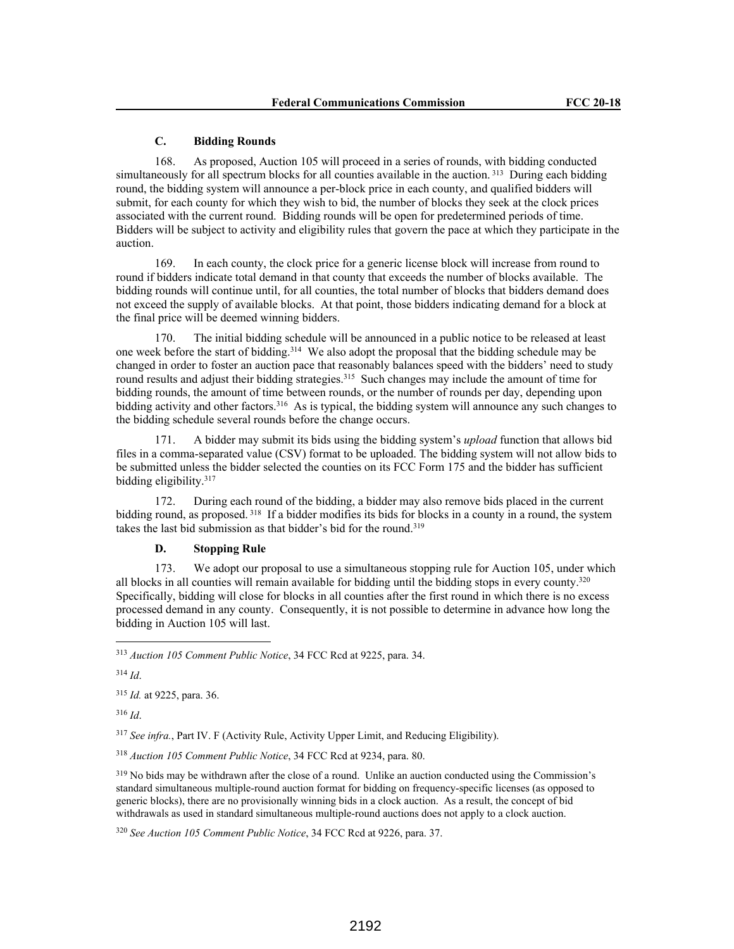#### **C. Bidding Rounds**

168. As proposed, Auction 105 will proceed in a series of rounds, with bidding conducted simultaneously for all spectrum blocks for all counties available in the auction.<sup>313</sup> During each bidding round, the bidding system will announce a per-block price in each county, and qualified bidders will submit, for each county for which they wish to bid, the number of blocks they seek at the clock prices associated with the current round. Bidding rounds will be open for predetermined periods of time. Bidders will be subject to activity and eligibility rules that govern the pace at which they participate in the auction.

169. In each county, the clock price for a generic license block will increase from round to round if bidders indicate total demand in that county that exceeds the number of blocks available. The bidding rounds will continue until, for all counties, the total number of blocks that bidders demand does not exceed the supply of available blocks. At that point, those bidders indicating demand for a block at the final price will be deemed winning bidders.

170. The initial bidding schedule will be announced in a public notice to be released at least one week before the start of bidding.<sup>314</sup> We also adopt the proposal that the bidding schedule may be changed in order to foster an auction pace that reasonably balances speed with the bidders' need to study round results and adjust their bidding strategies.<sup>315</sup> Such changes may include the amount of time for bidding rounds, the amount of time between rounds, or the number of rounds per day, depending upon bidding activity and other factors.<sup>316</sup> As is typical, the bidding system will announce any such changes to the bidding schedule several rounds before the change occurs.

171. A bidder may submit its bids using the bidding system's *upload* function that allows bid files in a comma-separated value (CSV) format to be uploaded. The bidding system will not allow bids to be submitted unless the bidder selected the counties on its FCC Form 175 and the bidder has sufficient bidding eligibility.<sup>317</sup>

172. During each round of the bidding, a bidder may also remove bids placed in the current bidding round, as proposed.<sup>318</sup> If a bidder modifies its bids for blocks in a county in a round, the system takes the last bid submission as that bidder's bid for the round.<sup>319</sup>

## **D. Stopping Rule**

173. We adopt our proposal to use a simultaneous stopping rule for Auction 105, under which all blocks in all counties will remain available for bidding until the bidding stops in every county.<sup>320</sup> Specifically, bidding will close for blocks in all counties after the first round in which there is no excess processed demand in any county. Consequently, it is not possible to determine in advance how long the bidding in Auction 105 will last.

<sup>314</sup> *Id*.

<sup>315</sup> *Id.* at 9225, para. 36.

<sup>316</sup> *Id*.

<sup>317</sup> *See infra.*, Part IV. F (Activity Rule, Activity Upper Limit, and Reducing Eligibility).

<sup>318</sup> *Auction 105 Comment Public Notice*, 34 FCC Rcd at 9234, para. 80.

<sup>319</sup> No bids may be withdrawn after the close of a round. Unlike an auction conducted using the Commission's standard simultaneous multiple-round auction format for bidding on frequency-specific licenses (as opposed to generic blocks), there are no provisionally winning bids in a clock auction. As a result, the concept of bid withdrawals as used in standard simultaneous multiple-round auctions does not apply to a clock auction.

<sup>313</sup> *Auction 105 Comment Public Notice*, 34 FCC Rcd at 9225, para. 34.

<sup>320</sup> *See Auction 105 Comment Public Notice*, 34 FCC Rcd at 9226, para. 37.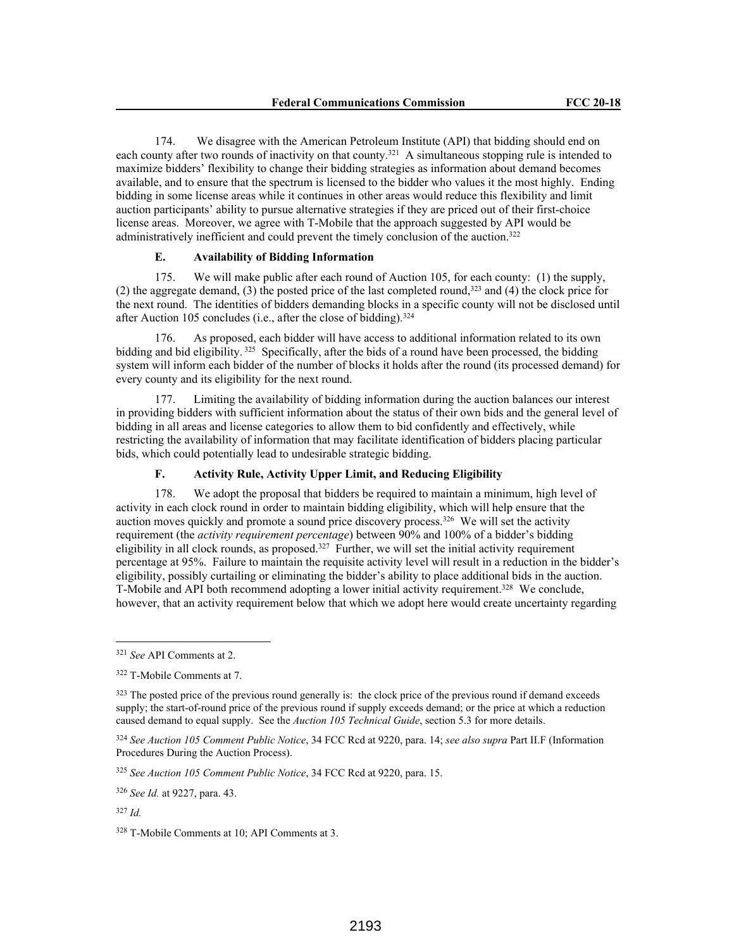174. We disagree with the American Petroleum Institute (API) that bidding should end on each county after two rounds of inactivity on that county.<sup>321</sup> A simultaneous stopping rule is intended to maximize bidders' flexibility to change their bidding strategies as information about demand becomes available, and to ensure that the spectrum is licensed to the bidder who values it the most highly. Ending bidding in some license areas while it continues in other areas would reduce this flexibility and limit auction participants' ability to pursue alternative strategies if they are priced out of their first-choice license areas. Moreover, we agree with T-Mobile that the approach suggested by API would be administratively inefficient and could prevent the timely conclusion of the auction.<sup>322</sup>

## **E. Availability of Bidding Information**

175. We will make public after each round of Auction 105, for each county: (1) the supply, (2) the aggregate demand, (3) the posted price of the last completed round,<sup>323</sup> and (4) the clock price for the next round. The identities of bidders demanding blocks in a specific county will not be disclosed until after Auction 105 concludes (i.e., after the close of bidding).<sup>324</sup>

176. As proposed, each bidder will have access to additional information related to its own bidding and bid eligibility.<sup>325</sup> Specifically, after the bids of a round have been processed, the bidding system will inform each bidder of the number of blocks it holds after the round (its processed demand) for every county and its eligibility for the next round.

177. Limiting the availability of bidding information during the auction balances our interest in providing bidders with sufficient information about the status of their own bids and the general level of bidding in all areas and license categories to allow them to bid confidently and effectively, while restricting the availability of information that may facilitate identification of bidders placing particular bids, which could potentially lead to undesirable strategic bidding.

## **F. Activity Rule, Activity Upper Limit, and Reducing Eligibility**

178. We adopt the proposal that bidders be required to maintain a minimum, high level of activity in each clock round in order to maintain bidding eligibility, which will help ensure that the auction moves quickly and promote a sound price discovery process.<sup>326</sup> We will set the activity requirement (the *activity requirement percentage*) between 90% and 100% of a bidder's bidding eligibility in all clock rounds, as proposed.<sup>327</sup> Further, we will set the initial activity requirement percentage at 95%. Failure to maintain the requisite activity level will result in a reduction in the bidder's eligibility, possibly curtailing or eliminating the bidder's ability to place additional bids in the auction. T-Mobile and API both recommend adopting a lower initial activity requirement.<sup>328</sup> We conclude, however, that an activity requirement below that which we adopt here would create uncertainty regarding

<sup>321</sup> *See* API Comments at 2.

<sup>322</sup> T-Mobile Comments at 7.

<sup>&</sup>lt;sup>323</sup> The posted price of the previous round generally is: the clock price of the previous round if demand exceeds supply; the start-of-round price of the previous round if supply exceeds demand; or the price at which a reduction caused demand to equal supply. See the *Auction 105 Technical Guide*, section 5.3 for more details.

<sup>324</sup> *See Auction 105 Comment Public Notice*, 34 FCC Rcd at 9220, para. 14; *see also supra* Part II.F (Information Procedures During the Auction Process).

<sup>325</sup> *See Auction 105 Comment Public Notice*, 34 FCC Rcd at 9220, para. 15.

<sup>326</sup> *See Id.* at 9227, para. 43.

<sup>327</sup> *Id.*

<sup>328</sup> T-Mobile Comments at 10; API Comments at 3.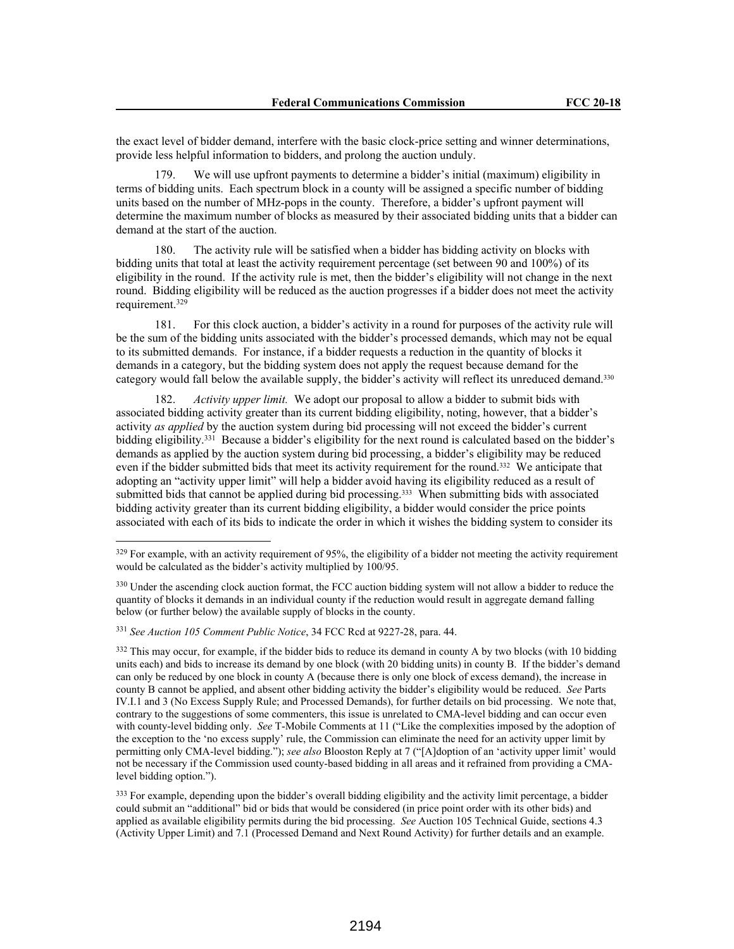the exact level of bidder demand, interfere with the basic clock-price setting and winner determinations, provide less helpful information to bidders, and prolong the auction unduly.

We will use upfront payments to determine a bidder's initial (maximum) eligibility in terms of bidding units. Each spectrum block in a county will be assigned a specific number of bidding units based on the number of MHz-pops in the county. Therefore, a bidder's upfront payment will determine the maximum number of blocks as measured by their associated bidding units that a bidder can demand at the start of the auction.

180. The activity rule will be satisfied when a bidder has bidding activity on blocks with bidding units that total at least the activity requirement percentage (set between 90 and 100%) of its eligibility in the round. If the activity rule is met, then the bidder's eligibility will not change in the next round. Bidding eligibility will be reduced as the auction progresses if a bidder does not meet the activity requirement.<sup>329</sup>

181. For this clock auction, a bidder's activity in a round for purposes of the activity rule will be the sum of the bidding units associated with the bidder's processed demands, which may not be equal to its submitted demands. For instance, if a bidder requests a reduction in the quantity of blocks it demands in a category, but the bidding system does not apply the request because demand for the category would fall below the available supply, the bidder's activity will reflect its unreduced demand.<sup>330</sup>

182. *Activity upper limit.* We adopt our proposal to allow a bidder to submit bids with associated bidding activity greater than its current bidding eligibility, noting, however, that a bidder's activity *as applied* by the auction system during bid processing will not exceed the bidder's current bidding eligibility.<sup>331</sup> Because a bidder's eligibility for the next round is calculated based on the bidder's demands as applied by the auction system during bid processing, a bidder's eligibility may be reduced even if the bidder submitted bids that meet its activity requirement for the round.332 We anticipate that adopting an "activity upper limit" will help a bidder avoid having its eligibility reduced as a result of submitted bids that cannot be applied during bid processing.<sup>333</sup> When submitting bids with associated bidding activity greater than its current bidding eligibility, a bidder would consider the price points associated with each of its bids to indicate the order in which it wishes the bidding system to consider its

<sup>&</sup>lt;sup>329</sup> For example, with an activity requirement of 95%, the eligibility of a bidder not meeting the activity requirement would be calculated as the bidder's activity multiplied by 100/95.

<sup>&</sup>lt;sup>330</sup> Under the ascending clock auction format, the FCC auction bidding system will not allow a bidder to reduce the quantity of blocks it demands in an individual county if the reduction would result in aggregate demand falling below (or further below) the available supply of blocks in the county.

<sup>331</sup> *See Auction 105 Comment Public Notice*, 34 FCC Rcd at 9227-28, para. 44.

 $332$  This may occur, for example, if the bidder bids to reduce its demand in county A by two blocks (with 10 bidding units each) and bids to increase its demand by one block (with 20 bidding units) in county B. If the bidder's demand can only be reduced by one block in county A (because there is only one block of excess demand), the increase in county B cannot be applied, and absent other bidding activity the bidder's eligibility would be reduced. *See* Parts IV.I.1 and 3 (No Excess Supply Rule; and Processed Demands), for further details on bid processing. We note that, contrary to the suggestions of some commenters, this issue is unrelated to CMA-level bidding and can occur even with county-level bidding only. *See* T-Mobile Comments at 11 ("Like the complexities imposed by the adoption of the exception to the 'no excess supply' rule, the Commission can eliminate the need for an activity upper limit by permitting only CMA-level bidding."); *see also* Blooston Reply at 7 ("[A]doption of an 'activity upper limit' would not be necessary if the Commission used county-based bidding in all areas and it refrained from providing a CMAlevel bidding option.").

<sup>&</sup>lt;sup>333</sup> For example, depending upon the bidder's overall bidding eligibility and the activity limit percentage, a bidder could submit an "additional" bid or bids that would be considered (in price point order with its other bids) and applied as available eligibility permits during the bid processing. *See* Auction 105 Technical Guide, sections 4.3 (Activity Upper Limit) and 7.1 (Processed Demand and Next Round Activity) for further details and an example.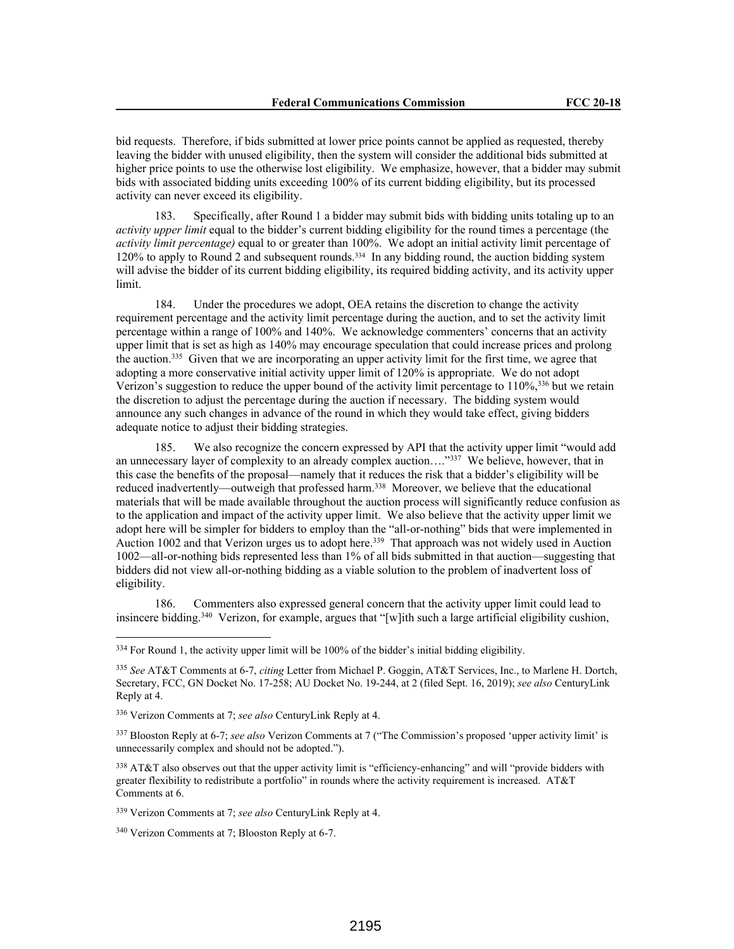bid requests. Therefore, if bids submitted at lower price points cannot be applied as requested, thereby leaving the bidder with unused eligibility, then the system will consider the additional bids submitted at higher price points to use the otherwise lost eligibility. We emphasize, however, that a bidder may submit bids with associated bidding units exceeding 100% of its current bidding eligibility, but its processed activity can never exceed its eligibility.

183. Specifically, after Round 1 a bidder may submit bids with bidding units totaling up to an *activity upper limit* equal to the bidder's current bidding eligibility for the round times a percentage (the *activity limit percentage)* equal to or greater than 100%. We adopt an initial activity limit percentage of 120% to apply to Round 2 and subsequent rounds.334 In any bidding round, the auction bidding system will advise the bidder of its current bidding eligibility, its required bidding activity, and its activity upper limit.

184. Under the procedures we adopt, OEA retains the discretion to change the activity requirement percentage and the activity limit percentage during the auction, and to set the activity limit percentage within a range of 100% and 140%. We acknowledge commenters' concerns that an activity upper limit that is set as high as 140% may encourage speculation that could increase prices and prolong the auction.<sup>335</sup> Given that we are incorporating an upper activity limit for the first time, we agree that adopting a more conservative initial activity upper limit of 120% is appropriate. We do not adopt Verizon's suggestion to reduce the upper bound of the activity limit percentage to  $110\%$ , 336 but we retain the discretion to adjust the percentage during the auction if necessary. The bidding system would announce any such changes in advance of the round in which they would take effect, giving bidders adequate notice to adjust their bidding strategies.

185. We also recognize the concern expressed by API that the activity upper limit "would add an unnecessary layer of complexity to an already complex auction...."<sup>337</sup> We believe, however, that in this case the benefits of the proposal—namely that it reduces the risk that a bidder's eligibility will be reduced inadvertently—outweigh that professed harm.<sup>338</sup> Moreover, we believe that the educational materials that will be made available throughout the auction process will significantly reduce confusion as to the application and impact of the activity upper limit. We also believe that the activity upper limit we adopt here will be simpler for bidders to employ than the "all-or-nothing" bids that were implemented in Auction 1002 and that Verizon urges us to adopt here.<sup>339</sup> That approach was not widely used in Auction 1002—all-or-nothing bids represented less than 1% of all bids submitted in that auction—suggesting that bidders did not view all-or-nothing bidding as a viable solution to the problem of inadvertent loss of eligibility.

186. Commenters also expressed general concern that the activity upper limit could lead to insincere bidding.<sup>340</sup> Verizon, for example, argues that "[w]ith such a large artificial eligibility cushion,

338 AT&T also observes out that the upper activity limit is "efficiency-enhancing" and will "provide bidders with greater flexibility to redistribute a portfolio" in rounds where the activity requirement is increased. AT&T Comments at 6.

<sup>339</sup> Verizon Comments at 7; *see also* CenturyLink Reply at 4.

<sup>&</sup>lt;sup>334</sup> For Round 1, the activity upper limit will be 100% of the bidder's initial bidding eligibility.

<sup>335</sup> *See* AT&T Comments at 6-7, *citing* Letter from Michael P. Goggin, AT&T Services, Inc., to Marlene H. Dortch, Secretary, FCC, GN Docket No. 17-258; AU Docket No. 19-244, at 2 (filed Sept. 16, 2019); *see also* CenturyLink Reply at 4.

<sup>336</sup> Verizon Comments at 7; *see also* CenturyLink Reply at 4.

<sup>337</sup> Blooston Reply at 6-7; *see also* Verizon Comments at 7 ("The Commission's proposed 'upper activity limit' is unnecessarily complex and should not be adopted.").

<sup>340</sup> Verizon Comments at 7; Blooston Reply at 6-7.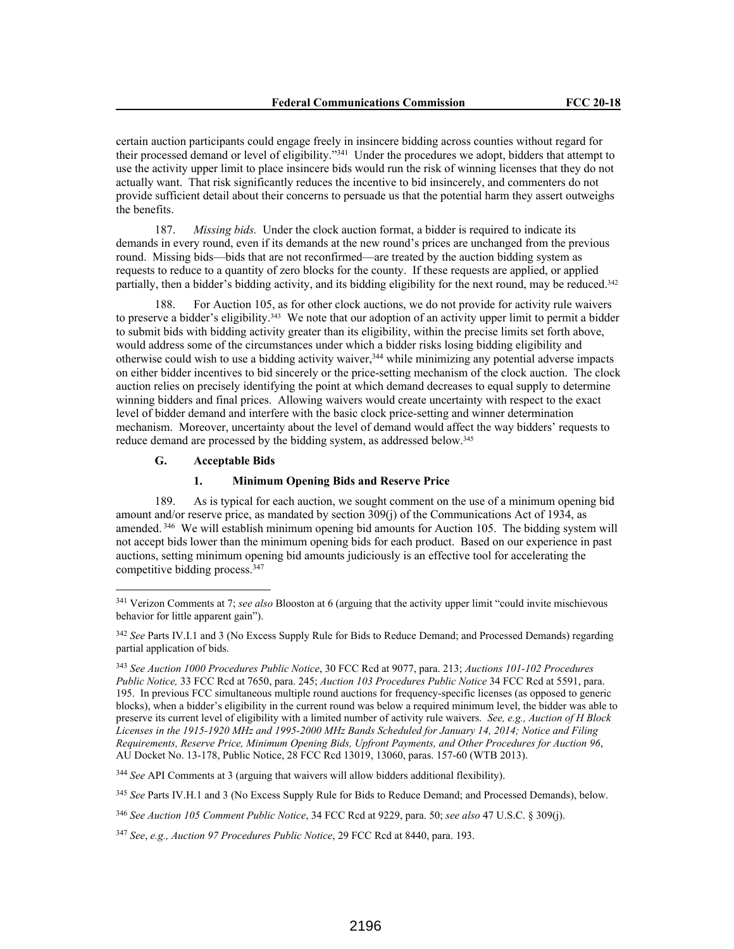certain auction participants could engage freely in insincere bidding across counties without regard for their processed demand or level of eligibility."<sup>341</sup> Under the procedures we adopt, bidders that attempt to use the activity upper limit to place insincere bids would run the risk of winning licenses that they do not actually want. That risk significantly reduces the incentive to bid insincerely, and commenters do not provide sufficient detail about their concerns to persuade us that the potential harm they assert outweighs the benefits.

187. *Missing bids.* Under the clock auction format, a bidder is required to indicate its demands in every round, even if its demands at the new round's prices are unchanged from the previous round. Missing bids—bids that are not reconfirmed—are treated by the auction bidding system as requests to reduce to a quantity of zero blocks for the county. If these requests are applied, or applied partially, then a bidder's bidding activity, and its bidding eligibility for the next round, may be reduced.<sup>342</sup>

188. For Auction 105, as for other clock auctions, we do not provide for activity rule waivers to preserve a bidder's eligibility.343 We note that our adoption of an activity upper limit to permit a bidder to submit bids with bidding activity greater than its eligibility, within the precise limits set forth above, would address some of the circumstances under which a bidder risks losing bidding eligibility and otherwise could wish to use a bidding activity waiver,<sup>344</sup> while minimizing any potential adverse impacts on either bidder incentives to bid sincerely or the price-setting mechanism of the clock auction. The clock auction relies on precisely identifying the point at which demand decreases to equal supply to determine winning bidders and final prices. Allowing waivers would create uncertainty with respect to the exact level of bidder demand and interfere with the basic clock price-setting and winner determination mechanism. Moreover, uncertainty about the level of demand would affect the way bidders' requests to reduce demand are processed by the bidding system, as addressed below.<sup>345</sup>

## **G. Acceptable Bids**

### **1. Minimum Opening Bids and Reserve Price**

189. As is typical for each auction, we sought comment on the use of a minimum opening bid amount and/or reserve price, as mandated by section 309(j) of the Communications Act of 1934, as amended.<sup>346</sup> We will establish minimum opening bid amounts for Auction 105. The bidding system will not accept bids lower than the minimum opening bids for each product. Based on our experience in past auctions, setting minimum opening bid amounts judiciously is an effective tool for accelerating the competitive bidding process.<sup>347</sup>

<sup>344</sup> *See* API Comments at 3 (arguing that waivers will allow bidders additional flexibility).

<sup>345</sup> *See* Parts IV.H.1 and 3 (No Excess Supply Rule for Bids to Reduce Demand; and Processed Demands), below.

<sup>346</sup> *See Auction 105 Comment Public Notice*, 34 FCC Rcd at 9229, para. 50; *see also* 47 U.S.C. § 309(j).

<sup>341</sup> Verizon Comments at 7; *see also* Blooston at 6 (arguing that the activity upper limit "could invite mischievous behavior for little apparent gain").

<sup>342</sup> *See* Parts IV.I.1 and 3 (No Excess Supply Rule for Bids to Reduce Demand; and Processed Demands) regarding partial application of bids.

<sup>343</sup> *See Auction 1000 Procedures Public Notice*, 30 FCC Rcd at 9077, para. 213; *Auctions 101-102 Procedures Public Notice,* 33 FCC Rcd at 7650, para. 245; *Auction 103 Procedures Public Notice* 34 FCC Rcd at 5591, para. 195. In previous FCC simultaneous multiple round auctions for frequency-specific licenses (as opposed to generic blocks), when a bidder's eligibility in the current round was below a required minimum level, the bidder was able to preserve its current level of eligibility with a limited number of activity rule waivers. *See, e.g., Auction of H Block Licenses in the 1915-1920 MHz and 1995-2000 MHz Bands Scheduled for January 14, 2014; Notice and Filing Requirements, Reserve Price, Minimum Opening Bids, Upfront Payments, and Other Procedures for Auction 96*, AU Docket No. 13-178, Public Notice, 28 FCC Rcd 13019, 13060, paras. 157-60 (WTB 2013).

<sup>347</sup> *See*, *e.g., Auction 97 Procedures Public Notice*, 29 FCC Rcd at 8440, para. 193.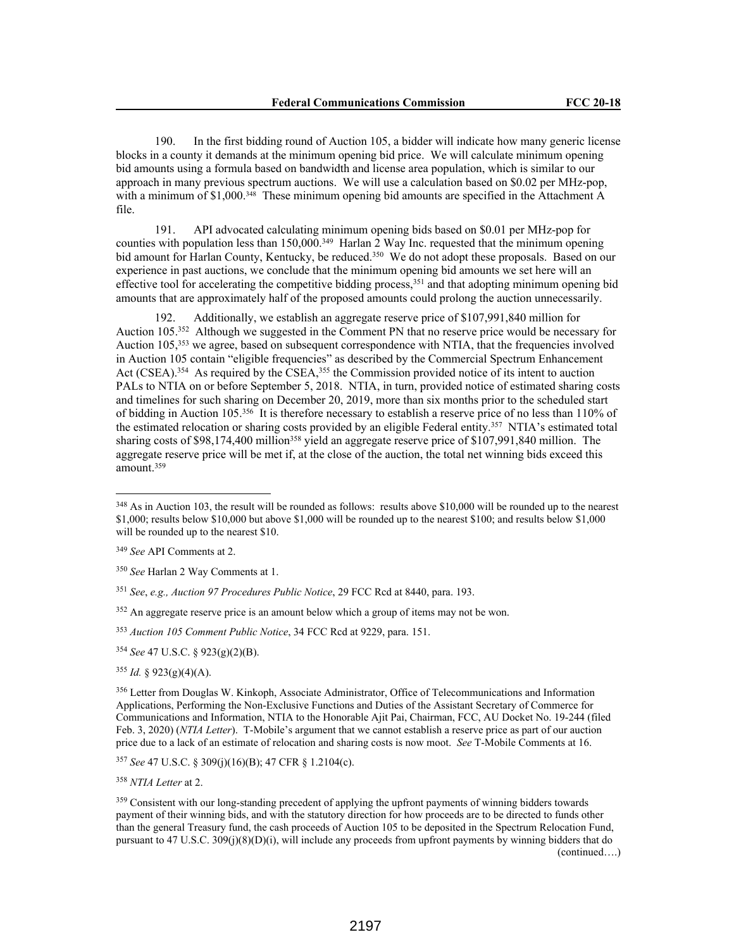190. In the first bidding round of Auction 105, a bidder will indicate how many generic license blocks in a county it demands at the minimum opening bid price. We will calculate minimum opening bid amounts using a formula based on bandwidth and license area population, which is similar to our approach in many previous spectrum auctions. We will use a calculation based on \$0.02 per MHz-pop, with a minimum of \$1,000.<sup>348</sup> These minimum opening bid amounts are specified in the Attachment A file.

191. API advocated calculating minimum opening bids based on \$0.01 per MHz-pop for counties with population less than  $150,000$ .<sup>349</sup> Harlan 2 Way Inc. requested that the minimum opening bid amount for Harlan County, Kentucky, be reduced.<sup>350</sup> We do not adopt these proposals. Based on our experience in past auctions, we conclude that the minimum opening bid amounts we set here will an effective tool for accelerating the competitive bidding process,<sup>351</sup> and that adopting minimum opening bid amounts that are approximately half of the proposed amounts could prolong the auction unnecessarily.

192. Additionally, we establish an aggregate reserve price of \$107,991,840 million for Auction 105.<sup>352</sup> Although we suggested in the Comment PN that no reserve price would be necessary for Auction 105,<sup>353</sup> we agree, based on subsequent correspondence with NTIA, that the frequencies involved in Auction 105 contain "eligible frequencies" as described by the Commercial Spectrum Enhancement Act (CSEA).<sup>354</sup> As required by the CSEA,<sup>355</sup> the Commission provided notice of its intent to auction PALs to NTIA on or before September 5, 2018. NTIA, in turn, provided notice of estimated sharing costs and timelines for such sharing on December 20, 2019, more than six months prior to the scheduled start of bidding in Auction 105.<sup>356</sup> It is therefore necessary to establish a reserve price of no less than 110% of the estimated relocation or sharing costs provided by an eligible Federal entity.<sup>357</sup> NTIA's estimated total sharing costs of \$98,174,400 million<sup>358</sup> yield an aggregate reserve price of \$107,991,840 million. The aggregate reserve price will be met if, at the close of the auction, the total net winning bids exceed this amount.<sup>359</sup>

<sup>352</sup> An aggregate reserve price is an amount below which a group of items may not be won.

<sup>353</sup> *Auction 105 Comment Public Notice*, 34 FCC Rcd at 9229, para. 151.

<sup>354</sup> *See* 47 U.S.C. § 923(g)(2)(B).

<sup>356</sup> Letter from Douglas W. Kinkoph, Associate Administrator, Office of Telecommunications and Information Applications, Performing the Non-Exclusive Functions and Duties of the Assistant Secretary of Commerce for Communications and Information, NTIA to the Honorable Ajit Pai, Chairman, FCC, AU Docket No. 19-244 (filed Feb. 3, 2020) (*NTIA Letter*). T-Mobile's argument that we cannot establish a reserve price as part of our auction price due to a lack of an estimate of relocation and sharing costs is now moot. *See* T-Mobile Comments at 16.

<sup>357</sup> *See* 47 U.S.C. § 309(j)(16)(B); 47 CFR § 1.2104(c).

<sup>359</sup> Consistent with our long-standing precedent of applying the upfront payments of winning bidders towards payment of their winning bids, and with the statutory direction for how proceeds are to be directed to funds other than the general Treasury fund, the cash proceeds of Auction 105 to be deposited in the Spectrum Relocation Fund, pursuant to 47 U.S.C. 309(j)(8)(D)(i), will include any proceeds from upfront payments by winning bidders that do (continued….)

<sup>&</sup>lt;sup>348</sup> As in Auction 103, the result will be rounded as follows: results above \$10,000 will be rounded up to the nearest \$1,000; results below \$10,000 but above \$1,000 will be rounded up to the nearest \$100; and results below \$1,000 will be rounded up to the nearest \$10.

<sup>349</sup> *See* API Comments at 2.

<sup>350</sup> *See* Harlan 2 Way Comments at 1.

<sup>351</sup> *See*, *e.g., Auction 97 Procedures Public Notice*, 29 FCC Rcd at 8440, para. 193.

 $355$  *Id.* § 923(g)(4)(A).

<sup>358</sup> *NTIA Letter* at 2.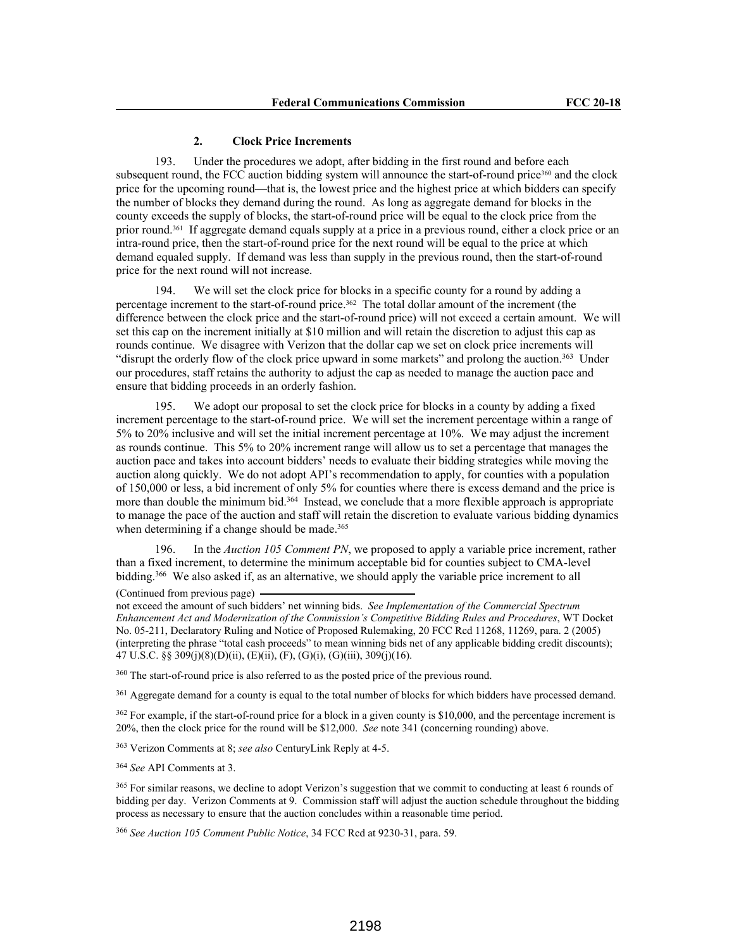#### **2. Clock Price Increments**

193. Under the procedures we adopt, after bidding in the first round and before each subsequent round, the FCC auction bidding system will announce the start-of-round price<sup>360</sup> and the clock price for the upcoming round—that is, the lowest price and the highest price at which bidders can specify the number of blocks they demand during the round. As long as aggregate demand for blocks in the county exceeds the supply of blocks, the start-of-round price will be equal to the clock price from the prior round.361 If aggregate demand equals supply at a price in a previous round, either a clock price or an intra-round price, then the start-of-round price for the next round will be equal to the price at which demand equaled supply. If demand was less than supply in the previous round, then the start-of-round price for the next round will not increase.

194. We will set the clock price for blocks in a specific county for a round by adding a percentage increment to the start-of-round price.362 The total dollar amount of the increment (the difference between the clock price and the start-of-round price) will not exceed a certain amount. We will set this cap on the increment initially at \$10 million and will retain the discretion to adjust this cap as rounds continue. We disagree with Verizon that the dollar cap we set on clock price increments will "disrupt the orderly flow of the clock price upward in some markets" and prolong the auction.<sup>363</sup> Under our procedures, staff retains the authority to adjust the cap as needed to manage the auction pace and ensure that bidding proceeds in an orderly fashion.

195. We adopt our proposal to set the clock price for blocks in a county by adding a fixed increment percentage to the start-of-round price. We will set the increment percentage within a range of 5% to 20% inclusive and will set the initial increment percentage at 10%. We may adjust the increment as rounds continue. This 5% to 20% increment range will allow us to set a percentage that manages the auction pace and takes into account bidders' needs to evaluate their bidding strategies while moving the auction along quickly. We do not adopt API's recommendation to apply, for counties with a population of 150,000 or less, a bid increment of only 5% for counties where there is excess demand and the price is more than double the minimum bid.<sup>364</sup> Instead, we conclude that a more flexible approach is appropriate to manage the pace of the auction and staff will retain the discretion to evaluate various bidding dynamics when determining if a change should be made.<sup>365</sup>

196. In the *Auction 105 Comment PN*, we proposed to apply a variable price increment, rather than a fixed increment, to determine the minimum acceptable bid for counties subject to CMA-level bidding.<sup>366</sup> We also asked if, as an alternative, we should apply the variable price increment to all (Continued from previous page)

not exceed the amount of such bidders' net winning bids. *See Implementation of the Commercial Spectrum Enhancement Act and Modernization of the Commission's Competitive Bidding Rules and Procedures*, WT Docket No. 05-211, Declaratory Ruling and Notice of Proposed Rulemaking, 20 FCC Rcd 11268, 11269, para. 2 (2005) (interpreting the phrase "total cash proceeds" to mean winning bids net of any applicable bidding credit discounts); 47 U.S.C. §§ 309(j)(8)(D)(ii), (E)(ii), (F), (G)(i), (G)(iii), 309(j)(16).

<sup>360</sup> The start-of-round price is also referred to as the posted price of the previous round.

<sup>361</sup> Aggregate demand for a county is equal to the total number of blocks for which bidders have processed demand.

<sup>362</sup> For example, if the start-of-round price for a block in a given county is \$10,000, and the percentage increment is 20%, then the clock price for the round will be \$12,000. *See* note 341 (concerning rounding) above.

<sup>363</sup> Verizon Comments at 8; *see also* CenturyLink Reply at 4-5.

<sup>364</sup> *See* API Comments at 3.

<sup>365</sup> For similar reasons, we decline to adopt Verizon's suggestion that we commit to conducting at least 6 rounds of bidding per day. Verizon Comments at 9. Commission staff will adjust the auction schedule throughout the bidding process as necessary to ensure that the auction concludes within a reasonable time period.

<sup>366</sup> *See Auction 105 Comment Public Notice*, 34 FCC Rcd at 9230-31, para. 59.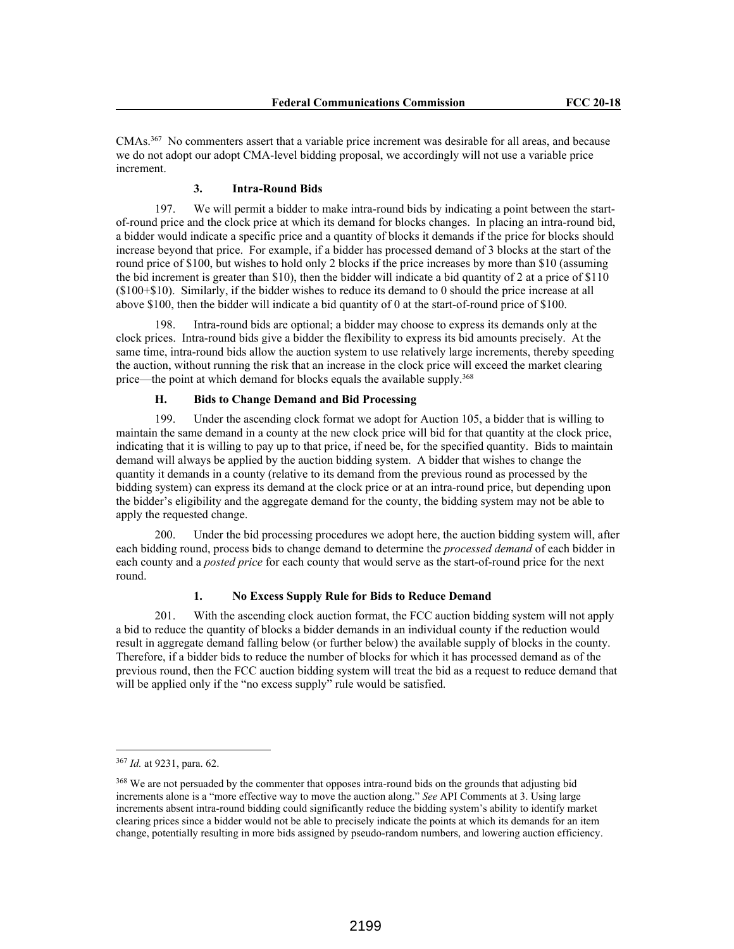CMAs.<sup>367</sup> No commenters assert that a variable price increment was desirable for all areas, and because we do not adopt our adopt CMA-level bidding proposal, we accordingly will not use a variable price increment.

#### **3. Intra-Round Bids**

197. We will permit a bidder to make intra-round bids by indicating a point between the startof-round price and the clock price at which its demand for blocks changes. In placing an intra-round bid, a bidder would indicate a specific price and a quantity of blocks it demands if the price for blocks should increase beyond that price. For example, if a bidder has processed demand of 3 blocks at the start of the round price of \$100, but wishes to hold only 2 blocks if the price increases by more than \$10 (assuming the bid increment is greater than \$10), then the bidder will indicate a bid quantity of 2 at a price of \$110 (\$100+\$10). Similarly, if the bidder wishes to reduce its demand to 0 should the price increase at all above \$100, then the bidder will indicate a bid quantity of 0 at the start-of-round price of \$100.

198. Intra-round bids are optional; a bidder may choose to express its demands only at the clock prices. Intra-round bids give a bidder the flexibility to express its bid amounts precisely. At the same time, intra-round bids allow the auction system to use relatively large increments, thereby speeding the auction, without running the risk that an increase in the clock price will exceed the market clearing price—the point at which demand for blocks equals the available supply.<sup>368</sup>

## **H. Bids to Change Demand and Bid Processing**

199. Under the ascending clock format we adopt for Auction 105, a bidder that is willing to maintain the same demand in a county at the new clock price will bid for that quantity at the clock price, indicating that it is willing to pay up to that price, if need be, for the specified quantity. Bids to maintain demand will always be applied by the auction bidding system. A bidder that wishes to change the quantity it demands in a county (relative to its demand from the previous round as processed by the bidding system) can express its demand at the clock price or at an intra-round price, but depending upon the bidder's eligibility and the aggregate demand for the county, the bidding system may not be able to apply the requested change.

200. Under the bid processing procedures we adopt here, the auction bidding system will, after each bidding round, process bids to change demand to determine the *processed demand* of each bidder in each county and a *posted price* for each county that would serve as the start-of-round price for the next round.

#### **1. No Excess Supply Rule for Bids to Reduce Demand**

201. With the ascending clock auction format, the FCC auction bidding system will not apply a bid to reduce the quantity of blocks a bidder demands in an individual county if the reduction would result in aggregate demand falling below (or further below) the available supply of blocks in the county. Therefore, if a bidder bids to reduce the number of blocks for which it has processed demand as of the previous round, then the FCC auction bidding system will treat the bid as a request to reduce demand that will be applied only if the "no excess supply" rule would be satisfied.

<sup>367</sup> *Id.* at 9231, para. 62.

<sup>&</sup>lt;sup>368</sup> We are not persuaded by the commenter that opposes intra-round bids on the grounds that adjusting bid increments alone is a "more effective way to move the auction along." *See* API Comments at 3. Using large increments absent intra-round bidding could significantly reduce the bidding system's ability to identify market clearing prices since a bidder would not be able to precisely indicate the points at which its demands for an item change, potentially resulting in more bids assigned by pseudo-random numbers, and lowering auction efficiency.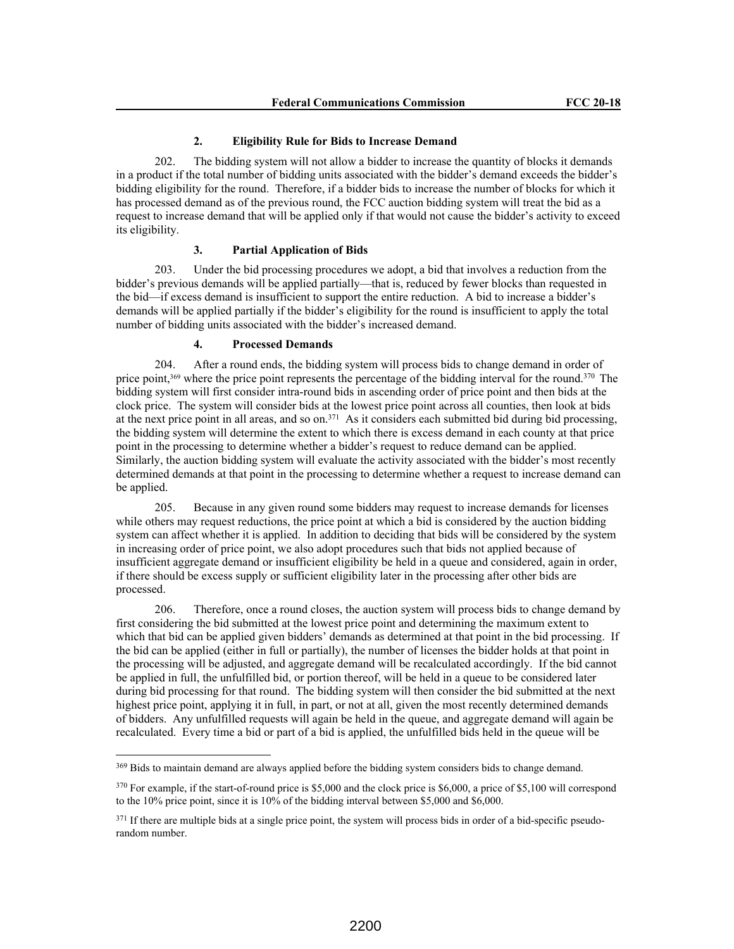#### **2. Eligibility Rule for Bids to Increase Demand**

202. The bidding system will not allow a bidder to increase the quantity of blocks it demands in a product if the total number of bidding units associated with the bidder's demand exceeds the bidder's bidding eligibility for the round. Therefore, if a bidder bids to increase the number of blocks for which it has processed demand as of the previous round, the FCC auction bidding system will treat the bid as a request to increase demand that will be applied only if that would not cause the bidder's activity to exceed its eligibility.

## **3. Partial Application of Bids**

203. Under the bid processing procedures we adopt, a bid that involves a reduction from the bidder's previous demands will be applied partially—that is, reduced by fewer blocks than requested in the bid—if excess demand is insufficient to support the entire reduction. A bid to increase a bidder's demands will be applied partially if the bidder's eligibility for the round is insufficient to apply the total number of bidding units associated with the bidder's increased demand.

#### **4. Processed Demands**

204. After a round ends, the bidding system will process bids to change demand in order of price point,<sup>369</sup> where the price point represents the percentage of the bidding interval for the round.<sup>370</sup> The bidding system will first consider intra-round bids in ascending order of price point and then bids at the clock price. The system will consider bids at the lowest price point across all counties, then look at bids at the next price point in all areas, and so on.<sup>371</sup> As it considers each submitted bid during bid processing, the bidding system will determine the extent to which there is excess demand in each county at that price point in the processing to determine whether a bidder's request to reduce demand can be applied. Similarly, the auction bidding system will evaluate the activity associated with the bidder's most recently determined demands at that point in the processing to determine whether a request to increase demand can be applied.

205. Because in any given round some bidders may request to increase demands for licenses while others may request reductions, the price point at which a bid is considered by the auction bidding system can affect whether it is applied. In addition to deciding that bids will be considered by the system in increasing order of price point, we also adopt procedures such that bids not applied because of insufficient aggregate demand or insufficient eligibility be held in a queue and considered, again in order, if there should be excess supply or sufficient eligibility later in the processing after other bids are processed.

206. Therefore, once a round closes, the auction system will process bids to change demand by first considering the bid submitted at the lowest price point and determining the maximum extent to which that bid can be applied given bidders' demands as determined at that point in the bid processing. If the bid can be applied (either in full or partially), the number of licenses the bidder holds at that point in the processing will be adjusted, and aggregate demand will be recalculated accordingly. If the bid cannot be applied in full, the unfulfilled bid, or portion thereof, will be held in a queue to be considered later during bid processing for that round. The bidding system will then consider the bid submitted at the next highest price point, applying it in full, in part, or not at all, given the most recently determined demands of bidders. Any unfulfilled requests will again be held in the queue, and aggregate demand will again be recalculated. Every time a bid or part of a bid is applied, the unfulfilled bids held in the queue will be

<sup>&</sup>lt;sup>369</sup> Bids to maintain demand are always applied before the bidding system considers bids to change demand.

<sup>370</sup> For example, if the start-of-round price is \$5,000 and the clock price is \$6,000, a price of \$5,100 will correspond to the 10% price point, since it is 10% of the bidding interval between \$5,000 and \$6,000.

 $371$  If there are multiple bids at a single price point, the system will process bids in order of a bid-specific pseudorandom number.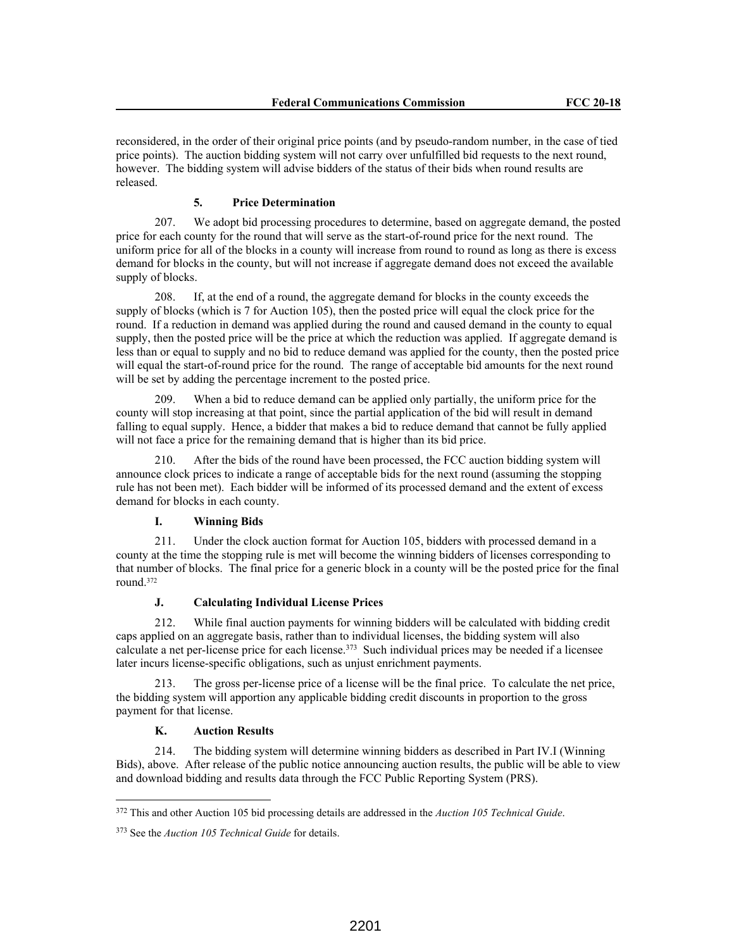reconsidered, in the order of their original price points (and by pseudo-random number, in the case of tied price points). The auction bidding system will not carry over unfulfilled bid requests to the next round, however. The bidding system will advise bidders of the status of their bids when round results are released.

#### **5. Price Determination**

207. We adopt bid processing procedures to determine, based on aggregate demand, the posted price for each county for the round that will serve as the start-of-round price for the next round. The uniform price for all of the blocks in a county will increase from round to round as long as there is excess demand for blocks in the county, but will not increase if aggregate demand does not exceed the available supply of blocks.

208. If, at the end of a round, the aggregate demand for blocks in the county exceeds the supply of blocks (which is 7 for Auction 105), then the posted price will equal the clock price for the round. If a reduction in demand was applied during the round and caused demand in the county to equal supply, then the posted price will be the price at which the reduction was applied. If aggregate demand is less than or equal to supply and no bid to reduce demand was applied for the county, then the posted price will equal the start-of-round price for the round. The range of acceptable bid amounts for the next round will be set by adding the percentage increment to the posted price.

When a bid to reduce demand can be applied only partially, the uniform price for the county will stop increasing at that point, since the partial application of the bid will result in demand falling to equal supply. Hence, a bidder that makes a bid to reduce demand that cannot be fully applied will not face a price for the remaining demand that is higher than its bid price.

210. After the bids of the round have been processed, the FCC auction bidding system will announce clock prices to indicate a range of acceptable bids for the next round (assuming the stopping rule has not been met). Each bidder will be informed of its processed demand and the extent of excess demand for blocks in each county.

#### **I. Winning Bids**

211. Under the clock auction format for Auction 105, bidders with processed demand in a county at the time the stopping rule is met will become the winning bidders of licenses corresponding to that number of blocks. The final price for a generic block in a county will be the posted price for the final round.<sup>372</sup>

## **J. Calculating Individual License Prices**

212. While final auction payments for winning bidders will be calculated with bidding credit caps applied on an aggregate basis, rather than to individual licenses, the bidding system will also calculate a net per-license price for each license.<sup>373</sup> Such individual prices may be needed if a licensee later incurs license-specific obligations, such as unjust enrichment payments.

213. The gross per-license price of a license will be the final price. To calculate the net price, the bidding system will apportion any applicable bidding credit discounts in proportion to the gross payment for that license.

#### **K. Auction Results**

214. The bidding system will determine winning bidders as described in Part IV.I (Winning Bids), above. After release of the public notice announcing auction results, the public will be able to view and download bidding and results data through the FCC Public Reporting System (PRS).

<sup>372</sup> This and other Auction 105 bid processing details are addressed in the *Auction 105 Technical Guide*.

<sup>373</sup> See the *Auction 105 Technical Guide* for details.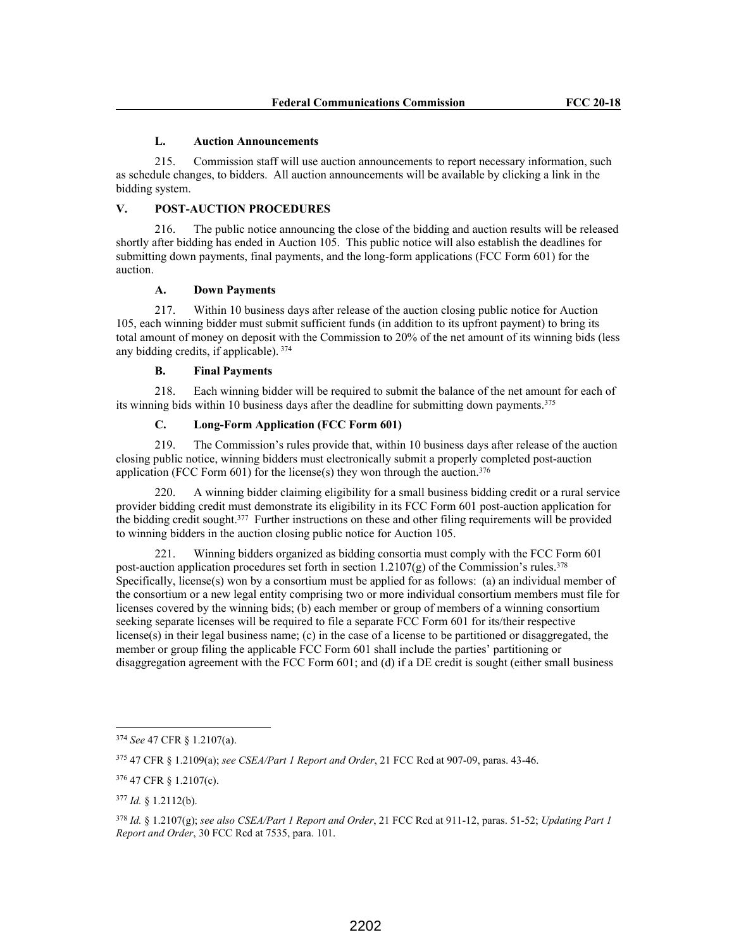#### **L. Auction Announcements**

215. Commission staff will use auction announcements to report necessary information, such as schedule changes, to bidders. All auction announcements will be available by clicking a link in the bidding system.

#### **V. POST-AUCTION PROCEDURES**

216. The public notice announcing the close of the bidding and auction results will be released shortly after bidding has ended in Auction 105. This public notice will also establish the deadlines for submitting down payments, final payments, and the long-form applications (FCC Form 601) for the auction.

#### **A. Down Payments**

217. Within 10 business days after release of the auction closing public notice for Auction 105, each winning bidder must submit sufficient funds (in addition to its upfront payment) to bring its total amount of money on deposit with the Commission to 20% of the net amount of its winning bids (less any bidding credits, if applicable).  $374$ 

## **B. Final Payments**

218. Each winning bidder will be required to submit the balance of the net amount for each of its winning bids within 10 business days after the deadline for submitting down payments.<sup>375</sup>

## **C. Long-Form Application (FCC Form 601)**

219. The Commission's rules provide that, within 10 business days after release of the auction closing public notice, winning bidders must electronically submit a properly completed post-auction application (FCC Form 601) for the license(s) they won through the auction.<sup>376</sup>

220. A winning bidder claiming eligibility for a small business bidding credit or a rural service provider bidding credit must demonstrate its eligibility in its FCC Form 601 post-auction application for the bidding credit sought.<sup>377</sup> Further instructions on these and other filing requirements will be provided to winning bidders in the auction closing public notice for Auction 105.

221. Winning bidders organized as bidding consortia must comply with the FCC Form 601 post-auction application procedures set forth in section  $1.2107(g)$  of the Commission's rules.<sup>378</sup> Specifically, license(s) won by a consortium must be applied for as follows: (a) an individual member of the consortium or a new legal entity comprising two or more individual consortium members must file for licenses covered by the winning bids; (b) each member or group of members of a winning consortium seeking separate licenses will be required to file a separate FCC Form 601 for its/their respective license(s) in their legal business name; (c) in the case of a license to be partitioned or disaggregated, the member or group filing the applicable FCC Form 601 shall include the parties' partitioning or disaggregation agreement with the FCC Form 601; and (d) if a DE credit is sought (either small business

<sup>374</sup> *See* 47 CFR § 1.2107(a).

<sup>375</sup> 47 CFR § 1.2109(a); *see CSEA/Part 1 Report and Order*, 21 FCC Rcd at 907-09, paras. 43-46.

<sup>376</sup> 47 CFR § 1.2107(c).

<sup>377</sup> *Id.* § 1.2112(b).

<sup>378</sup> *Id.* § 1.2107(g); *see also CSEA/Part 1 Report and Order*, 21 FCC Rcd at 911-12, paras. 51-52; *Updating Part 1 Report and Order*, 30 FCC Rcd at 7535, para. 101.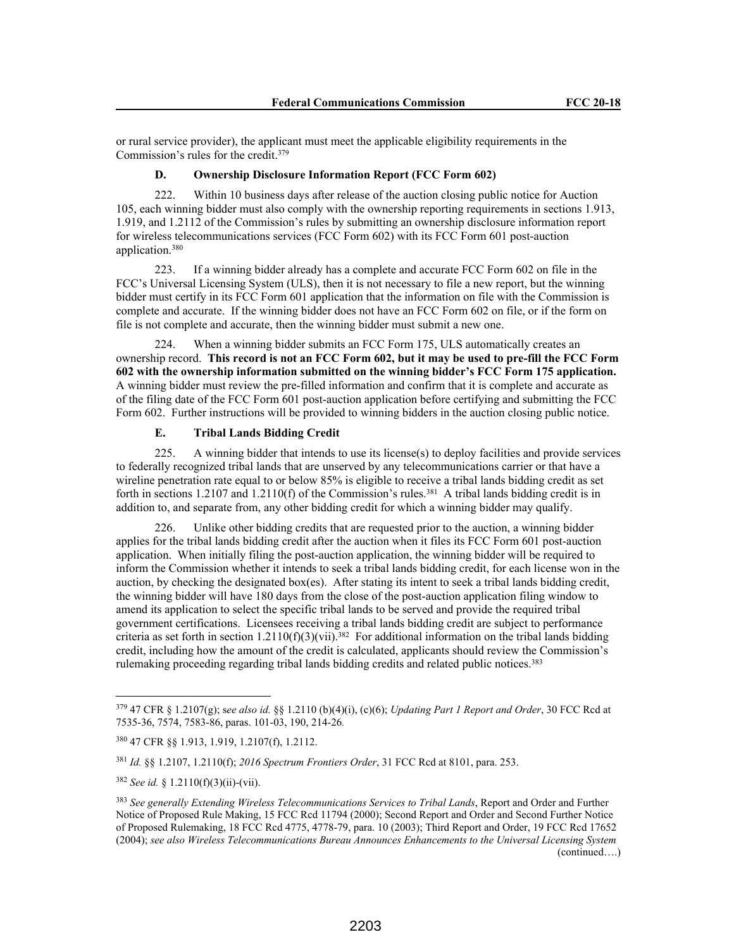or rural service provider), the applicant must meet the applicable eligibility requirements in the Commission's rules for the credit.<sup>379</sup>

## **D. Ownership Disclosure Information Report (FCC Form 602)**

222. Within 10 business days after release of the auction closing public notice for Auction 105, each winning bidder must also comply with the ownership reporting requirements in sections 1.913, 1.919, and 1.2112 of the Commission's rules by submitting an ownership disclosure information report for wireless telecommunications services (FCC Form 602) with its FCC Form 601 post-auction application.<sup>380</sup>

223. If a winning bidder already has a complete and accurate FCC Form 602 on file in the FCC's Universal Licensing System (ULS), then it is not necessary to file a new report, but the winning bidder must certify in its FCC Form 601 application that the information on file with the Commission is complete and accurate. If the winning bidder does not have an FCC Form 602 on file, or if the form on file is not complete and accurate, then the winning bidder must submit a new one.

224. When a winning bidder submits an FCC Form 175, ULS automatically creates an ownership record. **This record is not an FCC Form 602, but it may be used to pre-fill the FCC Form 602 with the ownership information submitted on the winning bidder's FCC Form 175 application.** A winning bidder must review the pre-filled information and confirm that it is complete and accurate as of the filing date of the FCC Form 601 post-auction application before certifying and submitting the FCC Form 602. Further instructions will be provided to winning bidders in the auction closing public notice.

#### **E. Tribal Lands Bidding Credit**

225. A winning bidder that intends to use its license(s) to deploy facilities and provide services to federally recognized tribal lands that are unserved by any telecommunications carrier or that have a wireline penetration rate equal to or below 85% is eligible to receive a tribal lands bidding credit as set forth in sections 1.2107 and 1.2110(f) of the Commission's rules.<sup>381</sup> A tribal lands bidding credit is in addition to, and separate from, any other bidding credit for which a winning bidder may qualify.

226. Unlike other bidding credits that are requested prior to the auction, a winning bidder applies for the tribal lands bidding credit after the auction when it files its FCC Form 601 post-auction application. When initially filing the post-auction application, the winning bidder will be required to inform the Commission whether it intends to seek a tribal lands bidding credit, for each license won in the auction, by checking the designated box(es). After stating its intent to seek a tribal lands bidding credit, the winning bidder will have 180 days from the close of the post-auction application filing window to amend its application to select the specific tribal lands to be served and provide the required tribal government certifications. Licensees receiving a tribal lands bidding credit are subject to performance criteria as set forth in section  $1.2110(f)(3)(vii).$ <sup>382</sup> For additional information on the tribal lands bidding credit, including how the amount of the credit is calculated, applicants should review the Commission's rulemaking proceeding regarding tribal lands bidding credits and related public notices.<sup>383</sup>

<sup>379</sup> 47 CFR § 1.2107(g); s*ee also id.* §§ 1.2110 (b)(4)(i), (c)(6); *Updating Part 1 Report and Order*, 30 FCC Rcd at 7535-36, 7574, 7583-86, paras. 101-03, 190, 214-26*.*

<sup>380</sup> 47 CFR §§ 1.913, 1.919, 1.2107(f), 1.2112.

<sup>381</sup> *Id.* §§ 1.2107, 1.2110(f); *2016 Spectrum Frontiers Order*, 31 FCC Rcd at 8101, para. 253.

<sup>382</sup> *See id.* § 1.2110(f)(3)(ii)-(vii).

<sup>383</sup> *See generally Extending Wireless Telecommunications Services to Tribal Lands*, Report and Order and Further Notice of Proposed Rule Making, 15 FCC Rcd 11794 (2000); Second Report and Order and Second Further Notice of Proposed Rulemaking, 18 FCC Rcd 4775, 4778-79, para. 10 (2003); Third Report and Order, 19 FCC Rcd 17652 (2004); *see also Wireless Telecommunications Bureau Announces Enhancements to the Universal Licensing System*  (continued….)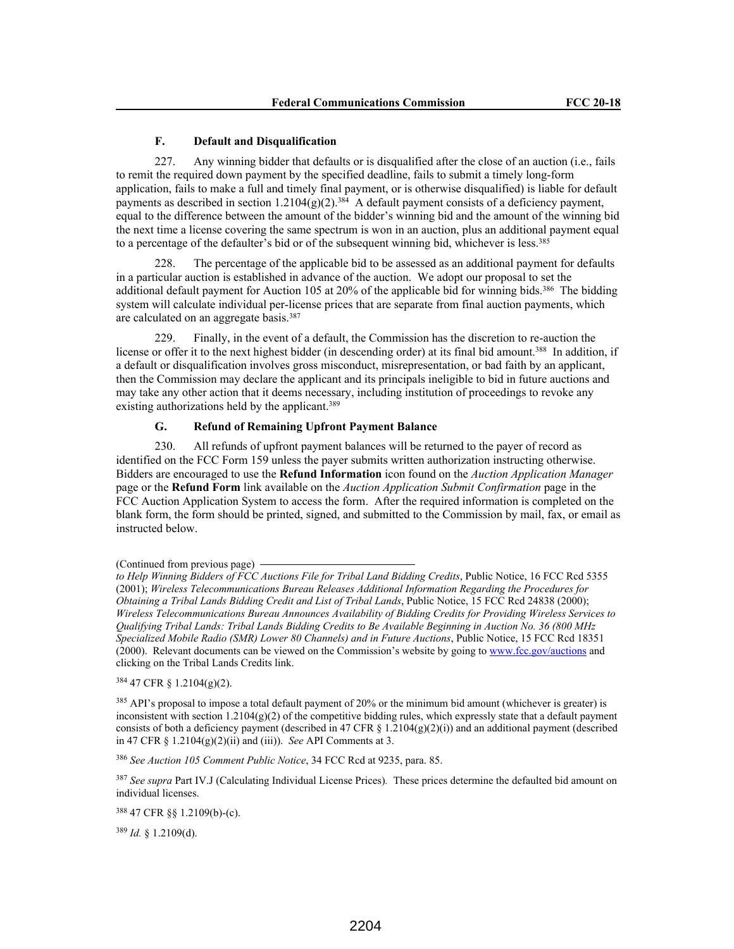#### **F. Default and Disqualification**

227. Any winning bidder that defaults or is disqualified after the close of an auction (i.e., fails to remit the required down payment by the specified deadline, fails to submit a timely long-form application, fails to make a full and timely final payment, or is otherwise disqualified) is liable for default payments as described in section  $1.2104(g)(2).$ <sup>384</sup> A default payment consists of a deficiency payment, equal to the difference between the amount of the bidder's winning bid and the amount of the winning bid the next time a license covering the same spectrum is won in an auction, plus an additional payment equal to a percentage of the defaulter's bid or of the subsequent winning bid, whichever is less.<sup>385</sup>

228. The percentage of the applicable bid to be assessed as an additional payment for defaults in a particular auction is established in advance of the auction. We adopt our proposal to set the additional default payment for Auction 105 at 20% of the applicable bid for winning bids.<sup>386</sup> The bidding system will calculate individual per-license prices that are separate from final auction payments, which are calculated on an aggregate basis.<sup>387</sup>

229. Finally, in the event of a default, the Commission has the discretion to re-auction the license or offer it to the next highest bidder (in descending order) at its final bid amount.<sup>388</sup> In addition, if a default or disqualification involves gross misconduct, misrepresentation, or bad faith by an applicant, then the Commission may declare the applicant and its principals ineligible to bid in future auctions and may take any other action that it deems necessary, including institution of proceedings to revoke any existing authorizations held by the applicant.<sup>389</sup>

#### **G. Refund of Remaining Upfront Payment Balance**

230. All refunds of upfront payment balances will be returned to the payer of record as identified on the FCC Form 159 unless the payer submits written authorization instructing otherwise. Bidders are encouraged to use the **Refund Information** icon found on the *Auction Application Manager* page or the **Refund Form** link available on the *Auction Application Submit Confirmation* page in the FCC Auction Application System to access the form. After the required information is completed on the blank form, the form should be printed, signed, and submitted to the Commission by mail, fax, or email as instructed below.

<sup>384</sup> 47 CFR § 1.2104(g)(2).

<sup>385</sup> API's proposal to impose a total default payment of 20% or the minimum bid amount (whichever is greater) is inconsistent with section  $1.2104(g)(2)$  of the competitive bidding rules, which expressly state that a default payment consists of both a deficiency payment (described in 47 CFR  $\S$  1.2104(g)(2)(i)) and an additional payment (described in 47 CFR § 1.2104(g)(2)(ii) and (iii)). *See* API Comments at 3.

<sup>386</sup> *See Auction 105 Comment Public Notice*, 34 FCC Rcd at 9235, para. 85.

<sup>387</sup> *See supra* Part IV.J (Calculating Individual License Prices)*.* These prices determine the defaulted bid amount on individual licenses.

<sup>388</sup> 47 CFR §§ 1.2109(b)-(c).

<sup>389</sup> *Id.* § 1.2109(d).

<sup>(</sup>Continued from previous page)

*to Help Winning Bidders of FCC Auctions File for Tribal Land Bidding Credits*, Public Notice, 16 FCC Rcd 5355 (2001); *Wireless Telecommunications Bureau Releases Additional Information Regarding the Procedures for Obtaining a Tribal Lands Bidding Credit and List of Tribal Lands*, Public Notice, 15 FCC Rcd 24838 (2000); *Wireless Telecommunications Bureau Announces Availability of Bidding Credits for Providing Wireless Services to Qualifying Tribal Lands: Tribal Lands Bidding Credits to Be Available Beginning in Auction No. 36 (800 MHz Specialized Mobile Radio (SMR) Lower 80 Channels) and in Future Auctions*, Public Notice, 15 FCC Rcd 18351 (2000). Relevant documents can be viewed on the Commission's website by going to www.fcc.gov/auctions and clicking on the Tribal Lands Credits link.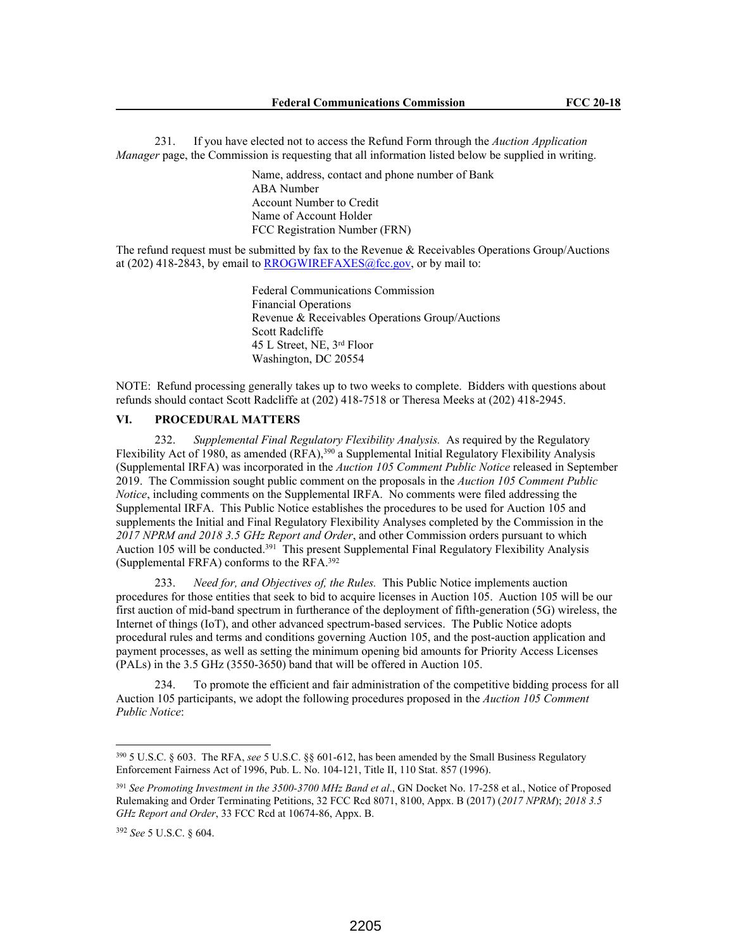231. If you have elected not to access the Refund Form through the *Auction Application Manager* page, the Commission is requesting that all information listed below be supplied in writing.

> Name, address, contact and phone number of Bank ABA Number Account Number to Credit Name of Account Holder FCC Registration Number (FRN)

The refund request must be submitted by fax to the Revenue  $\&$  Receivables Operations Group/Auctions at (202) 418-2843, by email to  $RROGWIREFAXES@fcc.gov$ , or by mail to:

> Federal Communications Commission Financial Operations Revenue & Receivables Operations Group/Auctions Scott Radcliffe 45 L Street, NE, 3rd Floor Washington, DC 20554

NOTE: Refund processing generally takes up to two weeks to complete. Bidders with questions about refunds should contact Scott Radcliffe at (202) 418-7518 or Theresa Meeks at (202) 418-2945.

## **VI. PROCEDURAL MATTERS**

232. *Supplemental Final Regulatory Flexibility Analysis.* As required by the Regulatory Flexibility Act of 1980, as amended (RFA),<sup>390</sup> a Supplemental Initial Regulatory Flexibility Analysis (Supplemental IRFA) was incorporated in the *Auction 105 Comment Public Notice* released in September 2019. The Commission sought public comment on the proposals in the *Auction 105 Comment Public Notice*, including comments on the Supplemental IRFA. No comments were filed addressing the Supplemental IRFA. This Public Notice establishes the procedures to be used for Auction 105 and supplements the Initial and Final Regulatory Flexibility Analyses completed by the Commission in the *2017 NPRM and 2018 3.5 GHz Report and Order*, and other Commission orders pursuant to which Auction 105 will be conducted.<sup>391</sup> This present Supplemental Final Regulatory Flexibility Analysis (Supplemental FRFA) conforms to the RFA.<sup>392</sup>

233. *Need for, and Objectives of, the Rules.* This Public Notice implements auction procedures for those entities that seek to bid to acquire licenses in Auction 105. Auction 105 will be our first auction of mid-band spectrum in furtherance of the deployment of fifth-generation (5G) wireless, the Internet of things (IoT), and other advanced spectrum-based services. The Public Notice adopts procedural rules and terms and conditions governing Auction 105, and the post-auction application and payment processes, as well as setting the minimum opening bid amounts for Priority Access Licenses (PALs) in the 3.5 GHz (3550-3650) band that will be offered in Auction 105.

234. To promote the efficient and fair administration of the competitive bidding process for all Auction 105 participants, we adopt the following procedures proposed in the *Auction 105 Comment Public Notice*:

<sup>390</sup> 5 U.S.C. § 603. The RFA, *see* 5 U.S.C. §§ 601-612, has been amended by the Small Business Regulatory Enforcement Fairness Act of 1996, Pub. L. No. 104-121, Title II, 110 Stat. 857 (1996).

<sup>391</sup> *See Promoting Investment in the 3500-3700 MHz Band et al*., GN Docket No. 17-258 et al., Notice of Proposed Rulemaking and Order Terminating Petitions, 32 FCC Rcd 8071, 8100, Appx. B (2017) (*2017 NPRM*); *2018 3.5 GHz Report and Order*, 33 FCC Rcd at 10674-86, Appx. B.

<sup>392</sup> *See* 5 U.S.C. § 604.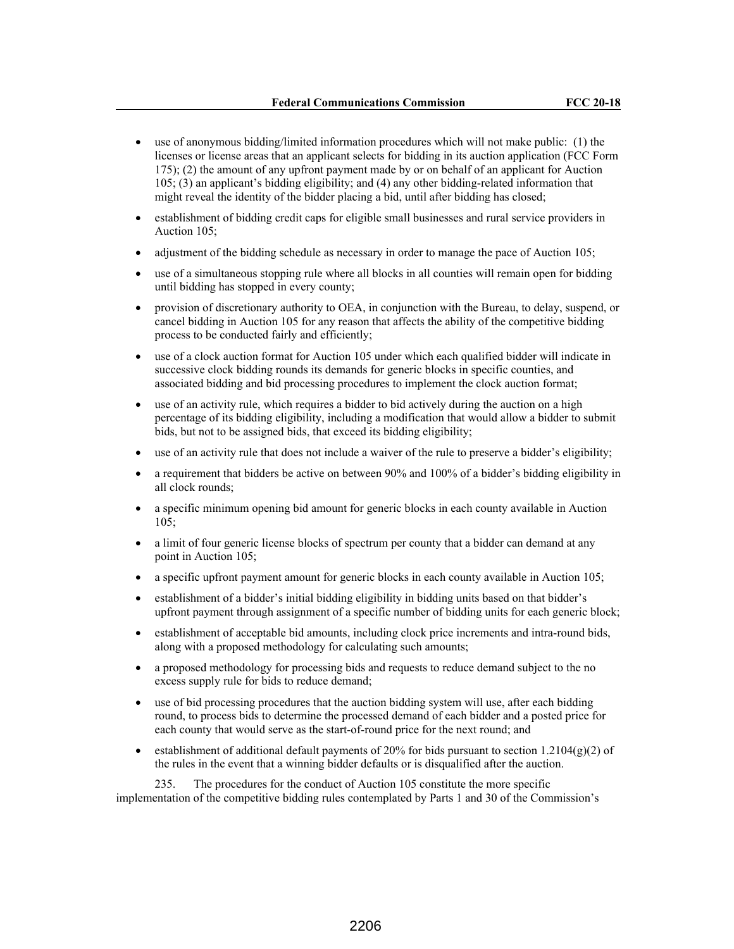- use of anonymous bidding/limited information procedures which will not make public: (1) the licenses or license areas that an applicant selects for bidding in its auction application (FCC Form 175); (2) the amount of any upfront payment made by or on behalf of an applicant for Auction 105; (3) an applicant's bidding eligibility; and (4) any other bidding-related information that might reveal the identity of the bidder placing a bid, until after bidding has closed;
- establishment of bidding credit caps for eligible small businesses and rural service providers in Auction 105;
- adjustment of the bidding schedule as necessary in order to manage the pace of Auction 105;
- use of a simultaneous stopping rule where all blocks in all counties will remain open for bidding until bidding has stopped in every county;
- provision of discretionary authority to OEA, in conjunction with the Bureau, to delay, suspend, or cancel bidding in Auction 105 for any reason that affects the ability of the competitive bidding process to be conducted fairly and efficiently;
- use of a clock auction format for Auction 105 under which each qualified bidder will indicate in successive clock bidding rounds its demands for generic blocks in specific counties, and associated bidding and bid processing procedures to implement the clock auction format;
- use of an activity rule, which requires a bidder to bid actively during the auction on a high percentage of its bidding eligibility, including a modification that would allow a bidder to submit bids, but not to be assigned bids, that exceed its bidding eligibility;
- use of an activity rule that does not include a waiver of the rule to preserve a bidder's eligibility;
- a requirement that bidders be active on between 90% and 100% of a bidder's bidding eligibility in all clock rounds;
- a specific minimum opening bid amount for generic blocks in each county available in Auction 105;
- a limit of four generic license blocks of spectrum per county that a bidder can demand at any point in Auction 105;
- a specific upfront payment amount for generic blocks in each county available in Auction 105;
- establishment of a bidder's initial bidding eligibility in bidding units based on that bidder's upfront payment through assignment of a specific number of bidding units for each generic block;
- establishment of acceptable bid amounts, including clock price increments and intra-round bids, along with a proposed methodology for calculating such amounts;
- a proposed methodology for processing bids and requests to reduce demand subject to the no excess supply rule for bids to reduce demand;
- use of bid processing procedures that the auction bidding system will use, after each bidding round, to process bids to determine the processed demand of each bidder and a posted price for each county that would serve as the start-of-round price for the next round; and
- establishment of additional default payments of 20% for bids pursuant to section 1.2104(g)(2) of the rules in the event that a winning bidder defaults or is disqualified after the auction.

235. The procedures for the conduct of Auction 105 constitute the more specific implementation of the competitive bidding rules contemplated by Parts 1 and 30 of the Commission's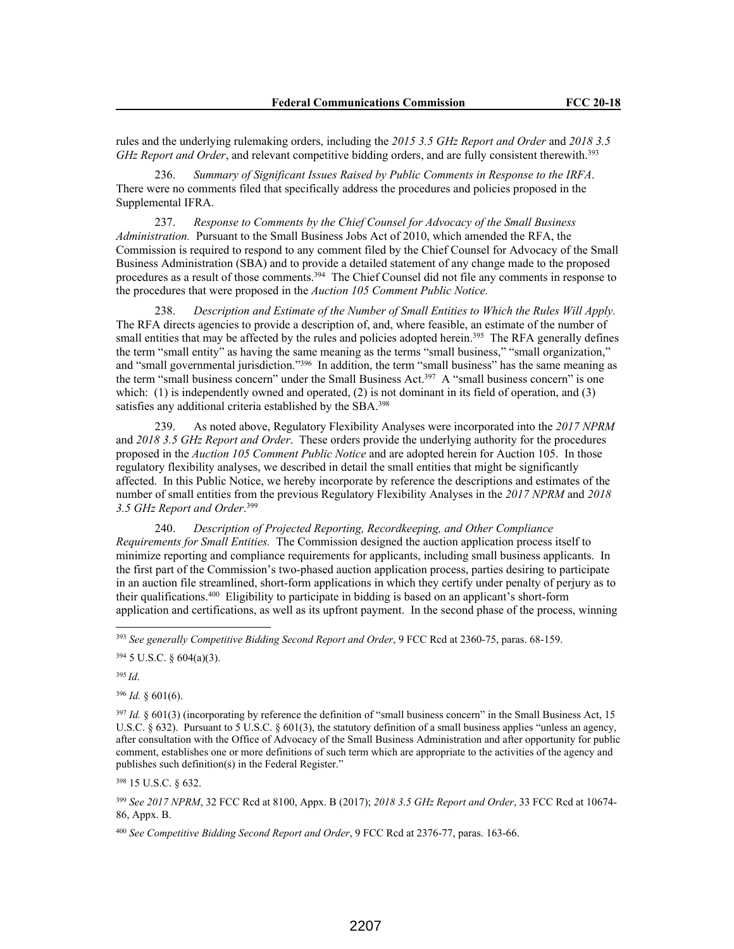rules and the underlying rulemaking orders, including the *2015 3.5 GHz Report and Order* and *2018 3.5 GHz Report and Order*, and relevant competitive bidding orders, and are fully consistent therewith.<sup>393</sup>

236. *Summary of Significant Issues Raised by Public Comments in Response to the IRFA*. There were no comments filed that specifically address the procedures and policies proposed in the Supplemental IFRA.

237. *Response to Comments by the Chief Counsel for Advocacy of the Small Business Administration.* Pursuant to the Small Business Jobs Act of 2010, which amended the RFA, the Commission is required to respond to any comment filed by the Chief Counsel for Advocacy of the Small Business Administration (SBA) and to provide a detailed statement of any change made to the proposed procedures as a result of those comments.<sup>394</sup> The Chief Counsel did not file any comments in response to the procedures that were proposed in the *Auction 105 Comment Public Notice.*

238. *Description and Estimate of the Number of Small Entities to Which the Rules Will Apply.* The RFA directs agencies to provide a description of, and, where feasible, an estimate of the number of small entities that may be affected by the rules and policies adopted herein.<sup>395</sup> The RFA generally defines the term "small entity" as having the same meaning as the terms "small business," "small organization," and "small governmental jurisdiction."<sup>396</sup> In addition, the term "small business" has the same meaning as the term "small business concern" under the Small Business Act.<sup>397</sup> A "small business concern" is one which: (1) is independently owned and operated, (2) is not dominant in its field of operation, and (3) satisfies any additional criteria established by the SBA.<sup>398</sup>

239. As noted above, Regulatory Flexibility Analyses were incorporated into the *2017 NPRM*  and *2018 3.5 GHz Report and Order*. These orders provide the underlying authority for the procedures proposed in the *Auction 105 Comment Public Notice* and are adopted herein for Auction 105. In those regulatory flexibility analyses, we described in detail the small entities that might be significantly affected. In this Public Notice, we hereby incorporate by reference the descriptions and estimates of the number of small entities from the previous Regulatory Flexibility Analyses in the *2017 NPRM* and *2018 3.5 GHz Report and Order*. 399

240. *Description of Projected Reporting, Recordkeeping, and Other Compliance Requirements for Small Entities.* The Commission designed the auction application process itself to minimize reporting and compliance requirements for applicants, including small business applicants. In the first part of the Commission's two-phased auction application process, parties desiring to participate in an auction file streamlined, short-form applications in which they certify under penalty of perjury as to their qualifications.<sup>400</sup> Eligibility to participate in bidding is based on an applicant's short-form application and certifications, as well as its upfront payment. In the second phase of the process, winning

<sup>393</sup> *See generally Competitive Bidding Second Report and Order*, 9 FCC Rcd at 2360-75, paras. 68-159.

 $394$  5 U.S.C. § 604(a)(3).

<sup>395</sup>*Id*.

 $396$  *Id.*  $\,601(6)$ .

 $397$  *Id.* § 601(3) (incorporating by reference the definition of "small business concern" in the Small Business Act, 15 U.S.C. § 632). Pursuant to 5 U.S.C. § 601(3), the statutory definition of a small business applies "unless an agency, after consultation with the Office of Advocacy of the Small Business Administration and after opportunity for public comment, establishes one or more definitions of such term which are appropriate to the activities of the agency and publishes such definition(s) in the Federal Register."

<sup>398</sup> 15 U.S.C. § 632.

<sup>399</sup> *See 2017 NPRM*, 32 FCC Rcd at 8100, Appx. B (2017); *2018 3.5 GHz Report and Order*, 33 FCC Rcd at 10674- 86, Appx. B.

<sup>400</sup> *See Competitive Bidding Second Report and Order*, 9 FCC Rcd at 2376-77, paras. 163-66.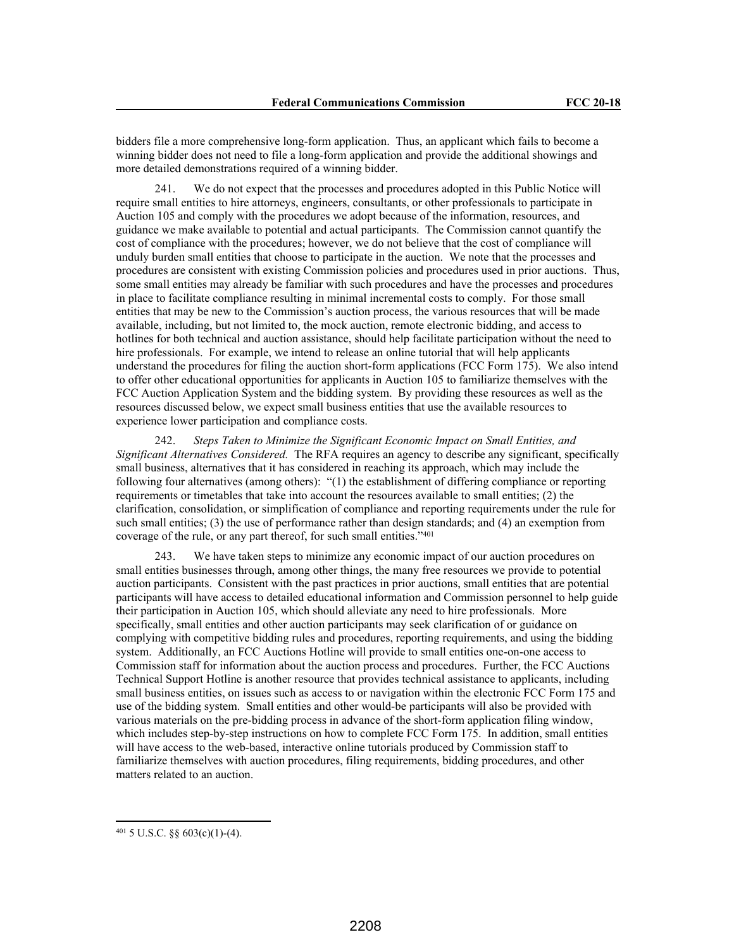bidders file a more comprehensive long-form application. Thus, an applicant which fails to become a winning bidder does not need to file a long-form application and provide the additional showings and more detailed demonstrations required of a winning bidder.

241. We do not expect that the processes and procedures adopted in this Public Notice will require small entities to hire attorneys, engineers, consultants, or other professionals to participate in Auction 105 and comply with the procedures we adopt because of the information, resources, and guidance we make available to potential and actual participants. The Commission cannot quantify the cost of compliance with the procedures; however, we do not believe that the cost of compliance will unduly burden small entities that choose to participate in the auction. We note that the processes and procedures are consistent with existing Commission policies and procedures used in prior auctions. Thus, some small entities may already be familiar with such procedures and have the processes and procedures in place to facilitate compliance resulting in minimal incremental costs to comply. For those small entities that may be new to the Commission's auction process, the various resources that will be made available, including, but not limited to, the mock auction, remote electronic bidding, and access to hotlines for both technical and auction assistance, should help facilitate participation without the need to hire professionals. For example, we intend to release an online tutorial that will help applicants understand the procedures for filing the auction short-form applications (FCC Form 175). We also intend to offer other educational opportunities for applicants in Auction 105 to familiarize themselves with the FCC Auction Application System and the bidding system. By providing these resources as well as the resources discussed below, we expect small business entities that use the available resources to experience lower participation and compliance costs.

242. *Steps Taken to Minimize the Significant Economic Impact on Small Entities, and Significant Alternatives Considered.* The RFA requires an agency to describe any significant, specifically small business, alternatives that it has considered in reaching its approach, which may include the following four alternatives (among others): "(1) the establishment of differing compliance or reporting requirements or timetables that take into account the resources available to small entities; (2) the clarification, consolidation, or simplification of compliance and reporting requirements under the rule for such small entities; (3) the use of performance rather than design standards; and (4) an exemption from coverage of the rule, or any part thereof, for such small entities."<sup>401</sup>

243. We have taken steps to minimize any economic impact of our auction procedures on small entities businesses through, among other things, the many free resources we provide to potential auction participants. Consistent with the past practices in prior auctions, small entities that are potential participants will have access to detailed educational information and Commission personnel to help guide their participation in Auction 105, which should alleviate any need to hire professionals. More specifically, small entities and other auction participants may seek clarification of or guidance on complying with competitive bidding rules and procedures, reporting requirements, and using the bidding system. Additionally, an FCC Auctions Hotline will provide to small entities one-on-one access to Commission staff for information about the auction process and procedures. Further, the FCC Auctions Technical Support Hotline is another resource that provides technical assistance to applicants, including small business entities, on issues such as access to or navigation within the electronic FCC Form 175 and use of the bidding system. Small entities and other would-be participants will also be provided with various materials on the pre-bidding process in advance of the short-form application filing window, which includes step-by-step instructions on how to complete FCC Form 175. In addition, small entities will have access to the web-based, interactive online tutorials produced by Commission staff to familiarize themselves with auction procedures, filing requirements, bidding procedures, and other matters related to an auction.

 $401$  5 U.S.C. §§ 603(c)(1)-(4).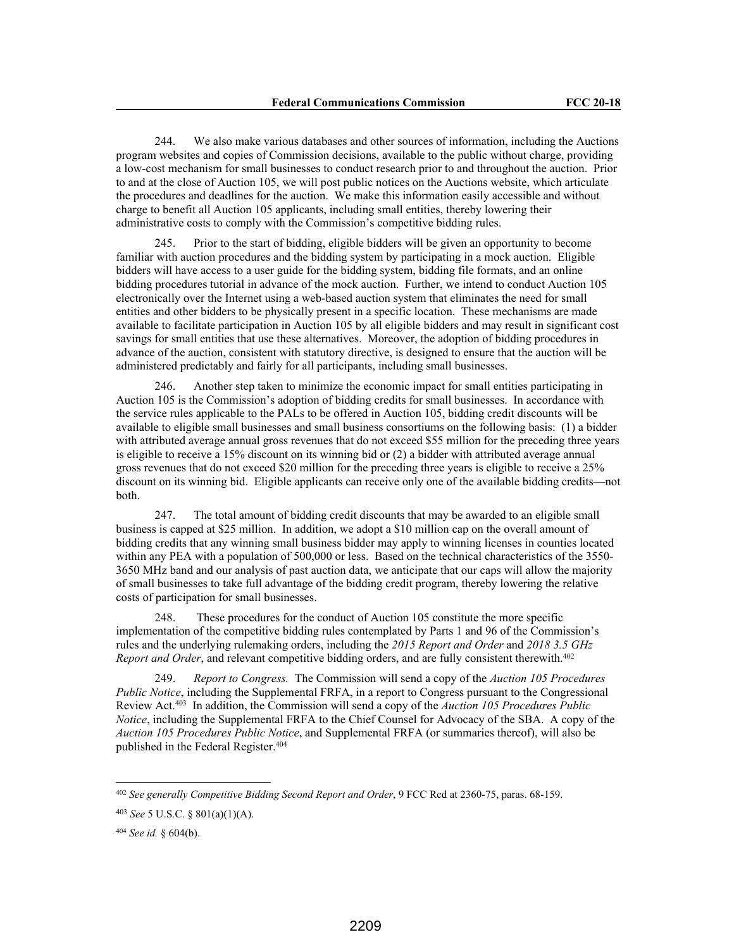244. We also make various databases and other sources of information, including the Auctions program websites and copies of Commission decisions, available to the public without charge, providing a low-cost mechanism for small businesses to conduct research prior to and throughout the auction. Prior to and at the close of Auction 105, we will post public notices on the Auctions website, which articulate the procedures and deadlines for the auction. We make this information easily accessible and without charge to benefit all Auction 105 applicants, including small entities, thereby lowering their administrative costs to comply with the Commission's competitive bidding rules.

245. Prior to the start of bidding, eligible bidders will be given an opportunity to become familiar with auction procedures and the bidding system by participating in a mock auction. Eligible bidders will have access to a user guide for the bidding system, bidding file formats, and an online bidding procedures tutorial in advance of the mock auction. Further, we intend to conduct Auction 105 electronically over the Internet using a web-based auction system that eliminates the need for small entities and other bidders to be physically present in a specific location. These mechanisms are made available to facilitate participation in Auction 105 by all eligible bidders and may result in significant cost savings for small entities that use these alternatives. Moreover, the adoption of bidding procedures in advance of the auction, consistent with statutory directive, is designed to ensure that the auction will be administered predictably and fairly for all participants, including small businesses.

246. Another step taken to minimize the economic impact for small entities participating in Auction 105 is the Commission's adoption of bidding credits for small businesses. In accordance with the service rules applicable to the PALs to be offered in Auction 105, bidding credit discounts will be available to eligible small businesses and small business consortiums on the following basis: (1) a bidder with attributed average annual gross revenues that do not exceed \$55 million for the preceding three years is eligible to receive a 15% discount on its winning bid or (2) a bidder with attributed average annual gross revenues that do not exceed \$20 million for the preceding three years is eligible to receive a 25% discount on its winning bid. Eligible applicants can receive only one of the available bidding credits—not both.

247. The total amount of bidding credit discounts that may be awarded to an eligible small business is capped at \$25 million. In addition, we adopt a \$10 million cap on the overall amount of bidding credits that any winning small business bidder may apply to winning licenses in counties located within any PEA with a population of 500,000 or less. Based on the technical characteristics of the 3550-3650 MHz band and our analysis of past auction data, we anticipate that our caps will allow the majority of small businesses to take full advantage of the bidding credit program, thereby lowering the relative costs of participation for small businesses.

248. These procedures for the conduct of Auction 105 constitute the more specific implementation of the competitive bidding rules contemplated by Parts 1 and 96 of the Commission's rules and the underlying rulemaking orders, including the *2015 Report and Order* and *2018 3.5 GHz Report and Order*, and relevant competitive bidding orders, and are fully consistent therewith.<sup>402</sup>

249. *Report to Congress.* The Commission will send a copy of the *Auction 105 Procedures Public Notice*, including the Supplemental FRFA, in a report to Congress pursuant to the Congressional Review Act.<sup>403</sup> In addition, the Commission will send a copy of the *Auction 105 Procedures Public Notice*, including the Supplemental FRFA to the Chief Counsel for Advocacy of the SBA. A copy of the *Auction 105 Procedures Public Notice*, and Supplemental FRFA (or summaries thereof), will also be published in the Federal Register.<sup>404</sup>

<sup>402</sup> *See generally Competitive Bidding Second Report and Order*, 9 FCC Rcd at 2360-75, paras. 68-159.

<sup>403</sup> *See* 5 U.S.C. § 801(a)(1)(A).

<sup>404</sup> *See id.* § 604(b).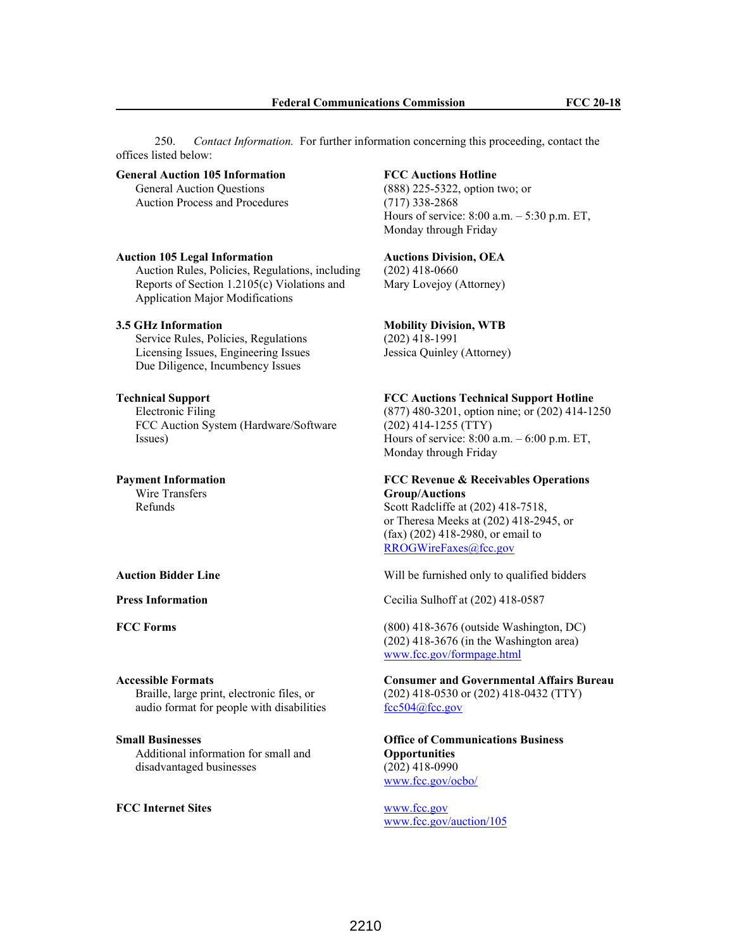250. *Contact Information.* For further information concerning this proceeding, contact the offices listed below:

#### **General Auction 105 Information** General Auction Questions

Auction Process and Procedures

#### **Auction 105 Legal Information**

Auction Rules, Policies, Regulations, including Reports of Section 1.2105(c) Violations and Application Major Modifications

## **3.5 GHz Information**

Service Rules, Policies, Regulations Licensing Issues, Engineering Issues Due Diligence, Incumbency Issues

## **Technical Support**

Electronic Filing FCC Auction System (Hardware/Software Issues)

## **Payment Information**

Wire Transfers Refunds

#### **Accessible Formats** Braille, large print, electronic files, or

audio format for people with disabilities

## **Small Businesses**

Additional information for small and disadvantaged businesses

### **FCC Internet Sites** www.fcc.gov

## **FCC Auctions Hotline**

(888) 225-5322, option two; or (717) 338-2868 Hours of service: 8:00 a.m. – 5:30 p.m. ET, Monday through Friday

#### **Auctions Division, OEA**  (202) 418-0660

Mary Lovejoy (Attorney)

# **Mobility Division, WTB**

(202) 418-1991 Jessica Quinley (Attorney)

## **FCC Auctions Technical Support Hotline**

(877) 480-3201, option nine; or (202) 414-1250 (202) 414-1255 (TTY) Hours of service: 8:00 a.m. – 6:00 p.m. ET, Monday through Friday

# **FCC Revenue & Receivables Operations Group/Auctions**

Scott Radcliffe at (202) 418-7518, or Theresa Meeks at (202) 418-2945, or (fax) (202) 418-2980, or email to RROGWireFaxes@fcc.gov

**Auction Bidder Line** Will be furnished only to qualified bidders

**Press Information** Cecilia Sulhoff at (202) 418-0587

**FCC Forms** (800) 418-3676 (outside Washington, DC) (202) 418-3676 (in the Washington area) www.fcc.gov/formpage.html

> **Consumer and Governmental Affairs Bureau** (202) 418-0530 or (202) 418-0432 (TTY) fcc504@fcc.gov

**Office of Communications Business Opportunities** (202) 418-0990 www.fcc.gov/ocbo/

www.fcc.gov/auction/105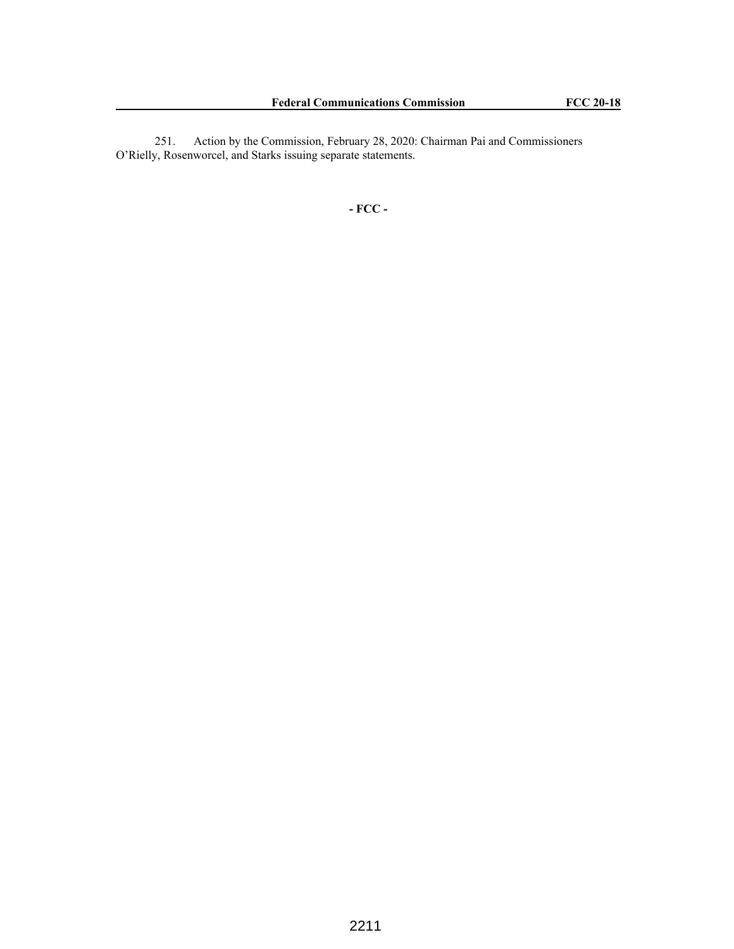251. Action by the Commission, February 28, 2020: Chairman Pai and Commissioners O'Rielly, Rosenworcel, and Starks issuing separate statements.

**- FCC -**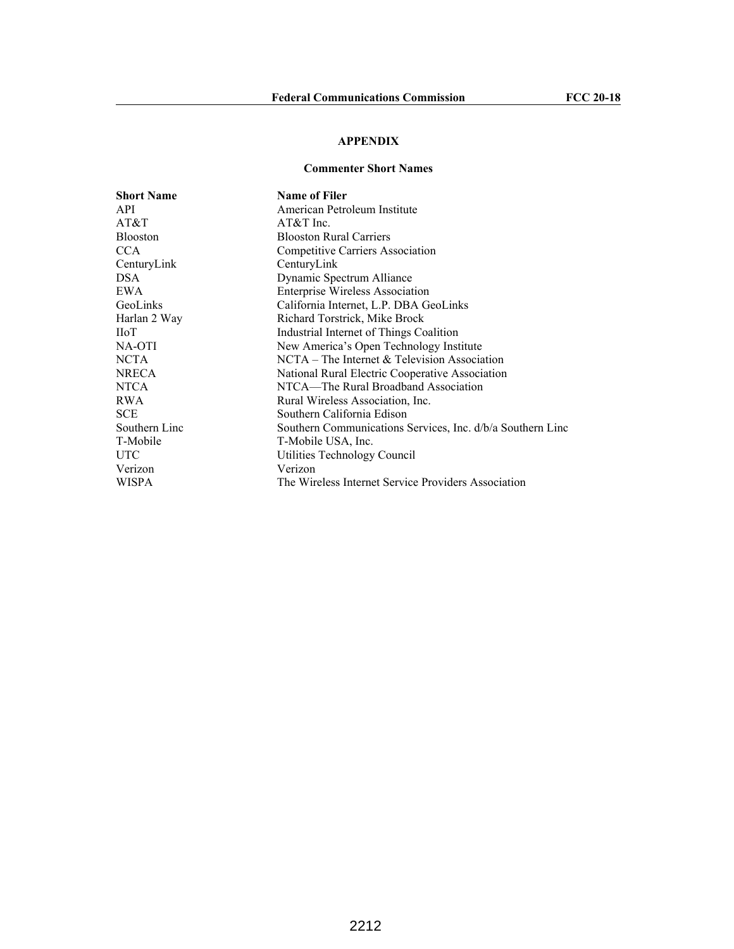# **APPENDIX**

## **Commenter Short Names**

| <b>Short Name</b> | <b>Name of Filer</b>                                       |
|-------------------|------------------------------------------------------------|
| API               | American Petroleum Institute                               |
| AT&T              | $AT&T$ Inc.                                                |
| Blooston          | <b>Blooston Rural Carriers</b>                             |
| CCA               | Competitive Carriers Association                           |
| CenturyLink       | CenturyLink                                                |
| DSA               | Dynamic Spectrum Alliance                                  |
| EWA               | <b>Enterprise Wireless Association</b>                     |
| GeoLinks          | California Internet, L.P. DBA GeoLinks                     |
| Harlan 2 Way      | Richard Torstrick, Mike Brock                              |
| ПоТ               | Industrial Internet of Things Coalition                    |
| NA-OTI            | New America's Open Technology Institute                    |
| NCTA              | $NCTA$ – The Internet & Television Association             |
| NRECA             | National Rural Electric Cooperative Association            |
| NTCA              | NTCA—The Rural Broadband Association                       |
| RWA               | Rural Wireless Association, Inc.                           |
| SCE               | Southern California Edison                                 |
| Southern Linc     | Southern Communications Services, Inc. d/b/a Southern Linc |
| T-Mobile          | T-Mobile USA, Inc.                                         |
| UTC               | Utilities Technology Council                               |
| Verizon           | Verizon                                                    |
| WISPA             | The Wireless Internet Service Providers Association        |
|                   |                                                            |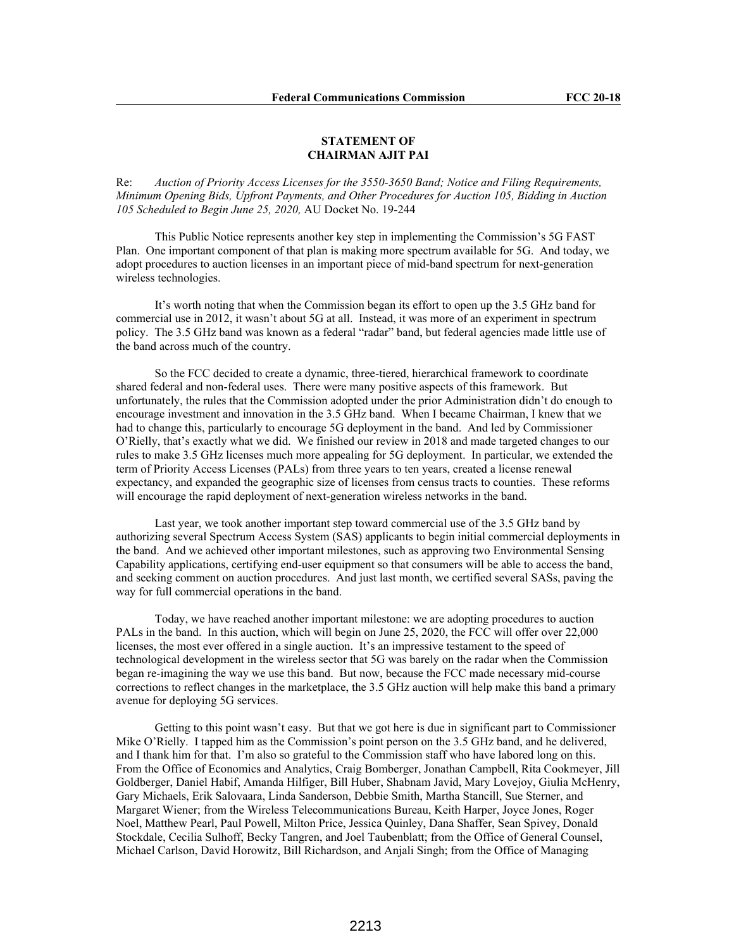#### **STATEMENT OF CHAIRMAN AJIT PAI**

Re: *Auction of Priority Access Licenses for the 3550-3650 Band; Notice and Filing Requirements, Minimum Opening Bids, Upfront Payments, and Other Procedures for Auction 105, Bidding in Auction 105 Scheduled to Begin June 25, 2020,* AU Docket No. 19-244

This Public Notice represents another key step in implementing the Commission's 5G FAST Plan. One important component of that plan is making more spectrum available for 5G. And today, we adopt procedures to auction licenses in an important piece of mid-band spectrum for next-generation wireless technologies.

It's worth noting that when the Commission began its effort to open up the 3.5 GHz band for commercial use in 2012, it wasn't about 5G at all. Instead, it was more of an experiment in spectrum policy. The 3.5 GHz band was known as a federal "radar" band, but federal agencies made little use of the band across much of the country.

So the FCC decided to create a dynamic, three-tiered, hierarchical framework to coordinate shared federal and non-federal uses. There were many positive aspects of this framework. But unfortunately, the rules that the Commission adopted under the prior Administration didn't do enough to encourage investment and innovation in the 3.5 GHz band. When I became Chairman, I knew that we had to change this, particularly to encourage 5G deployment in the band. And led by Commissioner O'Rielly, that's exactly what we did. We finished our review in 2018 and made targeted changes to our rules to make 3.5 GHz licenses much more appealing for 5G deployment. In particular, we extended the term of Priority Access Licenses (PALs) from three years to ten years, created a license renewal expectancy, and expanded the geographic size of licenses from census tracts to counties. These reforms will encourage the rapid deployment of next-generation wireless networks in the band.

Last year, we took another important step toward commercial use of the 3.5 GHz band by authorizing several Spectrum Access System (SAS) applicants to begin initial commercial deployments in the band. And we achieved other important milestones, such as approving two Environmental Sensing Capability applications, certifying end-user equipment so that consumers will be able to access the band, and seeking comment on auction procedures. And just last month, we certified several SASs, paving the way for full commercial operations in the band.

Today, we have reached another important milestone: we are adopting procedures to auction PALs in the band. In this auction, which will begin on June 25, 2020, the FCC will offer over 22,000 licenses, the most ever offered in a single auction. It's an impressive testament to the speed of technological development in the wireless sector that 5G was barely on the radar when the Commission began re-imagining the way we use this band. But now, because the FCC made necessary mid-course corrections to reflect changes in the marketplace, the 3.5 GHz auction will help make this band a primary avenue for deploying 5G services.

Getting to this point wasn't easy. But that we got here is due in significant part to Commissioner Mike O'Rielly. I tapped him as the Commission's point person on the 3.5 GHz band, and he delivered, and I thank him for that. I'm also so grateful to the Commission staff who have labored long on this. From the Office of Economics and Analytics, Craig Bomberger, Jonathan Campbell, Rita Cookmeyer, Jill Goldberger, Daniel Habif, Amanda Hilfiger, Bill Huber, Shabnam Javid, Mary Lovejoy, Giulia McHenry, Gary Michaels, Erik Salovaara, Linda Sanderson, Debbie Smith, Martha Stancill, Sue Sterner, and Margaret Wiener; from the Wireless Telecommunications Bureau, Keith Harper, Joyce Jones, Roger Noel, Matthew Pearl, Paul Powell, Milton Price, Jessica Quinley, Dana Shaffer, Sean Spivey, Donald Stockdale, Cecilia Sulhoff, Becky Tangren, and Joel Taubenblatt; from the Office of General Counsel, Michael Carlson, David Horowitz, Bill Richardson, and Anjali Singh; from the Office of Managing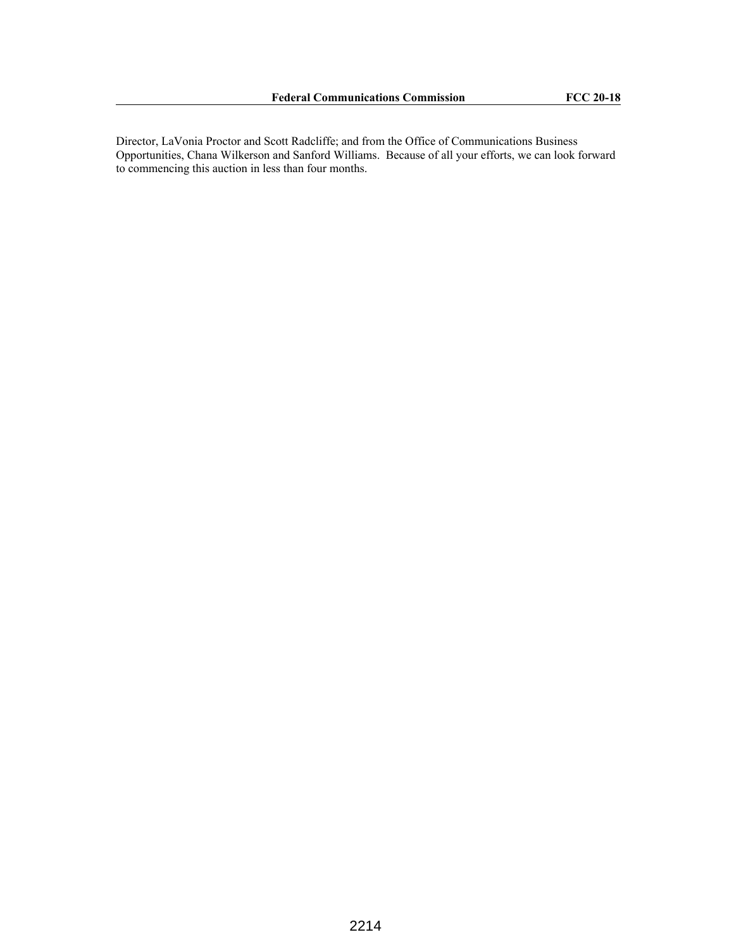Director, LaVonia Proctor and Scott Radcliffe; and from the Office of Communications Business Opportunities, Chana Wilkerson and Sanford Williams. Because of all your efforts, we can look forward to commencing this auction in less than four months.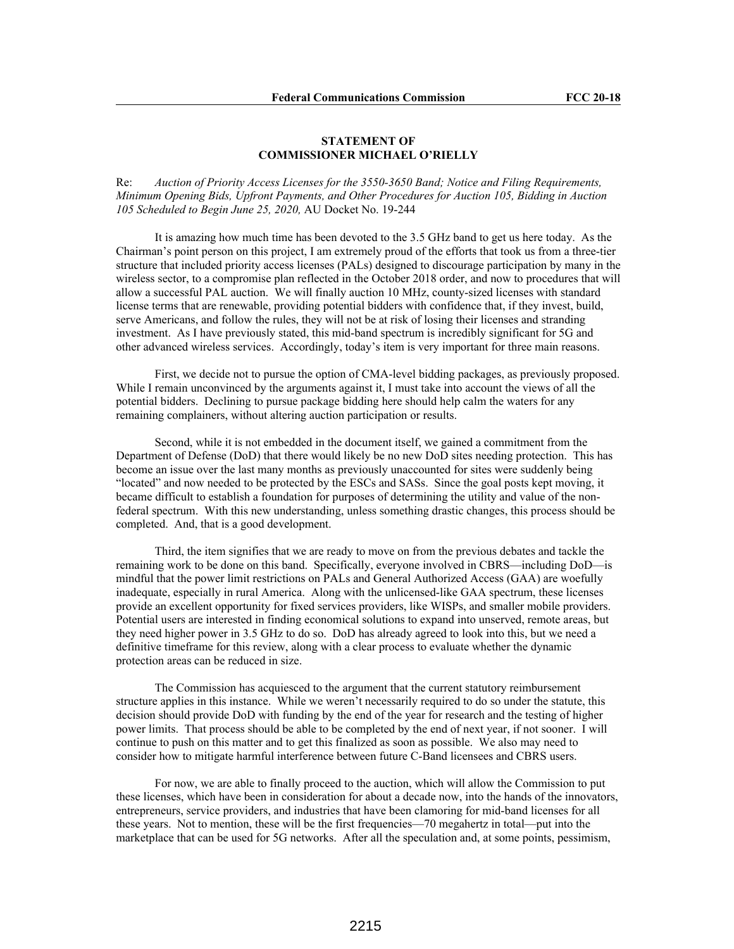#### **STATEMENT OF COMMISSIONER MICHAEL O'RIELLY**

Re: *Auction of Priority Access Licenses for the 3550-3650 Band; Notice and Filing Requirements, Minimum Opening Bids, Upfront Payments, and Other Procedures for Auction 105, Bidding in Auction 105 Scheduled to Begin June 25, 2020,* AU Docket No. 19-244

It is amazing how much time has been devoted to the 3.5 GHz band to get us here today. As the Chairman's point person on this project, I am extremely proud of the efforts that took us from a three-tier structure that included priority access licenses (PALs) designed to discourage participation by many in the wireless sector, to a compromise plan reflected in the October 2018 order, and now to procedures that will allow a successful PAL auction. We will finally auction 10 MHz, county-sized licenses with standard license terms that are renewable, providing potential bidders with confidence that, if they invest, build, serve Americans, and follow the rules, they will not be at risk of losing their licenses and stranding investment. As I have previously stated, this mid-band spectrum is incredibly significant for 5G and other advanced wireless services. Accordingly, today's item is very important for three main reasons.

First, we decide not to pursue the option of CMA-level bidding packages, as previously proposed. While I remain unconvinced by the arguments against it, I must take into account the views of all the potential bidders. Declining to pursue package bidding here should help calm the waters for any remaining complainers, without altering auction participation or results.

Second, while it is not embedded in the document itself, we gained a commitment from the Department of Defense (DoD) that there would likely be no new DoD sites needing protection. This has become an issue over the last many months as previously unaccounted for sites were suddenly being "located" and now needed to be protected by the ESCs and SASs. Since the goal posts kept moving, it became difficult to establish a foundation for purposes of determining the utility and value of the nonfederal spectrum. With this new understanding, unless something drastic changes, this process should be completed. And, that is a good development.

Third, the item signifies that we are ready to move on from the previous debates and tackle the remaining work to be done on this band. Specifically, everyone involved in CBRS—including DoD—is mindful that the power limit restrictions on PALs and General Authorized Access (GAA) are woefully inadequate, especially in rural America. Along with the unlicensed-like GAA spectrum, these licenses provide an excellent opportunity for fixed services providers, like WISPs, and smaller mobile providers. Potential users are interested in finding economical solutions to expand into unserved, remote areas, but they need higher power in 3.5 GHz to do so. DoD has already agreed to look into this, but we need a definitive timeframe for this review, along with a clear process to evaluate whether the dynamic protection areas can be reduced in size.

The Commission has acquiesced to the argument that the current statutory reimbursement structure applies in this instance. While we weren't necessarily required to do so under the statute, this decision should provide DoD with funding by the end of the year for research and the testing of higher power limits. That process should be able to be completed by the end of next year, if not sooner. I will continue to push on this matter and to get this finalized as soon as possible. We also may need to consider how to mitigate harmful interference between future C-Band licensees and CBRS users.

For now, we are able to finally proceed to the auction, which will allow the Commission to put these licenses, which have been in consideration for about a decade now, into the hands of the innovators, entrepreneurs, service providers, and industries that have been clamoring for mid-band licenses for all these years. Not to mention, these will be the first frequencies—70 megahertz in total—put into the marketplace that can be used for 5G networks. After all the speculation and, at some points, pessimism,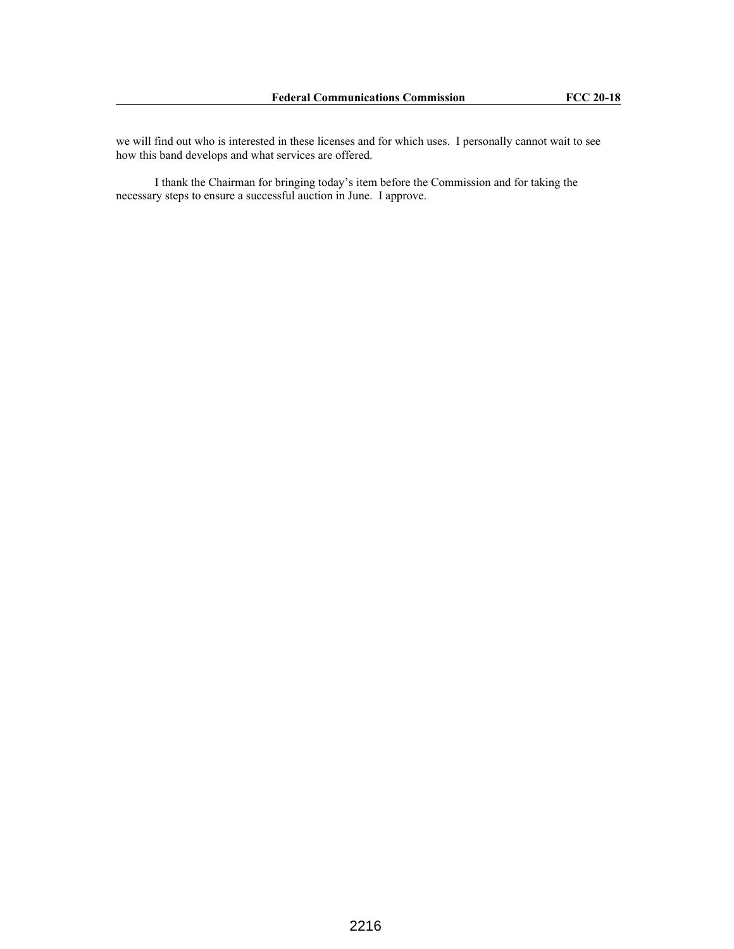we will find out who is interested in these licenses and for which uses. I personally cannot wait to see how this band develops and what services are offered.

I thank the Chairman for bringing today's item before the Commission and for taking the necessary steps to ensure a successful auction in June. I approve.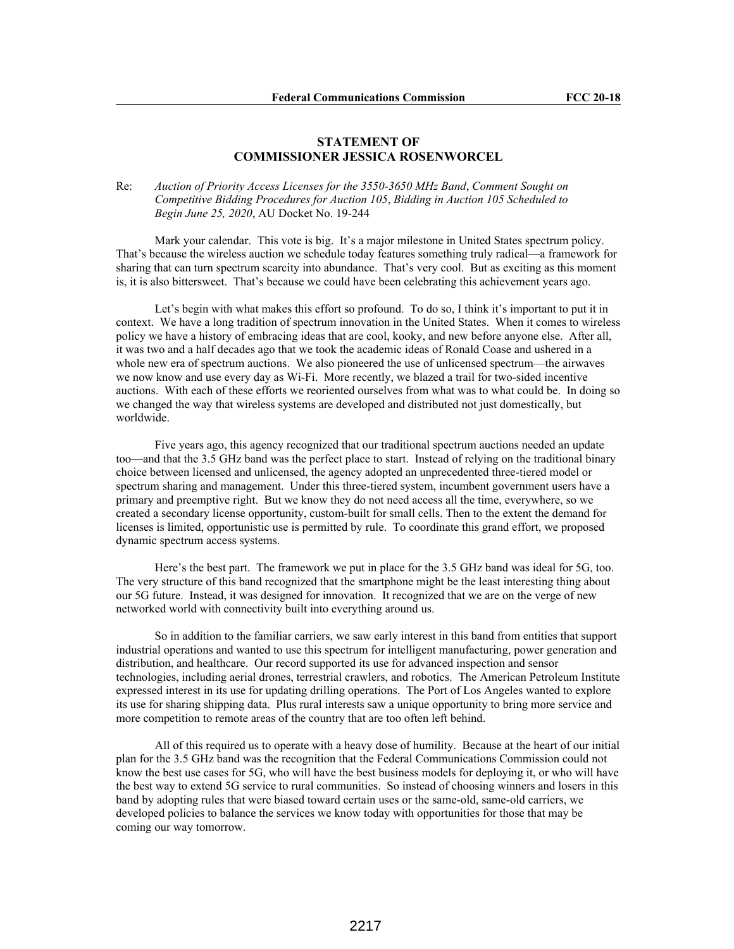## **STATEMENT OF COMMISSIONER JESSICA ROSENWORCEL**

### Re: *Auction of Priority Access Licenses for the 3550-3650 MHz Band*, *Comment Sought on Competitive Bidding Procedures for Auction 105*, *Bidding in Auction 105 Scheduled to Begin June 25, 2020*, AU Docket No. 19-244

Mark your calendar. This vote is big. It's a major milestone in United States spectrum policy. That's because the wireless auction we schedule today features something truly radical—a framework for sharing that can turn spectrum scarcity into abundance. That's very cool. But as exciting as this moment is, it is also bittersweet. That's because we could have been celebrating this achievement years ago.

Let's begin with what makes this effort so profound. To do so, I think it's important to put it in context. We have a long tradition of spectrum innovation in the United States. When it comes to wireless policy we have a history of embracing ideas that are cool, kooky, and new before anyone else. After all, it was two and a half decades ago that we took the academic ideas of Ronald Coase and ushered in a whole new era of spectrum auctions. We also pioneered the use of unlicensed spectrum—the airwaves we now know and use every day as Wi-Fi. More recently, we blazed a trail for two-sided incentive auctions. With each of these efforts we reoriented ourselves from what was to what could be. In doing so we changed the way that wireless systems are developed and distributed not just domestically, but worldwide.

Five years ago, this agency recognized that our traditional spectrum auctions needed an update too—and that the 3.5 GHz band was the perfect place to start. Instead of relying on the traditional binary choice between licensed and unlicensed, the agency adopted an unprecedented three-tiered model or spectrum sharing and management. Under this three-tiered system, incumbent government users have a primary and preemptive right. But we know they do not need access all the time, everywhere, so we created a secondary license opportunity, custom-built for small cells. Then to the extent the demand for licenses is limited, opportunistic use is permitted by rule. To coordinate this grand effort, we proposed dynamic spectrum access systems.

Here's the best part. The framework we put in place for the 3.5 GHz band was ideal for 5G, too. The very structure of this band recognized that the smartphone might be the least interesting thing about our 5G future. Instead, it was designed for innovation. It recognized that we are on the verge of new networked world with connectivity built into everything around us.

So in addition to the familiar carriers, we saw early interest in this band from entities that support industrial operations and wanted to use this spectrum for intelligent manufacturing, power generation and distribution, and healthcare. Our record supported its use for advanced inspection and sensor technologies, including aerial drones, terrestrial crawlers, and robotics. The American Petroleum Institute expressed interest in its use for updating drilling operations. The Port of Los Angeles wanted to explore its use for sharing shipping data. Plus rural interests saw a unique opportunity to bring more service and more competition to remote areas of the country that are too often left behind.

All of this required us to operate with a heavy dose of humility. Because at the heart of our initial plan for the 3.5 GHz band was the recognition that the Federal Communications Commission could not know the best use cases for 5G, who will have the best business models for deploying it, or who will have the best way to extend 5G service to rural communities. So instead of choosing winners and losers in this band by adopting rules that were biased toward certain uses or the same-old, same-old carriers, we developed policies to balance the services we know today with opportunities for those that may be coming our way tomorrow.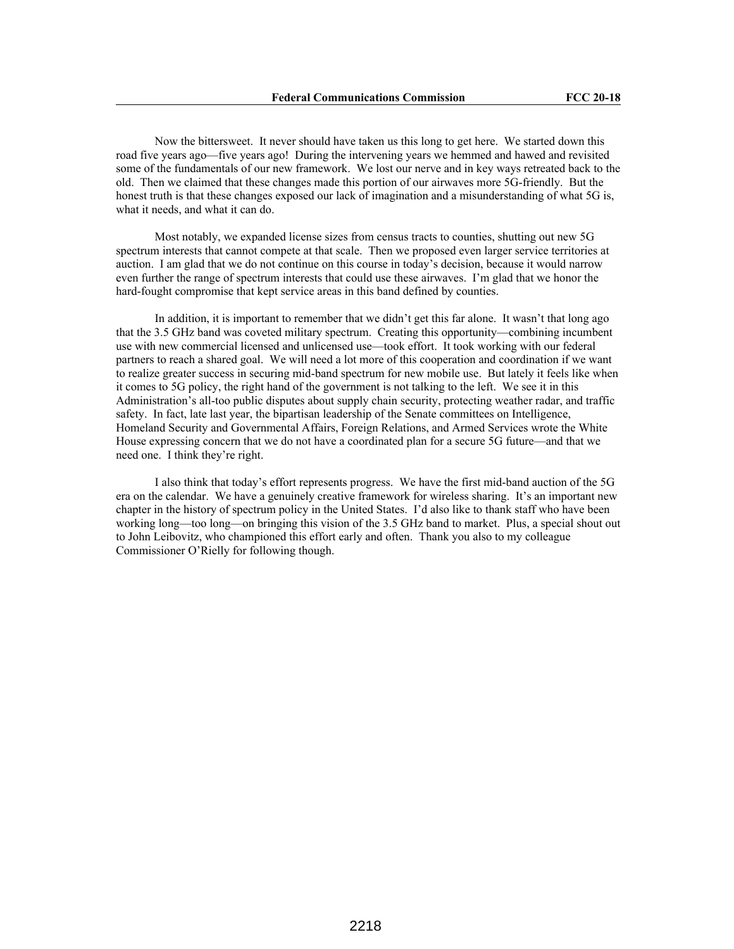Now the bittersweet. It never should have taken us this long to get here. We started down this road five years ago—five years ago! During the intervening years we hemmed and hawed and revisited some of the fundamentals of our new framework. We lost our nerve and in key ways retreated back to the old. Then we claimed that these changes made this portion of our airwaves more 5G-friendly. But the honest truth is that these changes exposed our lack of imagination and a misunderstanding of what 5G is, what it needs, and what it can do.

Most notably, we expanded license sizes from census tracts to counties, shutting out new 5G spectrum interests that cannot compete at that scale. Then we proposed even larger service territories at auction. I am glad that we do not continue on this course in today's decision, because it would narrow even further the range of spectrum interests that could use these airwaves. I'm glad that we honor the hard-fought compromise that kept service areas in this band defined by counties.

In addition, it is important to remember that we didn't get this far alone. It wasn't that long ago that the 3.5 GHz band was coveted military spectrum. Creating this opportunity—combining incumbent use with new commercial licensed and unlicensed use—took effort. It took working with our federal partners to reach a shared goal. We will need a lot more of this cooperation and coordination if we want to realize greater success in securing mid-band spectrum for new mobile use. But lately it feels like when it comes to 5G policy, the right hand of the government is not talking to the left. We see it in this Administration's all-too public disputes about supply chain security, protecting weather radar, and traffic safety. In fact, late last year, the bipartisan leadership of the Senate committees on Intelligence, Homeland Security and Governmental Affairs, Foreign Relations, and Armed Services wrote the White House expressing concern that we do not have a coordinated plan for a secure 5G future—and that we need one. I think they're right.

I also think that today's effort represents progress. We have the first mid-band auction of the 5G era on the calendar. We have a genuinely creative framework for wireless sharing. It's an important new chapter in the history of spectrum policy in the United States. I'd also like to thank staff who have been working long—too long—on bringing this vision of the 3.5 GHz band to market. Plus, a special shout out to John Leibovitz, who championed this effort early and often. Thank you also to my colleague Commissioner O'Rielly for following though.